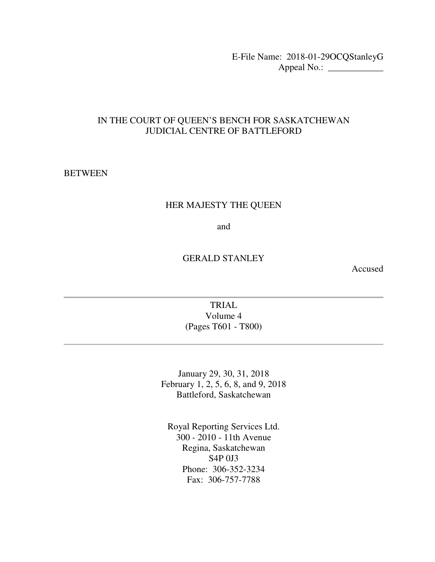E-File Name: 2018-01-29OCQStanleyG Appeal No.: \_\_\_\_\_\_\_\_\_\_\_\_

#### IN THE COURT OF QUEEN'S BENCH FOR SASKATCHEWAN JUDICIAL CENTRE OF BATTLEFORD

#### **BETWEEN**

#### HER MAJESTY THE QUEEN

and

#### GERALD STANLEY

Accused

TRIAL Volume 4 (Pages T601 - T800)

January 29, 30, 31, 2018 February 1, 2, 5, 6, 8, and 9, 2018 Battleford, Saskatchewan

Royal Reporting Services Ltd. 300 - 2010 - 11th Avenue Regina, Saskatchewan S4P 0J3 Phone: 306-352-3234 Fax: 306-757-7788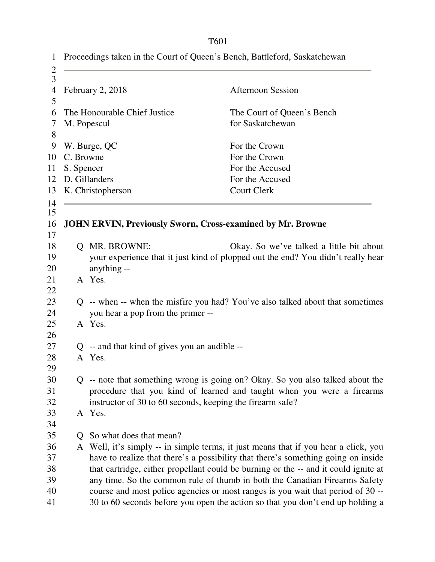| $\mathbf{1}$        |            |                                                           | Proceedings taken in the Court of Queen's Bench, Battleford, Saskatchewan           |
|---------------------|------------|-----------------------------------------------------------|-------------------------------------------------------------------------------------|
| $\overline{c}$<br>3 |            |                                                           |                                                                                     |
| 4                   |            | February 2, 2018                                          | <b>Afternoon Session</b>                                                            |
| 5                   |            |                                                           |                                                                                     |
| 6                   |            | The Honourable Chief Justice                              | The Court of Queen's Bench                                                          |
| 7                   |            | M. Popescul                                               | for Saskatchewan                                                                    |
| 8                   |            |                                                           |                                                                                     |
| 9                   |            | W. Burge, QC                                              | For the Crown                                                                       |
| 10                  | C. Browne  |                                                           | For the Crown                                                                       |
| 11                  | S. Spencer |                                                           | For the Accused                                                                     |
| 12                  |            | D. Gillanders                                             | For the Accused                                                                     |
| 13                  |            | K. Christopherson                                         | <b>Court Clerk</b>                                                                  |
| 14                  |            |                                                           |                                                                                     |
| 15<br>16            |            |                                                           | <b>JOHN ERVIN, Previously Sworn, Cross-examined by Mr. Browne</b>                   |
| 17                  |            |                                                           |                                                                                     |
| 18                  |            | <b>Q MR. BROWNE:</b>                                      | Okay. So we've talked a little bit about                                            |
| 19                  |            |                                                           | your experience that it just kind of plopped out the end? You didn't really hear    |
| 20                  |            | anything --                                               |                                                                                     |
| 21                  |            | A Yes.                                                    |                                                                                     |
| 22                  |            |                                                           |                                                                                     |
| 23                  |            |                                                           | Q -- when -- when the misfire you had? You've also talked about that sometimes      |
| 24                  |            | you hear a pop from the primer --                         |                                                                                     |
| 25                  |            | A Yes.                                                    |                                                                                     |
| 26                  |            |                                                           |                                                                                     |
| 27                  |            | $Q$ -- and that kind of gives you an audible --           |                                                                                     |
| 28                  |            | A Yes.                                                    |                                                                                     |
| 29                  |            |                                                           |                                                                                     |
| 30                  |            |                                                           | Q -- note that something wrong is going on? Okay. So you also talked about the      |
| 31                  |            |                                                           | procedure that you kind of learned and taught when you were a firearms              |
| 32                  |            | instructor of 30 to 60 seconds, keeping the firearm safe? |                                                                                     |
| 33                  |            | A Yes.                                                    |                                                                                     |
| 34                  |            |                                                           |                                                                                     |
| 35                  | Q.         | So what does that mean?                                   |                                                                                     |
| 36                  |            |                                                           | A Well, it's simply -- in simple terms, it just means that if you hear a click, you |
| 37                  |            |                                                           | have to realize that there's a possibility that there's something going on inside   |
| 38                  |            |                                                           | that cartridge, either propellant could be burning or the -- and it could ignite at |
| 39                  |            |                                                           | any time. So the common rule of thumb in both the Canadian Firearms Safety          |
| 40                  |            |                                                           | course and most police agencies or most ranges is you wait that period of 30 --     |
| 41                  |            |                                                           | 30 to 60 seconds before you open the action so that you don't end up holding a      |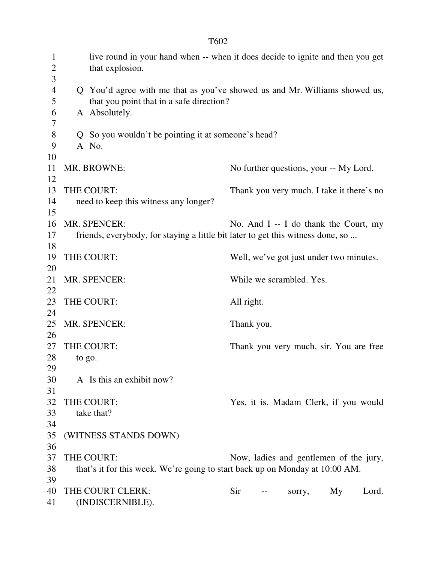| $\mathbf{1}$<br>$\overline{c}$<br>3 |        | that explosion.                                                                 | live round in your hand when -- when it does decide to ignite and then you get |
|-------------------------------------|--------|---------------------------------------------------------------------------------|--------------------------------------------------------------------------------|
| $\overline{4}$<br>5                 |        | that you point that in a safe direction?                                        | Q You'd agree with me that as you've showed us and Mr. Williams showed us,     |
| 6<br>7                              |        | A Absolutely.                                                                   |                                                                                |
| $8\,$                               |        | Q So you wouldn't be pointing it at someone's head?                             |                                                                                |
| 9                                   |        | A No.                                                                           |                                                                                |
| 10                                  |        |                                                                                 |                                                                                |
| 11                                  |        | MR. BROWNE:                                                                     | No further questions, your -- My Lord.                                         |
| 12                                  |        |                                                                                 |                                                                                |
| 13                                  |        | THE COURT:                                                                      | Thank you very much. I take it there's no                                      |
| 14                                  |        | need to keep this witness any longer?                                           |                                                                                |
| 15                                  |        |                                                                                 |                                                                                |
| 16                                  |        | MR. SPENCER:                                                                    | No. And $I - I$ do thank the Court, my                                         |
| 17                                  |        | friends, everybody, for staying a little bit later to get this witness done, so |                                                                                |
| 18                                  |        |                                                                                 |                                                                                |
| 19                                  |        | THE COURT:                                                                      | Well, we've got just under two minutes.                                        |
| 20                                  |        |                                                                                 |                                                                                |
| 21                                  |        | MR. SPENCER:                                                                    | While we scrambled. Yes.                                                       |
| 22                                  |        |                                                                                 |                                                                                |
| 23                                  |        | THE COURT:                                                                      | All right.                                                                     |
| 24                                  |        |                                                                                 |                                                                                |
| 25                                  |        | MR. SPENCER:                                                                    | Thank you.                                                                     |
| 26<br>27                            |        | THE COURT:                                                                      |                                                                                |
| 28                                  |        |                                                                                 | Thank you very much, sir. You are free                                         |
| 29                                  | to go. |                                                                                 |                                                                                |
| 30                                  |        | A Is this an exhibit now?                                                       |                                                                                |
| 31                                  |        |                                                                                 |                                                                                |
| 32                                  |        | THE COURT:                                                                      | Yes, it is. Madam Clerk, if you would                                          |
| 33                                  |        | take that?                                                                      |                                                                                |
| 34                                  |        |                                                                                 |                                                                                |
| 35                                  |        | (WITNESS STANDS DOWN)                                                           |                                                                                |
| 36                                  |        |                                                                                 |                                                                                |
| 37                                  |        | THE COURT:                                                                      | Now, ladies and gentlemen of the jury,                                         |
| 38                                  |        | that's it for this week. We're going to start back up on Monday at 10:00 AM.    |                                                                                |
| 39                                  |        |                                                                                 |                                                                                |
| 40                                  |        | THE COURT CLERK:                                                                | Sir<br>Lord.<br>My<br>sorry,                                                   |
| 41                                  |        | (INDISCERNIBLE).                                                                |                                                                                |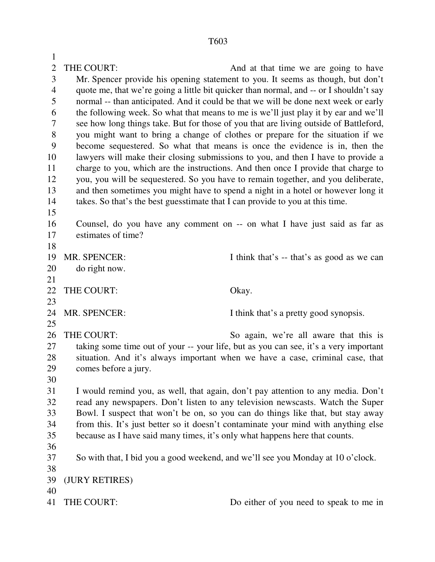1 2 THE COURT: And at that time we are going to have 3 Mr. Spencer provide his opening statement to you. It seems as though, but don't 4 quote me, that we're going a little bit quicker than normal, and -- or I shouldn't say 5 normal -- than anticipated. And it could be that we will be done next week or early 6 the following week. So what that means to me is we'll just play it by ear and we'll 7 see how long things take. But for those of you that are living outside of Battleford, 8 you might want to bring a change of clothes or prepare for the situation if we 9 become sequestered. So what that means is once the evidence is in, then the 10 lawyers will make their closing submissions to you, and then I have to provide a 11 charge to you, which are the instructions. And then once I provide that charge to 12 you, you will be sequestered. So you have to remain together, and you deliberate, 13 and then sometimes you might have to spend a night in a hotel or however long it 14 takes. So that's the best guesstimate that I can provide to you at this time. 15 16 Counsel, do you have any comment on -- on what I have just said as far as 17 estimates of time? 18 19 MR. SPENCER: I think that's -- that's as good as we can 20 do right now. 21 22 THE COURT: Okay. 23 24 MR. SPENCER: I think that's a pretty good synopsis. 25 26 THE COURT: So again, we're all aware that this is 27 taking some time out of your -- your life, but as you can see, it's a very important 28 situation. And it's always important when we have a case, criminal case, that 29 comes before a jury. 30 31 I would remind you, as well, that again, don't pay attention to any media. Don't 32 read any newspapers. Don't listen to any television newscasts. Watch the Super 33 Bowl. I suspect that won't be on, so you can do things like that, but stay away 34 from this. It's just better so it doesn't contaminate your mind with anything else 35 because as I have said many times, it's only what happens here that counts. 36 37 So with that, I bid you a good weekend, and we'll see you Monday at 10 o'clock. 38 39 (JURY RETIRES) 40 41 THE COURT: Do either of you need to speak to me in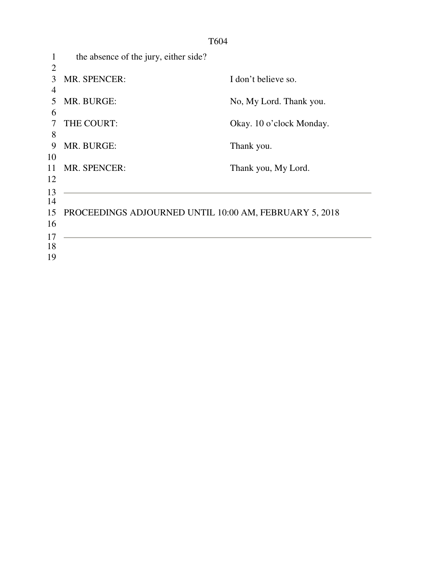| 1        | the absence of the jury, either side?                  |                          |
|----------|--------------------------------------------------------|--------------------------|
| 2<br>3   | <b>MR. SPENCER:</b>                                    | I don't believe so.      |
| 4<br>5   | MR. BURGE:                                             | No, My Lord. Thank you.  |
| 6<br>7   | THE COURT:                                             | Okay. 10 o'clock Monday. |
| 8<br>9   | MR. BURGE:                                             |                          |
| 10       |                                                        | Thank you.               |
| 11<br>12 | <b>MR. SPENCER:</b>                                    | Thank you, My Lord.      |
| 13<br>14 |                                                        |                          |
| 15       | PROCEEDINGS ADJOURNED UNTIL 10:00 AM, FEBRUARY 5, 2018 |                          |
| 16<br>17 |                                                        |                          |
| 18<br>19 |                                                        |                          |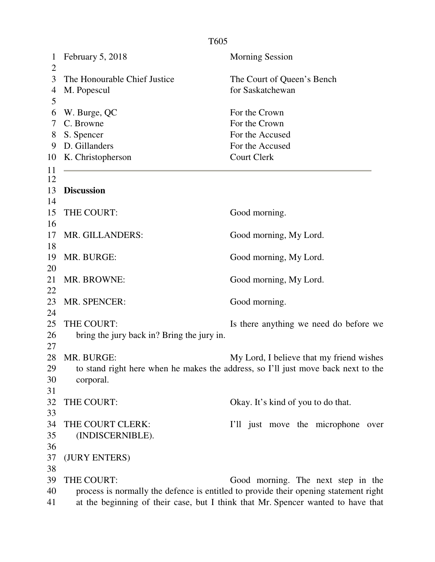| $\mathbf{1}$<br>$\overline{2}$ | February 5, 2018                           | <b>Morning Session</b>                                                               |  |  |
|--------------------------------|--------------------------------------------|--------------------------------------------------------------------------------------|--|--|
| 3                              | The Honourable Chief Justice               | The Court of Queen's Bench                                                           |  |  |
| 4                              | M. Popescul                                | for Saskatchewan                                                                     |  |  |
| 5                              |                                            |                                                                                      |  |  |
| 6                              | W. Burge, QC                               | For the Crown                                                                        |  |  |
| 7                              | C. Browne                                  | For the Crown                                                                        |  |  |
| 8                              | S. Spencer                                 | For the Accused                                                                      |  |  |
| 9                              | D. Gillanders                              | For the Accused                                                                      |  |  |
| 10                             | K. Christopherson                          | <b>Court Clerk</b>                                                                   |  |  |
| 11                             |                                            |                                                                                      |  |  |
| 12                             |                                            |                                                                                      |  |  |
| 13                             | <b>Discussion</b>                          |                                                                                      |  |  |
| 14                             |                                            |                                                                                      |  |  |
| 15                             | THE COURT:                                 | Good morning.                                                                        |  |  |
| 16                             |                                            |                                                                                      |  |  |
| 17                             | MR. GILLANDERS:                            | Good morning, My Lord.                                                               |  |  |
| 18                             |                                            |                                                                                      |  |  |
| 19                             | MR. BURGE:                                 | Good morning, My Lord.                                                               |  |  |
| 20                             |                                            |                                                                                      |  |  |
| 21                             | MR. BROWNE:                                | Good morning, My Lord.                                                               |  |  |
| 22                             |                                            |                                                                                      |  |  |
| 23                             | MR. SPENCER:                               | Good morning.                                                                        |  |  |
| 24                             |                                            |                                                                                      |  |  |
| 25                             | THE COURT:                                 | Is there anything we need do before we                                               |  |  |
| 26                             | bring the jury back in? Bring the jury in. |                                                                                      |  |  |
| 27                             |                                            |                                                                                      |  |  |
| 28                             | MR. BURGE:                                 | My Lord, I believe that my friend wishes                                             |  |  |
| 29                             |                                            | to stand right here when he makes the address, so I'll just move back next to the    |  |  |
| 30                             | corporal.                                  |                                                                                      |  |  |
| 31                             |                                            |                                                                                      |  |  |
| 32                             | THE COURT:                                 | Okay. It's kind of you to do that.                                                   |  |  |
| 33                             |                                            |                                                                                      |  |  |
| 34                             | THE COURT CLERK:                           | I'll just move the microphone over                                                   |  |  |
| 35                             | (INDISCERNIBLE).                           |                                                                                      |  |  |
| 36                             |                                            |                                                                                      |  |  |
| 37                             | (JURY ENTERS)                              |                                                                                      |  |  |
| 38                             |                                            |                                                                                      |  |  |
| 39                             | THE COURT:                                 | Good morning. The next step in the                                                   |  |  |
| 40                             |                                            | process is normally the defence is entitled to provide their opening statement right |  |  |
| 41                             |                                            | at the beginning of their case, but I think that Mr. Spencer wanted to have that     |  |  |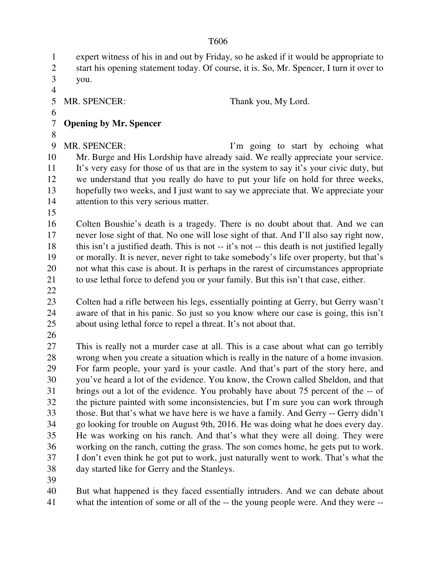1 expert witness of his in and out by Friday, so he asked if it would be appropriate to

2 start his opening statement today. Of course, it is. So, Mr. Spencer, I turn it over to 3 you.

4

5 MR. SPENCER: Thank you, My Lord.

6

### 7 **Opening by Mr. Spencer**

8

9 MR. SPENCER: I'm going to start by echoing what 10 Mr. Burge and His Lordship have already said. We really appreciate your service. 11 It's very easy for those of us that are in the system to say it's your civic duty, but 12 we understand that you really do have to put your life on hold for three weeks, 13 hopefully two weeks, and I just want to say we appreciate that. We appreciate your 14 attention to this very serious matter.

15

16 Colten Boushie's death is a tragedy. There is no doubt about that. And we can 17 never lose sight of that. No one will lose sight of that. And I'll also say right now, 18 this isn't a justified death. This is not -- it's not -- this death is not justified legally 19 or morally. It is never, never right to take somebody's life over property, but that's 20 not what this case is about. It is perhaps in the rarest of circumstances appropriate 21 to use lethal force to defend you or your family. But this isn't that case, either.

22

23 Colten had a rifle between his legs, essentially pointing at Gerry, but Gerry wasn't 24 aware of that in his panic. So just so you know where our case is going, this isn't 25 about using lethal force to repel a threat. It's not about that.

26

27 This is really not a murder case at all. This is a case about what can go terribly 28 wrong when you create a situation which is really in the nature of a home invasion. 29 For farm people, your yard is your castle. And that's part of the story here, and 30 you've heard a lot of the evidence. You know, the Crown called Sheldon, and that 31 brings out a lot of the evidence. You probably have about 75 percent of the -- of 32 the picture painted with some inconsistencies, but I'm sure you can work through 33 those. But that's what we have here is we have a family. And Gerry -- Gerry didn't 34 go looking for trouble on August 9th, 2016. He was doing what he does every day. 35 He was working on his ranch. And that's what they were all doing. They were 36 working on the ranch, cutting the grass. The son comes home, he gets put to work. 37 I don't even think he got put to work, just naturally went to work. That's what the 38 day started like for Gerry and the Stanleys.

39

40 But what happened is they faced essentially intruders. And we can debate about 41 what the intention of some or all of the -- the young people were. And they were --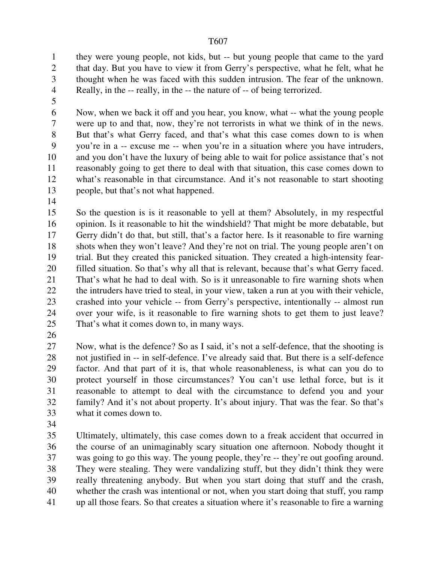1 they were young people, not kids, but -- but young people that came to the yard 2 that day. But you have to view it from Gerry's perspective, what he felt, what he 3 thought when he was faced with this sudden intrusion. The fear of the unknown. 4 Really, in the -- really, in the -- the nature of -- of being terrorized.

5

6 Now, when we back it off and you hear, you know, what -- what the young people 7 were up to and that, now, they're not terrorists in what we think of in the news. 8 But that's what Gerry faced, and that's what this case comes down to is when 9 you're in a -- excuse me -- when you're in a situation where you have intruders, 10 and you don't have the luxury of being able to wait for police assistance that's not 11 reasonably going to get there to deal with that situation, this case comes down to 12 what's reasonable in that circumstance. And it's not reasonable to start shooting 13 people, but that's not what happened.

14

15 So the question is is it reasonable to yell at them? Absolutely, in my respectful 16 opinion. Is it reasonable to hit the windshield? That might be more debatable, but 17 Gerry didn't do that, but still, that's a factor here. Is it reasonable to fire warning 18 shots when they won't leave? And they're not on trial. The young people aren't on 19 trial. But they created this panicked situation. They created a high-intensity fear-20 filled situation. So that's why all that is relevant, because that's what Gerry faced. 21 That's what he had to deal with. So is it unreasonable to fire warning shots when 22 the intruders have tried to steal, in your view, taken a run at you with their vehicle, 23 crashed into your vehicle -- from Gerry's perspective, intentionally -- almost run 24 over your wife, is it reasonable to fire warning shots to get them to just leave? 25 That's what it comes down to, in many ways.

26

27 Now, what is the defence? So as I said, it's not a self-defence, that the shooting is 28 not justified in -- in self-defence. I've already said that. But there is a self-defence 29 factor. And that part of it is, that whole reasonableness, is what can you do to 30 protect yourself in those circumstances? You can't use lethal force, but is it 31 reasonable to attempt to deal with the circumstance to defend you and your 32 family? And it's not about property. It's about injury. That was the fear. So that's 33 what it comes down to.

34

35 Ultimately, ultimately, this case comes down to a freak accident that occurred in 36 the course of an unimaginably scary situation one afternoon. Nobody thought it 37 was going to go this way. The young people, they're -- they're out goofing around. 38 They were stealing. They were vandalizing stuff, but they didn't think they were 39 really threatening anybody. But when you start doing that stuff and the crash, 40 whether the crash was intentional or not, when you start doing that stuff, you ramp 41 up all those fears. So that creates a situation where it's reasonable to fire a warning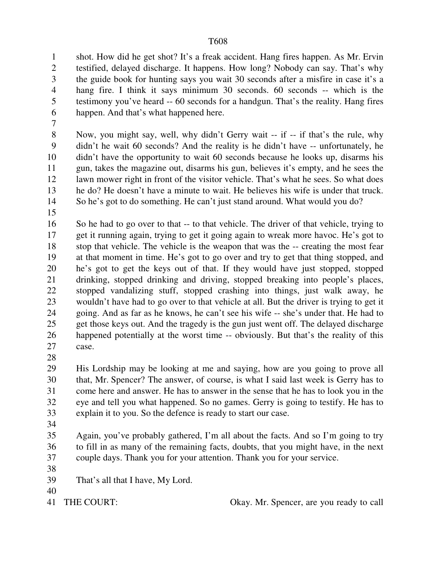1 shot. How did he get shot? It's a freak accident. Hang fires happen. As Mr. Ervin 2 testified, delayed discharge. It happens. How long? Nobody can say. That's why 3 the guide book for hunting says you wait 30 seconds after a misfire in case it's a 4 hang fire. I think it says minimum 30 seconds. 60 seconds -- which is the 5 testimony you've heard -- 60 seconds for a handgun. That's the reality. Hang fires 6 happen. And that's what happened here.

7

8 Now, you might say, well, why didn't Gerry wait -- if -- if that's the rule, why 9 didn't he wait 60 seconds? And the reality is he didn't have -- unfortunately, he 10 didn't have the opportunity to wait 60 seconds because he looks up, disarms his 11 gun, takes the magazine out, disarms his gun, believes it's empty, and he sees the 12 lawn mower right in front of the visitor vehicle. That's what he sees. So what does 13 he do? He doesn't have a minute to wait. He believes his wife is under that truck. 14 So he's got to do something. He can't just stand around. What would you do?

15

16 So he had to go over to that -- to that vehicle. The driver of that vehicle, trying to 17 get it running again, trying to get it going again to wreak more havoc. He's got to 18 stop that vehicle. The vehicle is the weapon that was the -- creating the most fear 19 at that moment in time. He's got to go over and try to get that thing stopped, and 20 he's got to get the keys out of that. If they would have just stopped, stopped 21 drinking, stopped drinking and driving, stopped breaking into people's places, 22 stopped vandalizing stuff, stopped crashing into things, just walk away, he 23 wouldn't have had to go over to that vehicle at all. But the driver is trying to get it 24 going. And as far as he knows, he can't see his wife -- she's under that. He had to 25 get those keys out. And the tragedy is the gun just went off. The delayed discharge 26 happened potentially at the worst time -- obviously. But that's the reality of this 27 case.

28

29 His Lordship may be looking at me and saying, how are you going to prove all 30 that, Mr. Spencer? The answer, of course, is what I said last week is Gerry has to 31 come here and answer. He has to answer in the sense that he has to look you in the 32 eye and tell you what happened. So no games. Gerry is going to testify. He has to 33 explain it to you. So the defence is ready to start our case.

34

35 Again, you've probably gathered, I'm all about the facts. And so I'm going to try 36 to fill in as many of the remaining facts, doubts, that you might have, in the next 37 couple days. Thank you for your attention. Thank you for your service.

38

39 That's all that I have, My Lord.

40

41 THE COURT: Okay. Mr. Spencer, are you ready to call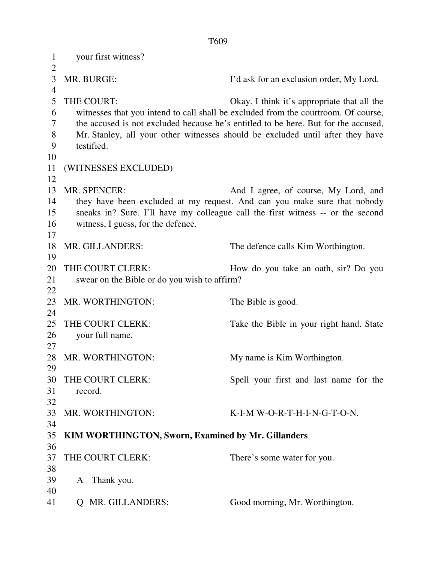1 your first witness?  $\overline{2}$ 3 MR. BURGE: I'd ask for an exclusion order, My Lord. 4 5 THE COURT: Okay. I think it's appropriate that all the 6 witnesses that you intend to call shall be excluded from the courtroom. Of course, 7 the accused is not excluded because he's entitled to be here. But for the accused, 8 Mr. Stanley, all your other witnesses should be excluded until after they have 9 testified. 10 11 (WITNESSES EXCLUDED) 12 13 MR. SPENCER: And I agree, of course, My Lord, and 14 they have been excluded at my request. And can you make sure that nobody 15 sneaks in? Sure. I'll have my colleague call the first witness -- or the second 16 witness, I guess, for the defence. 17 18 MR. GILLANDERS: The defence calls Kim Worthington. 19 20 THE COURT CLERK: How do you take an oath, sir? Do you 21 swear on the Bible or do you wish to affirm? 22 23 MR. WORTHINGTON: The Bible is good. 24 25 THE COURT CLERK: Take the Bible in your right hand. State 26 your full name. 27 28 MR. WORTHINGTON: My name is Kim Worthington. 29 30 THE COURT CLERK: Spell your first and last name for the 31 record. 32 33 MR. WORTHINGTON: K-I-M W-O-R-T-H-I-N-G-T-O-N. 34 35 **KIM WORTHINGTON, Sworn, Examined by Mr. Gillanders**  36 37 THE COURT CLERK: There's some water for you. 38 39 A Thank you. 40 41 Q MR. GILLANDERS: Good morning, Mr. Worthington.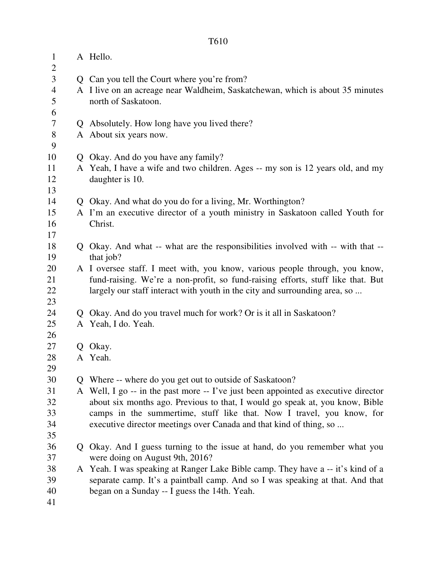| $\mathbf{1}$        | A Hello.                                                                           |
|---------------------|------------------------------------------------------------------------------------|
| $\overline{2}$<br>3 | Q Can you tell the Court where you're from?                                        |
| $\overline{4}$      | A I live on an acreage near Waldheim, Saskatchewan, which is about 35 minutes      |
| 5                   | north of Saskatoon.                                                                |
| 6                   |                                                                                    |
| 7                   | Q Absolutely. How long have you lived there?                                       |
| $8\,$               | A About six years now.                                                             |
| 9                   |                                                                                    |
| 10                  | Q Okay. And do you have any family?                                                |
| 11                  | A Yeah, I have a wife and two children. Ages -- my son is 12 years old, and my     |
| 12                  | daughter is 10.                                                                    |
| 13                  |                                                                                    |
| 14                  | Q Okay. And what do you do for a living, Mr. Worthington?                          |
| 15                  | A I'm an executive director of a youth ministry in Saskatoon called Youth for      |
| 16                  | Christ.                                                                            |
| 17                  |                                                                                    |
| 18                  | Q Okay. And what -- what are the responsibilities involved with -- with that --    |
| 19                  | that job?                                                                          |
| 20                  | A I oversee staff. I meet with, you know, various people through, you know,        |
| 21                  | fund-raising. We're a non-profit, so fund-raising efforts, stuff like that. But    |
| 22                  | largely our staff interact with youth in the city and surrounding area, so         |
| 23                  |                                                                                    |
| 24                  | Q Okay. And do you travel much for work? Or is it all in Saskatoon?                |
| 25                  | A Yeah, I do. Yeah.                                                                |
| 26                  |                                                                                    |
| 27                  | Q Okay.                                                                            |
| 28                  | A Yeah.                                                                            |
| 29                  |                                                                                    |
| 30                  | Q Where -- where do you get out to outside of Saskatoon?                           |
| 31                  | A Well, I go -- in the past more -- I've just been appointed as executive director |
| 32                  | about six months ago. Previous to that, I would go speak at, you know, Bible       |
| 33                  | camps in the summertime, stuff like that. Now I travel, you know, for              |
| 34                  | executive director meetings over Canada and that kind of thing, so                 |
| 35                  |                                                                                    |
| 36                  | Q Okay. And I guess turning to the issue at hand, do you remember what you         |
| 37                  | were doing on August 9th, 2016?                                                    |
| 38                  | A Yeah. I was speaking at Ranger Lake Bible camp. They have a -- it's kind of a    |
| 39                  | separate camp. It's a paintball camp. And so I was speaking at that. And that      |
| 40                  | began on a Sunday -- I guess the 14th. Yeah.                                       |
| 41                  |                                                                                    |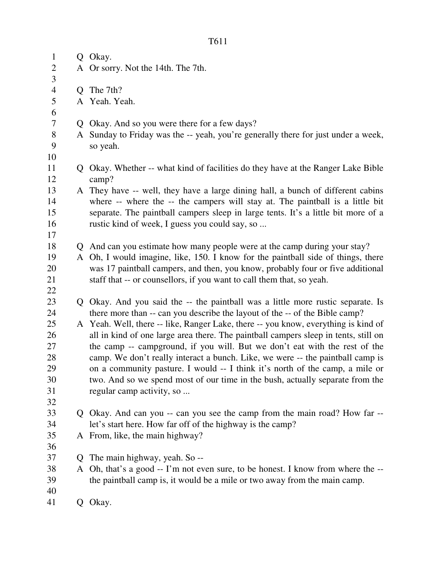| $\mathbf{1}$   |   | Q Okay.                                                                                       |
|----------------|---|-----------------------------------------------------------------------------------------------|
| $\overline{c}$ |   | A Or sorry. Not the 14th. The 7th.                                                            |
| 3              |   |                                                                                               |
| $\overline{4}$ |   | Q The 7th?                                                                                    |
| $\mathfrak{S}$ |   | A Yeah. Yeah.                                                                                 |
| 6              |   |                                                                                               |
| $\tau$         |   | Q Okay. And so you were there for a few days?                                                 |
| 8<br>9         |   | A Sunday to Friday was the -- yeah, you're generally there for just under a week,<br>so yeah. |
| 10             |   |                                                                                               |
| 11             |   | Q Okay. Whether -- what kind of facilities do they have at the Ranger Lake Bible              |
| 12             |   | camp?                                                                                         |
| 13             |   | A They have -- well, they have a large dining hall, a bunch of different cabins               |
| 14             |   | where -- where the -- the campers will stay at. The paintball is a little bit                 |
| 15             |   | separate. The paintball campers sleep in large tents. It's a little bit more of a             |
| 16             |   | rustic kind of week, I guess you could say, so                                                |
| 17             |   |                                                                                               |
| 18             |   | Q And can you estimate how many people were at the camp during your stay?                     |
| 19             |   | A Oh, I would imagine, like, 150. I know for the paintball side of things, there              |
| 20             |   | was 17 paintball campers, and then, you know, probably four or five additional                |
| 21             |   | staff that -- or counsellors, if you want to call them that, so yeah.                         |
| 22             |   |                                                                                               |
| 23             |   | Q Okay. And you said the -- the paintball was a little more rustic separate. Is               |
| 24             |   | there more than -- can you describe the layout of the -- of the Bible camp?                   |
| 25             |   | A Yeah. Well, there -- like, Ranger Lake, there -- you know, everything is kind of            |
| 26             |   | all in kind of one large area there. The paintball campers sleep in tents, still on           |
| 27             |   | the camp -- campground, if you will. But we don't eat with the rest of the                    |
| 28             |   | camp. We don't really interact a bunch. Like, we were -- the paintball camp is                |
| 29             |   | on a community pasture. I would -- I think it's north of the camp, a mile or                  |
| 30             |   | two. And so we spend most of our time in the bush, actually separate from the                 |
| 31             |   | regular camp activity, so                                                                     |
| 32             |   |                                                                                               |
| 33             |   | Q Okay. And can you -- can you see the camp from the main road? How far --                    |
| 34             |   | let's start here. How far off of the highway is the camp?                                     |
| 35             |   | A From, like, the main highway?                                                               |
| 36             |   |                                                                                               |
| 37             |   | Q The main highway, yeah. So --                                                               |
| 38             | A | Oh, that's a good -- I'm not even sure, to be honest. I know from where the --                |
| 39             |   | the paintball camp is, it would be a mile or two away from the main camp.                     |
| 40             |   |                                                                                               |

Q Okay.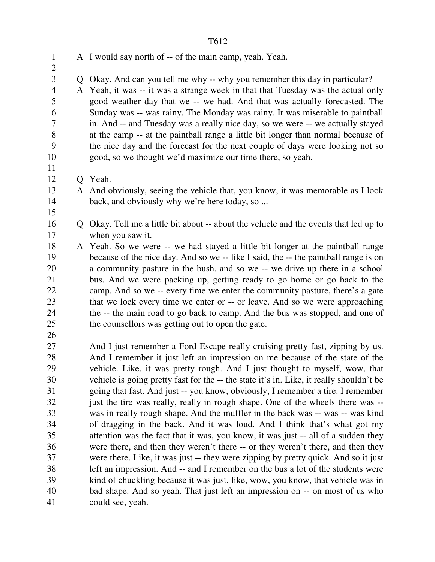1 A I would say north of -- of the main camp, yeah. Yeah.  $\overline{2}$ 3 Q Okay. And can you tell me why -- why you remember this day in particular? 4 A Yeah, it was -- it was a strange week in that that Tuesday was the actual only 5 good weather day that we -- we had. And that was actually forecasted. The 6 Sunday was -- was rainy. The Monday was rainy. It was miserable to paintball 7 in. And -- and Tuesday was a really nice day, so we were -- we actually stayed 8 at the camp -- at the paintball range a little bit longer than normal because of 9 the nice day and the forecast for the next couple of days were looking not so 10 good, so we thought we'd maximize our time there, so yeah. 11 12 Q Yeah. 13 A And obviously, seeing the vehicle that, you know, it was memorable as I look 14 back, and obviously why we're here today, so ... 15 16 Q Okay. Tell me a little bit about -- about the vehicle and the events that led up to 17 when you saw it. 18 A Yeah. So we were -- we had stayed a little bit longer at the paintball range 19 because of the nice day. And so we -- like I said, the -- the paintball range is on 20 a community pasture in the bush, and so we -- we drive up there in a school 21 bus. And we were packing up, getting ready to go home or go back to the 22 camp. And so we -- every time we enter the community pasture, there's a gate 23 that we lock every time we enter or -- or leave. And so we were approaching 24 the -- the main road to go back to camp. And the bus was stopped, and one of 25 the counsellors was getting out to open the gate. 26 27 And I just remember a Ford Escape really cruising pretty fast, zipping by us. 28 And I remember it just left an impression on me because of the state of the 29 vehicle. Like, it was pretty rough. And I just thought to myself, wow, that 30 vehicle is going pretty fast for the -- the state it's in. Like, it really shouldn't be 31 going that fast. And just -- you know, obviously, I remember a tire. I remember 32 just the tire was really, really in rough shape. One of the wheels there was --33 was in really rough shape. And the muffler in the back was -- was -- was kind 34 of dragging in the back. And it was loud. And I think that's what got my 35 attention was the fact that it was, you know, it was just -- all of a sudden they 36 were there, and then they weren't there -- or they weren't there, and then they 37 were there. Like, it was just -- they were zipping by pretty quick. And so it just 38 left an impression. And -- and I remember on the bus a lot of the students were 39 kind of chuckling because it was just, like, wow, you know, that vehicle was in 40 bad shape. And so yeah. That just left an impression on -- on most of us who 41 could see, yeah.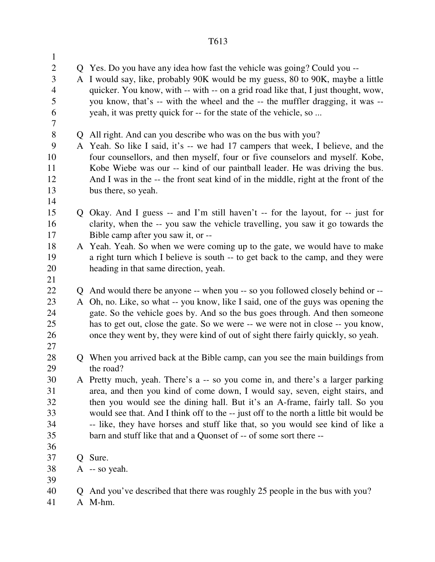| $\mathbf{1}$   |              |                                                                                                                                                               |
|----------------|--------------|---------------------------------------------------------------------------------------------------------------------------------------------------------------|
| $\overline{2}$ |              | Q Yes. Do you have any idea how fast the vehicle was going? Could you --                                                                                      |
| 3              |              | A I would say, like, probably 90K would be my guess, 80 to 90K, maybe a little                                                                                |
| $\overline{4}$ |              | quicker. You know, with -- with -- on a grid road like that, I just thought, wow,                                                                             |
| 5              |              | you know, that's -- with the wheel and the -- the muffler dragging, it was --                                                                                 |
| 6              |              | yeah, it was pretty quick for -- for the state of the vehicle, so                                                                                             |
| 7              |              |                                                                                                                                                               |
| 8              | Q            | All right. And can you describe who was on the bus with you?                                                                                                  |
| 9              |              | A Yeah. So like I said, it's -- we had 17 campers that week, I believe, and the                                                                               |
| 10             |              | four counsellors, and then myself, four or five counselors and myself. Kobe,                                                                                  |
| 11             |              | Kobe Wiebe was our -- kind of our paintball leader. He was driving the bus.                                                                                   |
| 12             |              | And I was in the -- the front seat kind of in the middle, right at the front of the                                                                           |
| 13             |              | bus there, so yeah.                                                                                                                                           |
| 14             |              |                                                                                                                                                               |
| 15             |              | Q Okay. And I guess -- and I'm still haven't -- for the layout, for -- just for                                                                               |
| 16             |              | clarity, when the -- you saw the vehicle travelling, you saw it go towards the                                                                                |
| 17<br>18       |              | Bible camp after you saw it, or --                                                                                                                            |
| 19             |              | A Yeah. Yeah. So when we were coming up to the gate, we would have to make<br>a right turn which I believe is south -- to get back to the camp, and they were |
| 20             |              | heading in that same direction, yeah.                                                                                                                         |
| 21             |              |                                                                                                                                                               |
| 22             | Q            | And would there be anyone -- when you -- so you followed closely behind or --                                                                                 |
| 23             | A            | Oh, no. Like, so what -- you know, like I said, one of the guys was opening the                                                                               |
| 24             |              | gate. So the vehicle goes by. And so the bus goes through. And then someone                                                                                   |
| 25             |              | has to get out, close the gate. So we were -- we were not in close -- you know,                                                                               |
| 26             |              | once they went by, they were kind of out of sight there fairly quickly, so yeah.                                                                              |
| 27             |              |                                                                                                                                                               |
| 28             |              | When you arrived back at the Bible camp, can you see the main buildings from                                                                                  |
| 29             |              | the road?                                                                                                                                                     |
| 30             |              | A Pretty much, yeah. There's a -- so you come in, and there's a larger parking                                                                                |
| 31             |              | area, and then you kind of come down, I would say, seven, eight stairs, and                                                                                   |
| 32             |              | then you would see the dining hall. But it's an A-frame, fairly tall. So you                                                                                  |
| 33             |              | would see that. And I think off to the -- just off to the north a little bit would be                                                                         |
| 34             |              | -- like, they have horses and stuff like that, so you would see kind of like a                                                                                |
| 35             |              | barn and stuff like that and a Quonset of -- of some sort there --                                                                                            |
| 36             |              |                                                                                                                                                               |
| 37             | $\mathsf{O}$ | Sure.                                                                                                                                                         |
| 38             |              | $A - so$ yeah.                                                                                                                                                |
| 39<br>40       |              |                                                                                                                                                               |
| 41             | $\mathsf{O}$ | And you've described that there was roughly 25 people in the bus with you?<br>A M-hm.                                                                         |
|                |              |                                                                                                                                                               |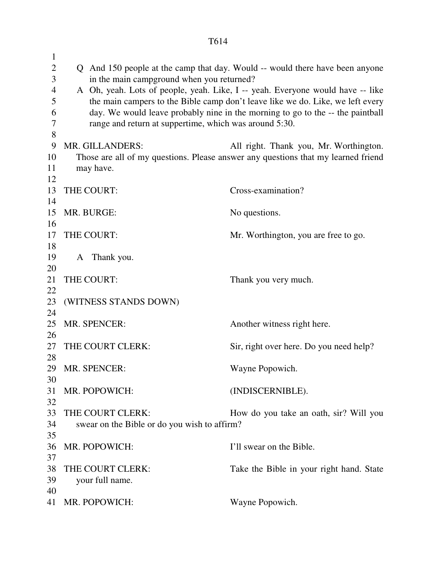| $\mathbf{1}$   |                                                        |                                                                                   |
|----------------|--------------------------------------------------------|-----------------------------------------------------------------------------------|
| $\overline{2}$ |                                                        | Q And 150 people at the camp that day. Would -- would there have been anyone      |
| 3              | in the main campground when you returned?              |                                                                                   |
| $\overline{4}$ |                                                        | A Oh, yeah. Lots of people, yeah. Like, I -- yeah. Everyone would have -- like    |
| 5              |                                                        | the main campers to the Bible camp don't leave like we do. Like, we left every    |
| 6              |                                                        | day. We would leave probably nine in the morning to go to the -- the paintball    |
| 7              | range and return at suppertime, which was around 5:30. |                                                                                   |
| 8              |                                                        |                                                                                   |
| 9              | MR. GILLANDERS:                                        | All right. Thank you, Mr. Worthington.                                            |
| 10             |                                                        | Those are all of my questions. Please answer any questions that my learned friend |
| 11             | may have.                                              |                                                                                   |
| 12             |                                                        |                                                                                   |
| 13             | THE COURT:                                             | Cross-examination?                                                                |
| 14             |                                                        |                                                                                   |
| 15             | MR. BURGE:                                             | No questions.                                                                     |
| 16             |                                                        |                                                                                   |
| 17             | THE COURT:                                             | Mr. Worthington, you are free to go.                                              |
| 18             |                                                        |                                                                                   |
| 19             | A Thank you.                                           |                                                                                   |
| 20             |                                                        |                                                                                   |
| 21             | THE COURT:                                             | Thank you very much.                                                              |
| 22<br>23       |                                                        |                                                                                   |
| 24             | (WITNESS STANDS DOWN)                                  |                                                                                   |
| 25             | MR. SPENCER:                                           | Another witness right here.                                                       |
| 26             |                                                        |                                                                                   |
| 27             | THE COURT CLERK:                                       | Sir, right over here. Do you need help?                                           |
| 28             |                                                        |                                                                                   |
|                | 29 MR. SPENCER:                                        | Wayne Popowich.                                                                   |
| 30             |                                                        |                                                                                   |
| 31             | MR. POPOWICH:                                          | (INDISCERNIBLE).                                                                  |
| 32             |                                                        |                                                                                   |
| 33             | THE COURT CLERK:                                       | How do you take an oath, sir? Will you                                            |
| 34             | swear on the Bible or do you wish to affirm?           |                                                                                   |
| 35             |                                                        |                                                                                   |
| 36             | MR. POPOWICH:                                          | I'll swear on the Bible.                                                          |
| 37             |                                                        |                                                                                   |
| 38             | THE COURT CLERK:                                       | Take the Bible in your right hand. State                                          |
| 39             | your full name.                                        |                                                                                   |
| 40             |                                                        |                                                                                   |
| 41             | MR. POPOWICH:                                          | Wayne Popowich.                                                                   |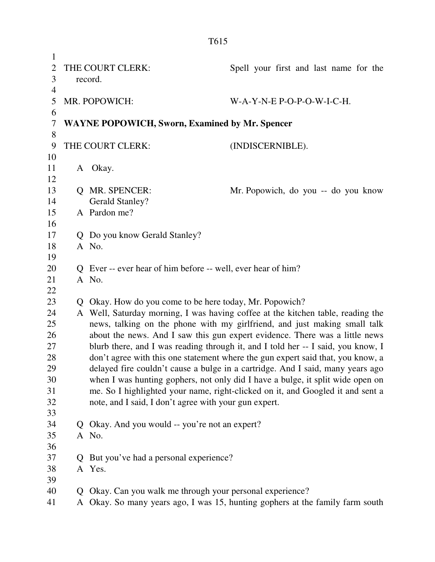| $\mathbf{1}$<br>$\overline{2}$<br>3 |              | THE COURT CLERK:<br>record.                                  | Spell your first and last name for the                                           |
|-------------------------------------|--------------|--------------------------------------------------------------|----------------------------------------------------------------------------------|
| $\overline{4}$<br>5<br>6            |              | MR. POPOWICH:                                                | $W-A-Y-N-E$ P-O-P-O-W-I-C-H.                                                     |
| 7                                   |              | <b>WAYNE POPOWICH, Sworn, Examined by Mr. Spencer</b>        |                                                                                  |
| 8<br>9                              |              | THE COURT CLERK:                                             | (INDISCERNIBLE).                                                                 |
| 10                                  |              |                                                              |                                                                                  |
| 11                                  |              | A Okay.                                                      |                                                                                  |
| 12                                  |              |                                                              |                                                                                  |
| 13                                  |              | Q MR. SPENCER:                                               | Mr. Popowich, do you -- do you know                                              |
| 14                                  |              | <b>Gerald Stanley?</b>                                       |                                                                                  |
| 15                                  |              | A Pardon me?                                                 |                                                                                  |
| 16                                  |              |                                                              |                                                                                  |
| 17                                  |              | Q Do you know Gerald Stanley?                                |                                                                                  |
| 18                                  |              | A No.                                                        |                                                                                  |
| 19<br>20                            |              | Q Ever -- ever hear of him before -- well, ever hear of him? |                                                                                  |
| 21                                  |              | A No.                                                        |                                                                                  |
| 22                                  |              |                                                              |                                                                                  |
| 23                                  |              | Q Okay. How do you come to be here today, Mr. Popowich?      |                                                                                  |
| 24                                  |              |                                                              | A Well, Saturday morning, I was having coffee at the kitchen table, reading the  |
| 25                                  |              |                                                              | news, talking on the phone with my girlfriend, and just making small talk        |
| 26                                  |              |                                                              | about the news. And I saw this gun expert evidence. There was a little news      |
| 27                                  |              |                                                              | blurb there, and I was reading through it, and I told her -- I said, you know, I |
| 28                                  |              |                                                              | don't agree with this one statement where the gun expert said that, you know, a  |
| 29                                  |              |                                                              | delayed fire couldn't cause a bulge in a cartridge. And I said, many years ago   |
| 30                                  |              |                                                              | when I was hunting gophers, not only did I have a bulge, it split wide open on   |
| 31                                  |              |                                                              | me. So I highlighted your name, right-clicked on it, and Googled it and sent a   |
| 32                                  |              | note, and I said, I don't agree with your gun expert.        |                                                                                  |
| 33                                  |              |                                                              |                                                                                  |
| 34                                  |              | Q Okay. And you would -- you're not an expert?               |                                                                                  |
| 35                                  |              | A No.                                                        |                                                                                  |
| 36                                  |              |                                                              |                                                                                  |
| 37                                  |              | But you've had a personal experience?                        |                                                                                  |
| 38<br>39                            |              | A Yes.                                                       |                                                                                  |
| 40                                  | $\mathbf{Q}$ | Okay. Can you walk me through your personal experience?      |                                                                                  |
| 41                                  | A            |                                                              | Okay. So many years ago, I was 15, hunting gophers at the family farm south      |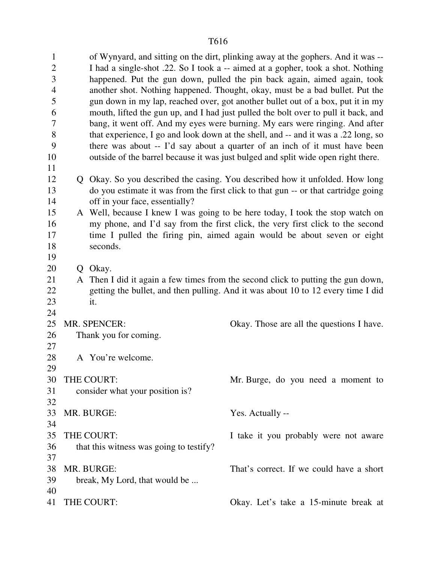1 of Wynyard, and sitting on the dirt, plinking away at the gophers. And it was -- 2 I had a single-shot .22. So I took a -- aimed at a gopher, took a shot. Nothing 3 happened. Put the gun down, pulled the pin back again, aimed again, took 4 another shot. Nothing happened. Thought, okay, must be a bad bullet. Put the 5 gun down in my lap, reached over, got another bullet out of a box, put it in my 6 mouth, lifted the gun up, and I had just pulled the bolt over to pull it back, and 7 bang, it went off. And my eyes were burning. My ears were ringing. And after 8 that experience, I go and look down at the shell, and -- and it was a .22 long, so 9 there was about -- I'd say about a quarter of an inch of it must have been 10 outside of the barrel because it was just bulged and split wide open right there. 11 12 Q Okay. So you described the casing. You described how it unfolded. How long 13 do you estimate it was from the first click to that gun -- or that cartridge going 14 off in your face, essentially? 15 A Well, because I knew I was going to be here today, I took the stop watch on 16 my phone, and I'd say from the first click, the very first click to the second 17 time I pulled the firing pin, aimed again would be about seven or eight 18 seconds. 19 20 Q Okay. 21 A Then I did it again a few times from the second click to putting the gun down, 22 getting the bullet, and then pulling. And it was about 10 to 12 every time I did 23 it. 24 25 MR. SPENCER: Okay. Those are all the questions I have. 26 Thank you for coming. 27 28 A You're welcome. 29 30 THE COURT: Mr. Burge, do you need a moment to 31 consider what your position is? 32 33 MR. BURGE: Yes. Actually -- 34 35 THE COURT: I take it you probably were not aware 36 that this witness was going to testify? 37 38 MR. BURGE: That's correct. If we could have a short 39 break, My Lord, that would be ... 40 41 THE COURT: Okay. Let's take a 15-minute break at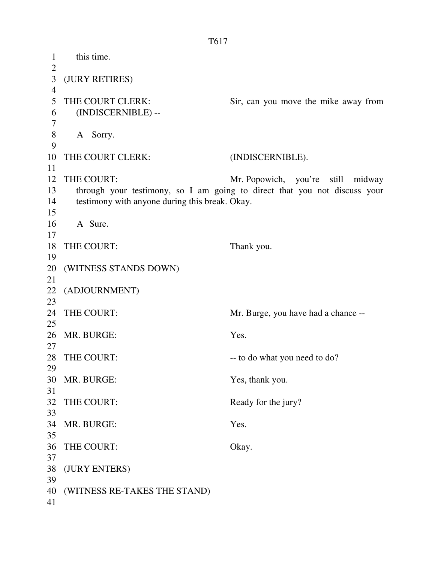1 this time.  $\overline{2}$ 3 (JURY RETIRES) 4 5 THE COURT CLERK: Sir, can you move the mike away from 6 (INDISCERNIBLE) -- 7 8 A Sorry. 9 10 THE COURT CLERK: (INDISCERNIBLE). 11 12 THE COURT: Mr. Popowich, you're still midway 13 through your testimony, so I am going to direct that you not discuss your 14 testimony with anyone during this break. Okay. 15 16 A Sure. 17 18 THE COURT: Thank you. 19 20 (WITNESS STANDS DOWN) 21 22 (ADJOURNMENT) 23 24 THE COURT: Mr. Burge, you have had a chance --25 26 MR. BURGE: Yes. 27 28 THE COURT:  $\qquad \qquad -\text{to do what you need to do?}$ 29 30 MR. BURGE: Yes, thank you. 31 32 THE COURT: Ready for the jury? 33 34 MR. BURGE: Yes. 35 36 THE COURT: Okay. 37 38 (JURY ENTERS) 39 40 (WITNESS RE-TAKES THE STAND) 41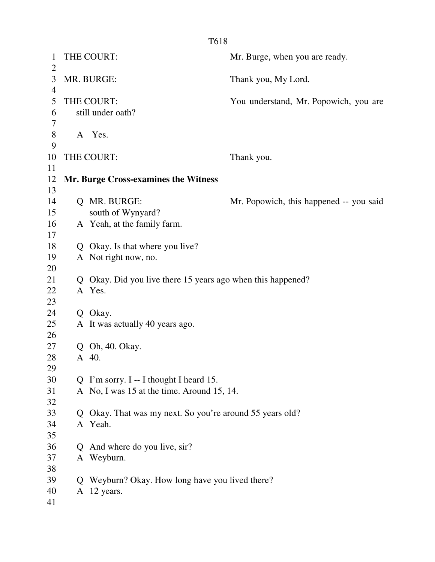| 1<br>$\overline{2}$ |              | THE COURT:                                                          | Mr. Burge, when you are ready.          |
|---------------------|--------------|---------------------------------------------------------------------|-----------------------------------------|
| 3                   |              | MR. BURGE:                                                          | Thank you, My Lord.                     |
| 4                   |              |                                                                     |                                         |
| 5                   |              | THE COURT:                                                          | You understand, Mr. Popowich, you are   |
| 6                   |              | still under oath?                                                   |                                         |
| 7                   |              |                                                                     |                                         |
| $8\,$               |              | A Yes.                                                              |                                         |
| 9                   |              |                                                                     |                                         |
| 10                  |              | THE COURT:                                                          | Thank you.                              |
| 11                  |              |                                                                     |                                         |
| 12                  |              | Mr. Burge Cross-examines the Witness                                |                                         |
| 13                  |              |                                                                     |                                         |
| 14                  |              | Q MR. BURGE:                                                        | Mr. Popowich, this happened -- you said |
| 15                  |              | south of Wynyard?                                                   |                                         |
| 16                  |              | A Yeah, at the family farm.                                         |                                         |
| 17                  |              |                                                                     |                                         |
| 18                  | Q            | Okay. Is that where you live?                                       |                                         |
| 19                  |              | A Not right now, no.                                                |                                         |
| 20<br>21            |              |                                                                     |                                         |
| 22                  | Q            | Okay. Did you live there 15 years ago when this happened?<br>A Yes. |                                         |
| 23                  |              |                                                                     |                                         |
| 24                  |              | Q Okay.                                                             |                                         |
| 25                  |              | A It was actually 40 years ago.                                     |                                         |
| 26                  |              |                                                                     |                                         |
| 27                  | Q            | Oh, 40. Okay.                                                       |                                         |
| 28                  |              | A 40.                                                               |                                         |
| 29                  |              |                                                                     |                                         |
| 30                  |              | Q I'm sorry. $I - I$ thought I heard 15.                            |                                         |
| 31                  |              | A No, I was 15 at the time. Around 15, 14.                          |                                         |
| 32                  |              |                                                                     |                                         |
| 33                  | Q            | Okay. That was my next. So you're around 55 years old?              |                                         |
| 34                  |              | A Yeah.                                                             |                                         |
| 35                  |              |                                                                     |                                         |
| 36                  | $\mathbf{Q}$ | And where do you live, sir?                                         |                                         |
| 37                  |              | A Weyburn.                                                          |                                         |
| 38                  |              |                                                                     |                                         |
| 39                  | $\mathbf O$  | Weyburn? Okay. How long have you lived there?                       |                                         |
| 40                  |              | A 12 years.                                                         |                                         |
| 41                  |              |                                                                     |                                         |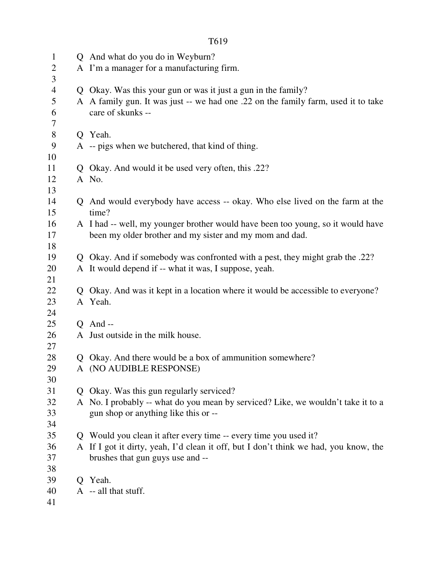| $\mathbf{1}$        |              | Q And what do you do in Weyburn?                                                                       |
|---------------------|--------------|--------------------------------------------------------------------------------------------------------|
| $\overline{2}$      |              | A I'm a manager for a manufacturing firm.                                                              |
| 3                   |              |                                                                                                        |
| $\overline{4}$<br>5 |              | Q Okay. Was this your gun or was it just a gun in the family?                                          |
| 6                   |              | A A family gun. It was just -- we had one .22 on the family farm, used it to take<br>care of skunks -- |
| 7                   |              |                                                                                                        |
| $8\phantom{1}$      |              | Q Yeah.                                                                                                |
| 9                   |              | A -- pigs when we butchered, that kind of thing.                                                       |
| 10                  |              |                                                                                                        |
| 11                  |              | Q Okay. And would it be used very often, this .22?                                                     |
| 12                  |              | A No.                                                                                                  |
| 13                  |              |                                                                                                        |
| 14                  |              | Q And would everybody have access -- okay. Who else lived on the farm at the                           |
| 15                  |              | time?                                                                                                  |
| 16                  |              | A I had -- well, my younger brother would have been too young, so it would have                        |
| 17                  |              | been my older brother and my sister and my mom and dad.                                                |
| 18                  |              |                                                                                                        |
| 19                  |              | Q Okay. And if somebody was confronted with a pest, they might grab the .22?                           |
| 20                  |              | A It would depend if -- what it was, I suppose, yeah.                                                  |
| 21                  |              |                                                                                                        |
| 22                  | $\mathbf{Q}$ | Okay. And was it kept in a location where it would be accessible to everyone?                          |
| 23                  |              | A Yeah.                                                                                                |
| 24<br>25            |              | $Q$ And --                                                                                             |
| 26                  |              | A Just outside in the milk house.                                                                      |
| 27                  |              |                                                                                                        |
| 28                  |              | Q Okay. And there would be a box of ammunition somewhere?                                              |
| 29                  |              | A (NO AUDIBLE RESPONSE)                                                                                |
| 30                  |              |                                                                                                        |
| 31                  | $\mathbf{O}$ | Okay. Was this gun regularly serviced?                                                                 |
| 32                  |              | A No. I probably -- what do you mean by serviced? Like, we wouldn't take it to a                       |
| 33                  |              | gun shop or anything like this or --                                                                   |
| 34                  |              |                                                                                                        |
| 35                  |              | Q Would you clean it after every time -- every time you used it?                                       |
| 36                  |              | A If I got it dirty, yeah, I'd clean it off, but I don't think we had, you know, the                   |
| 37                  |              | brushes that gun guys use and --                                                                       |
| 38                  |              |                                                                                                        |
| 39                  |              | Q Yeah.                                                                                                |
| 40                  |              | A -- all that stuff.                                                                                   |
| 41                  |              |                                                                                                        |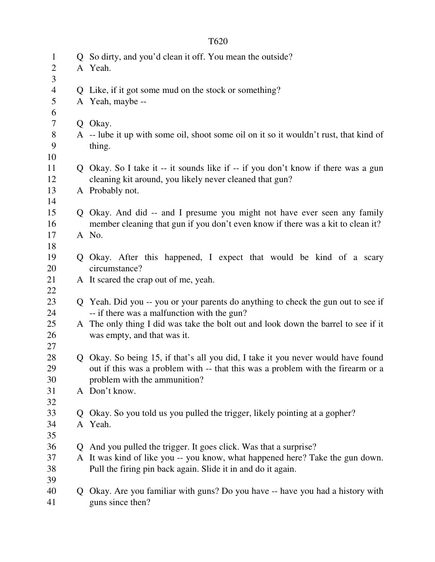|--|

| $\mathbf{1}$   |    | Q So dirty, and you'd clean it off. You mean the outside?                             |
|----------------|----|---------------------------------------------------------------------------------------|
| $\overline{2}$ |    | A Yeah.                                                                               |
| 3              |    |                                                                                       |
| $\overline{4}$ |    | Q Like, if it got some mud on the stock or something?                                 |
| 5              |    | A Yeah, maybe --                                                                      |
| 6              |    |                                                                                       |
| 7              |    | Q Okay.                                                                               |
| $8\,$          |    | A -- lube it up with some oil, shoot some oil on it so it wouldn't rust, that kind of |
| 9              |    | thing.                                                                                |
| 10             |    |                                                                                       |
| 11             |    | Q Okay. So I take it -- it sounds like if -- if you don't know if there was a gun     |
| 12             |    | cleaning kit around, you likely never cleaned that gun?                               |
| 13             |    | A Probably not.                                                                       |
| 14             |    |                                                                                       |
| 15             |    | Q Okay. And did -- and I presume you might not have ever seen any family              |
| 16             |    | member cleaning that gun if you don't even know if there was a kit to clean it?       |
| 17             |    | A No.                                                                                 |
| 18             |    |                                                                                       |
| 19             |    | Q Okay. After this happened, I expect that would be kind of a scary                   |
| 20             |    | circumstance?                                                                         |
| 21             |    | A It scared the crap out of me, yeah.                                                 |
| 22             |    |                                                                                       |
| 23             |    | Q Yeah. Did you -- you or your parents do anything to check the gun out to see if     |
| 24             |    | -- if there was a malfunction with the gun?                                           |
| 25             |    | A The only thing I did was take the bolt out and look down the barrel to see if it    |
| 26             |    | was empty, and that was it.                                                           |
| 27             |    |                                                                                       |
| 28             |    | Q Okay. So being 15, if that's all you did, I take it you never would have found      |
| 29             |    | out if this was a problem with -- that this was a problem with the firearm or a       |
| 30             |    | problem with the ammunition?                                                          |
| 31             |    | A Don't know.                                                                         |
| 32             |    |                                                                                       |
| 33             | Q. | Okay. So you told us you pulled the trigger, likely pointing at a gopher?             |
| 34             |    | A Yeah.                                                                               |
| 35             |    |                                                                                       |
| 36             |    | Q And you pulled the trigger. It goes click. Was that a surprise?                     |
| 37             |    | A It was kind of like you -- you know, what happened here? Take the gun down.         |
| 38             |    | Pull the firing pin back again. Slide it in and do it again.                          |
| 39             |    |                                                                                       |
| 40             | Q. | Okay. Are you familiar with guns? Do you have -- have you had a history with          |
| 41             |    | guns since then?                                                                      |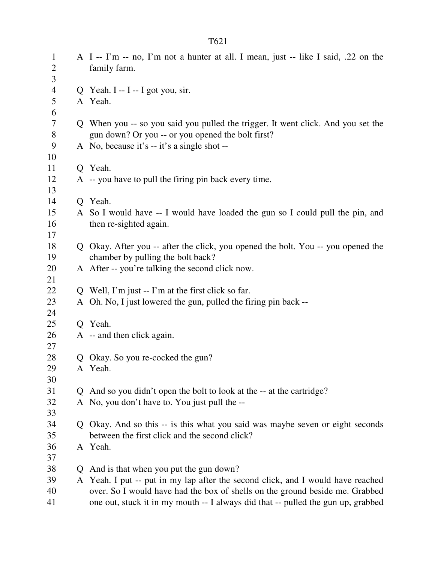|                                   |              | T621                                                                                                                  |
|-----------------------------------|--------------|-----------------------------------------------------------------------------------------------------------------------|
| $\mathbf{1}$<br>$\mathbf{2}$<br>3 |              | A I -- I'm -- no, I'm not a hunter at all. I mean, just -- like I said, .22 on the<br>family farm.                    |
| $\overline{4}$                    |              | Q Yeah. I -- I -- I got you, sir.                                                                                     |
| 5                                 |              | A Yeah.                                                                                                               |
| 6                                 |              |                                                                                                                       |
| $\tau$                            |              | Q When you -- so you said you pulled the trigger. It went click. And you set the                                      |
| 8                                 |              | gun down? Or you -- or you opened the bolt first?                                                                     |
| 9                                 |              | A No, because it's -- it's a single shot --                                                                           |
| 10                                |              |                                                                                                                       |
| 11                                |              | Q Yeah.                                                                                                               |
| 12                                |              | A -- you have to pull the firing pin back every time.                                                                 |
| 13                                |              |                                                                                                                       |
| 14                                |              | Q Yeah.                                                                                                               |
| 15                                |              | A So I would have -- I would have loaded the gun so I could pull the pin, and                                         |
| 16                                |              | then re-sighted again.                                                                                                |
| 17<br>18                          |              |                                                                                                                       |
| 19                                |              | Q Okay. After you -- after the click, you opened the bolt. You -- you opened the<br>chamber by pulling the bolt back? |
| 20                                |              | A After -- you're talking the second click now.                                                                       |
| 21                                |              |                                                                                                                       |
| 22                                |              | Q Well, I'm just $-$ I'm at the first click so far.                                                                   |
| 23                                |              | A Oh. No, I just lowered the gun, pulled the firing pin back --                                                       |
| 24                                |              |                                                                                                                       |
| 25                                |              | O Yeah.                                                                                                               |
| 26                                |              | A -- and then click again.                                                                                            |
| 27                                |              |                                                                                                                       |
| 28                                |              | Q Okay. So you re-cocked the gun?                                                                                     |
| 29                                |              | A Yeah.                                                                                                               |
| 30                                |              |                                                                                                                       |
| 31                                |              | Q And so you didn't open the bolt to look at the -- at the cartridge?                                                 |
| 32                                |              | A No, you don't have to. You just pull the --                                                                         |
| 33                                |              |                                                                                                                       |
| 34                                |              | Q Okay. And so this -- is this what you said was maybe seven or eight seconds                                         |
| 35                                |              | between the first click and the second click?                                                                         |
| 36<br>37                          |              | A Yeah.                                                                                                               |
| 38                                | $\mathbf{Q}$ | And is that when you put the gun down?                                                                                |
| 39                                |              | A Yeah. I put -- put in my lap after the second click, and I would have reached                                       |
| 40                                |              | over. So I would have had the box of shells on the ground beside me. Grabbed                                          |
| 41                                |              | one out, stuck it in my mouth -- I always did that -- pulled the gun up, grabbed                                      |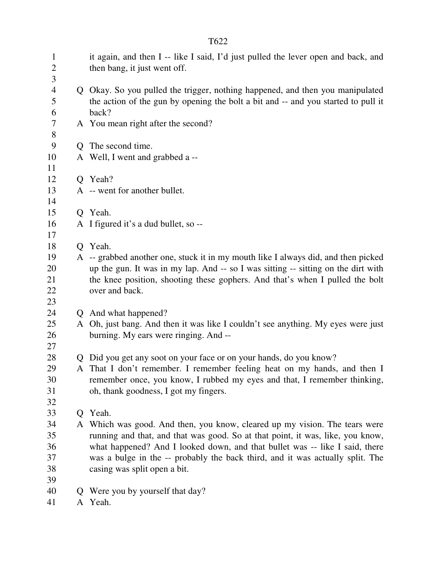| $\mathbf{1}$<br>$\overline{2}$<br>3 | it again, and then I -- like I said, I'd just pulled the lever open and back, and<br>then bang, it just went off.                                                           |
|-------------------------------------|-----------------------------------------------------------------------------------------------------------------------------------------------------------------------------|
| 4<br>5<br>6                         | Q Okay. So you pulled the trigger, nothing happened, and then you manipulated<br>the action of the gun by opening the bolt a bit and -- and you started to pull it<br>back? |
| 7<br>$8\,$                          | A You mean right after the second?                                                                                                                                          |
| 9                                   | Q The second time.                                                                                                                                                          |
| 10<br>11                            | A Well, I went and grabbed a --                                                                                                                                             |
| 12                                  | Q Yeah?                                                                                                                                                                     |
| 13<br>14                            | A -- went for another bullet.                                                                                                                                               |
| 15                                  | Q Yeah.                                                                                                                                                                     |
| 16<br>17                            | A I figured it's a dud bullet, so --                                                                                                                                        |
| 18                                  | Q Yeah.                                                                                                                                                                     |
| 19                                  | A -- grabbed another one, stuck it in my mouth like I always did, and then picked                                                                                           |
| 20                                  | up the gun. It was in my lap. And -- so I was sitting -- sitting on the dirt with                                                                                           |
| 21                                  | the knee position, shooting these gophers. And that's when I pulled the bolt                                                                                                |
| 22                                  | over and back.                                                                                                                                                              |
| 23                                  |                                                                                                                                                                             |
| 24                                  | Q And what happened?                                                                                                                                                        |
| 25<br>26<br>27                      | A Oh, just bang. And then it was like I couldn't see anything. My eyes were just<br>burning. My ears were ringing. And --                                                   |
| 28                                  | Q Did you get any soot on your face or on your hands, do you know?                                                                                                          |
| 29                                  | That I don't remember. I remember feeling heat on my hands, and then I                                                                                                      |
| 30                                  | remember once, you know, I rubbed my eyes and that, I remember thinking,                                                                                                    |
| 31                                  | oh, thank goodness, I got my fingers.                                                                                                                                       |
| 32                                  |                                                                                                                                                                             |
| 33                                  | Q Yeah.                                                                                                                                                                     |
| 34                                  | A Which was good. And then, you know, cleared up my vision. The tears were                                                                                                  |
| 35                                  | running and that, and that was good. So at that point, it was, like, you know,                                                                                              |
| 36                                  | what happened? And I looked down, and that bullet was -- like I said, there                                                                                                 |
| 37                                  | was a bulge in the -- probably the back third, and it was actually split. The                                                                                               |
| 38                                  | casing was split open a bit.                                                                                                                                                |
| 39                                  |                                                                                                                                                                             |
| 40                                  | Q Were you by yourself that day?                                                                                                                                            |
| 41                                  | A Yeah.                                                                                                                                                                     |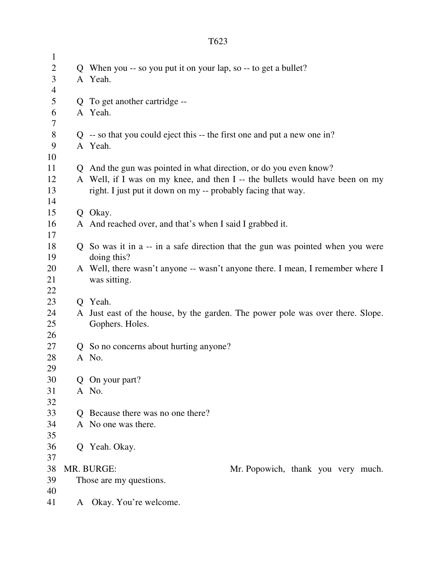| $\mathbf{1}$   |   |                                                                                |  |  |  |  |
|----------------|---|--------------------------------------------------------------------------------|--|--|--|--|
| $\overline{2}$ |   | Q When you -- so you put it on your lap, so -- to get a bullet?                |  |  |  |  |
| 3              |   | A Yeah.                                                                        |  |  |  |  |
| 4              |   |                                                                                |  |  |  |  |
| 5              |   | Q To get another cartridge --                                                  |  |  |  |  |
| 6              |   | A Yeah.                                                                        |  |  |  |  |
| 7              |   |                                                                                |  |  |  |  |
| 8              |   | $Q$ -- so that you could eject this -- the first one and put a new one in?     |  |  |  |  |
| 9              |   | A Yeah.                                                                        |  |  |  |  |
| 10             |   |                                                                                |  |  |  |  |
| 11             |   | Q And the gun was pointed in what direction, or do you even know?              |  |  |  |  |
| 12             |   | A Well, if I was on my knee, and then I -- the bullets would have been on my   |  |  |  |  |
| 13             |   | right. I just put it down on my -- probably facing that way.                   |  |  |  |  |
| 14             |   |                                                                                |  |  |  |  |
| 15             |   | Q Okay.                                                                        |  |  |  |  |
| 16             |   | A And reached over, and that's when I said I grabbed it.                       |  |  |  |  |
| 17             |   |                                                                                |  |  |  |  |
| 18             |   | Q So was it in a -- in a safe direction that the gun was pointed when you were |  |  |  |  |
| 19             |   | doing this?                                                                    |  |  |  |  |
| 20             |   | A Well, there wasn't anyone -- wasn't anyone there. I mean, I remember where I |  |  |  |  |
| 21             |   | was sitting.                                                                   |  |  |  |  |
| 22             |   |                                                                                |  |  |  |  |
| 23             |   | O Yeah.                                                                        |  |  |  |  |
| 24             |   | A Just east of the house, by the garden. The power pole was over there. Slope. |  |  |  |  |
| 25             |   | Gophers. Holes.                                                                |  |  |  |  |
| 26             |   |                                                                                |  |  |  |  |
| 27             |   | Q So no concerns about hurting anyone?                                         |  |  |  |  |
| 28             |   | A No.                                                                          |  |  |  |  |
| 29             |   |                                                                                |  |  |  |  |
| 30             |   | Q On your part?                                                                |  |  |  |  |
| 31             |   | A No.                                                                          |  |  |  |  |
| 32             |   |                                                                                |  |  |  |  |
| 33             |   | Q Because there was no one there?                                              |  |  |  |  |
| 34             |   | A No one was there.                                                            |  |  |  |  |
| 35             |   |                                                                                |  |  |  |  |
| 36             |   | Q Yeah. Okay.                                                                  |  |  |  |  |
| 37             |   |                                                                                |  |  |  |  |
| 38             |   | MR. BURGE:<br>Mr. Popowich, thank you very much.                               |  |  |  |  |
|                |   |                                                                                |  |  |  |  |
|                |   |                                                                                |  |  |  |  |
|                | A |                                                                                |  |  |  |  |
| 39<br>40<br>41 |   | Those are my questions.<br>Okay. You're welcome.                               |  |  |  |  |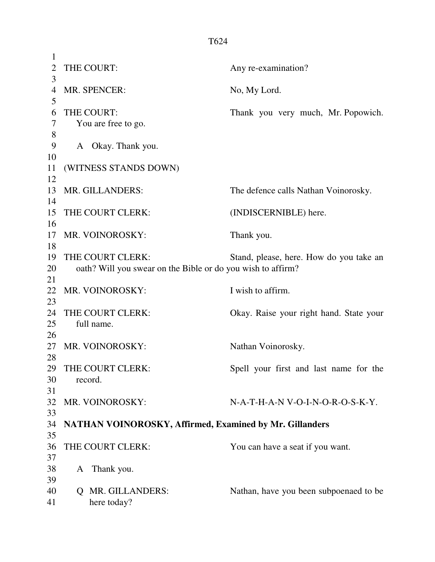| $\mathbf{1}$   |                                                             |                                         |
|----------------|-------------------------------------------------------------|-----------------------------------------|
| $\overline{2}$ | THE COURT:                                                  | Any re-examination?                     |
| 3              |                                                             |                                         |
| 4              | MR. SPENCER:                                                | No, My Lord.                            |
| 5              |                                                             |                                         |
| 6              | THE COURT:                                                  | Thank you very much, Mr. Popowich.      |
| 7              | You are free to go.                                         |                                         |
| 8              |                                                             |                                         |
| 9              | A Okay. Thank you.                                          |                                         |
| 10             |                                                             |                                         |
| 11             | (WITNESS STANDS DOWN)                                       |                                         |
| 12             |                                                             |                                         |
| 13             | MR. GILLANDERS:                                             | The defence calls Nathan Voinorosky.    |
| 14             |                                                             |                                         |
| 15             | THE COURT CLERK:                                            | (INDISCERNIBLE) here.                   |
| 16             |                                                             |                                         |
| 17             | MR. VOINOROSKY:                                             | Thank you.                              |
|                |                                                             |                                         |
| 18             |                                                             |                                         |
| 19             | THE COURT CLERK:                                            | Stand, please, here. How do you take an |
| 20             | oath? Will you swear on the Bible or do you wish to affirm? |                                         |
| 21             |                                                             |                                         |
| 22             | MR. VOINOROSKY:                                             | I wish to affirm.                       |
| 23             |                                                             |                                         |
| 24             | THE COURT CLERK:                                            | Okay. Raise your right hand. State your |
| 25             | full name.                                                  |                                         |
| 26             |                                                             |                                         |
| 27             | MR. VOINOROSKY:                                             | Nathan Voinorosky.                      |
| 28             |                                                             |                                         |
| 29             | THE COURT CLERK:                                            | Spell your first and last name for the  |
| 30             | record.                                                     |                                         |
| 31             |                                                             |                                         |
| 32             | MR. VOINOROSKY:                                             | N-A-T-H-A-N V-O-I-N-O-R-O-S-K-Y.        |
| 33             |                                                             |                                         |
| 34             | NATHAN VOINOROSKY, Affirmed, Examined by Mr. Gillanders     |                                         |
| 35             |                                                             |                                         |
| 36             | THE COURT CLERK:                                            | You can have a seat if you want.        |
| 37             |                                                             |                                         |
| 38             | Thank you.<br>A                                             |                                         |
| 39             |                                                             |                                         |
| 40             | MR. GILLANDERS:<br>$\overline{O}$                           | Nathan, have you been subpoenaed to be  |
| 41             | here today?                                                 |                                         |
|                |                                                             |                                         |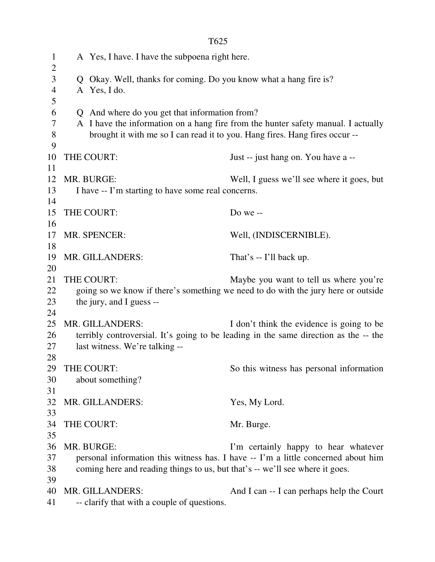| $\mathbf{1}$<br>$\overline{2}$ |                                                                                      | A Yes, I have. I have the subpoena right here.                               |                                                                                   |  |  |  |  |
|--------------------------------|--------------------------------------------------------------------------------------|------------------------------------------------------------------------------|-----------------------------------------------------------------------------------|--|--|--|--|
| $\mathfrak{Z}$                 |                                                                                      | Q Okay. Well, thanks for coming. Do you know what a hang fire is?            |                                                                                   |  |  |  |  |
| $\overline{4}$                 |                                                                                      | A Yes, I do.                                                                 |                                                                                   |  |  |  |  |
| 5                              |                                                                                      |                                                                              |                                                                                   |  |  |  |  |
| 6                              |                                                                                      | Q And where do you get that information from?                                |                                                                                   |  |  |  |  |
| 7                              |                                                                                      |                                                                              | A I have the information on a hang fire from the hunter safety manual. I actually |  |  |  |  |
| $8\,$<br>9                     |                                                                                      | brought it with me so I can read it to you. Hang fires. Hang fires occur--   |                                                                                   |  |  |  |  |
| 10                             |                                                                                      | THE COURT:                                                                   | Just -- just hang on. You have a --                                               |  |  |  |  |
| 11                             |                                                                                      |                                                                              |                                                                                   |  |  |  |  |
| 12                             |                                                                                      | MR. BURGE:                                                                   | Well, I guess we'll see where it goes, but                                        |  |  |  |  |
| 13                             |                                                                                      | I have -- I'm starting to have some real concerns.                           |                                                                                   |  |  |  |  |
| 14                             |                                                                                      |                                                                              |                                                                                   |  |  |  |  |
| 15                             |                                                                                      | THE COURT:                                                                   | Do we $-$                                                                         |  |  |  |  |
| 16                             |                                                                                      |                                                                              |                                                                                   |  |  |  |  |
| 17                             |                                                                                      | MR. SPENCER:                                                                 | Well, (INDISCERNIBLE).                                                            |  |  |  |  |
| 18                             |                                                                                      |                                                                              |                                                                                   |  |  |  |  |
| 19                             | MR. GILLANDERS:<br>That's -- I'll back up.                                           |                                                                              |                                                                                   |  |  |  |  |
| 20                             |                                                                                      |                                                                              |                                                                                   |  |  |  |  |
| 21                             |                                                                                      | THE COURT:                                                                   | Maybe you want to tell us where you're                                            |  |  |  |  |
| 22                             |                                                                                      |                                                                              | going so we know if there's something we need to do with the jury here or outside |  |  |  |  |
| 23                             |                                                                                      | the jury, and I guess --                                                     |                                                                                   |  |  |  |  |
| 24                             |                                                                                      |                                                                              |                                                                                   |  |  |  |  |
| 25                             |                                                                                      | MR. GILLANDERS:                                                              | I don't think the evidence is going to be                                         |  |  |  |  |
| 26                             | terribly controversial. It's going to be leading in the same direction as the -- the |                                                                              |                                                                                   |  |  |  |  |
| 27                             | last witness. We're talking --                                                       |                                                                              |                                                                                   |  |  |  |  |
| 28                             |                                                                                      |                                                                              |                                                                                   |  |  |  |  |
| 29                             |                                                                                      | THE COURT:                                                                   | So this witness has personal information                                          |  |  |  |  |
| 30                             |                                                                                      | about something?                                                             |                                                                                   |  |  |  |  |
| 31                             |                                                                                      |                                                                              |                                                                                   |  |  |  |  |
| 32                             |                                                                                      | MR. GILLANDERS:                                                              | Yes, My Lord.                                                                     |  |  |  |  |
| 33                             |                                                                                      |                                                                              |                                                                                   |  |  |  |  |
| 34                             |                                                                                      | THE COURT:                                                                   | Mr. Burge.                                                                        |  |  |  |  |
| 35                             |                                                                                      |                                                                              |                                                                                   |  |  |  |  |
| 36                             |                                                                                      | MR. BURGE:                                                                   | I'm certainly happy to hear whatever                                              |  |  |  |  |
| 37                             |                                                                                      |                                                                              | personal information this witness has. I have -- I'm a little concerned about him |  |  |  |  |
| 38                             |                                                                                      | coming here and reading things to us, but that's -- we'll see where it goes. |                                                                                   |  |  |  |  |
| 39                             |                                                                                      |                                                                              |                                                                                   |  |  |  |  |
| 40                             |                                                                                      | MR. GILLANDERS:                                                              | And I can -- I can perhaps help the Court                                         |  |  |  |  |
| 41                             |                                                                                      | -- clarify that with a couple of questions.                                  |                                                                                   |  |  |  |  |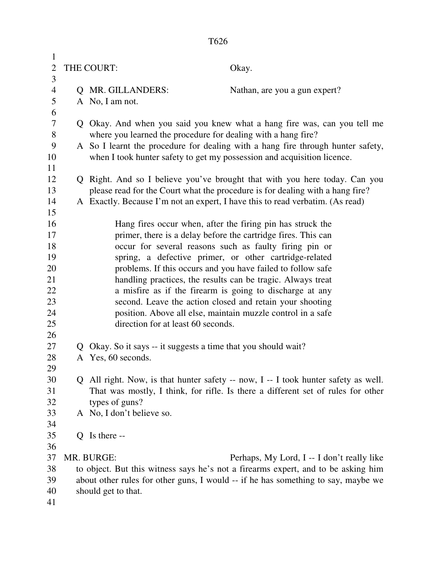| $\mathbf{1}$<br>$\overline{2}$<br>3 |              | THE COURT:<br>Okay.                                                                |  |
|-------------------------------------|--------------|------------------------------------------------------------------------------------|--|
| $\overline{4}$                      |              | Q MR. GILLANDERS:<br>Nathan, are you a gun expert?                                 |  |
| 5                                   |              | A No, I am not.                                                                    |  |
| 6                                   |              |                                                                                    |  |
| 7                                   |              | Q Okay. And when you said you knew what a hang fire was, can you tell me           |  |
| 8                                   |              | where you learned the procedure for dealing with a hang fire?                      |  |
| 9                                   |              | A So I learnt the procedure for dealing with a hang fire through hunter safety,    |  |
| 10                                  |              | when I took hunter safety to get my possession and acquisition licence.            |  |
| 11                                  |              |                                                                                    |  |
| 12                                  |              | Q Right. And so I believe you've brought that with you here today. Can you         |  |
| 13                                  |              | please read for the Court what the procedure is for dealing with a hang fire?      |  |
| 14                                  |              | A Exactly. Because I'm not an expert, I have this to read verbatim. (As read)      |  |
| 15                                  |              |                                                                                    |  |
| 16                                  |              | Hang fires occur when, after the firing pin has struck the                         |  |
| 17                                  |              | primer, there is a delay before the cartridge fires. This can                      |  |
| 18                                  |              | occur for several reasons such as faulty firing pin or                             |  |
| 19                                  |              | spring, a defective primer, or other cartridge-related                             |  |
| 20                                  |              | problems. If this occurs and you have failed to follow safe                        |  |
| 21                                  |              | handling practices, the results can be tragic. Always treat                        |  |
| 22                                  |              | a misfire as if the firearm is going to discharge at any                           |  |
| 23                                  |              | second. Leave the action closed and retain your shooting                           |  |
| 24                                  |              | position. Above all else, maintain muzzle control in a safe                        |  |
| 25                                  |              | direction for at least 60 seconds.                                                 |  |
| 26                                  |              |                                                                                    |  |
| 27                                  | $\mathbf{Q}$ | Okay. So it says -- it suggests a time that you should wait?                       |  |
| 28                                  |              | A Yes, 60 seconds.                                                                 |  |
| 29                                  |              |                                                                                    |  |
| 30                                  |              | Q All right. Now, is that hunter safety -- now, I -- I took hunter safety as well. |  |
| 31                                  |              | That was mostly, I think, for rifle. Is there a different set of rules for other   |  |
| 32                                  |              | types of guns?                                                                     |  |
| 33                                  |              | A No, I don't believe so.                                                          |  |
| 34                                  |              |                                                                                    |  |
| 35                                  |              | $Q$ Is there --                                                                    |  |
| 36                                  |              |                                                                                    |  |
| 37                                  |              | MR. BURGE:<br>Perhaps, My Lord, I -- I don't really like                           |  |
| 38                                  |              | to object. But this witness says he's not a firearms expert, and to be asking him  |  |
| 39<br>40                            |              | about other rules for other guns, I would -- if he has something to say, maybe we  |  |
| 41                                  |              | should get to that.                                                                |  |
|                                     |              |                                                                                    |  |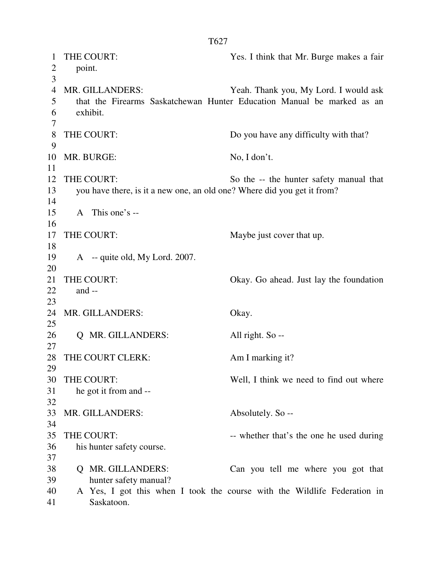| 1              | THE COURT:                                                              | Yes. I think that Mr. Burge makes a fair                                 |  |  |  |
|----------------|-------------------------------------------------------------------------|--------------------------------------------------------------------------|--|--|--|
| $\overline{2}$ | point.                                                                  |                                                                          |  |  |  |
| 3              |                                                                         |                                                                          |  |  |  |
| $\overline{4}$ | MR. GILLANDERS:                                                         | Yeah. Thank you, My Lord. I would ask                                    |  |  |  |
| 5              |                                                                         | that the Firearms Saskatchewan Hunter Education Manual be marked as an   |  |  |  |
| 6              | exhibit.                                                                |                                                                          |  |  |  |
| 7              |                                                                         |                                                                          |  |  |  |
| 8              | THE COURT:                                                              | Do you have any difficulty with that?                                    |  |  |  |
| 9              |                                                                         |                                                                          |  |  |  |
| 10             | MR. BURGE:                                                              | No, I don't.                                                             |  |  |  |
| 11             |                                                                         |                                                                          |  |  |  |
| 12             | THE COURT:                                                              | So the -- the hunter safety manual that                                  |  |  |  |
| 13             | you have there, is it a new one, an old one? Where did you get it from? |                                                                          |  |  |  |
| 14             |                                                                         |                                                                          |  |  |  |
| 15             | A This one's --                                                         |                                                                          |  |  |  |
| 16             |                                                                         |                                                                          |  |  |  |
| 17             | THE COURT:                                                              | Maybe just cover that up.                                                |  |  |  |
| 18             |                                                                         |                                                                          |  |  |  |
| 19             | A -- quite old, My Lord. 2007.                                          |                                                                          |  |  |  |
|                |                                                                         |                                                                          |  |  |  |
| 20<br>21       | THE COURT:                                                              |                                                                          |  |  |  |
|                |                                                                         | Okay. Go ahead. Just lay the foundation                                  |  |  |  |
| 22             | and $-$                                                                 |                                                                          |  |  |  |
| 23             |                                                                         |                                                                          |  |  |  |
| 24             | MR. GILLANDERS:                                                         | Okay.                                                                    |  |  |  |
| 25             |                                                                         |                                                                          |  |  |  |
| 26             | Q MR. GILLANDERS:                                                       | All right. So --                                                         |  |  |  |
| 27             |                                                                         |                                                                          |  |  |  |
| 28             | THE COURT CLERK:                                                        | Am I marking it?                                                         |  |  |  |
| 29             |                                                                         |                                                                          |  |  |  |
| 30             | THE COURT:                                                              | Well, I think we need to find out where                                  |  |  |  |
| 31             | he got it from and --                                                   |                                                                          |  |  |  |
| 32             |                                                                         |                                                                          |  |  |  |
| 33             | MR. GILLANDERS:                                                         | Absolutely. So --                                                        |  |  |  |
| 34             |                                                                         |                                                                          |  |  |  |
| 35             | THE COURT:                                                              | -- whether that's the one he used during                                 |  |  |  |
| 36             | his hunter safety course.                                               |                                                                          |  |  |  |
| 37             |                                                                         |                                                                          |  |  |  |
| 38             | MR. GILLANDERS:<br>O.                                                   | Can you tell me where you got that                                       |  |  |  |
| 39             | hunter safety manual?                                                   |                                                                          |  |  |  |
| 40             |                                                                         | A Yes, I got this when I took the course with the Wildlife Federation in |  |  |  |
| 41             | Saskatoon.                                                              |                                                                          |  |  |  |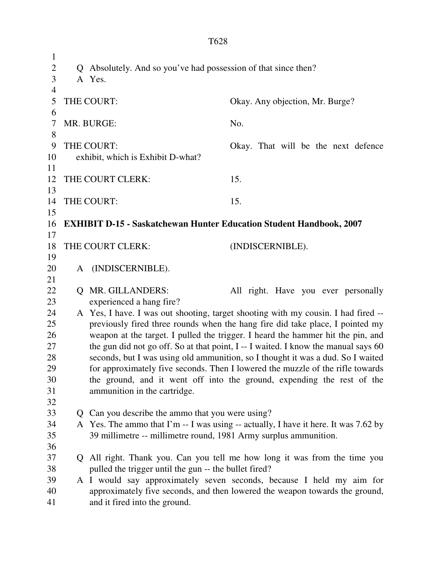1 2 Q Absolutely. And so you've had possession of that since then? 3 A Yes. 4 5 THE COURT: Okay. Any objection, Mr. Burge? 6 7 MR. BURGE: No. 8 9 THE COURT: Okay. That will be the next defence 10 exhibit, which is Exhibit D-what? 11 12 THE COURT CLERK: 15. 13 14 THE COURT: 15. 15 16 **EXHIBIT D-15 - Saskatchewan Hunter Education Student Handbook, 2007**  17 18 THE COURT CLERK: (INDISCERNIBLE). 19 20 A (INDISCERNIBLE). 21 22 Q MR. GILLANDERS: All right. Have you ever personally 23 experienced a hang fire? 24 A Yes, I have. I was out shooting, target shooting with my cousin. I had fired -- 25 previously fired three rounds when the hang fire did take place, I pointed my 26 weapon at the target. I pulled the trigger. I heard the hammer hit the pin, and 27 the gun did not go off. So at that point, I -- I waited. I know the manual says 60 28 seconds, but I was using old ammunition, so I thought it was a dud. So I waited 29 for approximately five seconds. Then I lowered the muzzle of the rifle towards 30 the ground, and it went off into the ground, expending the rest of the 31 ammunition in the cartridge. 32 33 Q Can you describe the ammo that you were using? 34 A Yes. The ammo that I'm -- I was using -- actually, I have it here. It was 7.62 by 35 39 millimetre -- millimetre round, 1981 Army surplus ammunition. 36 37 Q All right. Thank you. Can you tell me how long it was from the time you 38 pulled the trigger until the gun -- the bullet fired? 39 A I would say approximately seven seconds, because I held my aim for 40 approximately five seconds, and then lowered the weapon towards the ground,

41 and it fired into the ground.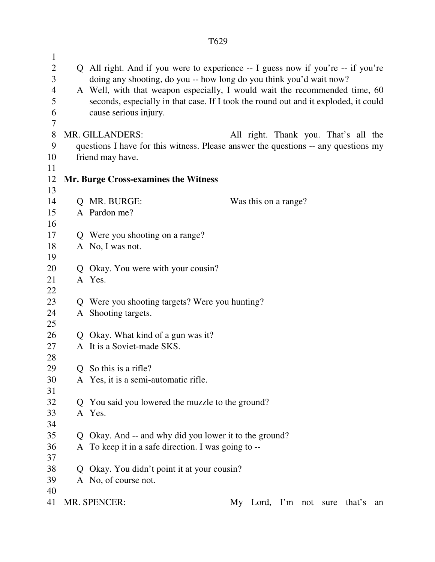| $\mathbf{1}$<br>$\overline{2}$<br>3<br>$\overline{4}$<br>5<br>6<br>7 |              | Q All right. And if you were to experience -- I guess now if you're -- if you're<br>doing any shooting, do you -- how long do you think you'd wait now?<br>A Well, with that weapon especially, I would wait the recommended time, 60<br>seconds, especially in that case. If I took the round out and it exploded, it could<br>cause serious injury. |  |  |  |  |  |
|----------------------------------------------------------------------|--------------|-------------------------------------------------------------------------------------------------------------------------------------------------------------------------------------------------------------------------------------------------------------------------------------------------------------------------------------------------------|--|--|--|--|--|
| 8                                                                    |              | MR. GILLANDERS:<br>All right. Thank you. That's all the                                                                                                                                                                                                                                                                                               |  |  |  |  |  |
| 9                                                                    |              | questions I have for this witness. Please answer the questions -- any questions my                                                                                                                                                                                                                                                                    |  |  |  |  |  |
| 10                                                                   |              | friend may have.                                                                                                                                                                                                                                                                                                                                      |  |  |  |  |  |
| 11                                                                   |              |                                                                                                                                                                                                                                                                                                                                                       |  |  |  |  |  |
| 12                                                                   |              | Mr. Burge Cross-examines the Witness                                                                                                                                                                                                                                                                                                                  |  |  |  |  |  |
| 13                                                                   |              |                                                                                                                                                                                                                                                                                                                                                       |  |  |  |  |  |
| 14                                                                   |              | Q MR. BURGE:<br>Was this on a range?                                                                                                                                                                                                                                                                                                                  |  |  |  |  |  |
| 15                                                                   |              | A Pardon me?                                                                                                                                                                                                                                                                                                                                          |  |  |  |  |  |
| 16                                                                   |              |                                                                                                                                                                                                                                                                                                                                                       |  |  |  |  |  |
| 17                                                                   |              | Q Were you shooting on a range?                                                                                                                                                                                                                                                                                                                       |  |  |  |  |  |
| 18                                                                   |              | A No, I was not.                                                                                                                                                                                                                                                                                                                                      |  |  |  |  |  |
| 19                                                                   |              |                                                                                                                                                                                                                                                                                                                                                       |  |  |  |  |  |
| 20                                                                   |              | Q Okay. You were with your cousin?                                                                                                                                                                                                                                                                                                                    |  |  |  |  |  |
| 21                                                                   |              | A Yes.                                                                                                                                                                                                                                                                                                                                                |  |  |  |  |  |
| 22                                                                   |              |                                                                                                                                                                                                                                                                                                                                                       |  |  |  |  |  |
| 23                                                                   |              | Q Were you shooting targets? Were you hunting?                                                                                                                                                                                                                                                                                                        |  |  |  |  |  |
| 24                                                                   |              | A Shooting targets.                                                                                                                                                                                                                                                                                                                                   |  |  |  |  |  |
| 25                                                                   |              |                                                                                                                                                                                                                                                                                                                                                       |  |  |  |  |  |
| 26                                                                   |              | Q Okay. What kind of a gun was it?                                                                                                                                                                                                                                                                                                                    |  |  |  |  |  |
| 27                                                                   |              | A It is a Soviet-made SKS.                                                                                                                                                                                                                                                                                                                            |  |  |  |  |  |
| 28                                                                   |              |                                                                                                                                                                                                                                                                                                                                                       |  |  |  |  |  |
| 29                                                                   | Q            | So this is a rifle?                                                                                                                                                                                                                                                                                                                                   |  |  |  |  |  |
| 30                                                                   |              | A Yes, it is a semi-automatic rifle.                                                                                                                                                                                                                                                                                                                  |  |  |  |  |  |
| 31                                                                   |              |                                                                                                                                                                                                                                                                                                                                                       |  |  |  |  |  |
| 32                                                                   | Q            | You said you lowered the muzzle to the ground?                                                                                                                                                                                                                                                                                                        |  |  |  |  |  |
| 33                                                                   |              | A Yes.                                                                                                                                                                                                                                                                                                                                                |  |  |  |  |  |
| 34                                                                   |              |                                                                                                                                                                                                                                                                                                                                                       |  |  |  |  |  |
| 35                                                                   | Q            | Okay. And -- and why did you lower it to the ground?                                                                                                                                                                                                                                                                                                  |  |  |  |  |  |
| 36                                                                   |              | A To keep it in a safe direction. I was going to --                                                                                                                                                                                                                                                                                                   |  |  |  |  |  |
| 37                                                                   |              |                                                                                                                                                                                                                                                                                                                                                       |  |  |  |  |  |
| 38                                                                   | $\mathsf{O}$ | Okay. You didn't point it at your cousin?                                                                                                                                                                                                                                                                                                             |  |  |  |  |  |
| 39                                                                   |              | A No, of course not.                                                                                                                                                                                                                                                                                                                                  |  |  |  |  |  |
| 40                                                                   |              |                                                                                                                                                                                                                                                                                                                                                       |  |  |  |  |  |
| 41                                                                   |              | MR. SPENCER:<br>My Lord, I'm not sure<br>that's<br>an                                                                                                                                                                                                                                                                                                 |  |  |  |  |  |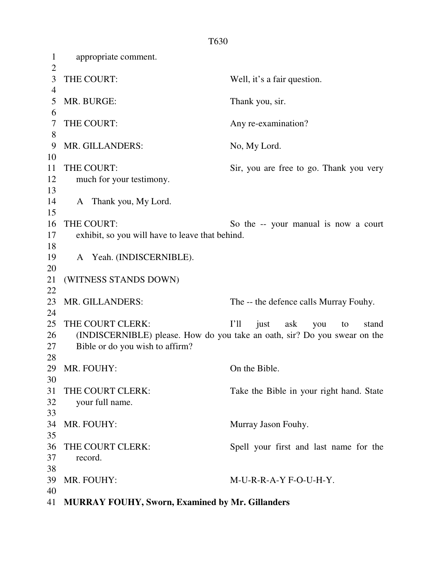1 appropriate comment.  $\overline{2}$ 3 THE COURT: Well, it's a fair question. 4 5 MR. BURGE: Thank you, sir. 6 7 THE COURT: Any re-examination? 8 9 MR. GILLANDERS: No, My Lord. 10 11 THE COURT: Sir, you are free to go. Thank you very 12 much for your testimony. 13 14 A Thank you, My Lord. 15 16 THE COURT: So the -- your manual is now a court 17 exhibit, so you will have to leave that behind. 18 19 A Yeah. (INDISCERNIBLE). 20 21 (WITNESS STANDS DOWN) 22 23 MR. GILLANDERS: The -- the defence calls Murray Fouhy. 24 25 THE COURT CLERK: I'll just ask you to stand 26 (INDISCERNIBLE) please. How do you take an oath, sir? Do you swear on the 27 Bible or do you wish to affirm? 28 29 MR. FOUHY: On the Bible. 30 31 THE COURT CLERK: Take the Bible in your right hand. State 32 your full name. 33 34 MR. FOUHY: Murray Jason Fouhy. 35 36 THE COURT CLERK: Spell your first and last name for the 37 record. 38 39 MR. FOUHY: M-U-R-R-A-Y F-O-U-H-Y. 40 41 **MURRAY FOUHY, Sworn, Examined by Mr. Gillanders**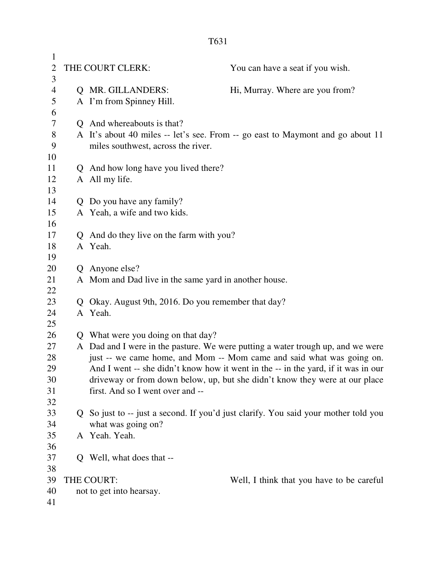| $\mathbf{1}$<br>$\overline{2}$<br>3 |    | THE COURT CLERK:                                      | You can have a seat if you wish.                                                    |
|-------------------------------------|----|-------------------------------------------------------|-------------------------------------------------------------------------------------|
| $\overline{4}$                      |    | Q MR. GILLANDERS:                                     | Hi, Murray. Where are you from?                                                     |
| 5                                   |    | A I'm from Spinney Hill.                              |                                                                                     |
| 6                                   |    |                                                       |                                                                                     |
| $\overline{7}$                      |    | Q And whereabouts is that?                            |                                                                                     |
| $8\,$                               |    |                                                       | A It's about 40 miles -- let's see. From -- go east to Maymont and go about 11      |
| 9                                   |    | miles southwest, across the river.                    |                                                                                     |
| 10                                  |    |                                                       |                                                                                     |
| 11                                  |    | Q And how long have you lived there?                  |                                                                                     |
| 12                                  |    | A All my life.                                        |                                                                                     |
| 13                                  |    |                                                       |                                                                                     |
| 14                                  |    | Q Do you have any family?                             |                                                                                     |
| 15                                  |    | A Yeah, a wife and two kids.                          |                                                                                     |
| 16                                  |    |                                                       |                                                                                     |
| 17                                  |    | Q And do they live on the farm with you?              |                                                                                     |
| 18                                  |    | A Yeah.                                               |                                                                                     |
| 19                                  |    |                                                       |                                                                                     |
| 20                                  |    | Q Anyone else?                                        |                                                                                     |
| 21                                  |    | A Mom and Dad live in the same yard in another house. |                                                                                     |
| 22                                  |    |                                                       |                                                                                     |
| 23                                  |    | Q Okay. August 9th, 2016. Do you remember that day?   |                                                                                     |
| 24                                  |    | A Yeah.                                               |                                                                                     |
| 25                                  |    |                                                       |                                                                                     |
| 26<br>27                            |    | Q What were you doing on that day?                    | A Dad and I were in the pasture. We were putting a water trough up, and we were     |
| 28                                  |    |                                                       | just -- we came home, and Mom -- Mom came and said what was going on.               |
| 29                                  |    |                                                       | And I went -- she didn't know how it went in the -- in the yard, if it was in our   |
| 30                                  |    |                                                       | driveway or from down below, up, but she didn't know they were at our place         |
| 31                                  |    | first. And so I went over and --                      |                                                                                     |
| 32                                  |    |                                                       |                                                                                     |
| 33                                  |    |                                                       | Q So just to -- just a second. If you'd just clarify. You said your mother told you |
| 34                                  |    | what was going on?                                    |                                                                                     |
| 35                                  |    | A Yeah. Yeah.                                         |                                                                                     |
| 36                                  |    |                                                       |                                                                                     |
| 37                                  | Q. | Well, what does that --                               |                                                                                     |
| 38                                  |    |                                                       |                                                                                     |
| 39                                  |    | THE COURT:                                            | Well, I think that you have to be careful                                           |
| 40                                  |    | not to get into hearsay.                              |                                                                                     |
| 41                                  |    |                                                       |                                                                                     |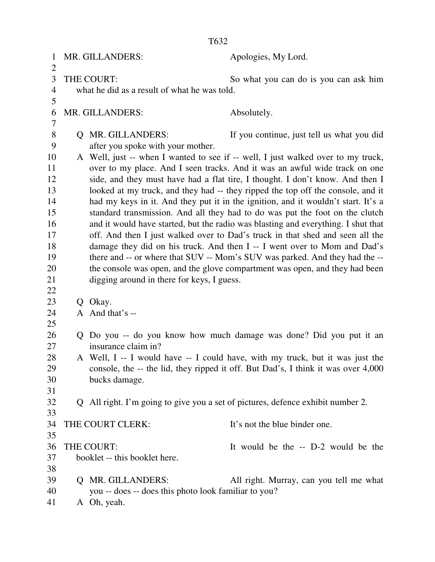1 MR. GILLANDERS: Apologies, My Lord.  $\overline{2}$ 3 THE COURT: So what you can do is you can ask him 4 what he did as a result of what he was told. 5 6 MR. GILLANDERS: Absolutely. 7 8 Q MR. GILLANDERS: If you continue, just tell us what you did 9 after you spoke with your mother. 10 A Well, just -- when I wanted to see if -- well, I just walked over to my truck, 11 over to my place. And I seen tracks. And it was an awful wide track on one 12 side, and they must have had a flat tire, I thought. I don't know. And then I 13 looked at my truck, and they had -- they ripped the top off the console, and it 14 had my keys in it. And they put it in the ignition, and it wouldn't start. It's a 15 standard transmission. And all they had to do was put the foot on the clutch 16 and it would have started, but the radio was blasting and everything. I shut that 17 off. And then I just walked over to Dad's truck in that shed and seen all the 18 damage they did on his truck. And then I -- I went over to Mom and Dad's 19 there and -- or where that SUV -- Mom's SUV was parked. And they had the --20 the console was open, and the glove compartment was open, and they had been 21 digging around in there for keys, I guess. 22 23 O Okay.  $24$  A And that's --25 26 Q Do you -- do you know how much damage was done? Did you put it an 27 insurance claim in? 28 A Well, I -- I would have -- I could have, with my truck, but it was just the 29 console, the -- the lid, they ripped it off. But Dad's, I think it was over 4,000 30 bucks damage. 31 32 Q All right. I'm going to give you a set of pictures, defence exhibit number 2. 33 34 THE COURT CLERK: It's not the blue binder one. 35 36 THE COURT: It would be the -- D-2 would be the 37 booklet -- this booklet here. 38 39 Q MR. GILLANDERS: All right. Murray, can you tell me what 40 you -- does -- does this photo look familiar to you? 41 A Oh, yeah.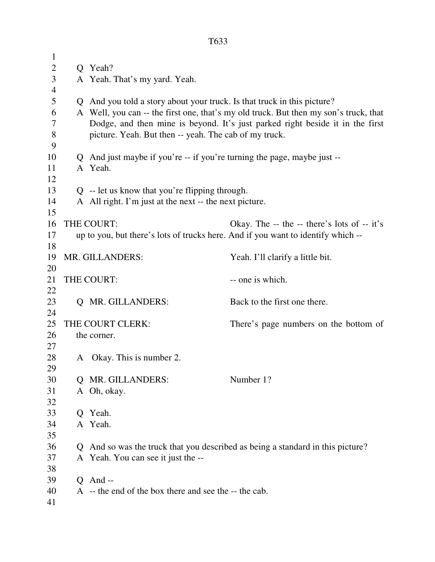| $\mathbf 1$    |                                                     |                                                                                  |                                                                                      |  |  |  |  |  |
|----------------|-----------------------------------------------------|----------------------------------------------------------------------------------|--------------------------------------------------------------------------------------|--|--|--|--|--|
| $\overline{2}$ |                                                     | Q Yeah?                                                                          |                                                                                      |  |  |  |  |  |
| 3              |                                                     | A Yeah. That's my yard. Yeah.                                                    |                                                                                      |  |  |  |  |  |
| $\overline{4}$ |                                                     |                                                                                  |                                                                                      |  |  |  |  |  |
| 5              |                                                     | Q And you told a story about your truck. Is that truck in this picture?          |                                                                                      |  |  |  |  |  |
| 6              |                                                     |                                                                                  | A Well, you can -- the first one, that's my old truck. But then my son's truck, that |  |  |  |  |  |
| 7              |                                                     | Dodge, and then mine is beyond. It's just parked right beside it in the first    |                                                                                      |  |  |  |  |  |
| $8\,$          |                                                     | picture. Yeah. But then -- yeah. The cab of my truck.                            |                                                                                      |  |  |  |  |  |
| 9              |                                                     |                                                                                  |                                                                                      |  |  |  |  |  |
| 10             |                                                     | Q And just maybe if you're -- if you're turning the page, maybe just --          |                                                                                      |  |  |  |  |  |
| 11             |                                                     | A Yeah.                                                                          |                                                                                      |  |  |  |  |  |
| 12             |                                                     |                                                                                  |                                                                                      |  |  |  |  |  |
| 13             |                                                     | $Q$ -- let us know that you're flipping through.                                 |                                                                                      |  |  |  |  |  |
| 14             |                                                     | A All right. I'm just at the next -- the next picture.                           |                                                                                      |  |  |  |  |  |
| 15<br>16       |                                                     | THE COURT:                                                                       | Okay. The $-$ the $-$ there's lots of $-$ it's                                       |  |  |  |  |  |
| 17             |                                                     | up to you, but there's lots of trucks here. And if you want to identify which -- |                                                                                      |  |  |  |  |  |
| 18             |                                                     |                                                                                  |                                                                                      |  |  |  |  |  |
| 19             | MR. GILLANDERS:<br>Yeah. I'll clarify a little bit. |                                                                                  |                                                                                      |  |  |  |  |  |
| 20             |                                                     |                                                                                  |                                                                                      |  |  |  |  |  |
| 21             |                                                     | THE COURT:                                                                       | -- one is which.                                                                     |  |  |  |  |  |
| 22             |                                                     |                                                                                  |                                                                                      |  |  |  |  |  |
| 23             |                                                     | Q MR. GILLANDERS:                                                                | Back to the first one there.                                                         |  |  |  |  |  |
| 24             |                                                     |                                                                                  |                                                                                      |  |  |  |  |  |
| 25             |                                                     | THE COURT CLERK:                                                                 | There's page numbers on the bottom of                                                |  |  |  |  |  |
| 26             |                                                     | the corner.                                                                      |                                                                                      |  |  |  |  |  |
| 27             |                                                     |                                                                                  |                                                                                      |  |  |  |  |  |
| 28             | A                                                   | Okay. This is number 2.                                                          |                                                                                      |  |  |  |  |  |
| 29             |                                                     |                                                                                  |                                                                                      |  |  |  |  |  |
| 30             | O                                                   | MR. GILLANDERS:                                                                  | Number 1?                                                                            |  |  |  |  |  |
| 31             |                                                     | A Oh, okay.                                                                      |                                                                                      |  |  |  |  |  |
| 32             |                                                     |                                                                                  |                                                                                      |  |  |  |  |  |
| 33             |                                                     | Q Yeah.                                                                          |                                                                                      |  |  |  |  |  |
| 34             |                                                     | A Yeah.                                                                          |                                                                                      |  |  |  |  |  |
| 35             |                                                     |                                                                                  |                                                                                      |  |  |  |  |  |
| 36             |                                                     |                                                                                  | Q And so was the truck that you described as being a standard in this picture?       |  |  |  |  |  |
| 37<br>38       |                                                     | A Yeah. You can see it just the --                                               |                                                                                      |  |  |  |  |  |
| 39             |                                                     | $Q$ And --                                                                       |                                                                                      |  |  |  |  |  |
| 40             |                                                     | A -- the end of the box there and see the -- the cab.                            |                                                                                      |  |  |  |  |  |
| 41             |                                                     |                                                                                  |                                                                                      |  |  |  |  |  |
|                |                                                     |                                                                                  |                                                                                      |  |  |  |  |  |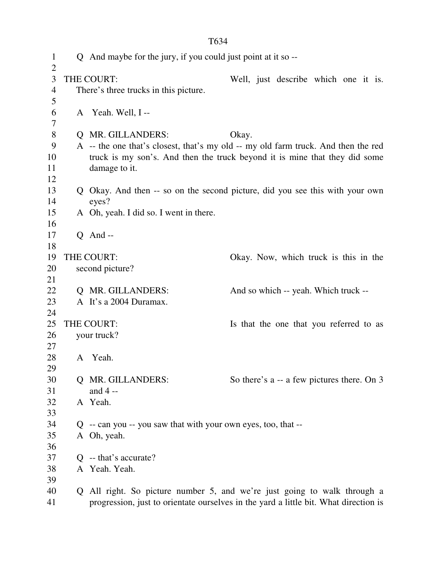| $\mathbf{1}$<br>$\overline{2}$ |              | Q And maybe for the jury, if you could just point at it so --                        |       |  |                                            |  |  |
|--------------------------------|--------------|--------------------------------------------------------------------------------------|-------|--|--------------------------------------------|--|--|
| 3                              |              | THE COURT:                                                                           |       |  | Well, just describe which one it is.       |  |  |
| $\overline{4}$                 |              | There's three trucks in this picture.                                                |       |  |                                            |  |  |
| 5                              |              |                                                                                      |       |  |                                            |  |  |
| 6                              |              | A Yeah. Well, I--                                                                    |       |  |                                            |  |  |
| 7                              |              |                                                                                      |       |  |                                            |  |  |
| 8                              |              | Q MR. GILLANDERS:                                                                    | Okay. |  |                                            |  |  |
| 9                              |              | A -- the one that's closest, that's my old -- my old farm truck. And then the red    |       |  |                                            |  |  |
| 10                             |              | truck is my son's. And then the truck beyond it is mine that they did some           |       |  |                                            |  |  |
| 11                             |              | damage to it.                                                                        |       |  |                                            |  |  |
| 12                             |              |                                                                                      |       |  |                                            |  |  |
| 13                             |              | Q Okay. And then -- so on the second picture, did you see this with your own         |       |  |                                            |  |  |
| 14                             |              | eyes?                                                                                |       |  |                                            |  |  |
| 15                             |              | A Oh, yeah. I did so. I went in there.                                               |       |  |                                            |  |  |
| 16                             |              |                                                                                      |       |  |                                            |  |  |
| 17                             |              | $Q$ And --                                                                           |       |  |                                            |  |  |
| 18                             |              |                                                                                      |       |  |                                            |  |  |
| 19                             |              | THE COURT:                                                                           |       |  | Okay. Now, which truck is this in the      |  |  |
| 20                             |              | second picture?                                                                      |       |  |                                            |  |  |
| 21                             |              |                                                                                      |       |  |                                            |  |  |
| 22                             |              | Q MR. GILLANDERS:                                                                    |       |  | And so which -- yeah. Which truck --       |  |  |
| 23                             |              | A It's a 2004 Duramax.                                                               |       |  |                                            |  |  |
| 24                             |              |                                                                                      |       |  |                                            |  |  |
| 25                             |              | THE COURT:                                                                           |       |  | Is that the one that you referred to as    |  |  |
| 26                             |              | your truck?                                                                          |       |  |                                            |  |  |
| 27                             |              |                                                                                      |       |  |                                            |  |  |
| 28                             |              | A Yeah.                                                                              |       |  |                                            |  |  |
| 29                             |              |                                                                                      |       |  |                                            |  |  |
| 30                             |              | Q MR. GILLANDERS:                                                                    |       |  | So there's a -- a few pictures there. On 3 |  |  |
| 31                             |              | and $4 -$                                                                            |       |  |                                            |  |  |
| 32                             |              | A Yeah.                                                                              |       |  |                                            |  |  |
| 33                             |              |                                                                                      |       |  |                                            |  |  |
| 34                             |              | $Q$ -- can you -- you saw that with your own eyes, too, that --                      |       |  |                                            |  |  |
| 35                             |              | A Oh, yeah.                                                                          |       |  |                                            |  |  |
| 36                             |              |                                                                                      |       |  |                                            |  |  |
| 37                             | $\mathsf{O}$ | -- that's accurate?                                                                  |       |  |                                            |  |  |
| 38                             |              | A Yeah. Yeah.                                                                        |       |  |                                            |  |  |
| 39                             |              |                                                                                      |       |  |                                            |  |  |
| 40                             |              | Q All right. So picture number 5, and we're just going to walk through a             |       |  |                                            |  |  |
| 41                             |              | progression, just to orientate ourselves in the yard a little bit. What direction is |       |  |                                            |  |  |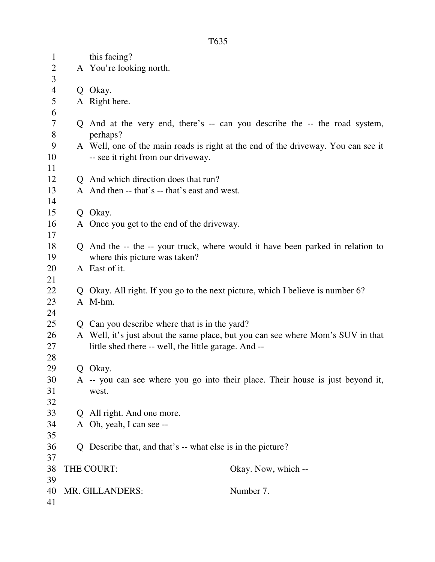| $\mathbf{1}$   | this facing?                                                                      |
|----------------|-----------------------------------------------------------------------------------|
| $\overline{2}$ | A You're looking north.                                                           |
| 3              |                                                                                   |
| $\overline{4}$ | Q Okay.                                                                           |
| 5              | A Right here.                                                                     |
| 6              |                                                                                   |
| 7              | Q And at the very end, there's -- can you describe the -- the road system,        |
| $8\,$          | perhaps?                                                                          |
| 9              | A Well, one of the main roads is right at the end of the driveway. You can see it |
| 10             | -- see it right from our driveway.                                                |
| 11             |                                                                                   |
| 12             | Q And which direction does that run?                                              |
| 13             | A And then -- that's -- that's east and west.                                     |
| 14             |                                                                                   |
| 15             | Q Okay.                                                                           |
| 16             | A Once you get to the end of the driveway.                                        |
| 17             |                                                                                   |
| 18             | Q And the -- the -- your truck, where would it have been parked in relation to    |
| 19             | where this picture was taken?                                                     |
| 20             | A East of it.                                                                     |
| 21             |                                                                                   |
| 22             | Q Okay. All right. If you go to the next picture, which I believe is number 6?    |
| 23             | A M-hm.                                                                           |
| 24             |                                                                                   |
| 25             | Q Can you describe where that is in the yard?                                     |
| 26             | A Well, it's just about the same place, but you can see where Mom's SUV in that   |
| 27             | little shed there -- well, the little garage. And --                              |
| 28             |                                                                                   |
| 29             | Q Okay.                                                                           |
| 30             | A -- you can see where you go into their place. Their house is just beyond it,    |
| 31             | west.                                                                             |
| 32             |                                                                                   |
| 33             | Q All right. And one more.                                                        |
| 34             | A Oh, yeah, I can see --                                                          |
| 35             |                                                                                   |
| 36             | Q Describe that, and that's -- what else is in the picture?                       |
| 37             |                                                                                   |
| 38             | Okay. Now, which --<br>THE COURT:                                                 |
|                |                                                                                   |
|                |                                                                                   |
| 39<br>40<br>41 | Number 7.<br>MR. GILLANDERS:                                                      |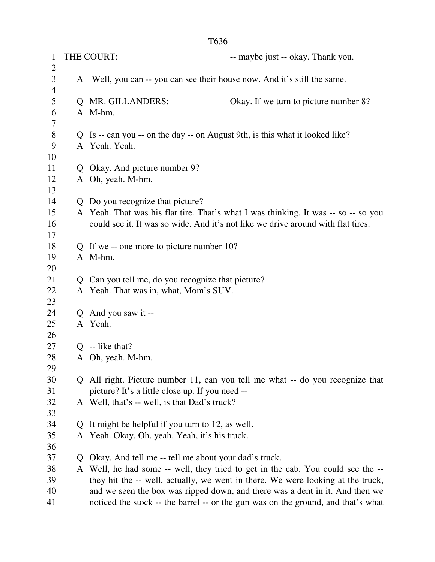| $\mathbf{1}$   |              | THE COURT:                                                                 | -- maybe just -- okay. Thank you.                                                                                                                                      |
|----------------|--------------|----------------------------------------------------------------------------|------------------------------------------------------------------------------------------------------------------------------------------------------------------------|
| 2              |              |                                                                            |                                                                                                                                                                        |
| 3              |              | A Well, you can -- you can see their house now. And it's still the same.   |                                                                                                                                                                        |
| $\overline{4}$ |              |                                                                            |                                                                                                                                                                        |
| 5              | Q            | <b>MR. GILLANDERS:</b>                                                     | Okay. If we turn to picture number 8?                                                                                                                                  |
| 6              |              | A M-hm.                                                                    |                                                                                                                                                                        |
| 7              |              |                                                                            |                                                                                                                                                                        |
| 8              | Q            | Is -- can you -- on the day -- on August 9th, is this what it looked like? |                                                                                                                                                                        |
| 9              |              | A Yeah. Yeah.                                                              |                                                                                                                                                                        |
| 10             |              |                                                                            |                                                                                                                                                                        |
| 11             |              | Q Okay. And picture number 9?                                              |                                                                                                                                                                        |
| 12             |              | A Oh, yeah. M-hm.                                                          |                                                                                                                                                                        |
| 13             |              |                                                                            |                                                                                                                                                                        |
| 14             |              | Q Do you recognize that picture?                                           |                                                                                                                                                                        |
| 15<br>16       |              |                                                                            | A Yeah. That was his flat tire. That's what I was thinking. It was -- so -- so you<br>could see it. It was so wide. And it's not like we drive around with flat tires. |
| 17             |              |                                                                            |                                                                                                                                                                        |
| 18             |              | Q If we -- one more to picture number 10?                                  |                                                                                                                                                                        |
| 19             |              | A M-hm.                                                                    |                                                                                                                                                                        |
| 20             |              |                                                                            |                                                                                                                                                                        |
| 21             | Q            | Can you tell me, do you recognize that picture?                            |                                                                                                                                                                        |
| 22             |              | A Yeah. That was in, what, Mom's SUV.                                      |                                                                                                                                                                        |
| 23             |              |                                                                            |                                                                                                                                                                        |
| 24             |              | Q And you saw it --                                                        |                                                                                                                                                                        |
| 25             |              | A Yeah.                                                                    |                                                                                                                                                                        |
| 26             |              |                                                                            |                                                                                                                                                                        |
| 27             |              | $Q$ -- like that?                                                          |                                                                                                                                                                        |
| 28             |              | A Oh, yeah. M-hm.                                                          |                                                                                                                                                                        |
| 29             |              |                                                                            |                                                                                                                                                                        |
| 30             |              |                                                                            | Q All right. Picture number 11, can you tell me what -- do you recognize that                                                                                          |
| 31             |              | picture? It's a little close up. If you need --                            |                                                                                                                                                                        |
| 32             |              | A Well, that's -- well, is that Dad's truck?                               |                                                                                                                                                                        |
| 33             |              |                                                                            |                                                                                                                                                                        |
| 34             | $\mathsf{O}$ | It might be helpful if you turn to 12, as well.                            |                                                                                                                                                                        |
| 35             |              | A Yeah. Okay. Oh, yeah. Yeah, it's his truck.                              |                                                                                                                                                                        |
| 36             |              |                                                                            |                                                                                                                                                                        |
| 37             | $\mathsf{O}$ | Okay. And tell me -- tell me about your dad's truck.                       |                                                                                                                                                                        |
| 38             |              |                                                                            | Well, he had some -- well, they tried to get in the cab. You could see the --                                                                                          |
| 39             |              |                                                                            | they hit the -- well, actually, we went in there. We were looking at the truck,                                                                                        |
| 40             |              |                                                                            | and we seen the box was ripped down, and there was a dent in it. And then we                                                                                           |
| 41             |              |                                                                            | noticed the stock -- the barrel -- or the gun was on the ground, and that's what                                                                                       |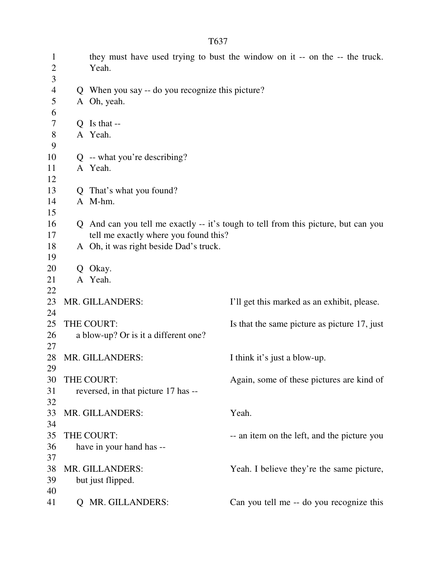| $\mathbf{1}$<br>$\overline{2}$ |   | Yeah.                                            | they must have used trying to bust the window on it -- on the -- the truck.        |
|--------------------------------|---|--------------------------------------------------|------------------------------------------------------------------------------------|
| 3                              |   |                                                  |                                                                                    |
| $\overline{4}$                 |   | Q When you say -- do you recognize this picture? |                                                                                    |
| 5                              |   | A Oh, yeah.                                      |                                                                                    |
| 6                              |   |                                                  |                                                                                    |
| 7                              |   | $Q$ Is that --                                   |                                                                                    |
| 8                              |   | A Yeah.                                          |                                                                                    |
| 9                              |   |                                                  |                                                                                    |
| 10                             |   | $Q$ -- what you're describing?                   |                                                                                    |
| 11                             |   | A Yeah.                                          |                                                                                    |
| 12                             |   |                                                  |                                                                                    |
| 13                             |   | Q That's what you found?                         |                                                                                    |
| 14                             |   | A M-hm.                                          |                                                                                    |
| 15                             |   |                                                  |                                                                                    |
| 16                             |   |                                                  | Q And can you tell me exactly -- it's tough to tell from this picture, but can you |
| 17                             |   | tell me exactly where you found this?            |                                                                                    |
| 18                             |   | A Oh, it was right beside Dad's truck.           |                                                                                    |
| 19                             |   |                                                  |                                                                                    |
| 20                             | Q | Okay.                                            |                                                                                    |
| 21                             |   | A Yeah.                                          |                                                                                    |
| 22                             |   |                                                  |                                                                                    |
| 23                             |   | MR. GILLANDERS:                                  | I'll get this marked as an exhibit, please.                                        |
| 24                             |   |                                                  |                                                                                    |
| 25                             |   | THE COURT:                                       | Is that the same picture as picture 17, just                                       |
| 26                             |   | a blow-up? Or is it a different one?             |                                                                                    |
| 27                             |   |                                                  |                                                                                    |
| 28                             |   | MR. GILLANDERS:                                  | I think it's just a blow-up.                                                       |
| 29                             |   |                                                  |                                                                                    |
| 30                             |   | THE COURT:                                       | Again, some of these pictures are kind of                                          |
| 31                             |   | reversed, in that picture 17 has --              |                                                                                    |
| 32                             |   |                                                  |                                                                                    |
| 33                             |   | MR. GILLANDERS:                                  | Yeah.                                                                              |
| 34                             |   |                                                  |                                                                                    |
| 35                             |   | THE COURT:                                       | -- an item on the left, and the picture you                                        |
| 36                             |   | have in your hand has --                         |                                                                                    |
| 37                             |   |                                                  |                                                                                    |
| 38                             |   | MR. GILLANDERS:                                  | Yeah. I believe they're the same picture,                                          |
| 39                             |   | but just flipped.                                |                                                                                    |
| 40                             |   |                                                  |                                                                                    |
| 41                             |   | MR. GILLANDERS:                                  | Can you tell me -- do you recognize this                                           |
|                                |   |                                                  |                                                                                    |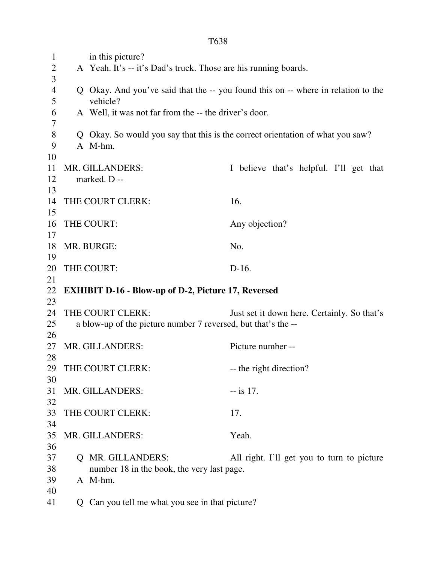1 in this picture? 2 A Yeah. It's -- it's Dad's truck. Those are his running boards. 3 4 Q Okay. And you've said that the -- you found this on -- where in relation to the 5 vehicle? 6 A Well, it was not far from the -- the driver's door. 7 8 Q Okay. So would you say that this is the correct orientation of what you saw? 9 A M-hm. 10 11 MR. GILLANDERS: I believe that's helpful. I'll get that 12 marked. D -- 13 14 THE COURT CLERK: 16. 15 16 THE COURT: Any objection? 17 18 MR. BURGE: No. 19 20 THE COURT: D-16. 21 22 **EXHIBIT D-16 - Blow-up of D-2, Picture 17, Reversed**  23 24 THE COURT CLERK: Just set it down here. Certainly. So that's 25 a blow-up of the picture number 7 reversed, but that's the -- 26 27 MR. GILLANDERS: Picture number --28 29 THE COURT CLERK: -- the right direction? 30 31 MR. GILLANDERS:  $-$  is 17. 32 33 THE COURT CLERK: 17. 34 35 MR. GILLANDERS: Yeah. 36 37 Q MR. GILLANDERS: All right. I'll get you to turn to picture 38 number 18 in the book, the very last page. 39 A M-hm. 40 41 Q Can you tell me what you see in that picture?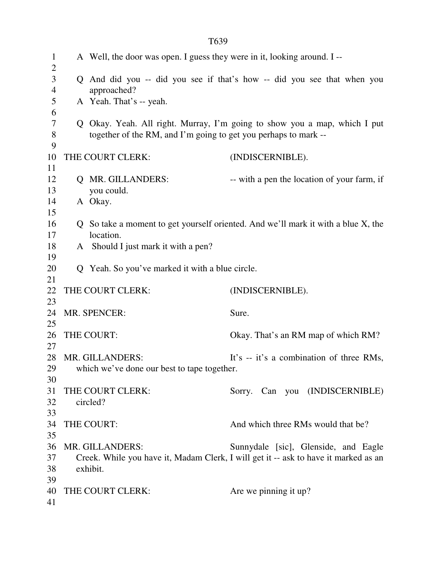| $\mathbf{1}$<br>$\overline{2}$ | A Well, the door was open. I guess they were in it, looking around. I -- |                                                                                     |
|--------------------------------|--------------------------------------------------------------------------|-------------------------------------------------------------------------------------|
| 3<br>$\overline{4}$            | approached?                                                              | Q And did you -- did you see if that's how -- did you see that when you             |
| 5                              | A Yeah. That's -- yeah.                                                  |                                                                                     |
| 6<br>$\overline{7}$            |                                                                          | Q Okay. Yeah. All right. Murray, I'm going to show you a map, which I put           |
| $8\,$                          | together of the RM, and I'm going to get you perhaps to mark --          |                                                                                     |
| 9                              |                                                                          |                                                                                     |
| 10                             | THE COURT CLERK:                                                         | (INDISCERNIBLE).                                                                    |
| 11                             |                                                                          |                                                                                     |
| 12<br>13                       | Q MR. GILLANDERS:                                                        | -- with a pen the location of your farm, if                                         |
| 14                             | you could.<br>A Okay.                                                    |                                                                                     |
| 15                             |                                                                          |                                                                                     |
| 16                             |                                                                          | Q So take a moment to get yourself oriented. And we'll mark it with a blue X, the   |
| 17                             | location.                                                                |                                                                                     |
| 18                             | A Should I just mark it with a pen?                                      |                                                                                     |
| 19                             |                                                                          |                                                                                     |
| 20                             | Q Yeah. So you've marked it with a blue circle.                          |                                                                                     |
| 21<br>22                       | THE COURT CLERK:                                                         | (INDISCERNIBLE).                                                                    |
| 23                             |                                                                          |                                                                                     |
| 24                             | MR. SPENCER:                                                             | Sure.                                                                               |
| 25                             |                                                                          |                                                                                     |
| 26                             | THE COURT:                                                               | Okay. That's an RM map of which RM?                                                 |
| 27                             |                                                                          |                                                                                     |
| 28                             | MR. GILLANDERS:                                                          | It's -- it's a combination of three RMs,                                            |
| 29                             | which we've done our best to tape together.                              |                                                                                     |
| 30                             |                                                                          |                                                                                     |
| 31                             | THE COURT CLERK:                                                         | Sorry. Can you (INDISCERNIBLE)                                                      |
| 32                             | circled?                                                                 |                                                                                     |
| 33<br>34                       | THE COURT:                                                               | And which three RMs would that be?                                                  |
| 35                             |                                                                          |                                                                                     |
| 36                             | MR. GILLANDERS:                                                          | Sunnydale [sic], Glenside, and Eagle                                                |
| 37                             |                                                                          | Creek. While you have it, Madam Clerk, I will get it -- ask to have it marked as an |
| 38                             | exhibit.                                                                 |                                                                                     |
| 39                             |                                                                          |                                                                                     |
| 40                             | THE COURT CLERK:                                                         | Are we pinning it up?                                                               |
| 41                             |                                                                          |                                                                                     |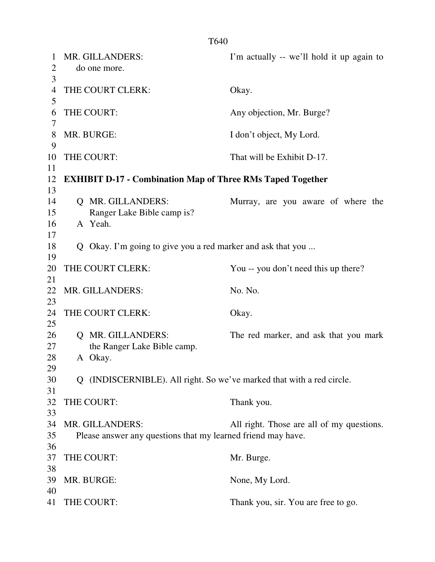| 1              | MR. GILLANDERS:                                                       | I'm actually -- we'll hold it up again to |
|----------------|-----------------------------------------------------------------------|-------------------------------------------|
| $\overline{2}$ | do one more.                                                          |                                           |
| 3              |                                                                       |                                           |
| 4              | THE COURT CLERK:                                                      | Okay.                                     |
| 5              |                                                                       |                                           |
| 6              | THE COURT:                                                            | Any objection, Mr. Burge?                 |
| 7              |                                                                       |                                           |
| 8              | MR. BURGE:                                                            | I don't object, My Lord.                  |
| 9              |                                                                       |                                           |
| 10             | THE COURT:                                                            | That will be Exhibit D-17.                |
| 11             |                                                                       |                                           |
| 12             | <b>EXHIBIT D-17 - Combination Map of Three RMs Taped Together</b>     |                                           |
| 13             |                                                                       |                                           |
| 14             | Q MR. GILLANDERS:                                                     | Murray, are you aware of where the        |
| 15             | Ranger Lake Bible camp is?                                            |                                           |
| 16             | A Yeah.                                                               |                                           |
| 17             |                                                                       |                                           |
| 18             | Q Okay. I'm going to give you a red marker and ask that you           |                                           |
| 19             |                                                                       |                                           |
| 20             | THE COURT CLERK:                                                      | You -- you don't need this up there?      |
| 21             |                                                                       |                                           |
| 22             | MR. GILLANDERS:                                                       | No. No.                                   |
| 23             |                                                                       |                                           |
| 24             | THE COURT CLERK:                                                      | Okay.                                     |
| 25             |                                                                       |                                           |
| 26             | Q MR. GILLANDERS:                                                     | The red marker, and ask that you mark     |
| 27             | the Ranger Lake Bible camp.                                           |                                           |
| 28             | A Okay.                                                               |                                           |
| 29             |                                                                       |                                           |
| 30             | Q (INDISCERNIBLE). All right. So we've marked that with a red circle. |                                           |
| 31             |                                                                       |                                           |
| 32             | THE COURT:                                                            | Thank you.                                |
| 33             |                                                                       |                                           |
| 34             | MR. GILLANDERS:                                                       | All right. Those are all of my questions. |
| 35             |                                                                       |                                           |
|                | Please answer any questions that my learned friend may have.          |                                           |
| 36             |                                                                       |                                           |
| 37             | THE COURT:                                                            | Mr. Burge.                                |
| 38             |                                                                       |                                           |
| 39             | MR. BURGE:                                                            | None, My Lord.                            |
| 40             |                                                                       |                                           |
| 41             | THE COURT:                                                            | Thank you, sir. You are free to go.       |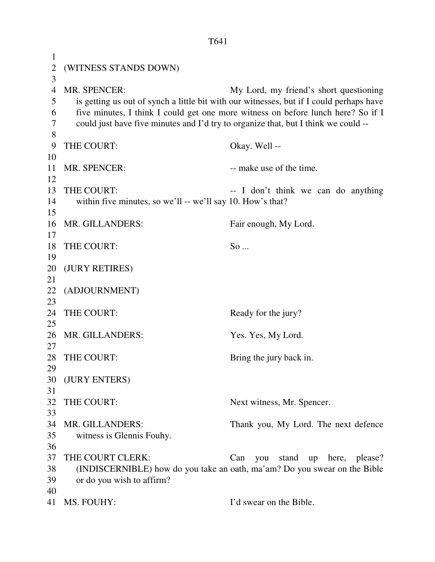T641 1 2 (WITNESS STANDS DOWN) 3 4 MR. SPENCER: My Lord, my friend's short questioning 5 is getting us out of synch a little bit with our witnesses, but if I could perhaps have 6 five minutes, I think I could get one more witness on before lunch here? So if I 7 could just have five minutes and I'd try to organize that, but I think we could -- 8 9 THE COURT: Okay. Well -- 10 11 MR. SPENCER: -- make use of the time. 12 13 THE COURT: -- I don't think we can do anything 14 within five minutes, so we'll -- we'll say 10. How's that? 15 16 MR. GILLANDERS: Fair enough, My Lord. 17 18 THE COURT: So ... 19 20 (JURY RETIRES) 21 22 (ADJOURNMENT) 23 24 THE COURT: Ready for the jury? 25 26 MR. GILLANDERS: Yes. Yes, My Lord. 27 28 THE COURT: Bring the jury back in. 29 30 (JURY ENTERS) 31 32 THE COURT: Next witness, Mr. Spencer. 33 34 MR. GILLANDERS: Thank you, My Lord. The next defence 35 witness is Glennis Fouhy. 36 37 THE COURT CLERK: Can you stand up here, please? 38 (INDISCERNIBLE) how do you take an oath, ma'am? Do you swear on the Bible 39 or do you wish to affirm? 40 41 MS. FOUHY: I'd swear on the Bible.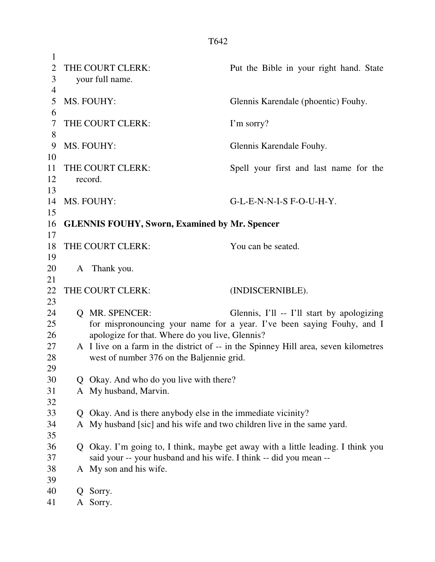| $\mathbf{1}$   |    |                                                                         |                                                                                                                      |
|----------------|----|-------------------------------------------------------------------------|----------------------------------------------------------------------------------------------------------------------|
| $\overline{2}$ |    | THE COURT CLERK:                                                        | Put the Bible in your right hand. State                                                                              |
| 3              |    | your full name.                                                         |                                                                                                                      |
| $\overline{4}$ |    |                                                                         |                                                                                                                      |
| 5              |    | MS. FOUHY:                                                              | Glennis Karendale (phoentic) Fouhy.                                                                                  |
| 6              |    |                                                                         |                                                                                                                      |
| 7              |    | THE COURT CLERK:                                                        | I'm sorry?                                                                                                           |
| 8              |    |                                                                         |                                                                                                                      |
| 9              |    | MS. FOUHY:                                                              | Glennis Karendale Fouhy.                                                                                             |
| 10             |    |                                                                         |                                                                                                                      |
| 11             |    | THE COURT CLERK:                                                        | Spell your first and last name for the                                                                               |
| 12             |    | record.                                                                 |                                                                                                                      |
| 13             |    |                                                                         |                                                                                                                      |
| 14<br>15       |    | MS. FOUHY:                                                              | G-L-E-N-N-I-S F-O-U-H-Y.                                                                                             |
| 16             |    | <b>GLENNIS FOUHY, Sworn, Examined by Mr. Spencer</b>                    |                                                                                                                      |
| 17             |    |                                                                         |                                                                                                                      |
| 18             |    | THE COURT CLERK:                                                        | You can be seated.                                                                                                   |
| 19             |    |                                                                         |                                                                                                                      |
| 20             |    | A Thank you.                                                            |                                                                                                                      |
| 21             |    |                                                                         |                                                                                                                      |
|                |    |                                                                         |                                                                                                                      |
|                |    |                                                                         |                                                                                                                      |
| 22             |    | THE COURT CLERK:                                                        | (INDISCERNIBLE).                                                                                                     |
| 23<br>24       |    | Q MR. SPENCER:                                                          |                                                                                                                      |
| 25             |    |                                                                         | Glennis, I'll -- I'll start by apologizing<br>for mispronouncing your name for a year. I've been saying Fouhy, and I |
| 26             |    | apologize for that. Where do you live, Glennis?                         |                                                                                                                      |
| 27             |    |                                                                         | A I live on a farm in the district of -- in the Spinney Hill area, seven kilometres                                  |
| 28             |    | west of number 376 on the Baljennie grid.                               |                                                                                                                      |
| 29             |    |                                                                         |                                                                                                                      |
| 30             | Q. | Okay. And who do you live with there?                                   |                                                                                                                      |
| 31             |    | A My husband, Marvin.                                                   |                                                                                                                      |
| 32             |    |                                                                         |                                                                                                                      |
| 33             | Q. | Okay. And is there anybody else in the immediate vicinity?              |                                                                                                                      |
| 34             |    | A My husband [sic] and his wife and two children live in the same yard. |                                                                                                                      |
| 35             |    |                                                                         |                                                                                                                      |
| 36             |    |                                                                         | Q Okay. I'm going to, I think, maybe get away with a little leading. I think you                                     |
| 37             |    | said your -- your husband and his wife. I think -- did you mean --      |                                                                                                                      |
| 38             |    | A My son and his wife.                                                  |                                                                                                                      |
| 39             |    |                                                                         |                                                                                                                      |
| 40<br>41       | Q  | Sorry.<br>A Sorry.                                                      |                                                                                                                      |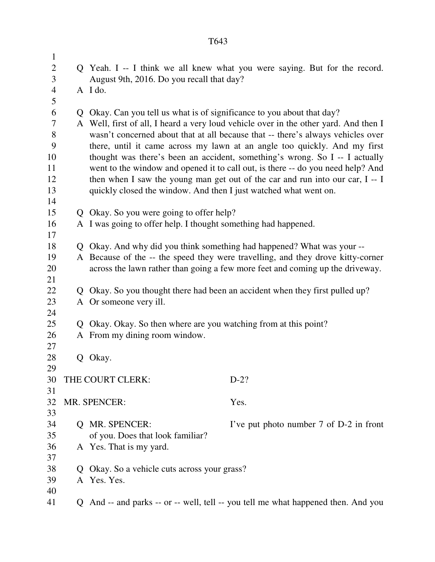| $\mathbf{1}$             |    |                                                                        |                                                                                      |  |
|--------------------------|----|------------------------------------------------------------------------|--------------------------------------------------------------------------------------|--|
| $\mathbf{2}$             |    |                                                                        | Q Yeah. I -- I think we all knew what you were saying. But for the record.           |  |
| 3                        |    | August 9th, 2016. Do you recall that day?                              |                                                                                      |  |
| $\overline{\mathcal{A}}$ |    | A I do.                                                                |                                                                                      |  |
| 5                        |    |                                                                        |                                                                                      |  |
| 6                        |    | Q Okay. Can you tell us what is of significance to you about that day? |                                                                                      |  |
| $\tau$                   |    |                                                                        | A Well, first of all, I heard a very loud vehicle over in the other yard. And then I |  |
| 8                        |    |                                                                        | wasn't concerned about that at all because that -- there's always vehicles over      |  |
| 9                        |    |                                                                        | there, until it came across my lawn at an angle too quickly. And my first            |  |
| 10                       |    |                                                                        | thought was there's been an accident, something's wrong. So I -- I actually          |  |
| 11                       |    |                                                                        | went to the window and opened it to call out, is there -- do you need help? And      |  |
| 12                       |    |                                                                        | then when I saw the young man get out of the car and run into our car, I -- I        |  |
| 13                       |    | quickly closed the window. And then I just watched what went on.       |                                                                                      |  |
| 14                       |    |                                                                        |                                                                                      |  |
| 15                       |    | Q Okay. So you were going to offer help?                               |                                                                                      |  |
| 16                       |    | A I was going to offer help. I thought something had happened.         |                                                                                      |  |
| 17                       |    |                                                                        |                                                                                      |  |
| 18                       |    |                                                                        | Q Okay. And why did you think something had happened? What was your --               |  |
| 19                       |    |                                                                        | A Because of the -- the speed they were travelling, and they drove kitty-corner      |  |
| 20                       |    |                                                                        | across the lawn rather than going a few more feet and coming up the driveway.        |  |
| 21                       |    |                                                                        |                                                                                      |  |
| 22                       |    |                                                                        | Q Okay. So you thought there had been an accident when they first pulled up?         |  |
| 23                       |    | A Or someone very ill.                                                 |                                                                                      |  |
| 24                       |    |                                                                        |                                                                                      |  |
| 25                       |    | Q Okay. Okay. So then where are you watching from at this point?       |                                                                                      |  |
| 26                       |    | A From my dining room window.                                          |                                                                                      |  |
| 27                       |    |                                                                        |                                                                                      |  |
| 28                       | Q. | Okay.                                                                  |                                                                                      |  |
| 29                       |    |                                                                        |                                                                                      |  |
| 30                       |    | THE COURT CLERK:                                                       | $D-2?$                                                                               |  |
| 31                       |    |                                                                        |                                                                                      |  |
| 32                       |    | MR. SPENCER:                                                           | Yes.                                                                                 |  |
| 33                       |    |                                                                        |                                                                                      |  |
| 34                       |    | Q MR. SPENCER:                                                         | I've put photo number 7 of D-2 in front                                              |  |
| 35                       |    | of you. Does that look familiar?                                       |                                                                                      |  |
| 36                       |    | A Yes. That is my yard.                                                |                                                                                      |  |
| 37                       |    |                                                                        |                                                                                      |  |
| 38                       |    | Okay. So a vehicle cuts across your grass?                             |                                                                                      |  |
| 39                       |    | A Yes. Yes.                                                            |                                                                                      |  |
| 40                       |    |                                                                        |                                                                                      |  |
| 41                       |    |                                                                        | Q And -- and parks -- or -- well, tell -- you tell me what happened then. And you    |  |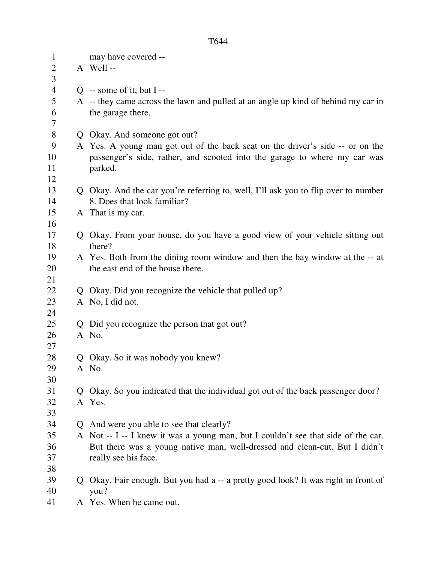| $\mathbf{1}$   |    | may have covered --                                                                                               |
|----------------|----|-------------------------------------------------------------------------------------------------------------------|
| $\overline{2}$ |    | A Well-                                                                                                           |
| 3              |    |                                                                                                                   |
| 4              |    | $Q$ -- some of it, but I --                                                                                       |
| 5<br>6         |    | A -- they came across the lawn and pulled at an angle up kind of behind my car in                                 |
| 7              |    | the garage there.                                                                                                 |
| 8              | Q  | Okay. And someone got out?                                                                                        |
| 9              |    | A Yes. A young man got out of the back seat on the driver's side -- or on the                                     |
| 10             |    | passenger's side, rather, and scooted into the garage to where my car was                                         |
| 11             |    | parked.                                                                                                           |
| 12             |    |                                                                                                                   |
| 13<br>14       |    | Q Okay. And the car you're referring to, well, I'll ask you to flip over to number<br>8. Does that look familiar? |
| 15             |    | A That is my car.                                                                                                 |
| 16             |    |                                                                                                                   |
| 17             |    | Q Okay. From your house, do you have a good view of your vehicle sitting out                                      |
| 18             |    | there?                                                                                                            |
| 19             |    | A Yes. Both from the dining room window and then the bay window at the -- at                                      |
| 20             |    | the east end of the house there.                                                                                  |
| 21             |    |                                                                                                                   |
| 22             |    | Okay. Did you recognize the vehicle that pulled up?                                                               |
| 23             |    | A No, I did not.                                                                                                  |
| 24             |    |                                                                                                                   |
| 25             |    | Did you recognize the person that got out?                                                                        |
| 26             |    | A No.                                                                                                             |
| 27<br>28       |    | Q Okay. So it was nobody you knew?                                                                                |
| 29             |    | A No.                                                                                                             |
| 30             |    |                                                                                                                   |
| 31             |    | Okay. So you indicated that the individual got out of the back passenger door?                                    |
| 32             |    | A Yes.                                                                                                            |
| 33             |    |                                                                                                                   |
| 34             | Q. | And were you able to see that clearly?                                                                            |
| 35             |    | A Not -- I -- I knew it was a young man, but I couldn't see that side of the car.                                 |
| 36             |    | But there was a young native man, well-dressed and clean-cut. But I didn't                                        |
| 37             |    | really see his face.                                                                                              |
| 38             |    |                                                                                                                   |
| 39             |    | Okay. Fair enough. But you had a -- a pretty good look? It was right in front of                                  |
| 40<br>$4-1$    |    | you?                                                                                                              |
|                |    |                                                                                                                   |

41 A Yes. When he came out.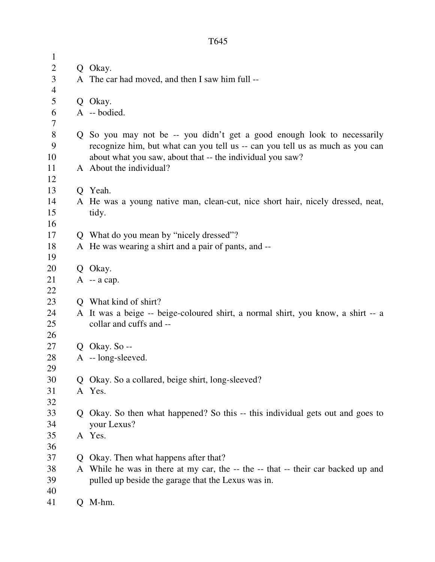| $\mathbf{1}$   |   |                                                                                  |
|----------------|---|----------------------------------------------------------------------------------|
| $\overline{2}$ |   | Q Okay.                                                                          |
| 3              |   | A The car had moved, and then I saw him full --                                  |
| $\overline{4}$ |   |                                                                                  |
| 5              |   | Q Okay.                                                                          |
| 6              |   | A -- bodied.                                                                     |
| 7              |   |                                                                                  |
| 8              |   | Q So you may not be -- you didn't get a good enough look to necessarily          |
| 9              |   | recognize him, but what can you tell us -- can you tell us as much as you can    |
| 10             |   | about what you saw, about that -- the individual you saw?                        |
| 11             |   | A About the individual?                                                          |
| 12             |   |                                                                                  |
| 13             |   | Q Yeah.                                                                          |
| 14             |   | A He was a young native man, clean-cut, nice short hair, nicely dressed, neat,   |
| 15             |   | tidy.                                                                            |
| 16             |   |                                                                                  |
| 17             |   | Q What do you mean by "nicely dressed"?                                          |
| 18             |   | A He was wearing a shirt and a pair of pants, and --                             |
| 19             |   |                                                                                  |
| 20             |   | Q Okay.                                                                          |
| 21             |   | $A - a cap.$                                                                     |
| 22             |   |                                                                                  |
| 23             |   | Q What kind of shirt?                                                            |
| 24             |   | A It was a beige -- beige-coloured shirt, a normal shirt, you know, a shirt -- a |
| 25             |   | collar and cuffs and --                                                          |
| 26<br>27       |   | Q Okay. So $-$                                                                   |
| 28             |   | $A - long-sleved.$                                                               |
| 29             |   |                                                                                  |
| 30             | Ő | Okay. So a collared, beige shirt, long-sleeved?                                  |
| 31             |   | A Yes.                                                                           |
| 32             |   |                                                                                  |
| 33             |   | Q Okay. So then what happened? So this -- this individual gets out and goes to   |
| 34             |   | your Lexus?                                                                      |
| 35             |   | A Yes.                                                                           |
| 36             |   |                                                                                  |
| 37             | Ő | Okay. Then what happens after that?                                              |
| 38             | A | While he was in there at my car, the -- the -- that -- their car backed up and   |
| 39             |   | pulled up beside the garage that the Lexus was in.                               |
| 40             |   |                                                                                  |
| 41             |   | M-hm.                                                                            |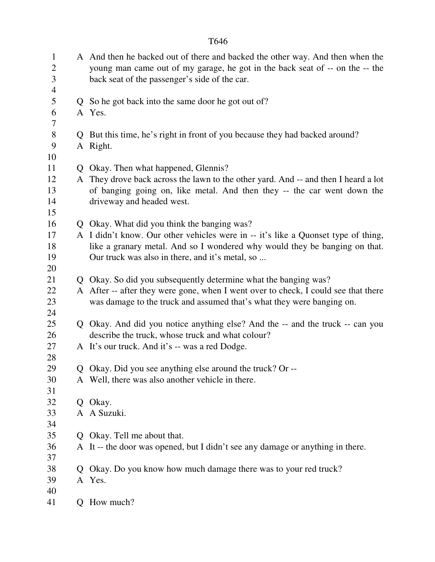|                             | T646                                                                                                                                                                                                           |
|-----------------------------|----------------------------------------------------------------------------------------------------------------------------------------------------------------------------------------------------------------|
| $\mathbf{1}$<br>2<br>3<br>4 | A And then he backed out of there and backed the other way. And then when the<br>young man came out of my garage, he got in the back seat of -- on the -- the<br>back seat of the passenger's side of the car. |
| 5                           | Q So he got back into the same door he got out of?                                                                                                                                                             |
| 6<br>7                      | A Yes.                                                                                                                                                                                                         |
| 8                           | Q But this time, he's right in front of you because they had backed around?                                                                                                                                    |
| 9                           | A Right.                                                                                                                                                                                                       |
| 10                          |                                                                                                                                                                                                                |
| 11                          | Q Okay. Then what happened, Glennis?                                                                                                                                                                           |
| 12                          | A They drove back across the lawn to the other yard. And -- and then I heard a lot                                                                                                                             |
| 13                          | of banging going on, like metal. And then they -- the car went down the                                                                                                                                        |
| 14                          | driveway and headed west.                                                                                                                                                                                      |
| 15                          |                                                                                                                                                                                                                |
| 16                          | Q Okay. What did you think the banging was?                                                                                                                                                                    |
| 17                          | A I didn't know. Our other vehicles were in -- it's like a Quonset type of thing,                                                                                                                              |
| 18                          | like a granary metal. And so I wondered why would they be banging on that.                                                                                                                                     |
| 19                          | Our truck was also in there, and it's metal, so                                                                                                                                                                |
| 20                          |                                                                                                                                                                                                                |
| 21                          | Q Okay. So did you subsequently determine what the banging was?                                                                                                                                                |
| 22                          | A After -- after they were gone, when I went over to check, I could see that there                                                                                                                             |
| 23                          | was damage to the truck and assumed that's what they were banging on.                                                                                                                                          |
| 24                          |                                                                                                                                                                                                                |
| 25                          | Q Okay. And did you notice anything else? And the -- and the truck -- can you                                                                                                                                  |
| 26                          | describe the truck, whose truck and what colour?                                                                                                                                                               |
| 27                          | A It's our truck. And it's -- was a red Dodge.                                                                                                                                                                 |
| 28                          |                                                                                                                                                                                                                |
| 29<br>30                    | Q Okay. Did you see anything else around the truck? Or --<br>A Well, there was also another vehicle in there.                                                                                                  |
| 31                          |                                                                                                                                                                                                                |
| 32                          | Q Okay.                                                                                                                                                                                                        |
| 33                          | A A Suzuki.                                                                                                                                                                                                    |
| 34                          |                                                                                                                                                                                                                |
| 35                          | Q Okay. Tell me about that.                                                                                                                                                                                    |
| 36                          | A It -- the door was opened, but I didn't see any damage or anything in there.                                                                                                                                 |
| 37                          |                                                                                                                                                                                                                |
| 38                          | Q Okay. Do you know how much damage there was to your red truck?                                                                                                                                               |
| 39                          | A Yes.                                                                                                                                                                                                         |
| 40                          |                                                                                                                                                                                                                |
| 41                          | Q How much?                                                                                                                                                                                                    |
|                             |                                                                                                                                                                                                                |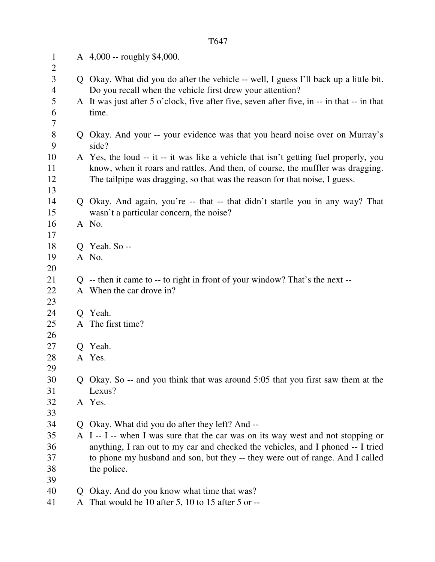| $\mathbf{1}$<br>2             |   | A 4,000 -- roughly \$4,000.                                                                                                                        |
|-------------------------------|---|----------------------------------------------------------------------------------------------------------------------------------------------------|
| 3<br>$\overline{\mathcal{A}}$ |   | Q Okay. What did you do after the vehicle -- well, I guess I'll back up a little bit.<br>Do you recall when the vehicle first drew your attention? |
| 5<br>6                        |   | A It was just after 5 o'clock, five after five, seven after five, in -- in that -- in that<br>time.                                                |
| 7                             |   |                                                                                                                                                    |
| $8\,$<br>9                    |   | Q Okay. And your -- your evidence was that you heard noise over on Murray's<br>side?                                                               |
| 10                            |   | A Yes, the loud -- it -- it was like a vehicle that isn't getting fuel properly, you                                                               |
| 11                            |   | know, when it roars and rattles. And then, of course, the muffler was dragging.                                                                    |
| 12                            |   | The tailpipe was dragging, so that was the reason for that noise, I guess.                                                                         |
| 13                            |   |                                                                                                                                                    |
| 14                            |   | Q Okay. And again, you're -- that -- that didn't startle you in any way? That                                                                      |
| 15                            |   | wasn't a particular concern, the noise?                                                                                                            |
| 16                            |   | A No.                                                                                                                                              |
| 17                            |   |                                                                                                                                                    |
| 18                            |   | Q Yeah. So --                                                                                                                                      |
| 19                            |   | A No.                                                                                                                                              |
| 20                            |   |                                                                                                                                                    |
| 21                            |   | $Q$ -- then it came to -- to right in front of your window? That's the next --                                                                     |
| 22<br>23                      |   | A When the car drove in?                                                                                                                           |
| 24                            |   | Q Yeah.                                                                                                                                            |
| 25                            |   | A The first time?                                                                                                                                  |
| 26                            |   |                                                                                                                                                    |
| 27                            | Q | Yeah.                                                                                                                                              |
| 28                            |   | A Yes.                                                                                                                                             |
| 29                            |   |                                                                                                                                                    |
| 30                            |   | Q Okay. So -- and you think that was around 5:05 that you first saw them at the                                                                    |
| 31                            |   | Lexus?                                                                                                                                             |
| 32                            |   | A Yes.                                                                                                                                             |
| 33                            |   |                                                                                                                                                    |
| 34                            |   | Q Okay. What did you do after they left? And --                                                                                                    |
| 35                            |   | A I -- I -- when I was sure that the car was on its way west and not stopping or                                                                   |
| 36                            |   | anything, I ran out to my car and checked the vehicles, and I phoned -- I tried                                                                    |
| 37                            |   | to phone my husband and son, but they -- they were out of range. And I called                                                                      |
| 38                            |   | the police.                                                                                                                                        |
| 39                            |   |                                                                                                                                                    |
| 40                            | Ő | Okay. And do you know what time that was?                                                                                                          |
| 41                            | A | That would be 10 after 5, 10 to 15 after 5 or --                                                                                                   |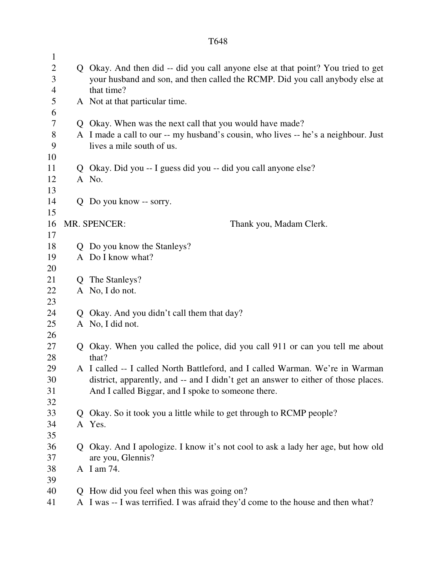| $\mathbf{1}$   |                |                                                                                    |
|----------------|----------------|------------------------------------------------------------------------------------|
| $\overline{2}$ |                | Q Okay. And then did -- did you call anyone else at that point? You tried to get   |
| 3              |                | your husband and son, and then called the RCMP. Did you call anybody else at       |
| $\overline{4}$ |                | that time?                                                                         |
| 5              |                | A Not at that particular time.                                                     |
| 6              |                |                                                                                    |
| $\tau$         |                | Q Okay. When was the next call that you would have made?                           |
| $8\,$          |                | A I made a call to our -- my husband's cousin, who lives -- he's a neighbour. Just |
| 9              |                | lives a mile south of us.                                                          |
| 10             |                |                                                                                    |
| 11             |                | Q Okay. Did you -- I guess did you -- did you call anyone else?                    |
| 12             |                | A No.                                                                              |
| 13             |                |                                                                                    |
| 14             |                | Q Do you know -- sorry.                                                            |
| 15             |                |                                                                                    |
| 16             |                | MR. SPENCER:<br>Thank you, Madam Clerk.                                            |
| 17             |                |                                                                                    |
| 18             |                | Q Do you know the Stanleys?                                                        |
| 19             |                | A Do I know what?                                                                  |
| 20             |                |                                                                                    |
| 21             | $\overline{O}$ | The Stanleys?                                                                      |
| 22             |                | A No, I do not.                                                                    |
| 23             |                |                                                                                    |
| 24             |                | Q Okay. And you didn't call them that day?                                         |
| 25             |                | A No, I did not.                                                                   |
| 26             |                |                                                                                    |
| 27             |                | Q Okay. When you called the police, did you call 911 or can you tell me about      |
| 28             |                | that?                                                                              |
| 29             |                | A I called -- I called North Battleford, and I called Warman. We're in Warman      |
| 30             |                | district, apparently, and -- and I didn't get an answer to either of those places. |
| 31             |                | And I called Biggar, and I spoke to someone there.                                 |
| 32             |                |                                                                                    |
| 33             |                | Q Okay. So it took you a little while to get through to RCMP people?               |
| 34             |                | A Yes.                                                                             |
| 35             |                |                                                                                    |
| 36             | Q.             | Okay. And I apologize. I know it's not cool to ask a lady her age, but how old     |
| 37             |                | are you, Glennis?                                                                  |
| 38             |                | A I am 74.                                                                         |
| 39             |                |                                                                                    |
| 40             | $\mathbf{O}$   | How did you feel when this was going on?                                           |
| 41             |                | A I was -- I was terrified. I was afraid they'd come to the house and then what?   |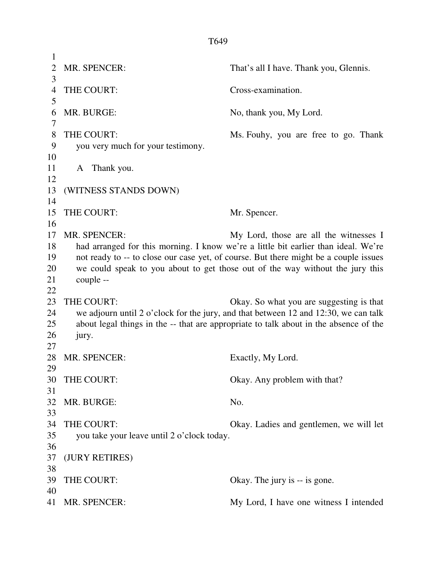| 1              |                                            |                                                                                       |
|----------------|--------------------------------------------|---------------------------------------------------------------------------------------|
| $\overline{2}$ | MR. SPENCER:                               | That's all I have. Thank you, Glennis.                                                |
| 3              |                                            |                                                                                       |
| $\overline{4}$ | THE COURT:                                 | Cross-examination.                                                                    |
| 5              |                                            |                                                                                       |
| 6              | MR. BURGE:                                 | No, thank you, My Lord.                                                               |
| 7              |                                            |                                                                                       |
| 8              | THE COURT:                                 | Ms. Fouhy, you are free to go. Thank                                                  |
| 9              | you very much for your testimony.          |                                                                                       |
| 10             |                                            |                                                                                       |
| 11             | Thank you.<br>A                            |                                                                                       |
| 12             |                                            |                                                                                       |
| 13             | (WITNESS STANDS DOWN)                      |                                                                                       |
| 14             |                                            |                                                                                       |
| 15             | THE COURT:                                 | Mr. Spencer.                                                                          |
| 16             |                                            |                                                                                       |
| 17             | <b>MR. SPENCER:</b>                        | My Lord, those are all the witnesses I                                                |
| 18             |                                            | had arranged for this morning. I know we're a little bit earlier than ideal. We're    |
| 19             |                                            | not ready to -- to close our case yet, of course. But there might be a couple issues  |
| 20             |                                            | we could speak to you about to get those out of the way without the jury this         |
| 21             | couple --                                  |                                                                                       |
| 22             |                                            |                                                                                       |
| 23             | THE COURT:                                 | Okay. So what you are suggesting is that                                              |
| 24             |                                            | we adjourn until 2 o'clock for the jury, and that between 12 and 12:30, we can talk   |
| 25             |                                            | about legal things in the -- that are appropriate to talk about in the absence of the |
| 26             | jury.                                      |                                                                                       |
| 27             |                                            |                                                                                       |
| 28             | <b>MR. SPENCER:</b>                        | Exactly, My Lord.                                                                     |
| 29             |                                            |                                                                                       |
| 30             | THE COURT:                                 | Okay. Any problem with that?                                                          |
| 31             |                                            |                                                                                       |
| 32             | MR. BURGE:                                 | No.                                                                                   |
| 33             |                                            |                                                                                       |
| 34             |                                            |                                                                                       |
|                | THE COURT:                                 | Okay. Ladies and gentlemen, we will let                                               |
| 35             | you take your leave until 2 o'clock today. |                                                                                       |
| 36             |                                            |                                                                                       |
| 37             | (JURY RETIRES)                             |                                                                                       |
| 38             |                                            |                                                                                       |
| 39             | THE COURT:                                 | Okay. The jury is -- is gone.                                                         |
| 40             |                                            |                                                                                       |
| 41             | MR. SPENCER:                               | My Lord, I have one witness I intended                                                |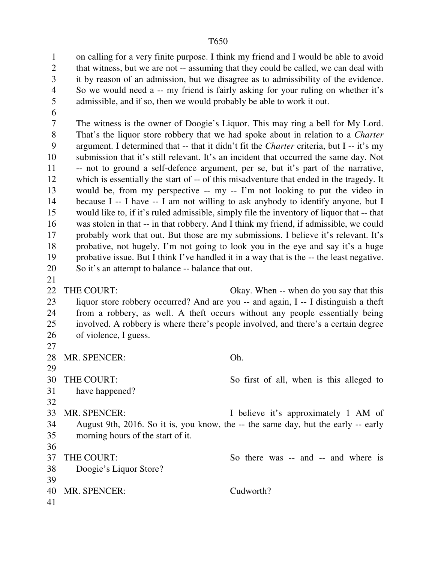1 on calling for a very finite purpose. I think my friend and I would be able to avoid 2 that witness, but we are not -- assuming that they could be called, we can deal with 3 it by reason of an admission, but we disagree as to admissibility of the evidence. 4 So we would need a -- my friend is fairly asking for your ruling on whether it's 5 admissible, and if so, then we would probably be able to work it out.

6

21

7 The witness is the owner of Doogie's Liquor. This may ring a bell for My Lord. 8 That's the liquor store robbery that we had spoke about in relation to a *Charter* 9 argument. I determined that -- that it didn't fit the *Charter* criteria, but I -- it's my 10 submission that it's still relevant. It's an incident that occurred the same day. Not 11 -- not to ground a self-defence argument, per se, but it's part of the narrative, 12 which is essentially the start of -- of this misadventure that ended in the tragedy. It 13 would be, from my perspective -- my -- I'm not looking to put the video in 14 because I -- I have -- I am not willing to ask anybody to identify anyone, but I 15 would like to, if it's ruled admissible, simply file the inventory of liquor that -- that 16 was stolen in that -- in that robbery. And I think my friend, if admissible, we could 17 probably work that out. But those are my submissions. I believe it's relevant. It's 18 probative, not hugely. I'm not going to look you in the eye and say it's a huge 19 probative issue. But I think I've handled it in a way that is the -- the least negative. 20 So it's an attempt to balance -- balance that out.

22 THE COURT: Okay. When -- when do you say that this 23 liquor store robbery occurred? And are you -- and again, I -- I distinguish a theft 24 from a robbery, as well. A theft occurs without any people essentially being 25 involved. A robbery is where there's people involved, and there's a certain degree 26 of violence, I guess. 27

28 MR. SPENCER: Oh. 29 30 THE COURT: So first of all, when is this alleged to 31 have happened? 32 33 MR. SPENCER: I believe it's approximately 1 AM of 34 August 9th, 2016. So it is, you know, the -- the same day, but the early -- early 35 morning hours of the start of it. 36 37 THE COURT: So there was -- and -- and where is 38 Doogie's Liquor Store? 39 40 MR. SPENCER: Cudworth? 41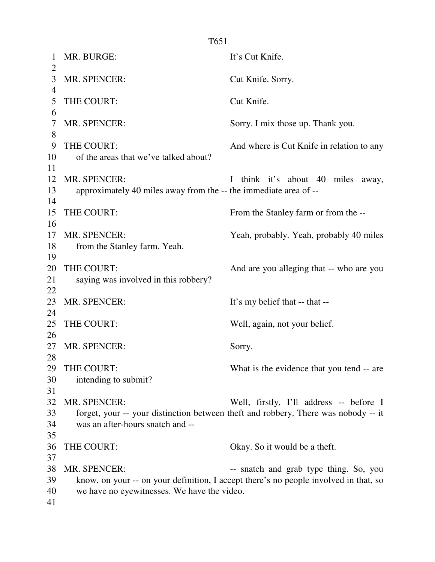1 MR. BURGE: It's Cut Knife.  $\overline{2}$ 3 MR. SPENCER: Cut Knife. Sorry. 4 5 THE COURT: Cut Knife. 6 7 MR. SPENCER: Sorry. I mix those up. Thank you. 8 9 THE COURT: And where is Cut Knife in relation to any 10 of the areas that we've talked about? 11 12 MR. SPENCER: I think it's about 40 miles away, 13 approximately 40 miles away from the -- the immediate area of -- 14 15 THE COURT: From the Stanley farm or from the --16 17 MR. SPENCER: Yeah, probably. Yeah, probably 40 miles 18 from the Stanley farm. Yeah. 19 20 THE COURT: And are you alleging that -- who are you 21 saying was involved in this robbery? 22 23 MR. SPENCER: It's my belief that -- that --24 25 THE COURT: Well, again, not your belief. 26 27 MR. SPENCER: Sorry. 28 29 THE COURT: What is the evidence that you tend -- are 30 intending to submit? 31 32 MR. SPENCER: Well, firstly, I'll address -- before I 33 forget, your -- your distinction between theft and robbery. There was nobody -- it 34 was an after-hours snatch and -- 35 36 THE COURT: Okay. So it would be a theft. 37 38 MR. SPENCER:  $\qquad \qquad \text{and } \text{graph type thing. So, you}$ 39 know, on your -- on your definition, I accept there's no people involved in that, so

- 40 we have no eyewitnesses. We have the video.
- 41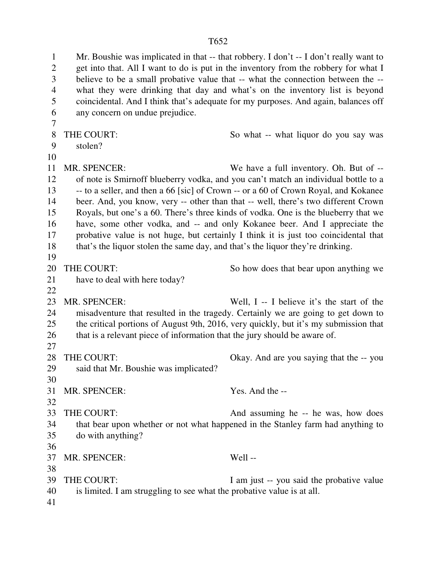1 Mr. Boushie was implicated in that -- that robbery. I don't -- I don't really want to 2 get into that. All I want to do is put in the inventory from the robbery for what I 3 believe to be a small probative value that -- what the connection between the -- 4 what they were drinking that day and what's on the inventory list is beyond 5 coincidental. And I think that's adequate for my purposes. And again, balances off 6 any concern on undue prejudice. 7 8 THE COURT: So what -- what liquor do you say was 9 stolen? 11 MR. SPENCER: We have a full inventory. Oh. But of -- 12 of note is Smirnoff blueberry vodka, and you can't match an individual bottle to a 13 -- to a seller, and then a 66 [sic] of Crown -- or a 60 of Crown Royal, and Kokanee 14 beer. And, you know, very -- other than that -- well, there's two different Crown 15 Royals, but one's a 60. There's three kinds of vodka. One is the blueberry that we 16 have, some other vodka, and -- and only Kokanee beer. And I appreciate the 17 probative value is not huge, but certainly I think it is just too coincidental that 18 that's the liquor stolen the same day, and that's the liquor they're drinking. 19 20 THE COURT: So how does that bear upon anything we 21 have to deal with here today? 22 23 MR. SPENCER: Well, I -- I believe it's the start of the 24 misadventure that resulted in the tragedy. Certainly we are going to get down to 25 the critical portions of August 9th, 2016, very quickly, but it's my submission that 26 that is a relevant piece of information that the jury should be aware of. 27 28 THE COURT: Okay. And are you saying that the -- you 29 said that Mr. Boushie was implicated? 30 31 MR. SPENCER: Yes. And the -- 32 33 THE COURT: And assuming he -- he was, how does 34 that bear upon whether or not what happened in the Stanley farm had anything to 35 do with anything? 36 37 MR. SPENCER: Well -- 38 39 THE COURT: I am just -- you said the probative value 40 is limited. I am struggling to see what the probative value is at all. 41

10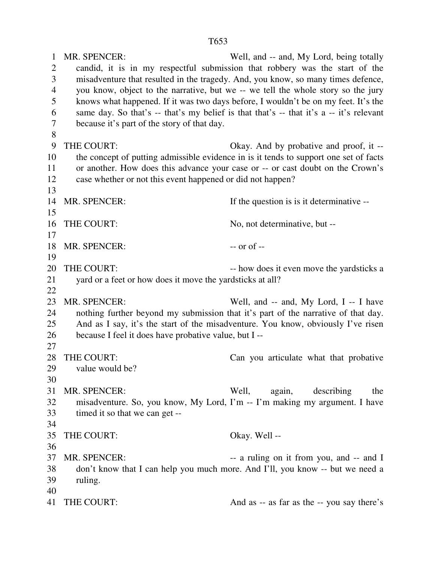1 MR. SPENCER: Well, and -- and, My Lord, being totally 2 candid, it is in my respectful submission that robbery was the start of the 3 misadventure that resulted in the tragedy. And, you know, so many times defence, 4 you know, object to the narrative, but we -- we tell the whole story so the jury 5 knows what happened. If it was two days before, I wouldn't be on my feet. It's the 6 same day. So that's -- that's my belief is that that's -- that it's a -- it's relevant 7 because it's part of the story of that day. 8 9 THE COURT: Okay. And by probative and proof, it -- 10 the concept of putting admissible evidence in is it tends to support one set of facts 11 or another. How does this advance your case or -- or cast doubt on the Crown's 12 case whether or not this event happened or did not happen? 13 14 MR. SPENCER: If the question is is it determinative --15 16 THE COURT: No, not determinative, but --17 18 MR. SPENCER: --- or of --19 20 THE COURT: -- how does it even move the yardsticks a 21 yard or a feet or how does it move the yardsticks at all? 22 23 MR. SPENCER: Well, and -- and, My Lord, I -- I have 24 nothing further beyond my submission that it's part of the narrative of that day. 25 And as I say, it's the start of the misadventure. You know, obviously I've risen 26 because I feel it does have probative value, but I -- 27 28 THE COURT: Can you articulate what that probative 29 value would be? 30 31 MR. SPENCER: Well, again, describing the 32 misadventure. So, you know, My Lord, I'm -- I'm making my argument. I have 33 timed it so that we can get -- 34 35 THE COURT: Okay. Well -- 36 37 MR. SPENCER:  $\qquad \qquad$  -- a ruling on it from you, and -- and I 38 don't know that I can help you much more. And I'll, you know -- but we need a 39 ruling. 40 41 THE COURT: And as -- as far as the -- you say there's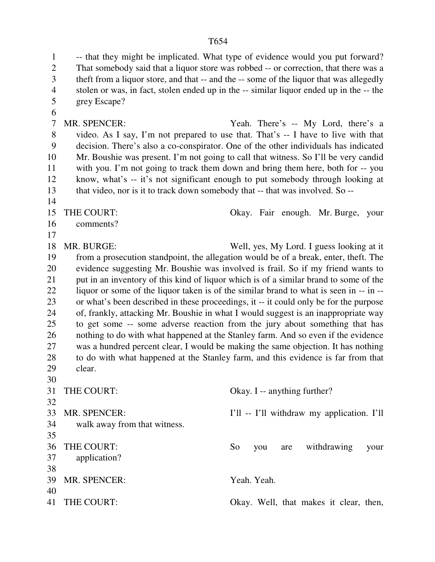1 -- that they might be implicated. What type of evidence would you put forward? 2 That somebody said that a liquor store was robbed -- or correction, that there was a 3 theft from a liquor store, and that -- and the -- some of the liquor that was allegedly 4 stolen or was, in fact, stolen ended up in the -- similar liquor ended up in the -- the 5 grey Escape? 6 7 MR. SPENCER: Yeah. There's -- My Lord, there's a 8 video. As I say, I'm not prepared to use that. That's -- I have to live with that 9 decision. There's also a co-conspirator. One of the other individuals has indicated 10 Mr. Boushie was present. I'm not going to call that witness. So I'll be very candid 11 with you. I'm not going to track them down and bring them here, both for -- you 12 know, what's -- it's not significant enough to put somebody through looking at 13 that video, nor is it to track down somebody that -- that was involved. So -- 14 15 THE COURT: Okay. Fair enough. Mr. Burge, your 16 comments? 17 18 MR. BURGE: Well, yes, My Lord. I guess looking at it 19 from a prosecution standpoint, the allegation would be of a break, enter, theft. The 20 evidence suggesting Mr. Boushie was involved is frail. So if my friend wants to 21 put in an inventory of this kind of liquor which is of a similar brand to some of the 22 liquor or some of the liquor taken is of the similar brand to what is seen in -- in -- 23 or what's been described in these proceedings, it -- it could only be for the purpose 24 of, frankly, attacking Mr. Boushie in what I would suggest is an inappropriate way 25 to get some -- some adverse reaction from the jury about something that has 26 nothing to do with what happened at the Stanley farm. And so even if the evidence 27 was a hundred percent clear, I would be making the same objection. It has nothing 28 to do with what happened at the Stanley farm, and this evidence is far from that 29 clear. 30 31 THE COURT: Okay. I -- anything further? 32 33 MR. SPENCER: I'll -- I'll withdraw my application. I'll 34 walk away from that witness. 35 36 THE COURT: So you are withdrawing your 37 application? 38 39 MR. SPENCER: Yeah. Yeah. 40 41 THE COURT: Okay. Well, that makes it clear, then,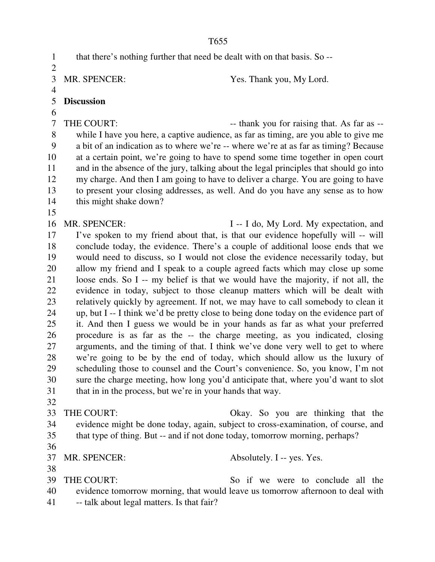1 that there's nothing further that need be dealt with on that basis. So --  $\overline{2}$ 3 MR. SPENCER: Yes. Thank you, My Lord. 4 5 **Discussion**  6 7 THE COURT: --- thank you for raising that. As far as --8 while I have you here, a captive audience, as far as timing, are you able to give me 9 a bit of an indication as to where we're -- where we're at as far as timing? Because 10 at a certain point, we're going to have to spend some time together in open court 11 and in the absence of the jury, talking about the legal principles that should go into 12 my charge. And then I am going to have to deliver a charge. You are going to have 13 to present your closing addresses, as well. And do you have any sense as to how 14 this might shake down? 15 16 MR. SPENCER: I -- I do, My Lord. My expectation, and 17 I've spoken to my friend about that, is that our evidence hopefully will -- will 18 conclude today, the evidence. There's a couple of additional loose ends that we 19 would need to discuss, so I would not close the evidence necessarily today, but 20 allow my friend and I speak to a couple agreed facts which may close up some 21 loose ends. So I -- my belief is that we would have the majority, if not all, the 22 evidence in today, subject to those cleanup matters which will be dealt with 23 relatively quickly by agreement. If not, we may have to call somebody to clean it 24 up, but I -- I think we'd be pretty close to being done today on the evidence part of 25 it. And then I guess we would be in your hands as far as what your preferred 26 procedure is as far as the -- the charge meeting, as you indicated, closing 27 arguments, and the timing of that. I think we've done very well to get to where 28 we're going to be by the end of today, which should allow us the luxury of 29 scheduling those to counsel and the Court's convenience. So, you know, I'm not 30 sure the charge meeting, how long you'd anticipate that, where you'd want to slot 31 that in in the process, but we're in your hands that way. 32 33 THE COURT: Okay. So you are thinking that the 34 evidence might be done today, again, subject to cross-examination, of course, and 35 that type of thing. But -- and if not done today, tomorrow morning, perhaps? 36 37 MR. SPENCER: Absolutely. I -- yes. Yes. 38 39 THE COURT: So if we were to conclude all the 40 evidence tomorrow morning, that would leave us tomorrow afternoon to deal with 41 -- talk about legal matters. Is that fair?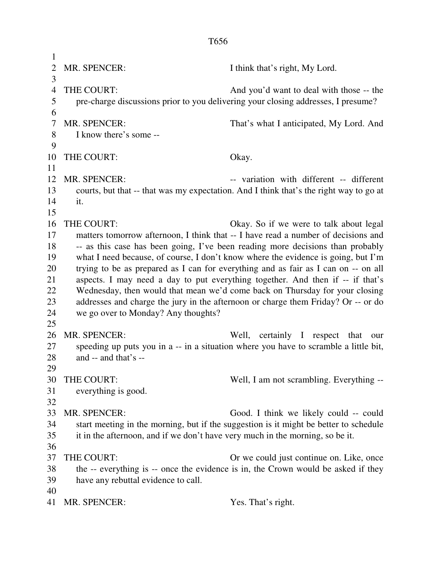1 2 MR. SPENCER: I think that's right, My Lord. 3 4 THE COURT: And you'd want to deal with those -- the 5 pre-charge discussions prior to you delivering your closing addresses, I presume? 6 7 MR. SPENCER: That's what I anticipated, My Lord. And 8 I know there's some -- 9 10 THE COURT: Okay. 11 12 MR. SPENCER:  $\qquad \qquad \text{variation with different -- different}$ 13 courts, but that -- that was my expectation. And I think that's the right way to go at 14 it. 15 16 THE COURT: Okay. So if we were to talk about legal 17 matters tomorrow afternoon, I think that -- I have read a number of decisions and 18 -- as this case has been going, I've been reading more decisions than probably 19 what I need because, of course, I don't know where the evidence is going, but I'm 20 trying to be as prepared as I can for everything and as fair as I can on -- on all 21 aspects. I may need a day to put everything together. And then if -- if that's 22 Wednesday, then would that mean we'd come back on Thursday for your closing 23 addresses and charge the jury in the afternoon or charge them Friday? Or -- or do 24 we go over to Monday? Any thoughts? 25 26 MR. SPENCER: Well, certainly I respect that our 27 speeding up puts you in a -- in a situation where you have to scramble a little bit, 28 and -- and that's -- 29 30 THE COURT: Well, I am not scrambling. Everything -- 31 everything is good. 32 33 MR. SPENCER: Good. I think we likely could -- could 34 start meeting in the morning, but if the suggestion is it might be better to schedule 35 it in the afternoon, and if we don't have very much in the morning, so be it. 36 37 THE COURT: Or we could just continue on. Like, once 38 the -- everything is -- once the evidence is in, the Crown would be asked if they 39 have any rebuttal evidence to call. 40 41 MR. SPENCER: Yes. That's right.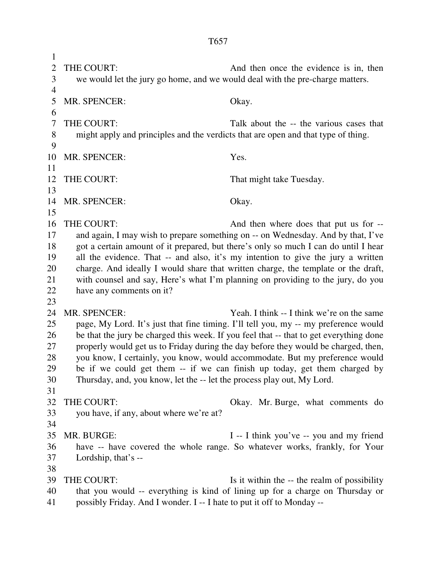1 2 THE COURT: And then once the evidence is in, then 3 we would let the jury go home, and we would deal with the pre-charge matters. 4 5 MR. SPENCER: Okay. 6 7 THE COURT: Talk about the -- the various cases that 8 might apply and principles and the verdicts that are open and that type of thing. 9 10 MR. SPENCER: Yes. 11 12 THE COURT: That might take Tuesday. 13 14 MR. SPENCER: Okay. 15 16 THE COURT: And then where does that put us for -- 17 and again, I may wish to prepare something on -- on Wednesday. And by that, I've 18 got a certain amount of it prepared, but there's only so much I can do until I hear 19 all the evidence. That -- and also, it's my intention to give the jury a written 20 charge. And ideally I would share that written charge, the template or the draft, 21 with counsel and say, Here's what I'm planning on providing to the jury, do you 22 have any comments on it? 23 24 MR. SPENCER: Yeah. I think -- I think we're on the same 25 page, My Lord. It's just that fine timing. I'll tell you, my -- my preference would 26 be that the jury be charged this week. If you feel that -- that to get everything done 27 properly would get us to Friday during the day before they would be charged, then, 28 you know, I certainly, you know, would accommodate. But my preference would 29 be if we could get them -- if we can finish up today, get them charged by 30 Thursday, and, you know, let the -- let the process play out, My Lord. 31 32 THE COURT: Okay. Mr. Burge, what comments do 33 you have, if any, about where we're at? 34 35 MR. BURGE: I -- I think you've -- you and my friend 36 have -- have covered the whole range. So whatever works, frankly, for Your 37 Lordship, that's -- 38 39 THE COURT: Is it within the -- the realm of possibility 40 that you would -- everything is kind of lining up for a charge on Thursday or

41 possibly Friday. And I wonder. I -- I hate to put it off to Monday --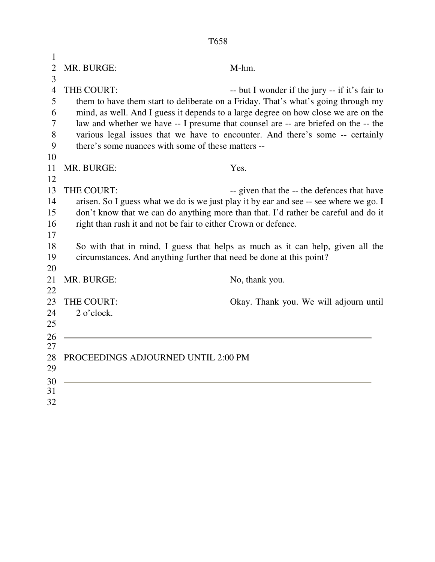| $\mathbf{1}$   |                                                                      |                                                                                       |
|----------------|----------------------------------------------------------------------|---------------------------------------------------------------------------------------|
| $\overline{2}$ | MR. BURGE:                                                           | M-hm.                                                                                 |
| 3              |                                                                      |                                                                                       |
| $\overline{4}$ | THE COURT:                                                           | -- but I wonder if the jury -- if it's fair to                                        |
| 5              |                                                                      | them to have them start to deliberate on a Friday. That's what's going through my     |
| 6              |                                                                      | mind, as well. And I guess it depends to a large degree on how close we are on the    |
| 7              |                                                                      | law and whether we have -- I presume that counsel are -- are briefed on the -- the    |
| 8              |                                                                      | various legal issues that we have to encounter. And there's some -- certainly         |
| 9              | there's some nuances with some of these matters --                   |                                                                                       |
| 10             |                                                                      |                                                                                       |
| 11             | MR. BURGE:                                                           | Yes.                                                                                  |
| 12             |                                                                      |                                                                                       |
| 13             | THE COURT:                                                           | -- given that the -- the defences that have                                           |
| 14             |                                                                      | arisen. So I guess what we do is we just play it by ear and see -- see where we go. I |
| 15             |                                                                      | don't know that we can do anything more than that. I'd rather be careful and do it    |
| 16             | right than rush it and not be fair to either Crown or defence.       |                                                                                       |
| 17             |                                                                      |                                                                                       |
| 18             |                                                                      | So with that in mind, I guess that helps as much as it can help, given all the        |
| 19             | circumstances. And anything further that need be done at this point? |                                                                                       |
| 20             |                                                                      |                                                                                       |
| 21             | MR. BURGE:                                                           | No, thank you.                                                                        |
| 22             |                                                                      |                                                                                       |
| 23             | THE COURT:                                                           | Okay. Thank you. We will adjourn until                                                |
| 24             | 2 o'clock.                                                           |                                                                                       |
| 25             |                                                                      |                                                                                       |
| 26             |                                                                      |                                                                                       |
| 27             |                                                                      |                                                                                       |
| 28             | PROCEEDINGS ADJOURNED UNTIL 2:00 PM                                  |                                                                                       |
| 29             |                                                                      |                                                                                       |
| 30             |                                                                      |                                                                                       |
| 31             |                                                                      |                                                                                       |
| 32             |                                                                      |                                                                                       |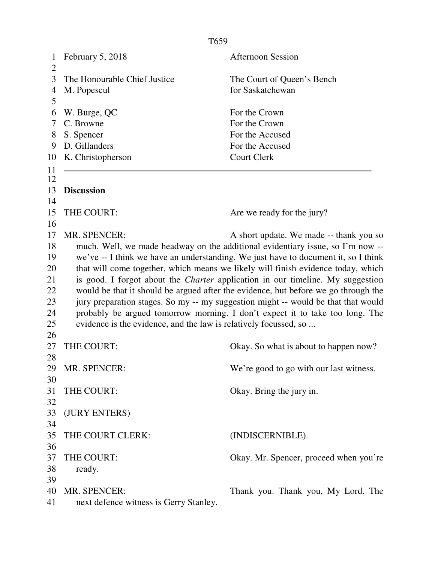| $\mathbf{1}$<br>$\overline{2}$ | February 5, 2018                                                                      | <b>Afternoon Session</b>                                                           |  |  |
|--------------------------------|---------------------------------------------------------------------------------------|------------------------------------------------------------------------------------|--|--|
| 3                              | The Honourable Chief Justice                                                          | The Court of Queen's Bench                                                         |  |  |
| 4                              | M. Popescul                                                                           | for Saskatchewan                                                                   |  |  |
| 5                              |                                                                                       |                                                                                    |  |  |
| 6                              | W. Burge, QC                                                                          | For the Crown                                                                      |  |  |
| 7                              | C. Browne                                                                             | For the Crown                                                                      |  |  |
| 8                              | S. Spencer                                                                            | For the Accused                                                                    |  |  |
| 9                              | D. Gillanders                                                                         | For the Accused                                                                    |  |  |
| 10                             | K. Christopherson                                                                     | <b>Court Clerk</b>                                                                 |  |  |
| 11                             |                                                                                       |                                                                                    |  |  |
| 12                             |                                                                                       |                                                                                    |  |  |
| 13                             | <b>Discussion</b>                                                                     |                                                                                    |  |  |
| 14                             |                                                                                       |                                                                                    |  |  |
| 15                             | THE COURT:                                                                            | Are we ready for the jury?                                                         |  |  |
| 16                             |                                                                                       |                                                                                    |  |  |
| 17                             | <b>MR. SPENCER:</b>                                                                   | A short update. We made -- thank you so                                            |  |  |
| 18                             |                                                                                       | much. Well, we made headway on the additional evidentiary issue, so I'm now --     |  |  |
| 19                             |                                                                                       | we've -- I think we have an understanding. We just have to document it, so I think |  |  |
| 20                             |                                                                                       | that will come together, which means we likely will finish evidence today, which   |  |  |
| 21                             | is good. I forgot about the <i>Charter</i> application in our timeline. My suggestion |                                                                                    |  |  |
| 22                             | would be that it should be argued after the evidence, but before we go through the    |                                                                                    |  |  |
| 23                             | jury preparation stages. So my -- my suggestion might -- would be that that would     |                                                                                    |  |  |
| 24                             | probably be argued tomorrow morning. I don't expect it to take too long. The          |                                                                                    |  |  |
| 25                             | evidence is the evidence, and the law is relatively focussed, so                      |                                                                                    |  |  |
| 26                             |                                                                                       |                                                                                    |  |  |
| 27                             | THE COURT:                                                                            | Okay. So what is about to happen now?                                              |  |  |
| 28                             |                                                                                       |                                                                                    |  |  |
| 29                             | MR. SPENCER:                                                                          | We're good to go with our last witness.                                            |  |  |
| 30                             |                                                                                       |                                                                                    |  |  |
| 31                             | THE COURT:                                                                            | Okay. Bring the jury in.                                                           |  |  |
| 32                             |                                                                                       |                                                                                    |  |  |
| 33                             | (JURY ENTERS)                                                                         |                                                                                    |  |  |
| 34                             |                                                                                       |                                                                                    |  |  |
| 35                             | THE COURT CLERK:                                                                      | (INDISCERNIBLE).                                                                   |  |  |
| 36                             |                                                                                       |                                                                                    |  |  |
| 37                             | THE COURT:                                                                            | Okay. Mr. Spencer, proceed when you're                                             |  |  |
| 38                             | ready.                                                                                |                                                                                    |  |  |
| 39                             |                                                                                       |                                                                                    |  |  |
| 40                             | MR. SPENCER:                                                                          | Thank you. Thank you, My Lord. The                                                 |  |  |
| 41                             | next defence witness is Gerry Stanley.                                                |                                                                                    |  |  |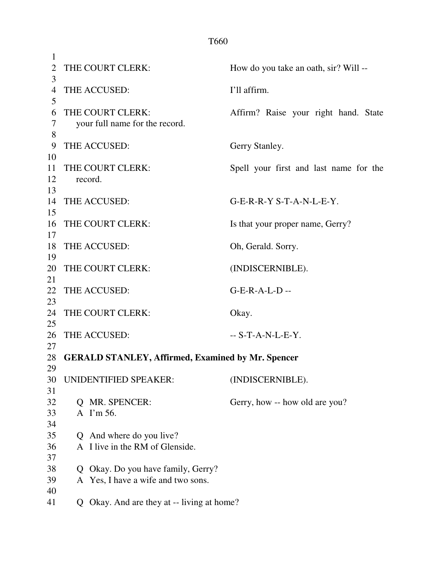| $\mathbf{1}$   |                              |                                                          |                                        |
|----------------|------------------------------|----------------------------------------------------------|----------------------------------------|
| $\overline{2}$ | THE COURT CLERK:             |                                                          | How do you take an oath, sir? Will --  |
| 3              |                              |                                                          |                                        |
| $\overline{4}$ | THE ACCUSED:                 |                                                          | I'll affirm.                           |
| 5              |                              |                                                          |                                        |
| 6              | THE COURT CLERK:             |                                                          | Affirm? Raise your right hand. State   |
| 7              |                              | your full name for the record.                           |                                        |
| 8              |                              |                                                          |                                        |
| 9<br>10        | THE ACCUSED:                 |                                                          | Gerry Stanley.                         |
| 11             | THE COURT CLERK:             |                                                          | Spell your first and last name for the |
| 12             | record.                      |                                                          |                                        |
| 13             |                              |                                                          |                                        |
| 14             | THE ACCUSED:                 |                                                          | G-E-R-R-Y S-T-A-N-L-E-Y.               |
| 15             |                              |                                                          |                                        |
| 16             | THE COURT CLERK:             |                                                          | Is that your proper name, Gerry?       |
| 17             |                              |                                                          |                                        |
| 18             | THE ACCUSED:                 |                                                          | Oh, Gerald. Sorry.                     |
| 19             |                              |                                                          |                                        |
| 20             | THE COURT CLERK:             |                                                          | (INDISCERNIBLE).                       |
| 21             |                              |                                                          |                                        |
| 22             | THE ACCUSED:                 |                                                          | $G-E-R-A-L-D$ --                       |
| 23             |                              |                                                          |                                        |
| 24             | THE COURT CLERK:             |                                                          | Okay.                                  |
| 25             |                              |                                                          |                                        |
| 26             | THE ACCUSED:                 |                                                          | $-S-T-A-N-L-E-Y$ .                     |
| 27             |                              |                                                          |                                        |
| 28<br>29       |                              | <b>GERALD STANLEY, Affirmed, Examined by Mr. Spencer</b> |                                        |
| 30             | <b>UNIDENTIFIED SPEAKER:</b> |                                                          | (INDISCERNIBLE).                       |
| 31             |                              |                                                          |                                        |
| 32             | Q MR. SPENCER:               |                                                          | Gerry, how -- how old are you?         |
| 33             | A I'm 56.                    |                                                          |                                        |
| 34             |                              |                                                          |                                        |
| 35             | Q                            | And where do you live?                                   |                                        |
| 36             |                              | A I live in the RM of Glenside.                          |                                        |
| 37             |                              |                                                          |                                        |
| 38             | Q                            | Okay. Do you have family, Gerry?                         |                                        |
| 39             |                              | A Yes, I have a wife and two sons.                       |                                        |
| 40             |                              |                                                          |                                        |
| 41             |                              | Q Okay. And are they at -- living at home?               |                                        |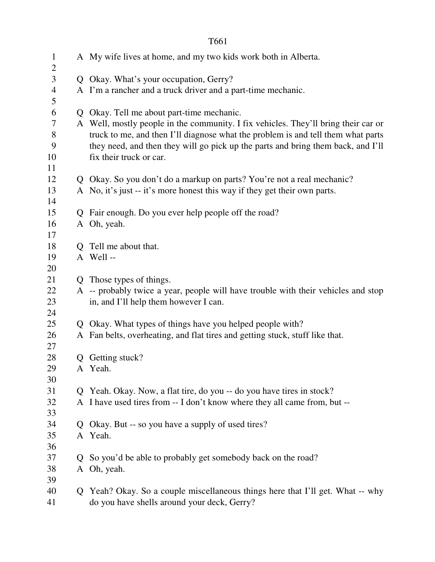| $\mathbf{1}$        |              | A My wife lives at home, and my two kids work both in Alberta.                     |
|---------------------|--------------|------------------------------------------------------------------------------------|
| $\overline{2}$<br>3 |              | Q Okay. What's your occupation, Gerry?                                             |
| 4                   |              | A I'm a rancher and a truck driver and a part-time mechanic.                       |
| 5                   |              |                                                                                    |
| 6                   |              | Q Okay. Tell me about part-time mechanic.                                          |
| 7                   |              | A Well, mostly people in the community. I fix vehicles. They'll bring their car or |
| 8                   |              | truck to me, and then I'll diagnose what the problem is and tell them what parts   |
| 9                   |              | they need, and then they will go pick up the parts and bring them back, and I'll   |
| 10                  |              | fix their truck or car.                                                            |
| 11                  |              |                                                                                    |
| 12                  |              | Q Okay. So you don't do a markup on parts? You're not a real mechanic?             |
| 13<br>14            |              | A No, it's just -- it's more honest this way if they get their own parts.          |
| 15                  |              | Q Fair enough. Do you ever help people off the road?                               |
| 16                  |              | A Oh, yeah.                                                                        |
| 17                  |              |                                                                                    |
| 18                  |              | Q Tell me about that.                                                              |
| 19                  |              | A Well-                                                                            |
| 20                  |              |                                                                                    |
| 21                  |              | Q Those types of things.                                                           |
| 22                  |              | A -- probably twice a year, people will have trouble with their vehicles and stop  |
| 23                  |              | in, and I'll help them however I can.                                              |
| 24                  |              |                                                                                    |
| 25                  |              | Q Okay. What types of things have you helped people with?                          |
| 26                  |              | A Fan belts, overheating, and flat tires and getting stuck, stuff like that.       |
| 27<br>28            |              | Q Getting stuck?                                                                   |
| 29                  |              | A Yeah.                                                                            |
| 30                  |              |                                                                                    |
| 31                  | $\mathbf{O}$ | Yeah. Okay. Now, a flat tire, do you -- do you have tires in stock?                |
| 32                  |              | A I have used tires from -- I don't know where they all came from, but --          |
| 33                  |              |                                                                                    |
| 34                  | $\mathbf{O}$ | Okay. But -- so you have a supply of used tires?                                   |
| 35                  |              | A Yeah.                                                                            |
| 36                  |              |                                                                                    |
| 37                  | $\mathbf{O}$ | So you'd be able to probably get somebody back on the road?                        |
| 38                  |              | A Oh, yeah.                                                                        |
| 39                  |              |                                                                                    |
| 40                  |              | Q Yeah? Okay. So a couple miscellaneous things here that I'll get. What -- why     |
| 41                  |              | do you have shells around your deck, Gerry?                                        |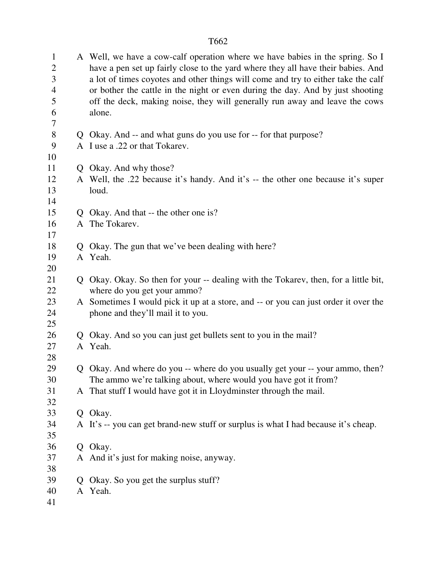| $\mathbf{1}$<br>$\mathbf{2}$ |   | A Well, we have a cow-calf operation where we have babies in the spring. So I<br>have a pen set up fairly close to the yard where they all have their babies. And |
|------------------------------|---|-------------------------------------------------------------------------------------------------------------------------------------------------------------------|
| 3                            |   | a lot of times coyotes and other things will come and try to either take the calf                                                                                 |
| $\overline{4}$               |   | or bother the cattle in the night or even during the day. And by just shooting                                                                                    |
| 5                            |   | off the deck, making noise, they will generally run away and leave the cows                                                                                       |
| 6                            |   | alone.                                                                                                                                                            |
| 7                            |   |                                                                                                                                                                   |
| $8\,$                        |   | Q Okay. And -- and what guns do you use for -- for that purpose?                                                                                                  |
| 9                            |   | A I use a .22 or that Tokarev.                                                                                                                                    |
| 10                           |   |                                                                                                                                                                   |
| 11                           |   | Q Okay. And why those?                                                                                                                                            |
| 12                           |   | A Well, the .22 because it's handy. And it's -- the other one because it's super                                                                                  |
| 13                           |   | loud.                                                                                                                                                             |
| 14                           |   |                                                                                                                                                                   |
| 15                           |   | Q Okay. And that -- the other one is?                                                                                                                             |
| 16                           |   | A The Tokarev.                                                                                                                                                    |
| 17                           |   |                                                                                                                                                                   |
| 18                           |   | Q Okay. The gun that we've been dealing with here?                                                                                                                |
| 19                           |   | A Yeah.                                                                                                                                                           |
| 20                           |   |                                                                                                                                                                   |
| 21                           |   | Q Okay. Okay. So then for your -- dealing with the Tokarev, then, for a little bit,                                                                               |
| 22                           |   | where do you get your ammo?                                                                                                                                       |
| 23                           |   | A Sometimes I would pick it up at a store, and -- or you can just order it over the                                                                               |
| 24                           |   | phone and they'll mail it to you.                                                                                                                                 |
| 25                           |   |                                                                                                                                                                   |
| 26                           |   | Q Okay. And so you can just get bullets sent to you in the mail?                                                                                                  |
| 27                           |   | A Yeah.                                                                                                                                                           |
| 28                           |   |                                                                                                                                                                   |
| 29                           |   | Q Okay. And where do you -- where do you usually get your -- your ammo, then?                                                                                     |
| 30                           |   | The ammo we're talking about, where would you have got it from?                                                                                                   |
| 31                           |   | A That stuff I would have got it in Lloydminster through the mail.                                                                                                |
| 32                           |   |                                                                                                                                                                   |
| 33                           |   | Q Okay.                                                                                                                                                           |
| 34                           |   | A It's -- you can get brand-new stuff or surplus is what I had because it's cheap.                                                                                |
| 35                           |   |                                                                                                                                                                   |
| 36                           |   | Q Okay.                                                                                                                                                           |
| 37                           |   | A And it's just for making noise, anyway.                                                                                                                         |
| 38                           |   |                                                                                                                                                                   |
| 39                           | Q | Okay. So you get the surplus stuff?                                                                                                                               |
| 40                           |   | A Yeah.                                                                                                                                                           |
| 41                           |   |                                                                                                                                                                   |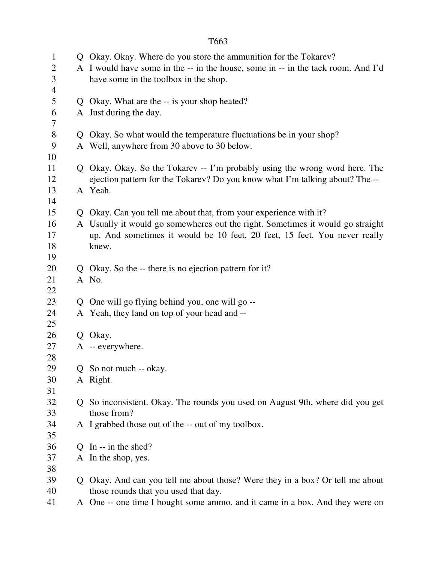| $\mathbf{1}$   |              | Q Okay. Okay. Where do you store the ammunition for the Tokarev?                 |  |
|----------------|--------------|----------------------------------------------------------------------------------|--|
| 2              |              | A I would have some in the -- in the house, some in -- in the tack room. And I'd |  |
| 3              |              | have some in the toolbox in the shop.                                            |  |
| $\overline{4}$ |              |                                                                                  |  |
| 5              |              | Q Okay. What are the -- is your shop heated?                                     |  |
| 6              |              | A Just during the day.                                                           |  |
| 7              |              |                                                                                  |  |
| 8              |              | Q Okay. So what would the temperature fluctuations be in your shop?              |  |
| 9              |              | A Well, anywhere from 30 above to 30 below.                                      |  |
| 10             |              |                                                                                  |  |
| 11             |              | Q Okay. Okay. So the Tokarev -- I'm probably using the wrong word here. The      |  |
| 12             |              | ejection pattern for the Tokarev? Do you know what I'm talking about? The --     |  |
| 13             |              | A Yeah.                                                                          |  |
| 14             |              |                                                                                  |  |
| 15             |              | Q Okay. Can you tell me about that, from your experience with it?                |  |
| 16             |              | A Usually it would go somewheres out the right. Sometimes it would go straight   |  |
| 17             |              | up. And sometimes it would be 10 feet, 20 feet, 15 feet. You never really        |  |
| 18             |              | knew.                                                                            |  |
| 19             |              |                                                                                  |  |
| 20             |              | Q Okay. So the -- there is no ejection pattern for it?                           |  |
| 21             |              | A No.                                                                            |  |
| 22             |              |                                                                                  |  |
| 23             |              | Q One will go flying behind you, one will go --                                  |  |
| 24             |              | A Yeah, they land on top of your head and --                                     |  |
| 25             |              |                                                                                  |  |
| 26             |              | Q Okay.                                                                          |  |
| 27             |              | A -- everywhere.                                                                 |  |
| 28             |              |                                                                                  |  |
| 29             |              | Q So not much -- okay.                                                           |  |
| 30             |              | A Right.                                                                         |  |
| 31             |              |                                                                                  |  |
| 32             | Q.           | So inconsistent. Okay. The rounds you used on August 9th, where did you get      |  |
| 33             |              | those from?                                                                      |  |
| 34             |              | A I grabbed those out of the -- out of my toolbox.                               |  |
| 35             |              |                                                                                  |  |
| 36             | $\mathbf{O}$ | In $-$ in the shed?                                                              |  |
| 37             |              | A In the shop, yes.                                                              |  |
| 38             |              |                                                                                  |  |
| 39             |              | Q Okay. And can you tell me about those? Were they in a box? Or tell me about    |  |
| 40             |              | those rounds that you used that day.                                             |  |
| 41             |              | A One -- one time I bought some ammo, and it came in a box. And they were on     |  |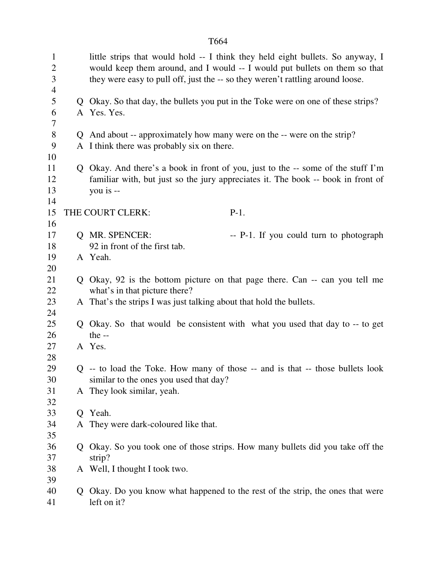| $\mathbf{1}$<br>$\overline{2}$<br>3<br>4 |   | they were easy to pull off, just the -- so they weren't rattling around loose. | little strips that would hold -- I think they held eight bullets. So anyway, I<br>would keep them around, and I would -- I would put bullets on them so that |
|------------------------------------------|---|--------------------------------------------------------------------------------|--------------------------------------------------------------------------------------------------------------------------------------------------------------|
| 5<br>6<br>7                              |   | A Yes. Yes.                                                                    | Q Okay. So that day, the bullets you put in the Toke were on one of these strips?                                                                            |
| 8                                        |   | Q And about -- approximately how many were on the -- were on the strip?        |                                                                                                                                                              |
| 9                                        |   | A I think there was probably six on there.                                     |                                                                                                                                                              |
| 10                                       |   |                                                                                |                                                                                                                                                              |
| 11                                       |   |                                                                                | Q Okay. And there's a book in front of you, just to the -- some of the stuff I'm                                                                             |
| 12                                       |   |                                                                                | familiar with, but just so the jury appreciates it. The book -- book in front of                                                                             |
| 13                                       |   | you is --                                                                      |                                                                                                                                                              |
| 14                                       |   |                                                                                |                                                                                                                                                              |
| 15                                       |   | THE COURT CLERK:                                                               | $P-1.$                                                                                                                                                       |
| 16                                       |   |                                                                                |                                                                                                                                                              |
| 17                                       |   | Q MR. SPENCER:                                                                 | -- P-1. If you could turn to photograph                                                                                                                      |
| 18                                       |   | 92 in front of the first tab.                                                  |                                                                                                                                                              |
| 19                                       |   | A Yeah.                                                                        |                                                                                                                                                              |
| 20                                       |   |                                                                                |                                                                                                                                                              |
| 21                                       |   |                                                                                | Q Okay, 92 is the bottom picture on that page there. Can -- can you tell me                                                                                  |
| 22                                       |   | what's in that picture there?                                                  |                                                                                                                                                              |
| 23                                       |   | A That's the strips I was just talking about that hold the bullets.            |                                                                                                                                                              |
| 24                                       |   |                                                                                |                                                                                                                                                              |
| 25                                       |   |                                                                                | Q Okay. So that would be consistent with what you used that day to -- to get                                                                                 |
| 26                                       |   | the $-$                                                                        |                                                                                                                                                              |
| 27                                       |   | A Yes.                                                                         |                                                                                                                                                              |
| 28                                       |   |                                                                                |                                                                                                                                                              |
| 29                                       |   |                                                                                | Q -- to load the Toke. How many of those -- and is that -- those bullets look                                                                                |
| 30                                       |   | similar to the ones you used that day?                                         |                                                                                                                                                              |
| 31                                       |   | A They look similar, yeah.                                                     |                                                                                                                                                              |
| 32                                       |   |                                                                                |                                                                                                                                                              |
| 33                                       |   | Q Yeah.                                                                        |                                                                                                                                                              |
| 34                                       |   | A They were dark-coloured like that.                                           |                                                                                                                                                              |
| 35                                       |   |                                                                                |                                                                                                                                                              |
| 36                                       | Q |                                                                                | Okay. So you took one of those strips. How many bullets did you take off the                                                                                 |
| 37                                       |   | strip?                                                                         |                                                                                                                                                              |
| 38                                       |   | A Well, I thought I took two.                                                  |                                                                                                                                                              |
| 39<br>40                                 |   |                                                                                |                                                                                                                                                              |
|                                          | Q |                                                                                | Okay. Do you know what happened to the rest of the strip, the ones that were                                                                                 |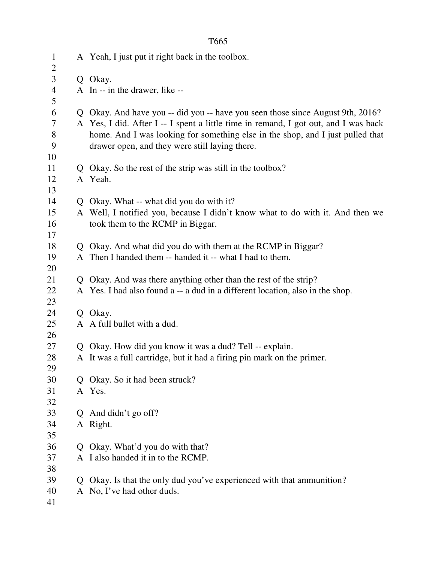|                 |              | T <sub>665</sub>                                                                                                                                                                                                        |
|-----------------|--------------|-------------------------------------------------------------------------------------------------------------------------------------------------------------------------------------------------------------------------|
| $\mathbf{1}$    |              | A Yeah, I just put it right back in the toolbox.                                                                                                                                                                        |
| $\sqrt{2}$      |              |                                                                                                                                                                                                                         |
| 3               |              | Q Okay.                                                                                                                                                                                                                 |
| $\overline{4}$  |              | A In -- in the drawer, like --                                                                                                                                                                                          |
| 5               |              |                                                                                                                                                                                                                         |
| 6               |              | Q Okay. And have you -- did you -- have you seen those since August 9th, 2016?                                                                                                                                          |
| 7<br>$8\,$<br>9 |              | A Yes, I did. After I -- I spent a little time in remand, I got out, and I was back<br>home. And I was looking for something else in the shop, and I just pulled that<br>drawer open, and they were still laying there. |
| 10              |              |                                                                                                                                                                                                                         |
| 11              |              | Q Okay. So the rest of the strip was still in the toolbox?                                                                                                                                                              |
| 12              |              | A Yeah.                                                                                                                                                                                                                 |
| 13              |              |                                                                                                                                                                                                                         |
| 14              |              | Q Okay. What -- what did you do with it?                                                                                                                                                                                |
| 15              |              | A Well, I notified you, because I didn't know what to do with it. And then we                                                                                                                                           |
| 16              |              | took them to the RCMP in Biggar.                                                                                                                                                                                        |
| 17              |              |                                                                                                                                                                                                                         |
| 18              |              | Q Okay. And what did you do with them at the RCMP in Biggar?                                                                                                                                                            |
| 19              |              | A Then I handed them -- handed it -- what I had to them.                                                                                                                                                                |
| 20              |              |                                                                                                                                                                                                                         |
| 21              |              | Q Okay. And was there anything other than the rest of the strip?                                                                                                                                                        |
| 22              |              | A Yes. I had also found a -- a dud in a different location, also in the shop.                                                                                                                                           |
| 23              |              |                                                                                                                                                                                                                         |
| 24              |              | Q Okay.                                                                                                                                                                                                                 |
| 25              |              | A A full bullet with a dud.                                                                                                                                                                                             |
| 26              |              |                                                                                                                                                                                                                         |
| 27              | Q            | Okay. How did you know it was a dud? Tell -- explain.                                                                                                                                                                   |
| 28              |              | A It was a full cartridge, but it had a firing pin mark on the primer.                                                                                                                                                  |
| 29              |              |                                                                                                                                                                                                                         |
| 30              | Q            | Okay. So it had been struck?                                                                                                                                                                                            |
| 31              |              | A Yes.                                                                                                                                                                                                                  |
| 32              |              |                                                                                                                                                                                                                         |
| 33              | Q            | And didn't go off?                                                                                                                                                                                                      |
| 34              |              | A Right.                                                                                                                                                                                                                |
| 35              |              |                                                                                                                                                                                                                         |
| 36              | $\mathbf{Q}$ | Okay. What'd you do with that?                                                                                                                                                                                          |
| 37              |              | A I also handed it in to the RCMP.                                                                                                                                                                                      |
| 38              |              |                                                                                                                                                                                                                         |
| 39              | $\mathbf{O}$ | Okay. Is that the only dud you've experienced with that ammunition?                                                                                                                                                     |
| 40              |              | A No, I've had other duds.                                                                                                                                                                                              |
| 41              |              |                                                                                                                                                                                                                         |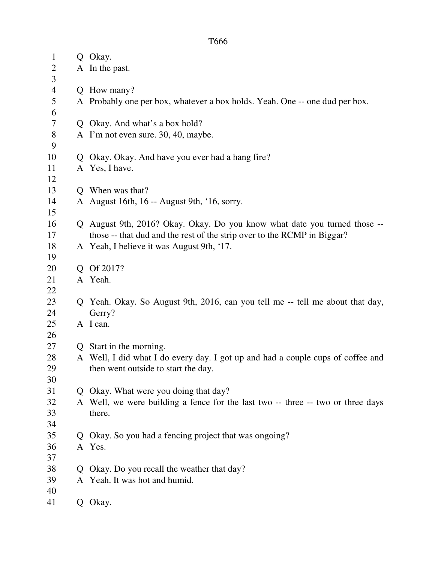| $\mathbf{1}$   | Q            | Okay.                                                                           |
|----------------|--------------|---------------------------------------------------------------------------------|
| 2              |              | A In the past.                                                                  |
| 3              |              |                                                                                 |
| $\overline{4}$ | Q            | How many?                                                                       |
| 5<br>6         |              | A Probably one per box, whatever a box holds. Yeah. One -- one dud per box.     |
| 7              |              | Q Okay. And what's a box hold?                                                  |
| 8              |              | A I'm not even sure. 30, 40, maybe.                                             |
| 9              |              |                                                                                 |
| 10             | Q            | Okay. Okay. And have you ever had a hang fire?                                  |
| 11             |              | A Yes, I have.                                                                  |
| 12             |              |                                                                                 |
| 13             |              | Q When was that?                                                                |
| 14             |              | A August 16th, 16 -- August 9th, '16, sorry.                                    |
| 15             |              |                                                                                 |
| 16             |              | Q August 9th, 2016? Okay. Okay. Do you know what date you turned those --       |
| 17             |              | those -- that dud and the rest of the strip over to the RCMP in Biggar?         |
| 18             |              | A Yeah, I believe it was August 9th, '17.                                       |
| 19             |              |                                                                                 |
| 20             |              | Q Of 2017?                                                                      |
| 21             |              | A Yeah.                                                                         |
| 22             |              |                                                                                 |
| 23             |              | Q Yeah. Okay. So August 9th, 2016, can you tell me -- tell me about that day,   |
| 24             |              | Gerry?                                                                          |
| 25             |              | A I can.                                                                        |
| 26             |              |                                                                                 |
| 27             | $\mathbf{O}$ | Start in the morning.                                                           |
| 28             |              | A Well, I did what I do every day. I got up and had a couple cups of coffee and |
| 29             |              | then went outside to start the day.                                             |
| 30             |              |                                                                                 |
| 31             |              | Q Okay. What were you doing that day?                                           |
| 32             |              | A Well, we were building a fence for the last two -- three -- two or three days |
| 33             |              | there.                                                                          |
| 34             |              |                                                                                 |
| 35             | $\mathbf{O}$ | Okay. So you had a fencing project that was ongoing?                            |
| 36             |              | A Yes.                                                                          |
| 37             |              |                                                                                 |
| 38             | $\mathbf O$  | Okay. Do you recall the weather that day?                                       |
| 39             |              | A Yeah. It was hot and humid.                                                   |
| 40             |              |                                                                                 |
| 41             |              | Q Okay.                                                                         |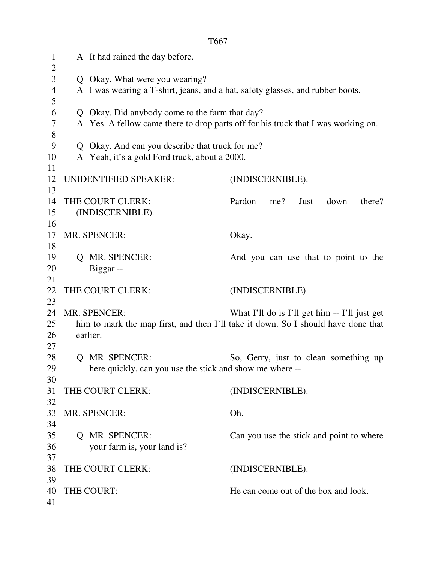1 A It had rained the day before.  $\overline{2}$ 3 Q Okay. What were you wearing? 4 A I was wearing a T-shirt, jeans, and a hat, safety glasses, and rubber boots. 5 6 Q Okay. Did anybody come to the farm that day? 7 A Yes. A fellow came there to drop parts off for his truck that I was working on. 8 9 Q Okay. And can you describe that truck for me? 10 A Yeah, it's a gold Ford truck, about a 2000. 11 12 UNIDENTIFIED SPEAKER: (INDISCERNIBLE). 13 14 THE COURT CLERK: Pardon me? Just down there? 15 (INDISCERNIBLE). 16 17 MR. SPENCER: Okay. 18 19 Q MR. SPENCER: And you can use that to point to the 20 Biggar -- 21 22 THE COURT CLERK: (INDISCERNIBLE). 23 24 MR. SPENCER: What I'll do is I'll get him -- I'll just get 25 him to mark the map first, and then I'll take it down. So I should have done that 26 earlier. 27 28 Q MR. SPENCER: So, Gerry, just to clean something up 29 here quickly, can you use the stick and show me where -- 30 31 THE COURT CLERK: (INDISCERNIBLE). 32 33 MR. SPENCER: Oh. 34 35 Q MR. SPENCER: Can you use the stick and point to where 36 your farm is, your land is? 37 38 THE COURT CLERK: (INDISCERNIBLE). 39 40 THE COURT: He can come out of the box and look. 41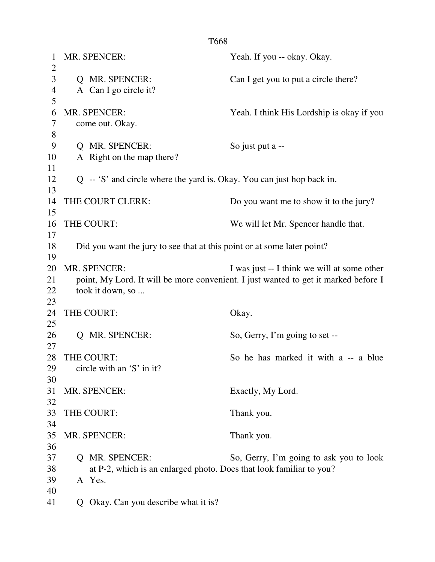| 1              | MR. SPENCER:                                                                        | Yeah. If you -- okay. Okay.                 |  |
|----------------|-------------------------------------------------------------------------------------|---------------------------------------------|--|
| $\overline{2}$ |                                                                                     |                                             |  |
| 3              | Q MR. SPENCER:                                                                      | Can I get you to put a circle there?        |  |
| $\overline{4}$ | A Can I go circle it?                                                               |                                             |  |
| 5              |                                                                                     |                                             |  |
| 6              | MR. SPENCER:                                                                        | Yeah. I think His Lordship is okay if you   |  |
| 7              | come out. Okay.                                                                     |                                             |  |
| $8\,$          |                                                                                     |                                             |  |
| 9              | Q MR. SPENCER:                                                                      | So just put a --                            |  |
| 10             | A Right on the map there?                                                           |                                             |  |
| 11             |                                                                                     |                                             |  |
| 12             | Q -- 'S' and circle where the yard is. Okay. You can just hop back in.              |                                             |  |
| 13             |                                                                                     |                                             |  |
| 14             | THE COURT CLERK:                                                                    | Do you want me to show it to the jury?      |  |
| 15             |                                                                                     |                                             |  |
| 16<br>17       | THE COURT:                                                                          | We will let Mr. Spencer handle that.        |  |
| 18             |                                                                                     |                                             |  |
| 19             | Did you want the jury to see that at this point or at some later point?             |                                             |  |
| 20             | MR. SPENCER:                                                                        | I was just -- I think we will at some other |  |
| 21             | point, My Lord. It will be more convenient. I just wanted to get it marked before I |                                             |  |
| 22             | took it down, so                                                                    |                                             |  |
| 23             |                                                                                     |                                             |  |
| 24             | THE COURT:                                                                          | Okay.                                       |  |
| 25             |                                                                                     |                                             |  |
| 26             | Q MR. SPENCER:                                                                      | So, Gerry, I'm going to set --              |  |
| 27             |                                                                                     |                                             |  |
| 28             | THE COURT:                                                                          | So he has marked it with a -- a blue        |  |
| 29             | circle with an $'S'$ in it?                                                         |                                             |  |
| 30             |                                                                                     |                                             |  |
| 31             | MR. SPENCER:                                                                        | Exactly, My Lord.                           |  |
| 32             |                                                                                     |                                             |  |
| 33             | THE COURT:                                                                          | Thank you.                                  |  |
| 34             |                                                                                     |                                             |  |
| 35             | MR. SPENCER:                                                                        | Thank you.                                  |  |
| 36             |                                                                                     |                                             |  |
| 37             | <b>Q</b> MR. SPENCER:                                                               | So, Gerry, I'm going to ask you to look     |  |
| 38             | at P-2, which is an enlarged photo. Does that look familiar to you?                 |                                             |  |
| 39             | A Yes.                                                                              |                                             |  |
| 40             |                                                                                     |                                             |  |
| 41             | Q Okay. Can you describe what it is?                                                |                                             |  |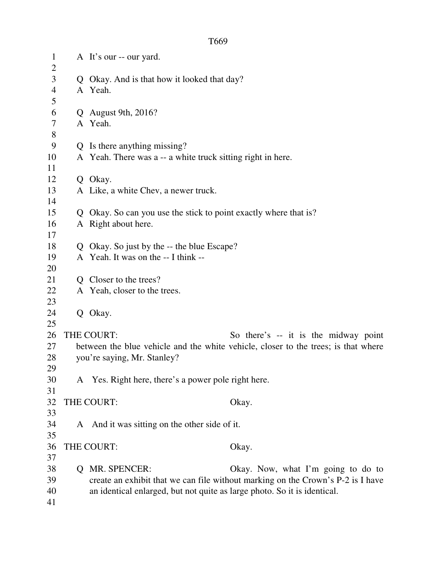| $\mathbf{1}$<br>$\overline{2}$ |   | A It's our -- our yard.                                                  |                                                                                    |
|--------------------------------|---|--------------------------------------------------------------------------|------------------------------------------------------------------------------------|
| 3                              |   | Q Okay. And is that how it looked that day?                              |                                                                                    |
| $\overline{4}$                 |   | A Yeah.                                                                  |                                                                                    |
| 5                              |   |                                                                          |                                                                                    |
| 6                              |   | $Q$ August 9th, 2016?                                                    |                                                                                    |
| $\tau$                         |   | A Yeah.                                                                  |                                                                                    |
| $8\,$                          |   |                                                                          |                                                                                    |
| 9                              |   | Q Is there anything missing?                                             |                                                                                    |
| 10                             |   | A Yeah. There was a -- a white truck sitting right in here.              |                                                                                    |
| 11                             |   |                                                                          |                                                                                    |
| 12                             |   | Q Okay.                                                                  |                                                                                    |
| 13                             |   | A Like, a white Chev, a newer truck.                                     |                                                                                    |
| 14                             |   |                                                                          |                                                                                    |
| 15                             |   | Q Okay. So can you use the stick to point exactly where that is?         |                                                                                    |
| 16                             |   | A Right about here.                                                      |                                                                                    |
| 17                             |   |                                                                          |                                                                                    |
| 18                             |   | Q Okay. So just by the -- the blue Escape?                               |                                                                                    |
| 19                             |   | A Yeah. It was on the -- I think --                                      |                                                                                    |
| 20                             |   |                                                                          |                                                                                    |
| 21                             |   | Q Closer to the trees?                                                   |                                                                                    |
| 22                             |   | A Yeah, closer to the trees.                                             |                                                                                    |
| 23                             |   |                                                                          |                                                                                    |
| 24                             |   | Q Okay.                                                                  |                                                                                    |
| 25                             |   |                                                                          |                                                                                    |
| 26                             |   | THE COURT:                                                               | So there's -- it is the midway point                                               |
| 27                             |   |                                                                          | between the blue vehicle and the white vehicle, closer to the trees; is that where |
| 28                             |   | you're saying, Mr. Stanley?                                              |                                                                                    |
| 29                             |   |                                                                          |                                                                                    |
| 30                             |   | A Yes. Right here, there's a power pole right here.                      |                                                                                    |
| 31                             |   |                                                                          |                                                                                    |
| 32                             |   | THE COURT:                                                               | Okay.                                                                              |
| 33                             |   |                                                                          |                                                                                    |
| 34                             |   | A And it was sitting on the other side of it.                            |                                                                                    |
| 35                             |   |                                                                          |                                                                                    |
| 36                             |   | THE COURT:                                                               | Okay.                                                                              |
| 37                             |   |                                                                          |                                                                                    |
| 38                             | Q | MR. SPENCER:                                                             | Okay. Now, what I'm going to do to                                                 |
| 39                             |   |                                                                          | create an exhibit that we can file without marking on the Crown's P-2 is I have    |
| 40                             |   | an identical enlarged, but not quite as large photo. So it is identical. |                                                                                    |
| 41                             |   |                                                                          |                                                                                    |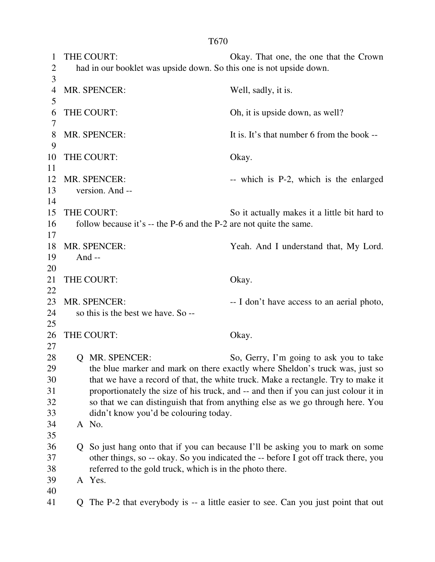1 THE COURT: Okay. That one, the one that the Crown 2 had in our booklet was upside down. So this one is not upside down. 3 4 MR. SPENCER: Well, sadly, it is. 5 6 THE COURT: Oh, it is upside down, as well? 7 8 MR. SPENCER: It is. It's that number 6 from the book --9 10 THE COURT: Okay. 11 12 MR. SPENCER: -- which is P-2, which is the enlarged 13 version. And -- 14 15 THE COURT: So it actually makes it a little bit hard to 16 follow because it's -- the P-6 and the P-2 are not quite the same. 17 18 MR. SPENCER: Yeah. And I understand that, My Lord. 19 And -- 20 21 THE COURT: Okay. 22 23 MR. SPENCER:  $-1$  don't have access to an aerial photo, 24 so this is the best we have. So -- 25 26 THE COURT: Okay. 27 28 Q MR. SPENCER: So, Gerry, I'm going to ask you to take 29 the blue marker and mark on there exactly where Sheldon's truck was, just so 30 that we have a record of that, the white truck. Make a rectangle. Try to make it 31 proportionately the size of his truck, and -- and then if you can just colour it in 32 so that we can distinguish that from anything else as we go through here. You 33 didn't know you'd be colouring today. 34 A No. 35 36 Q So just hang onto that if you can because I'll be asking you to mark on some 37 other things, so -- okay. So you indicated the -- before I got off track there, you 38 referred to the gold truck, which is in the photo there. 39 A Yes. 40 41 Q The P-2 that everybody is -- a little easier to see. Can you just point that out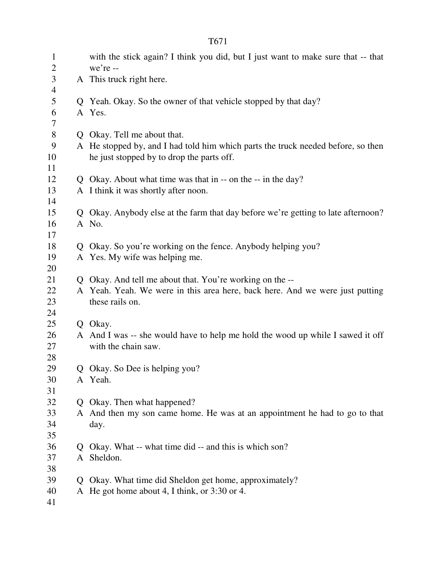| $\mathbf{1}$<br>$\mathbf{2}$ | with the stick again? I think you did, but I just want to make sure that -- that<br>we're -- |
|------------------------------|----------------------------------------------------------------------------------------------|
| 3<br>$\overline{4}$          | A This truck right here.                                                                     |
| 5                            | Q Yeah. Okay. So the owner of that vehicle stopped by that day?                              |
| 6<br>7                       | A Yes.                                                                                       |
| $8\,$                        | Q Okay. Tell me about that.                                                                  |
| 9                            | A He stopped by, and I had told him which parts the truck needed before, so then             |
| 10                           | he just stopped by to drop the parts off.                                                    |
| 11                           |                                                                                              |
| 12                           | Q Okay. About what time was that in -- on the -- in the day?                                 |
| 13<br>14                     | A I think it was shortly after noon.                                                         |
| 15                           | Q Okay. Anybody else at the farm that day before we're getting to late afternoon?            |
| 16                           | A No.                                                                                        |
| 17                           |                                                                                              |
| 18                           | Q Okay. So you're working on the fence. Anybody helping you?                                 |
| 19                           | A Yes. My wife was helping me.                                                               |
| 20                           |                                                                                              |
| 21                           | Q Okay. And tell me about that. You're working on the --                                     |
| 22                           | A Yeah. Yeah. We were in this area here, back here. And we were just putting                 |
| 23                           | these rails on.                                                                              |
| 24                           |                                                                                              |
| 25                           | Q Okay.                                                                                      |
| 26                           | A And I was -- she would have to help me hold the wood up while I sawed it off               |
| 27                           | with the chain saw.                                                                          |
| 28                           |                                                                                              |
| 29                           | Okay. So Dee is helping you?                                                                 |
| 30                           | A Yeah.                                                                                      |
| 31                           |                                                                                              |
| 32                           | Q Okay. Then what happened?                                                                  |
| 33                           | A And then my son came home. He was at an appointment he had to go to that                   |
| 34                           | day.                                                                                         |
| 35                           |                                                                                              |
| 36                           | Q Okay. What -- what time did -- and this is which son?                                      |
| 37                           | A Sheldon.                                                                                   |
| 38                           |                                                                                              |
| 39                           | Q Okay. What time did Sheldon get home, approximately?                                       |
| 40                           | A He got home about 4, I think, or 3:30 or 4.                                                |
| 41                           |                                                                                              |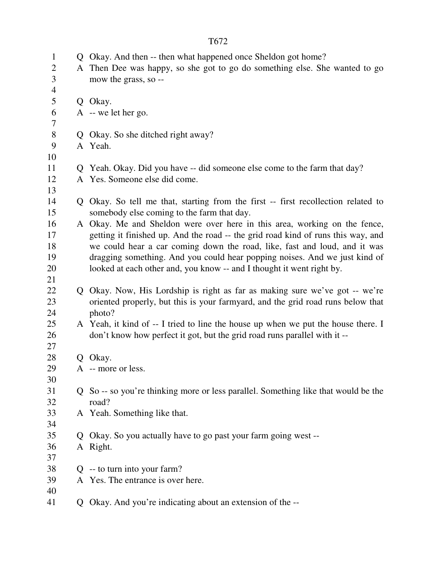| $\mathbf{1}$   |               | Q Okay. And then -- then what happened once Sheldon got home?                      |
|----------------|---------------|------------------------------------------------------------------------------------|
| $\overline{c}$ |               | A Then Dee was happy, so she got to go do something else. She wanted to go         |
| 3              |               | mow the grass, so --                                                               |
| $\overline{4}$ |               |                                                                                    |
| 5              |               | Q Okay.                                                                            |
| 6              |               | A -- we let her go.                                                                |
| 7              |               |                                                                                    |
| $8\,$          |               | Q Okay. So she ditched right away?                                                 |
| 9              |               | A Yeah.                                                                            |
| 10             |               |                                                                                    |
| 11             |               | Q Yeah. Okay. Did you have -- did someone else come to the farm that day?          |
| 12             |               | A Yes. Someone else did come.                                                      |
| 13             |               |                                                                                    |
| 14             |               | Q Okay. So tell me that, starting from the first -- first recollection related to  |
| 15             |               | somebody else coming to the farm that day.                                         |
| 16             |               | A Okay. Me and Sheldon were over here in this area, working on the fence,          |
| 17             |               | getting it finished up. And the road -- the grid road kind of runs this way, and   |
| 18             |               | we could hear a car coming down the road, like, fast and loud, and it was          |
| 19             |               | dragging something. And you could hear popping noises. And we just kind of         |
| 20             |               | looked at each other and, you know -- and I thought it went right by.              |
| 21             |               |                                                                                    |
| 22             |               | Q Okay. Now, His Lordship is right as far as making sure we've got -- we're        |
| 23             |               | oriented properly, but this is your farmyard, and the grid road runs below that    |
| 24             |               | photo?                                                                             |
| 25             |               | A Yeah, it kind of -- I tried to line the house up when we put the house there. I  |
| 26             |               | don't know how perfect it got, but the grid road runs parallel with it --          |
| 27             |               |                                                                                    |
| 28             |               | Q Okay.                                                                            |
| 29             |               | A -- more or less.                                                                 |
| 30             |               |                                                                                    |
| 31             |               | Q So -- so you're thinking more or less parallel. Something like that would be the |
| 32             |               | road?                                                                              |
| 33             |               | A Yeah. Something like that.                                                       |
| 34             |               |                                                                                    |
| 35             | $\mathcal{O}$ | Okay. So you actually have to go past your farm going west --                      |
| 36             |               | A Right.                                                                           |
| 37             |               |                                                                                    |
| 38             |               | $Q$ -- to turn into your farm?                                                     |
| 39             |               | A Yes. The entrance is over here.                                                  |
| 40             |               |                                                                                    |
| 41             |               | Q Okay. And you're indicating about an extension of the --                         |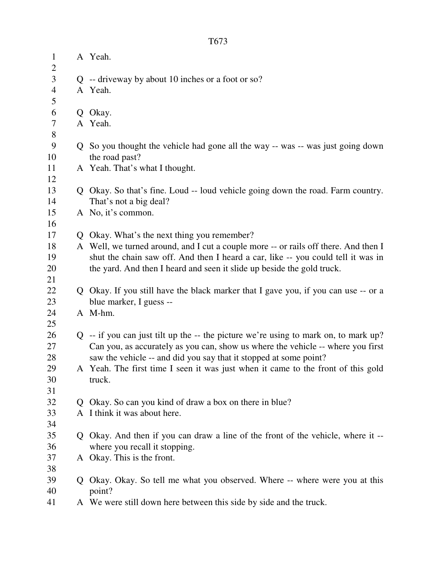| $\mathbf{1}$   |   | A Yeah.                                                                               |
|----------------|---|---------------------------------------------------------------------------------------|
| $\overline{c}$ |   |                                                                                       |
| 3              |   | $Q$ -- driveway by about 10 inches or a foot or so?                                   |
| $\overline{4}$ |   | A Yeah.                                                                               |
| 5              |   |                                                                                       |
| 6              | Q | Okay.                                                                                 |
| 7              |   | A Yeah.                                                                               |
| 8              |   |                                                                                       |
| 9              |   | Q So you thought the vehicle had gone all the way -- was -- was just going down       |
| 10             |   | the road past?                                                                        |
| 11             |   | A Yeah. That's what I thought.                                                        |
| 12             |   |                                                                                       |
| 13             |   | Q Okay. So that's fine. Loud -- loud vehicle going down the road. Farm country.       |
| 14             |   | That's not a big deal?                                                                |
| 15             |   | A No, it's common.                                                                    |
| 16             |   |                                                                                       |
| 17             |   | Q Okay. What's the next thing you remember?                                           |
| 18             |   | A Well, we turned around, and I cut a couple more -- or rails off there. And then I   |
| 19             |   | shut the chain saw off. And then I heard a car, like -- you could tell it was in      |
| 20             |   | the yard. And then I heard and seen it slide up beside the gold truck.                |
| 21             |   |                                                                                       |
| 22             |   | Q Okay. If you still have the black marker that I gave you, if you can use -- or a    |
| 23             |   | blue marker, I guess --                                                               |
| 24             |   | A M-hm.                                                                               |
| 25             |   |                                                                                       |
| 26             |   | $Q$ -- if you can just tilt up the -- the picture we're using to mark on, to mark up? |
| 27             |   | Can you, as accurately as you can, show us where the vehicle -- where you first       |
| 28             |   | saw the vehicle -- and did you say that it stopped at some point?                     |
| 29             |   | A Yeah. The first time I seen it was just when it came to the front of this gold      |
| 30             |   | truck.                                                                                |
| 31             |   |                                                                                       |
| 32             |   | Q Okay. So can you kind of draw a box on there in blue?                               |
| 33             |   | A I think it was about here.                                                          |
| 34             |   |                                                                                       |
| 35             |   | Q Okay. And then if you can draw a line of the front of the vehicle, where it --      |
| 36             |   | where you recall it stopping.                                                         |
| 37             |   | A Okay. This is the front.                                                            |
| 38             |   |                                                                                       |
| 39             | Q | Okay. Okay. So tell me what you observed. Where -- where were you at this             |
| 40             |   | point?                                                                                |
| 41             |   | A We were still down here between this side by side and the truck.                    |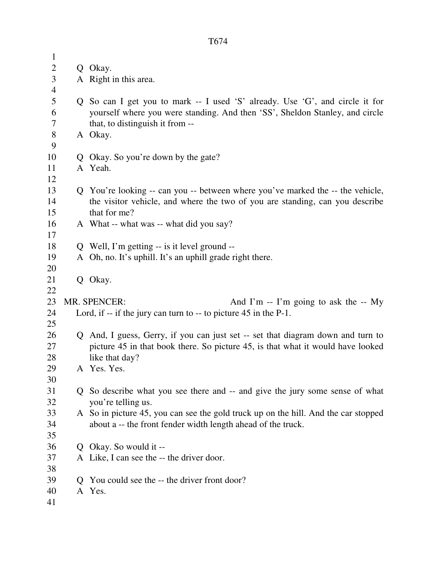| $\mathbf{1}$   |                                                                                    |
|----------------|------------------------------------------------------------------------------------|
| $\overline{2}$ | Q Okay.                                                                            |
| 3              | A Right in this area.                                                              |
| $\overline{4}$ |                                                                                    |
| 5              | Q So can I get you to mark -- I used 'S' already. Use 'G', and circle it for       |
| 6              | yourself where you were standing. And then 'SS', Sheldon Stanley, and circle       |
| $\tau$         | that, to distinguish it from --                                                    |
| $8\,$          | A Okay.                                                                            |
| 9              |                                                                                    |
| 10             | Q Okay. So you're down by the gate?                                                |
| 11             | A Yeah.                                                                            |
| 12             |                                                                                    |
| 13             | Q You're looking -- can you -- between where you've marked the -- the vehicle,     |
| 14             | the visitor vehicle, and where the two of you are standing, can you describe       |
| 15             | that for me?                                                                       |
| 16             | A What -- what was -- what did you say?                                            |
| 17             |                                                                                    |
| 18             | Q Well, I'm getting -- is it level ground --                                       |
| 19             | A Oh, no. It's uphill. It's an uphill grade right there.                           |
| 20             |                                                                                    |
| 21             | Q Okay.                                                                            |
| 22             |                                                                                    |
| 23             | <b>MR. SPENCER:</b><br>And I'm $-$ I'm going to ask the $-$ My                     |
| 24             | Lord, if $-$ if the jury can turn to $-$ to picture 45 in the P-1.                 |
| 25             |                                                                                    |
| 26             | Q And, I guess, Gerry, if you can just set -- set that diagram down and turn to    |
| 27             | picture 45 in that book there. So picture 45, is that what it would have looked    |
| 28             | like that day?                                                                     |
| 29             | A Yes. Yes.                                                                        |
| 30             |                                                                                    |
| 31             | Q So describe what you see there and -- and give the jury some sense of what       |
| 32             | you're telling us.                                                                 |
| 33             | A So in picture 45, you can see the gold truck up on the hill. And the car stopped |
| 34             | about a -- the front fender width length ahead of the truck.                       |
| 35             |                                                                                    |
| 36             | Q Okay. So would it --                                                             |
| 37             | A Like, I can see the -- the driver door.                                          |
| 38             |                                                                                    |
| 39             | Q You could see the -- the driver front door?                                      |
| 40             | A Yes.                                                                             |
| 41             |                                                                                    |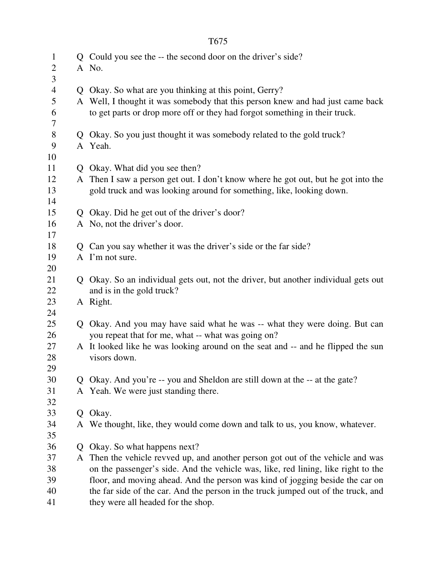| $\mathbf{1}$<br>$\overline{2}$ |   | Q Could you see the -- the second door on the driver's side?<br>A No.                                                                                                                                                  |
|--------------------------------|---|------------------------------------------------------------------------------------------------------------------------------------------------------------------------------------------------------------------------|
| 3<br>$\overline{4}$<br>5<br>6  |   | Q Okay. So what are you thinking at this point, Gerry?<br>A Well, I thought it was somebody that this person knew and had just came back<br>to get parts or drop more off or they had forgot something in their truck. |
| $\tau$                         |   |                                                                                                                                                                                                                        |
| 8                              |   | Q Okay. So you just thought it was somebody related to the gold truck?                                                                                                                                                 |
| 9                              |   | A Yeah.                                                                                                                                                                                                                |
| 10                             |   |                                                                                                                                                                                                                        |
| 11                             | Q | Okay. What did you see then?                                                                                                                                                                                           |
| 12<br>13                       |   | A Then I saw a person get out. I don't know where he got out, but he got into the<br>gold truck and was looking around for something, like, looking down.                                                              |
| 14                             |   |                                                                                                                                                                                                                        |
| 15                             |   | Q Okay. Did he get out of the driver's door?                                                                                                                                                                           |
| 16                             |   | A No, not the driver's door.                                                                                                                                                                                           |
| 17<br>18                       |   | Can you say whether it was the driver's side or the far side?                                                                                                                                                          |
| 19                             |   | A I'm not sure.                                                                                                                                                                                                        |
| 20                             |   |                                                                                                                                                                                                                        |
| 21                             |   | Q Okay. So an individual gets out, not the driver, but another individual gets out                                                                                                                                     |
| 22                             |   | and is in the gold truck?                                                                                                                                                                                              |
| 23                             |   | A Right.                                                                                                                                                                                                               |
| 24                             |   |                                                                                                                                                                                                                        |
| 25                             | Q | Okay. And you may have said what he was -- what they were doing. But can                                                                                                                                               |
| 26                             |   | you repeat that for me, what -- what was going on?                                                                                                                                                                     |
| 27                             |   | A It looked like he was looking around on the seat and -- and he flipped the sun                                                                                                                                       |
| 28                             |   | visors down.                                                                                                                                                                                                           |
| 29                             |   |                                                                                                                                                                                                                        |
| 30                             |   | Okay. And you're -- you and Sheldon are still down at the -- at the gate?                                                                                                                                              |
| 31                             | A | Yeah. We were just standing there.                                                                                                                                                                                     |
| 32                             |   |                                                                                                                                                                                                                        |
| 33                             | Q | Okay.                                                                                                                                                                                                                  |
| 34                             |   | A We thought, like, they would come down and talk to us, you know, whatever.                                                                                                                                           |
| 35                             |   |                                                                                                                                                                                                                        |
| 36                             | Q | Okay. So what happens next?                                                                                                                                                                                            |
| 37                             | A | Then the vehicle revved up, and another person got out of the vehicle and was                                                                                                                                          |
| 38                             |   | on the passenger's side. And the vehicle was, like, red lining, like right to the                                                                                                                                      |
| 39                             |   | floor, and moving ahead. And the person was kind of jogging beside the car on                                                                                                                                          |
| 40                             |   | the far side of the car. And the person in the truck jumped out of the truck, and                                                                                                                                      |
| 41                             |   | they were all headed for the shop.                                                                                                                                                                                     |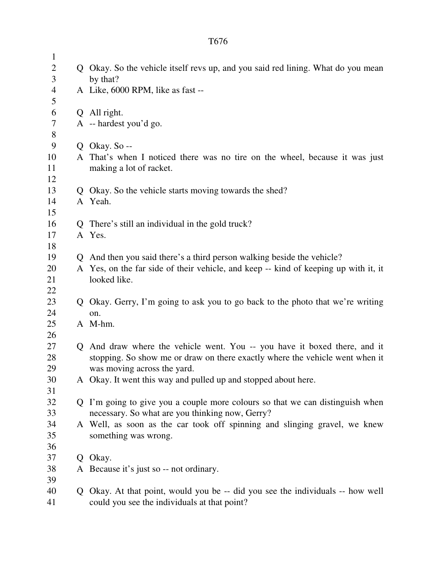1 2 Q Okay. So the vehicle itself revs up, and you said red lining. What do you mean 3 by that? 4 A Like, 6000 RPM, like as fast -- 5 6 Q All right. 7 A -- hardest you'd go. 8 9 Q Okay. So -- 10 A That's when I noticed there was no tire on the wheel, because it was just 11 making a lot of racket. 12 13 Q Okay. So the vehicle starts moving towards the shed? 14 A Yeah. 15 16 Q There's still an individual in the gold truck? 17 A Yes. 18 19 Q And then you said there's a third person walking beside the vehicle? 20 A Yes, on the far side of their vehicle, and keep -- kind of keeping up with it, it 21 looked like. 22 23 Q Okay. Gerry, I'm going to ask you to go back to the photo that we're writing 24 on. 25 A M-hm. 26 27 Q And draw where the vehicle went. You -- you have it boxed there, and it 28 stopping. So show me or draw on there exactly where the vehicle went when it 29 was moving across the yard. 30 A Okay. It went this way and pulled up and stopped about here. 31 32 Q I'm going to give you a couple more colours so that we can distinguish when 33 necessary. So what are you thinking now, Gerry? 34 A Well, as soon as the car took off spinning and slinging gravel, we knew 35 something was wrong. 36 37 Q Okay. 38 A Because it's just so -- not ordinary. 39 40 Q Okay. At that point, would you be -- did you see the individuals -- how well 41 could you see the individuals at that point?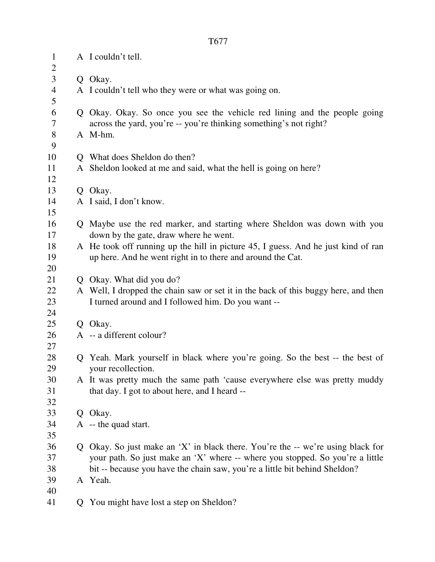| $\mathbf{1}$<br>$\overline{c}$ | A I couldn't tell.                                                                                                                                               |
|--------------------------------|------------------------------------------------------------------------------------------------------------------------------------------------------------------|
| $\mathfrak{Z}$                 | Q Okay.                                                                                                                                                          |
| $\overline{4}$                 | A I couldn't tell who they were or what was going on.                                                                                                            |
| 5                              |                                                                                                                                                                  |
| 6                              | Q Okay. Okay. So once you see the vehicle red lining and the people going                                                                                        |
| 7                              | across the yard, you're -- you're thinking something's not right?                                                                                                |
| $8\,$                          | A M-hm.                                                                                                                                                          |
| 9                              |                                                                                                                                                                  |
| 10                             | Q What does Sheldon do then?                                                                                                                                     |
| 11                             | A Sheldon looked at me and said, what the hell is going on here?                                                                                                 |
| 12                             |                                                                                                                                                                  |
| 13                             | Q Okay.                                                                                                                                                          |
| 14                             | A I said, I don't know.                                                                                                                                          |
| 15                             |                                                                                                                                                                  |
| 16                             | Q Maybe use the red marker, and starting where Sheldon was down with you                                                                                         |
| 17<br>18                       | down by the gate, draw where he went.<br>A He took off running up the hill in picture 45, I guess. And he just kind of ran                                       |
| 19                             | up here. And he went right in to there and around the Cat.                                                                                                       |
| 20                             |                                                                                                                                                                  |
| 21                             | Q Okay. What did you do?                                                                                                                                         |
| 22                             | A Well, I dropped the chain saw or set it in the back of this buggy here, and then                                                                               |
| 23                             | I turned around and I followed him. Do you want --                                                                                                               |
| 24                             |                                                                                                                                                                  |
| 25                             | Q Okay.                                                                                                                                                          |
| 26                             | A -- a different colour?                                                                                                                                         |
| 27                             |                                                                                                                                                                  |
| 28                             | Q Yeah. Mark yourself in black where you're going. So the best -- the best of                                                                                    |
| 29                             | your recollection.                                                                                                                                               |
| 30                             | A It was pretty much the same path 'cause everywhere else was pretty muddy                                                                                       |
| 31                             | that day. I got to about here, and I heard --                                                                                                                    |
| 32                             |                                                                                                                                                                  |
| 33                             | Q Okay.                                                                                                                                                          |
| 34                             | $A - the quad start.$                                                                                                                                            |
| 35<br>36                       |                                                                                                                                                                  |
| 37                             | Q Okay. So just make an 'X' in black there. You're the -- we're using black for<br>your path. So just make an 'X' where -- where you stopped. So you're a little |
| 38                             | bit -- because you have the chain saw, you're a little bit behind Sheldon?                                                                                       |
| 39                             | A Yeah.                                                                                                                                                          |
| 40                             |                                                                                                                                                                  |
| 41                             | Q You might have lost a step on Sheldon?                                                                                                                         |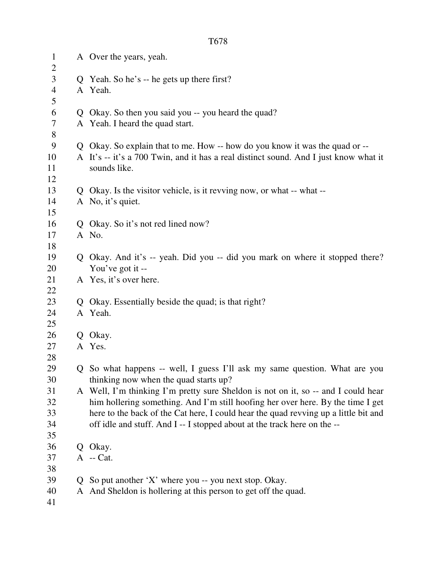| $\mathbf{1}$        |    | A Over the years, yeah.                                                              |
|---------------------|----|--------------------------------------------------------------------------------------|
| $\overline{2}$<br>3 |    | Q Yeah. So he's -- he gets up there first?                                           |
| $\overline{4}$      |    | A Yeah.                                                                              |
| 5                   |    |                                                                                      |
| 6                   |    | Q Okay. So then you said you -- you heard the quad?                                  |
| $\overline{7}$      |    | A Yeah. I heard the quad start.                                                      |
| $8\,$               |    |                                                                                      |
| 9                   |    | Q Okay. So explain that to me. How -- how do you know it was the quad or --          |
| 10                  |    | A It's -- it's a 700 Twin, and it has a real distinct sound. And I just know what it |
| 11                  |    | sounds like.                                                                         |
| 12                  |    |                                                                                      |
| 13                  |    | Q Okay. Is the visitor vehicle, is it revving now, or what -- what --                |
| 14                  |    | A No, it's quiet.                                                                    |
| 15                  |    |                                                                                      |
| 16                  |    | Q Okay. So it's not red lined now?                                                   |
| 17                  |    | A No.                                                                                |
| 18                  |    |                                                                                      |
| 19                  |    | Q Okay. And it's -- yeah. Did you -- did you mark on where it stopped there?         |
| 20                  |    | You've got it --                                                                     |
| 21                  |    | A Yes, it's over here.                                                               |
| 22                  |    |                                                                                      |
| 23                  | Q  | Okay. Essentially beside the quad; is that right?                                    |
| 24                  |    | A Yeah.                                                                              |
| 25                  |    |                                                                                      |
| 26                  | Q  | Okay.                                                                                |
| 27                  |    | A Yes.                                                                               |
| 28                  |    |                                                                                      |
| 29                  |    | Q So what happens -- well, I guess I'll ask my same question. What are you           |
| 30                  |    | thinking now when the quad starts up?                                                |
| 31                  |    | A Well, I'm thinking I'm pretty sure Sheldon is not on it, so -- and I could hear    |
| 32                  |    | him hollering something. And I'm still hoofing her over here. By the time I get      |
| 33                  |    | here to the back of the Cat here, I could hear the quad revving up a little bit and  |
| 34                  |    | off idle and stuff. And I -- I stopped about at the track here on the --             |
| 35                  |    |                                                                                      |
| 36                  |    | Q Okay.                                                                              |
| 37                  |    | A -- Cat.                                                                            |
| 38                  |    |                                                                                      |
| 39                  | Q. | So put another 'X' where you -- you next stop. Okay.                                 |
| 40                  |    | A And Sheldon is hollering at this person to get off the quad.                       |
| 41                  |    |                                                                                      |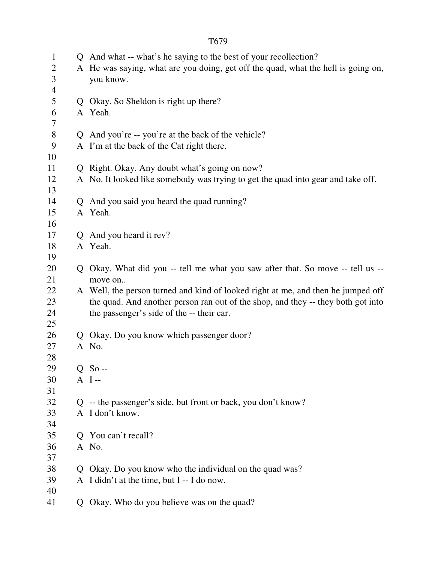| $\mathbf{1}$   |   | Q And what -- what's he saying to the best of your recollection?                  |
|----------------|---|-----------------------------------------------------------------------------------|
| $\overline{2}$ |   | A He was saying, what are you doing, get off the quad, what the hell is going on, |
| 3              |   | you know.                                                                         |
| $\overline{4}$ |   |                                                                                   |
| 5              |   | Q Okay. So Sheldon is right up there?                                             |
| 6              |   | A Yeah.                                                                           |
| 7              |   |                                                                                   |
| $8\,$          |   | Q And you're -- you're at the back of the vehicle?                                |
| 9              |   | A I'm at the back of the Cat right there.                                         |
| 10             |   |                                                                                   |
| 11             |   | Q Right. Okay. Any doubt what's going on now?                                     |
| 12             |   | A No. It looked like somebody was trying to get the quad into gear and take off.  |
| 13             |   |                                                                                   |
| 14             | Q | And you said you heard the quad running?                                          |
| 15             |   | A Yeah.                                                                           |
| 16             |   |                                                                                   |
| 17             | Q | And you heard it rev?                                                             |
| 18             |   | A Yeah.                                                                           |
| 19             |   |                                                                                   |
| 20             | Q | Okay. What did you -- tell me what you saw after that. So move -- tell us --      |
| 21             |   | move on                                                                           |
| 22             |   | A Well, the person turned and kind of looked right at me, and then he jumped off  |
| 23             |   | the quad. And another person ran out of the shop, and they -- they both got into  |
| 24             |   | the passenger's side of the -- their car.                                         |
| 25             |   |                                                                                   |
| 26             |   | Q Okay. Do you know which passenger door?                                         |
| 27             |   | A No.                                                                             |
| 28             |   |                                                                                   |
| 29             |   | $Q$ So --                                                                         |
| 30             |   | $A$ I--                                                                           |
| 31             |   |                                                                                   |
| 32             |   | Q -- the passenger's side, but front or back, you don't know?                     |
| 33             |   | A I don't know.                                                                   |
| 34             |   |                                                                                   |
| 35             |   | Q You can't recall?                                                               |
| 36             |   | A No.                                                                             |
| 37             |   |                                                                                   |
| 38             | Q | Okay. Do you know who the individual on the quad was?                             |
| 39             |   | A I didn't at the time, but I -- I do now.                                        |
| 40             |   |                                                                                   |
| 41             | Q | Okay. Who do you believe was on the quad?                                         |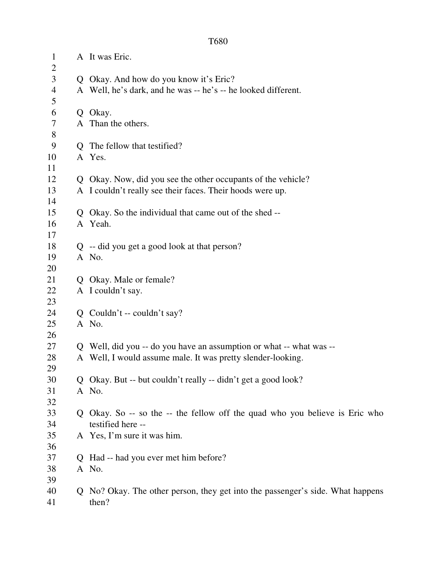| T680 |  |
|------|--|
|      |  |

| $\mathbf{1}$<br>$\overline{c}$ |   | A It was Eric.                                                                 |
|--------------------------------|---|--------------------------------------------------------------------------------|
| $\overline{3}$                 |   | Q Okay. And how do you know it's Eric?                                         |
| $\overline{4}$                 |   | A Well, he's dark, and he was -- he's -- he looked different.                  |
| 5                              |   |                                                                                |
| 6                              |   | Q Okay.                                                                        |
| 7                              |   | A Than the others.                                                             |
| $8\,$                          |   |                                                                                |
| 9                              |   | Q The fellow that testified?                                                   |
| 10                             |   | A Yes.                                                                         |
| 11                             |   |                                                                                |
| 12                             |   | Q Okay. Now, did you see the other occupants of the vehicle?                   |
| 13                             |   | A I couldn't really see their faces. Their hoods were up.                      |
| 14                             |   |                                                                                |
| 15                             |   | Q Okay. So the individual that came out of the shed --                         |
| 16                             |   | A Yeah.                                                                        |
| 17                             |   |                                                                                |
| 18                             |   | Q -- did you get a good look at that person?                                   |
| 19                             |   | A No.                                                                          |
| 20                             |   |                                                                                |
| 21                             |   | Q Okay. Male or female?                                                        |
| 22                             |   | A I couldn't say.                                                              |
| 23                             |   |                                                                                |
| 24                             |   | $Q$ Couldn't -- couldn't say?                                                  |
| 25                             |   | A No.                                                                          |
| 26                             |   |                                                                                |
| 27                             |   | Q Well, did you -- do you have an assumption or what -- what was --            |
| 28                             |   | A Well, I would assume male. It was pretty slender-looking.                    |
| 29                             |   |                                                                                |
| 30                             |   | Q Okay. But -- but couldn't really -- didn't get a good look?                  |
| 31                             |   | A No.                                                                          |
| 32                             |   |                                                                                |
| 33                             | Q | Okay. So -- so the -- the fellow off the quad who you believe is Eric who      |
| 34                             |   | testified here --                                                              |
| 35                             |   | A Yes, I'm sure it was him.                                                    |
| 36                             |   |                                                                                |
| 37                             |   | Q Had -- had you ever met him before?                                          |
| 38                             |   | A No.                                                                          |
| 39                             |   |                                                                                |
| 40                             |   | Q No? Okay. The other person, they get into the passenger's side. What happens |
| 41                             |   | then?                                                                          |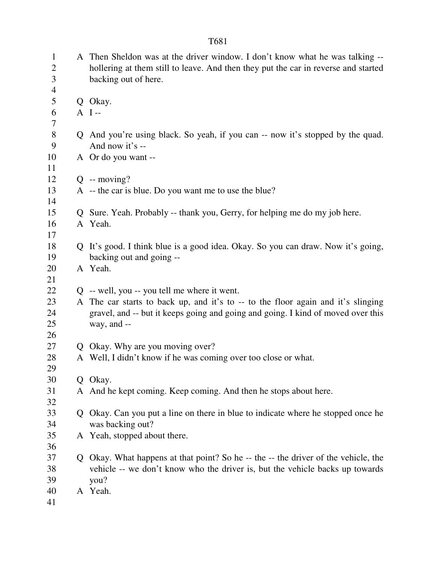| $\mathbf{1}$<br>$\overline{2}$ |             | A Then Sheldon was at the driver window. I don't know what he was talking --<br>hollering at them still to leave. And then they put the car in reverse and started |
|--------------------------------|-------------|--------------------------------------------------------------------------------------------------------------------------------------------------------------------|
| 3                              |             | backing out of here.                                                                                                                                               |
| $\overline{4}$                 |             |                                                                                                                                                                    |
| 5                              |             | Q Okay.                                                                                                                                                            |
| 6                              |             | $A$ I--                                                                                                                                                            |
| $\tau$                         |             |                                                                                                                                                                    |
| 8                              |             | Q And you're using black. So yeah, if you can -- now it's stopped by the quad.                                                                                     |
| 9                              |             | And now it's --                                                                                                                                                    |
| 10                             |             | A Or do you want --                                                                                                                                                |
| 11                             |             |                                                                                                                                                                    |
| 12                             |             | $Q - moving?$                                                                                                                                                      |
| 13                             |             | A -- the car is blue. Do you want me to use the blue?                                                                                                              |
| 14                             |             |                                                                                                                                                                    |
| 15                             |             | Q Sure. Yeah. Probably -- thank you, Gerry, for helping me do my job here.                                                                                         |
| 16                             |             | A Yeah.                                                                                                                                                            |
| 17                             |             |                                                                                                                                                                    |
| 18                             |             | Q It's good. I think blue is a good idea. Okay. So you can draw. Now it's going,                                                                                   |
| 19                             |             | backing out and going --                                                                                                                                           |
| 20                             |             | A Yeah.                                                                                                                                                            |
| 21                             |             |                                                                                                                                                                    |
| 22                             |             | Q -- well, you -- you tell me where it went.                                                                                                                       |
| 23                             |             | A The car starts to back up, and it's to -- to the floor again and it's slinging                                                                                   |
| 24                             |             | gravel, and -- but it keeps going and going and going. I kind of moved over this                                                                                   |
| 25                             |             | way, and --                                                                                                                                                        |
| 26                             |             |                                                                                                                                                                    |
| 27                             |             | Q Okay. Why are you moving over?                                                                                                                                   |
| 28                             |             | A Well, I didn't know if he was coming over too close or what.                                                                                                     |
| 29                             |             |                                                                                                                                                                    |
| 30                             | Q           | Okay.                                                                                                                                                              |
| 31                             |             | A And he kept coming. Keep coming. And then he stops about here.                                                                                                   |
| 32                             |             |                                                                                                                                                                    |
| 33                             | Q           | Okay. Can you put a line on there in blue to indicate where he stopped once he                                                                                     |
| 34                             |             | was backing out?                                                                                                                                                   |
| 35                             |             | A Yeah, stopped about there.                                                                                                                                       |
| 36                             |             |                                                                                                                                                                    |
| 37                             | $Q_{\perp}$ | Okay. What happens at that point? So he -- the -- the driver of the vehicle, the                                                                                   |
| 38                             |             | vehicle -- we don't know who the driver is, but the vehicle backs up towards                                                                                       |
| 39                             |             | you?                                                                                                                                                               |
| 40                             |             | A Yeah.                                                                                                                                                            |
| 41                             |             |                                                                                                                                                                    |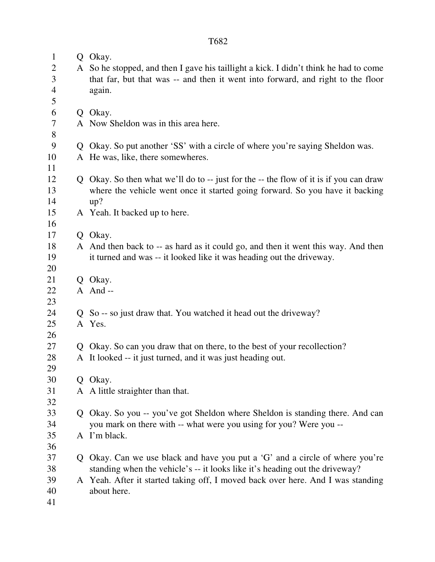| $\mathbf{1}$<br>$\overline{2}$ |   | Q Okay.<br>A So he stopped, and then I gave his taillight a kick. I didn't think he had to come |
|--------------------------------|---|-------------------------------------------------------------------------------------------------|
| 3<br>$\overline{4}$<br>5       |   | that far, but that was -- and then it went into forward, and right to the floor<br>again.       |
| 6                              |   | Q Okay.                                                                                         |
| 7                              |   | A Now Sheldon was in this area here.                                                            |
| 8                              |   |                                                                                                 |
| 9                              |   | Q Okay. So put another 'SS' with a circle of where you're saying Sheldon was.                   |
| 10                             |   | A He was, like, there somewheres.                                                               |
| 11                             |   |                                                                                                 |
| 12                             |   | Q Okay. So then what we'll do to -- just for the -- the flow of it is if you can draw           |
| 13                             |   | where the vehicle went once it started going forward. So you have it backing                    |
| 14                             |   | up?                                                                                             |
| 15                             |   | A Yeah. It backed up to here.                                                                   |
| 16                             |   |                                                                                                 |
| 17                             |   | Q Okay.                                                                                         |
| 18                             |   | A And then back to -- as hard as it could go, and then it went this way. And then               |
| 19                             |   | it turned and was -- it looked like it was heading out the driveway.                            |
| 20                             |   |                                                                                                 |
| 21                             |   | Q Okay.                                                                                         |
| 22                             |   | A And--                                                                                         |
| 23                             |   |                                                                                                 |
| 24                             |   | Q So -- so just draw that. You watched it head out the driveway?                                |
| 25                             |   | A Yes.                                                                                          |
| 26                             |   |                                                                                                 |
| 27                             | Q | Okay. So can you draw that on there, to the best of your recollection?                          |
| 28                             |   | A It looked -- it just turned, and it was just heading out.                                     |
| 29                             |   |                                                                                                 |
| 30                             |   | Q Okay.                                                                                         |
| 31                             |   | A A little straighter than that.                                                                |
| 32                             |   |                                                                                                 |
| 33                             |   | Q Okay. So you -- you've got Sheldon where Sheldon is standing there. And can                   |
| 34                             |   | you mark on there with -- what were you using for you? Were you --                              |
| 35                             |   | A I'm black.                                                                                    |
| 36                             |   |                                                                                                 |
| 37                             |   | Q Okay. Can we use black and have you put a 'G' and a circle of where you're                    |
| 38                             |   | standing when the vehicle's -- it looks like it's heading out the driveway?                     |
| 39<br>40                       |   | A Yeah. After it started taking off, I moved back over here. And I was standing<br>about here.  |
| 41                             |   |                                                                                                 |
|                                |   |                                                                                                 |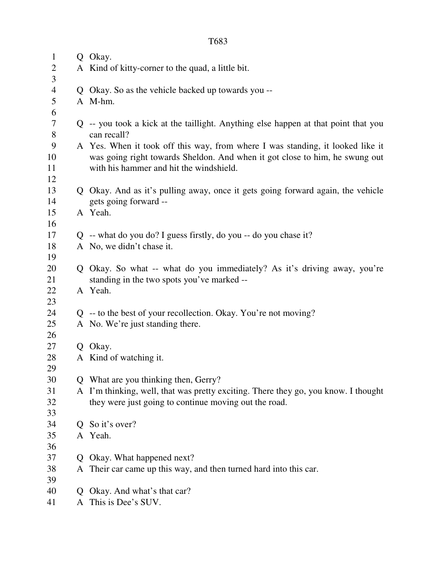2 A Kind of kitty-corner to the quad, a little bit. 4 Q Okay. So as the vehicle backed up towards you -- 5 A M-hm. 7 Q -- you took a kick at the taillight. Anything else happen at that point that you 8 can recall? 9 A Yes. When it took off this way, from where I was standing, it looked like it 10 was going right towards Sheldon. And when it got close to him, he swung out 11 with his hammer and hit the windshield. 13 Q Okay. And as it's pulling away, once it gets going forward again, the vehicle 14 gets going forward -- 17 Q -- what do you do? I guess firstly, do you -- do you chase it? 18 A No, we didn't chase it. 20 Q Okay. So what -- what do you immediately? As it's driving away, you're 21 standing in the two spots you've marked --

- 24 Q -- to the best of your recollection. Okay. You're not moving?
- 25 A No. We're just standing there.
- 26 27 Q Okay.

22 A Yeah.

15 A Yeah.

1 Q Okay.

3

6

12

16

19

23

29

- 28 A Kind of watching it.
- 30 Q What are you thinking then, Gerry?
- 31 A I'm thinking, well, that was pretty exciting. There they go, you know. I thought 32 they were just going to continue moving out the road.
- 33 34 Q So it's over? 35 A Yeah.
- 36

39

- 37 Q Okay. What happened next?
- 38 A Their car came up this way, and then turned hard into this car.
- 40 Q Okay. And what's that car?
- 41 A This is Dee's SUV.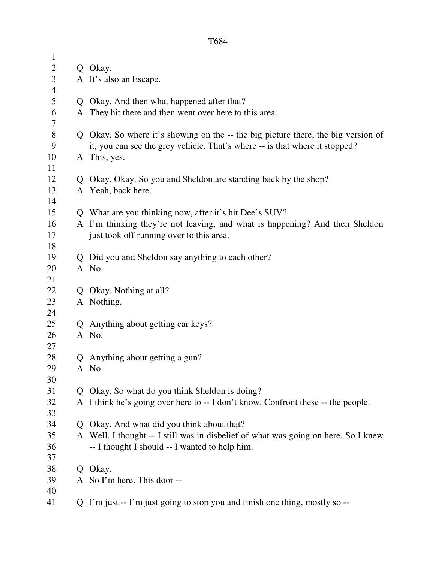| $\mathbf{1}$ |    |                                                                                    |
|--------------|----|------------------------------------------------------------------------------------|
| 2            |    | Q Okay.                                                                            |
| 3            |    | A It's also an Escape.                                                             |
| 4            |    |                                                                                    |
| 5            |    | Q Okay. And then what happened after that?                                         |
| 6            |    | A They hit there and then went over here to this area.                             |
| 7            |    |                                                                                    |
| $8\,$        |    | Q Okay. So where it's showing on the -- the big picture there, the big version of  |
| 9            |    | it, you can see the grey vehicle. That's where -- is that where it stopped?        |
| 10           |    | A This, yes.                                                                       |
| 11           |    |                                                                                    |
| 12           |    | Q Okay. Okay. So you and Sheldon are standing back by the shop?                    |
| 13           |    | A Yeah, back here.                                                                 |
| 14           |    |                                                                                    |
| 15           |    | Q What are you thinking now, after it's hit Dee's SUV?                             |
| 16           |    | A I'm thinking they're not leaving, and what is happening? And then Sheldon        |
| 17           |    | just took off running over to this area.                                           |
| 18           |    |                                                                                    |
| 19           | Q. | Did you and Sheldon say anything to each other?                                    |
| 20           |    | A No.                                                                              |
| 21           |    |                                                                                    |
| 22           | Q  | Okay. Nothing at all?                                                              |
| 23           |    | A Nothing.                                                                         |
| 24           |    |                                                                                    |
| 25           |    | Q Anything about getting car keys?                                                 |
| 26           |    | A No.                                                                              |
| 27           |    |                                                                                    |
| 28           |    | Q Anything about getting a gun?                                                    |
| 29           |    | A No.                                                                              |
| 30           |    |                                                                                    |
| 31           |    | Q Okay. So what do you think Sheldon is doing?                                     |
| 32           |    | A I think he's going over here to -- I don't know. Confront these -- the people.   |
| 33           |    |                                                                                    |
| 34           |    | Q Okay. And what did you think about that?                                         |
| 35           |    | A Well, I thought -- I still was in disbelief of what was going on here. So I knew |
| 36           |    | -- I thought I should -- I wanted to help him.                                     |
| 37           |    |                                                                                    |
| 38           | Q. | Okay.                                                                              |
| 39           |    | A So I'm here. This door --                                                        |
| 40           |    |                                                                                    |
| 41           |    | Q I'm just -- I'm just going to stop you and finish one thing, mostly so --        |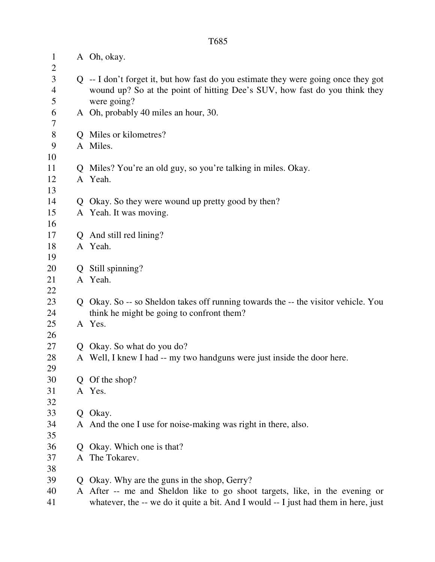| $\mathbf{1}$<br>$\overline{2}$ |              | A Oh, okay.                                                                         |
|--------------------------------|--------------|-------------------------------------------------------------------------------------|
| $\mathfrak{Z}$                 |              | Q -- I don't forget it, but how fast do you estimate they were going once they got  |
| $\overline{4}$                 |              | wound up? So at the point of hitting Dee's SUV, how fast do you think they          |
| 5                              |              | were going?                                                                         |
| 6                              |              | A Oh, probably 40 miles an hour, 30.                                                |
| 7                              |              |                                                                                     |
| $8\,$                          |              | Q Miles or kilometres?                                                              |
| 9                              |              | A Miles.                                                                            |
| 10                             |              |                                                                                     |
| 11                             |              | Q Miles? You're an old guy, so you're talking in miles. Okay.                       |
| 12                             |              | A Yeah.                                                                             |
| 13                             |              |                                                                                     |
| 14                             | Q            | Okay. So they were wound up pretty good by then?                                    |
| 15<br>16                       |              | A Yeah. It was moving.                                                              |
| 17                             | $\mathbf{Q}$ | And still red lining?                                                               |
| 18                             |              | A Yeah.                                                                             |
| 19                             |              |                                                                                     |
| 20                             | Q            | Still spinning?                                                                     |
| 21                             |              | A Yeah.                                                                             |
| 22                             |              |                                                                                     |
| 23                             |              | Q Okay. So -- so Sheldon takes off running towards the -- the visitor vehicle. You  |
| 24                             |              | think he might be going to confront them?                                           |
| 25                             |              | A Yes.                                                                              |
| 26                             |              |                                                                                     |
| 27                             |              | Q Okay. So what do you do?                                                          |
| 28                             |              | A Well, I knew I had -- my two handguns were just inside the door here.             |
| 29                             |              |                                                                                     |
| 30                             |              | Q Of the shop?                                                                      |
| 31                             |              | A Yes.                                                                              |
| 32                             |              |                                                                                     |
| 33                             |              | Q Okay.                                                                             |
| 34                             |              | A And the one I use for noise-making was right in there, also.                      |
| 35                             |              |                                                                                     |
| 36                             | Q            | Okay. Which one is that?                                                            |
| 37                             |              | A The Tokarev.                                                                      |
| 38                             |              |                                                                                     |
| 39                             | Q            | Okay. Why are the guns in the shop, Gerry?                                          |
| 40                             |              | A After -- me and Sheldon like to go shoot targets, like, in the evening or         |
| 41                             |              | whatever, the -- we do it quite a bit. And I would -- I just had them in here, just |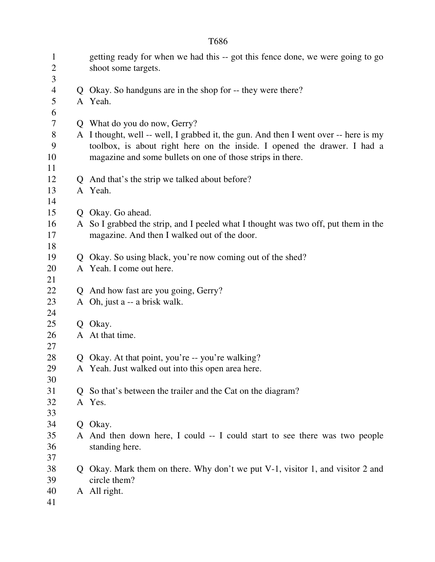|                        |   | T686                                                                                                                                                                                                                           |
|------------------------|---|--------------------------------------------------------------------------------------------------------------------------------------------------------------------------------------------------------------------------------|
| $\mathbf{1}$<br>2<br>3 |   | getting ready for when we had this -- got this fence done, we were going to go<br>shoot some targets.                                                                                                                          |
| $\overline{4}$         |   | Q Okay. So handguns are in the shop for -- they were there?                                                                                                                                                                    |
| 5<br>6                 |   | A Yeah.                                                                                                                                                                                                                        |
| 7                      |   | Q What do you do now, Gerry?                                                                                                                                                                                                   |
| $8\,$<br>9<br>10       |   | A I thought, well -- well, I grabbed it, the gun. And then I went over -- here is my<br>toolbox, is about right here on the inside. I opened the drawer. I had a<br>magazine and some bullets on one of those strips in there. |
| 11                     |   |                                                                                                                                                                                                                                |
| 12<br>13<br>14         |   | Q And that's the strip we talked about before?<br>A Yeah.                                                                                                                                                                      |
| 15                     |   | Q Okay. Go ahead.                                                                                                                                                                                                              |
| 16<br>17<br>18         |   | A So I grabbed the strip, and I peeled what I thought was two off, put them in the<br>magazine. And then I walked out of the door.                                                                                             |
| 19                     |   | Q Okay. So using black, you're now coming out of the shed?                                                                                                                                                                     |
| 20<br>21               |   | A Yeah. I come out here.                                                                                                                                                                                                       |
| 22                     |   | Q And how fast are you going, Gerry?                                                                                                                                                                                           |
| 23<br>24               |   | A Oh, just a -- a brisk walk.                                                                                                                                                                                                  |
| 25                     |   | Q Okay.                                                                                                                                                                                                                        |
| 26<br>27               |   | A At that time.                                                                                                                                                                                                                |
| 28                     | Q | Okay. At that point, you're -- you're walking?                                                                                                                                                                                 |
| 29<br>30               |   | A Yeah. Just walked out into this open area here.                                                                                                                                                                              |
| 31                     |   | Q So that's between the trailer and the Cat on the diagram?                                                                                                                                                                    |
| 32<br>33               |   | A Yes.                                                                                                                                                                                                                         |
| 34                     |   | Q Okay.                                                                                                                                                                                                                        |
| 35<br>36<br>37         |   | A And then down here, I could -- I could start to see there was two people<br>standing here.                                                                                                                                   |
| 38                     |   | Q Okay. Mark them on there. Why don't we put V-1, visitor 1, and visitor 2 and                                                                                                                                                 |
| 39<br>40<br>41         |   | circle them?<br>A All right.                                                                                                                                                                                                   |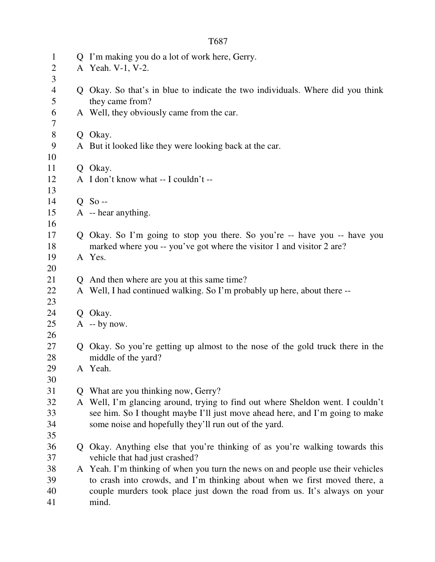|                |              | T687                                                                                                                                                         |
|----------------|--------------|--------------------------------------------------------------------------------------------------------------------------------------------------------------|
| $\mathbf{1}$   | Ő            | I'm making you do a lot of work here, Gerry.                                                                                                                 |
| 2              |              | A Yeah. V-1, V-2.                                                                                                                                            |
| 3              |              |                                                                                                                                                              |
| $\overline{4}$ |              | Okay. So that's in blue to indicate the two individuals. Where did you think                                                                                 |
| 5              |              | they came from?                                                                                                                                              |
| 6              |              | A Well, they obviously came from the car.                                                                                                                    |
| 7<br>8         |              | Q Okay.                                                                                                                                                      |
| 9              |              | A But it looked like they were looking back at the car.                                                                                                      |
| 10             |              |                                                                                                                                                              |
| 11             |              | Q Okay.                                                                                                                                                      |
| 12             |              | A I don't know what -- I couldn't --                                                                                                                         |
| 13             |              |                                                                                                                                                              |
| 14             |              | $Q$ So --                                                                                                                                                    |
| 15             |              | A -- hear anything.                                                                                                                                          |
| 16             |              |                                                                                                                                                              |
| 17             |              | Okay. So I'm going to stop you there. So you're -- have you -- have you                                                                                      |
| 18             |              | marked where you -- you've got where the visitor 1 and visitor 2 are?                                                                                        |
| 19             |              | A Yes.                                                                                                                                                       |
| 20             |              |                                                                                                                                                              |
| 21             | Q.           | And then where are you at this same time?                                                                                                                    |
| 22<br>23       |              | A Well, I had continued walking. So I'm probably up here, about there --                                                                                     |
| 24             |              | Q Okay.                                                                                                                                                      |
| 25             |              | $A - by now.$                                                                                                                                                |
| 26             |              |                                                                                                                                                              |
| 27             | Q            | Okay. So you're getting up almost to the nose of the gold truck there in the                                                                                 |
| 28             |              | middle of the yard?                                                                                                                                          |
| 29             |              | A Yeah.                                                                                                                                                      |
| 30             |              |                                                                                                                                                              |
| 31             | $\mathsf{O}$ | What are you thinking now, Gerry?                                                                                                                            |
| 32             | A            | Well, I'm glancing around, trying to find out where Sheldon went. I couldn't                                                                                 |
| 33             |              | see him. So I thought maybe I'll just move ahead here, and I'm going to make                                                                                 |
| 34             |              | some noise and hopefully they'll run out of the yard.                                                                                                        |
| 35             |              |                                                                                                                                                              |
| 36             | Q            | Okay. Anything else that you're thinking of as you're walking towards this                                                                                   |
| 37             |              | vehicle that had just crashed?                                                                                                                               |
| 38<br>39       |              | A Yeah. I'm thinking of when you turn the news on and people use their vehicles<br>to crash into crowds, and I'm thinking about when we first moved there, a |
| 40             |              | couple murders took place just down the road from us. It's always on your                                                                                    |
| 41             |              | mind.                                                                                                                                                        |
|                |              |                                                                                                                                                              |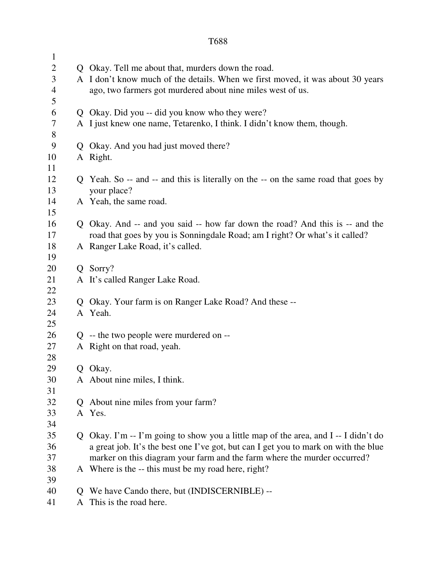| $\mathbf{1}$<br>$\overline{c}$ |   | Q Okay. Tell me about that, murders down the road.                                  |
|--------------------------------|---|-------------------------------------------------------------------------------------|
| $\mathfrak{Z}$                 |   | A I don't know much of the details. When we first moved, it was about 30 years      |
| $\overline{4}$                 |   | ago, two farmers got murdered about nine miles west of us.                          |
| 5                              |   |                                                                                     |
| 6                              |   | Q Okay. Did you -- did you know who they were?                                      |
| 7                              |   | A I just knew one name, Tetarenko, I think. I didn't know them, though.             |
| $8\,$                          |   |                                                                                     |
| 9                              |   | Q Okay. And you had just moved there?                                               |
| 10                             |   | A Right.                                                                            |
| 11                             |   |                                                                                     |
| 12                             |   | Q Yeah. So -- and -- and this is literally on the -- on the same road that goes by  |
| 13                             |   | your place?                                                                         |
| 14                             |   | A Yeah, the same road.                                                              |
| 15                             |   |                                                                                     |
| 16                             |   | Q Okay. And -- and you said -- how far down the road? And this is -- and the        |
| 17                             |   | road that goes by you is Sonningdale Road; am I right? Or what's it called?         |
| 18                             |   | A Ranger Lake Road, it's called.                                                    |
| 19                             |   |                                                                                     |
| 20                             |   | Q Sorry?                                                                            |
| 21                             |   | A It's called Ranger Lake Road.                                                     |
| 22                             |   |                                                                                     |
| 23                             |   | Q Okay. Your farm is on Ranger Lake Road? And these --                              |
| 24                             |   | A Yeah.                                                                             |
| 25                             |   |                                                                                     |
| 26                             |   | $Q$ -- the two people were murdered on --                                           |
| 27                             |   | A Right on that road, yeah.                                                         |
| 28                             |   |                                                                                     |
| 29                             |   | Q Okay.                                                                             |
| 30                             |   | A About nine miles, I think.                                                        |
| 31                             |   |                                                                                     |
| 32                             | Q | About nine miles from your farm?                                                    |
| 33                             |   | A Yes.                                                                              |
| 34                             |   |                                                                                     |
| 35                             | Q | Okay. I'm -- I'm going to show you a little map of the area, and I -- I didn't do   |
| 36                             |   | a great job. It's the best one I've got, but can I get you to mark on with the blue |
| 37                             |   | marker on this diagram your farm and the farm where the murder occurred?            |
| 38                             |   | A Where is the -- this must be my road here, right?                                 |
| 39                             |   |                                                                                     |
| 40                             | Q | We have Cando there, but (INDISCERNIBLE) --<br>This is the road here.               |
| 41                             | A |                                                                                     |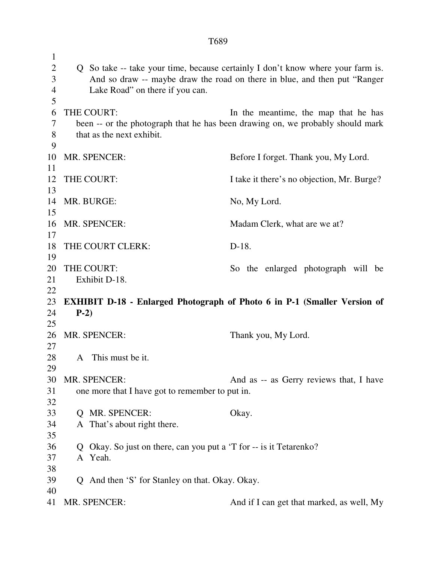| $\mathbf 1$ |                                                                            |                                                                                 |  |  |
|-------------|----------------------------------------------------------------------------|---------------------------------------------------------------------------------|--|--|
| 2           |                                                                            | Q So take -- take your time, because certainly I don't know where your farm is. |  |  |
| 3           | And so draw -- maybe draw the road on there in blue, and then put "Ranger" |                                                                                 |  |  |
| 4           | Lake Road" on there if you can.                                            |                                                                                 |  |  |
| 5           |                                                                            |                                                                                 |  |  |
| 6           | THE COURT:                                                                 | In the meantime, the map that he has                                            |  |  |
| 7           |                                                                            | been -- or the photograph that he has been drawing on, we probably should mark  |  |  |
| 8           | that as the next exhibit.                                                  |                                                                                 |  |  |
| 9           |                                                                            |                                                                                 |  |  |
| 10          | MR. SPENCER:                                                               | Before I forget. Thank you, My Lord.                                            |  |  |
| 11          |                                                                            |                                                                                 |  |  |
| 12          | THE COURT:                                                                 | I take it there's no objection, Mr. Burge?                                      |  |  |
| 13          |                                                                            |                                                                                 |  |  |
| 14          | MR. BURGE:                                                                 | No, My Lord.                                                                    |  |  |
| 15          |                                                                            |                                                                                 |  |  |
| 16          | MR. SPENCER:                                                               | Madam Clerk, what are we at?                                                    |  |  |
| 17          |                                                                            |                                                                                 |  |  |
| 18          | THE COURT CLERK:                                                           | $D-18$ .                                                                        |  |  |
| 19          |                                                                            |                                                                                 |  |  |
| 20          | THE COURT:                                                                 | So the enlarged photograph will be                                              |  |  |
| 21          | Exhibit D-18.                                                              |                                                                                 |  |  |
| 22          |                                                                            |                                                                                 |  |  |
| 23          |                                                                            | <b>EXHIBIT D-18 - Enlarged Photograph of Photo 6 in P-1 (Smaller Version of</b> |  |  |
| 24          | $P-2)$                                                                     |                                                                                 |  |  |
| 25          |                                                                            |                                                                                 |  |  |
| 26          | MR. SPENCER:                                                               | Thank you, My Lord.                                                             |  |  |
| 27          |                                                                            |                                                                                 |  |  |
| 28          | This must be it.<br>$\mathsf{A}$                                           |                                                                                 |  |  |
| 29          |                                                                            |                                                                                 |  |  |
| 30          | MR. SPENCER:                                                               | And as -- as Gerry reviews that, I have                                         |  |  |
| 31          | one more that I have got to remember to put in.                            |                                                                                 |  |  |
| 32          |                                                                            |                                                                                 |  |  |
| 33          | Q MR. SPENCER:                                                             | Okay.                                                                           |  |  |
| 34          | A That's about right there.                                                |                                                                                 |  |  |
| 35          |                                                                            |                                                                                 |  |  |
| 36          | Q Okay. So just on there, can you put a 'T for -- is it Tetarenko?         |                                                                                 |  |  |
| 37          | A Yeah.                                                                    |                                                                                 |  |  |
| 38          |                                                                            |                                                                                 |  |  |
| 39          | Q And then 'S' for Stanley on that. Okay. Okay.                            |                                                                                 |  |  |
| 40          |                                                                            |                                                                                 |  |  |
| 41          | MR. SPENCER:                                                               | And if I can get that marked, as well, My                                       |  |  |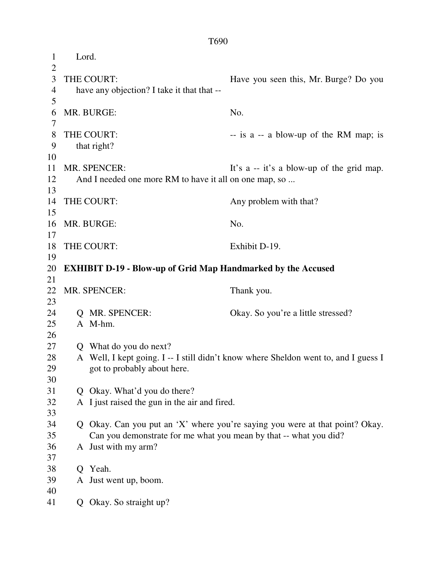1 Lord.  $\overline{2}$ 3 THE COURT: Have you seen this, Mr. Burge? Do you 4 have any objection? I take it that that --5 6 MR. BURGE: No. 7 8 THE COURT:  $-$  is a -- a blow-up of the RM map; is 9 that right? 10 11 MR. SPENCER: It's a -- it's a blow-up of the grid map. 12 And I needed one more RM to have it all on one map, so ... 13 14 THE COURT: Any problem with that? 15 16 MR. BURGE: No. 17 18 THE COURT: Exhibit D-19. 19 20 **EXHIBIT D-19 - Blow-up of Grid Map Handmarked by the Accused**  21 22 MR. SPENCER: Thank you. 23 24 Q MR. SPENCER: Okay. So you're a little stressed? 25 A M-hm. 26 27 Q What do you do next? 28 A Well, I kept going. I -- I still didn't know where Sheldon went to, and I guess I 29 got to probably about here. 30 31 Q Okay. What'd you do there? 32 A I just raised the gun in the air and fired. 33 34 Q Okay. Can you put an 'X' where you're saying you were at that point? Okay. 35 Can you demonstrate for me what you mean by that -- what you did? 36 A Just with my arm? 37 38 Q Yeah. 39 A Just went up, boom. 40 41 Q Okay. So straight up?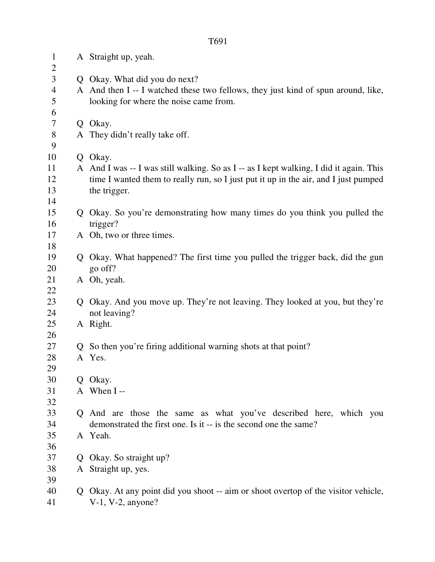| 1<br>$\overline{2}$ |              | A Straight up, yeah.                                                                   |
|---------------------|--------------|----------------------------------------------------------------------------------------|
| 3                   |              | Q Okay. What did you do next?                                                          |
| 4                   |              | A And then I -- I watched these two fellows, they just kind of spun around, like,      |
| 5                   |              | looking for where the noise came from.                                                 |
| 6                   |              |                                                                                        |
| 7                   |              | Q Okay.                                                                                |
| $8\,$               |              | A They didn't really take off.                                                         |
| 9                   |              |                                                                                        |
| 10                  |              | Q Okay.                                                                                |
| 11                  |              | A And I was -- I was still walking. So as I -- as I kept walking, I did it again. This |
| 12                  |              | time I wanted them to really run, so I just put it up in the air, and I just pumped    |
| 13                  |              | the trigger.                                                                           |
| 14                  |              |                                                                                        |
| 15                  |              | Q Okay. So you're demonstrating how many times do you think you pulled the             |
| 16                  |              | trigger?                                                                               |
| 17                  |              | A Oh, two or three times.                                                              |
| 18                  |              |                                                                                        |
| 19                  |              | Q Okay. What happened? The first time you pulled the trigger back, did the gun         |
| 20<br>21            |              | go off?<br>A Oh, yeah.                                                                 |
| 22                  |              |                                                                                        |
| 23                  | $\mathbf O$  | Okay. And you move up. They're not leaving. They looked at you, but they're            |
| 24                  |              | not leaving?                                                                           |
| 25                  |              | A Right.                                                                               |
| 26                  |              |                                                                                        |
| 27                  | $\mathbf{Q}$ | So then you're firing additional warning shots at that point?                          |
| 28                  |              | A Yes.                                                                                 |
| 29                  |              |                                                                                        |
| 30                  |              | Q Okay.                                                                                |
| 31                  |              | A When I-                                                                              |
| 32                  |              |                                                                                        |
| 33                  |              | Q And are those the same as what you've described here, which you                      |
| 34                  |              | demonstrated the first one. Is it -- is the second one the same?                       |
| 35                  |              | A Yeah.                                                                                |
| 36                  |              |                                                                                        |
| 37                  |              | Q Okay. So straight up?                                                                |
| 38                  |              | A Straight up, yes.                                                                    |
| 39                  |              |                                                                                        |
| 40                  |              | Q Okay. At any point did you shoot -- aim or shoot overtop of the visitor vehicle,     |
| 41                  |              | $V-1$ , $V-2$ , anyone?                                                                |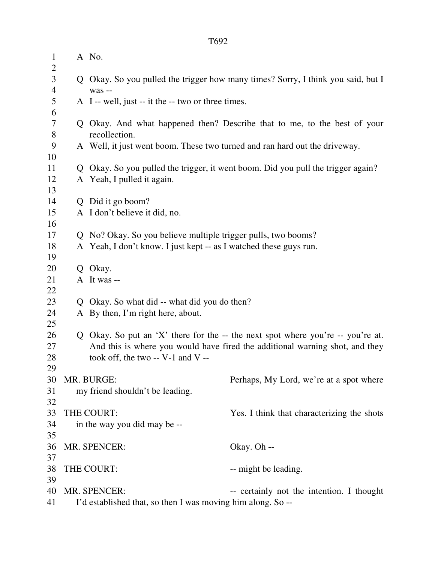| $\mathbf{1}$<br>$\overline{2}$ | A No.                                                                            |                                                                                   |  |
|--------------------------------|----------------------------------------------------------------------------------|-----------------------------------------------------------------------------------|--|
| 3<br>$\overline{4}$            | was --                                                                           | Q Okay. So you pulled the trigger how many times? Sorry, I think you said, but I  |  |
| 5<br>6                         | A I -- well, just -- it the -- two or three times.                               |                                                                                   |  |
| 7                              |                                                                                  | Q Okay. And what happened then? Describe that to me, to the best of your          |  |
| 8                              | recollection.                                                                    |                                                                                   |  |
| 9                              | A Well, it just went boom. These two turned and ran hard out the driveway.       |                                                                                   |  |
| 10                             |                                                                                  |                                                                                   |  |
| 11                             | Q Okay. So you pulled the trigger, it went boom. Did you pull the trigger again? |                                                                                   |  |
| 12                             | A Yeah, I pulled it again.                                                       |                                                                                   |  |
| 13                             |                                                                                  |                                                                                   |  |
| 14                             | Q Did it go boom?                                                                |                                                                                   |  |
| 15                             | A I don't believe it did, no.                                                    |                                                                                   |  |
| 16                             |                                                                                  |                                                                                   |  |
| 17                             | Q No? Okay. So you believe multiple trigger pulls, two booms?                    |                                                                                   |  |
| 18<br>19                       | A Yeah, I don't know. I just kept -- as I watched these guys run.                |                                                                                   |  |
| 20                             | Q Okay.                                                                          |                                                                                   |  |
| 21                             | A It was --                                                                      |                                                                                   |  |
| 22                             |                                                                                  |                                                                                   |  |
| 23                             | Q Okay. So what did -- what did you do then?                                     |                                                                                   |  |
| 24                             | A By then, I'm right here, about.                                                |                                                                                   |  |
| 25                             |                                                                                  |                                                                                   |  |
| 26                             |                                                                                  | Q Okay. So put an 'X' there for the $-$ the next spot where you're $-$ you're at. |  |
| 27                             |                                                                                  | And this is where you would have fired the additional warning shot, and they      |  |
| 28                             | took off, the two $-$ V-1 and V $-$                                              |                                                                                   |  |
| 29                             |                                                                                  |                                                                                   |  |
| 30                             | MR. BURGE:                                                                       | Perhaps, My Lord, we're at a spot where                                           |  |
| 31                             | my friend shouldn't be leading.                                                  |                                                                                   |  |
| 32                             |                                                                                  |                                                                                   |  |
| 33                             | THE COURT:                                                                       | Yes. I think that characterizing the shots                                        |  |
| 34                             | in the way you did may be --                                                     |                                                                                   |  |
| 35                             |                                                                                  |                                                                                   |  |
| 36                             | MR. SPENCER:                                                                     | Okay. Oh --                                                                       |  |
| 37                             |                                                                                  |                                                                                   |  |
| 38                             | THE COURT:                                                                       | -- might be leading.                                                              |  |
| 39<br>40                       | MR. SPENCER:                                                                     | -- certainly not the intention. I thought                                         |  |
| 41                             | I'd established that, so then I was moving him along. So --                      |                                                                                   |  |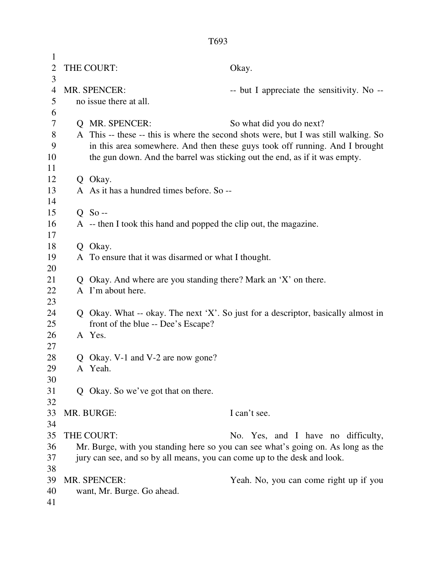| 1              |                                                                                  |                                                                   |                                                                                     |
|----------------|----------------------------------------------------------------------------------|-------------------------------------------------------------------|-------------------------------------------------------------------------------------|
| $\overline{2}$ | THE COURT:                                                                       |                                                                   | Okay.                                                                               |
| 3              |                                                                                  |                                                                   |                                                                                     |
| 4              | MR. SPENCER:                                                                     |                                                                   | -- but I appreciate the sensitivity. No --                                          |
| 5              |                                                                                  | no issue there at all.                                            |                                                                                     |
| 6              |                                                                                  |                                                                   |                                                                                     |
| 7              |                                                                                  | Q MR. SPENCER:                                                    | So what did you do next?                                                            |
| 8              |                                                                                  |                                                                   | A This -- these -- this is where the second shots were, but I was still walking. So |
| 9              |                                                                                  |                                                                   | in this area somewhere. And then these guys took off running. And I brought         |
| 10             |                                                                                  |                                                                   | the gun down. And the barrel was sticking out the end, as if it was empty.          |
| 11             |                                                                                  |                                                                   |                                                                                     |
| 12             |                                                                                  | Q Okay.                                                           |                                                                                     |
| 13             |                                                                                  | A As it has a hundred times before. So --                         |                                                                                     |
| 14             |                                                                                  |                                                                   |                                                                                     |
| 15             |                                                                                  | $Q$ So --                                                         |                                                                                     |
| 16             |                                                                                  | A -- then I took this hand and popped the clip out, the magazine. |                                                                                     |
| 17             |                                                                                  |                                                                   |                                                                                     |
| 18             |                                                                                  | Q Okay.                                                           |                                                                                     |
| 19             |                                                                                  | A To ensure that it was disarmed or what I thought.               |                                                                                     |
| 20             |                                                                                  |                                                                   |                                                                                     |
| 21             |                                                                                  | Q Okay. And where are you standing there? Mark an 'X' on there.   |                                                                                     |
| 22             |                                                                                  | A I'm about here.                                                 |                                                                                     |
| 23             |                                                                                  |                                                                   |                                                                                     |
| 24             |                                                                                  |                                                                   | Q Okay. What -- okay. The next 'X'. So just for a descriptor, basically almost in   |
| 25             |                                                                                  | front of the blue -- Dee's Escape?                                |                                                                                     |
| 26             |                                                                                  | A Yes.                                                            |                                                                                     |
| 27<br>28       |                                                                                  | Q Okay. V-1 and V-2 are now gone?                                 |                                                                                     |
| 29             |                                                                                  | A Yeah.                                                           |                                                                                     |
| 30             |                                                                                  |                                                                   |                                                                                     |
| 31             |                                                                                  | Q Okay. So we've got that on there.                               |                                                                                     |
| 32             |                                                                                  |                                                                   |                                                                                     |
| 33             |                                                                                  | MR. BURGE:                                                        | I can't see.                                                                        |
| 34             |                                                                                  |                                                                   |                                                                                     |
| 35             |                                                                                  | THE COURT:                                                        | No. Yes, and I have no difficulty,                                                  |
| 36             | Mr. Burge, with you standing here so you can see what's going on. As long as the |                                                                   |                                                                                     |
| 37             | jury can see, and so by all means, you can come up to the desk and look.         |                                                                   |                                                                                     |
| 38             |                                                                                  |                                                                   |                                                                                     |
| 39             |                                                                                  | MR. SPENCER:                                                      | Yeah. No, you can come right up if you                                              |
| 40             | want, Mr. Burge. Go ahead.                                                       |                                                                   |                                                                                     |
| 41             |                                                                                  |                                                                   |                                                                                     |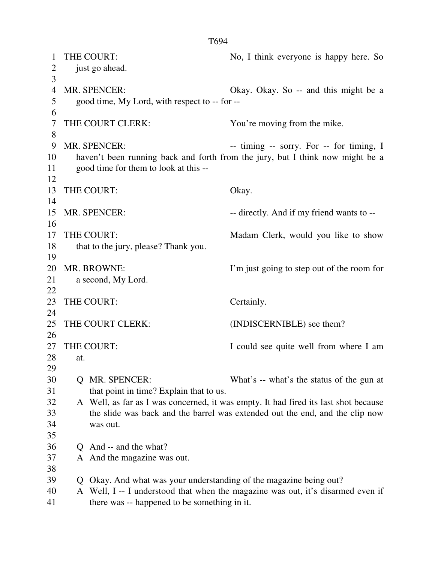1 THE COURT: No, I think everyone is happy here. So 2 just go ahead. 3 4 MR. SPENCER: Okay. Okay. So -- and this might be a 5 good time, My Lord, with respect to -- for -- 6 7 THE COURT CLERK: You're moving from the mike. 8 9 MR. SPENCER: -- timing -- sorry. For -- for timing, I 10 haven't been running back and forth from the jury, but I think now might be a 11 good time for them to look at this -- 12 13 THE COURT: Okay. 14 15 MR. SPENCER: -- directly. And if my friend wants to --16 17 THE COURT: Madam Clerk, would you like to show 18 that to the jury, please? Thank you. 19 20 MR. BROWNE: I'm just going to step out of the room for 21 a second, My Lord. 22 23 THE COURT: Certainly. 24 25 THE COURT CLERK: (INDISCERNIBLE) see them? 26 27 THE COURT: I could see quite well from where I am 28 at. 29 30 Q MR. SPENCER: What's -- what's the status of the gun at 31 that point in time? Explain that to us. 32 A Well, as far as I was concerned, it was empty. It had fired its last shot because 33 the slide was back and the barrel was extended out the end, and the clip now 34 was out. 35 36 Q And -- and the what? 37 A And the magazine was out. 38 39 Q Okay. And what was your understanding of the magazine being out? 40 A Well, I -- I understood that when the magazine was out, it's disarmed even if 41 there was -- happened to be something in it.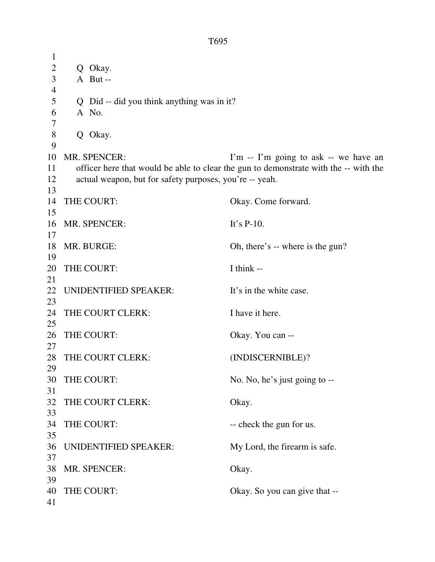1 2 Q Okay. 3 A But -- 4 5 Q Did -- did you think anything was in it? 6 A No. 7 8 Q Okay. 9 10 MR. SPENCER: I'm -- I'm going to ask -- we have an 11 officer here that would be able to clear the gun to demonstrate with the -- with the 12 actual weapon, but for safety purposes, you're -- yeah. 13 14 THE COURT: Okay. Come forward. 15 16 MR. SPENCER: It's P-10. 17 18 MR. BURGE: Oh, there's -- where is the gun? 19 20 THE COURT: I think --21 22 UNIDENTIFIED SPEAKER: It's in the white case. 23 24 THE COURT CLERK: I have it here. 25 26 THE COURT: Okay. You can --27 28 THE COURT CLERK: (INDISCERNIBLE)? 29 30 THE COURT: No. No, he's just going to --31 32 THE COURT CLERK: Okay. 33 34 THE COURT: -- check the gun for us. 35 36 UNIDENTIFIED SPEAKER: My Lord, the firearm is safe. 37 38 MR. SPENCER: Okay. 39 40 THE COURT: Okay. So you can give that --41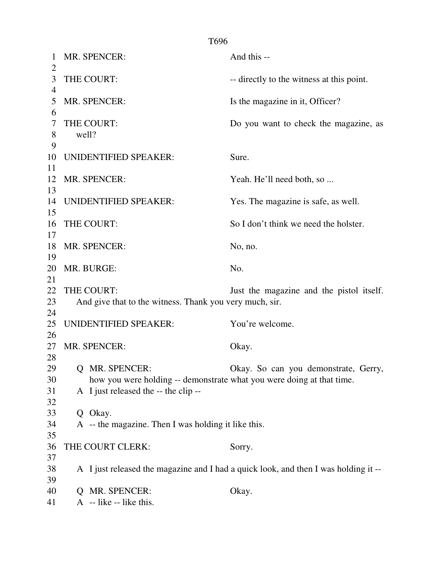1 MR. SPENCER: And this -- $\mathfrak{D}$ 3 THE COURT: -- directly to the witness at this point. 4 5 MR. SPENCER: Is the magazine in it, Officer? 6 7 THE COURT: Do you want to check the magazine, as 8 well? 9 10 UNIDENTIFIED SPEAKER: Sure. 11 12 MR. SPENCER: Yeah. He'll need both, so ... 13 14 UNIDENTIFIED SPEAKER: Yes. The magazine is safe, as well. 15 16 THE COURT: So I don't think we need the holster. 17 18 MR. SPENCER: No, no. 19 20 MR. BURGE: No. 21 22 THE COURT: Just the magazine and the pistol itself. 23 And give that to the witness. Thank you very much, sir. 24 25 UNIDENTIFIED SPEAKER: You're welcome. 26 27 MR. SPENCER: Okay. 28 29 Q MR. SPENCER: Okay. So can you demonstrate, Gerry, 30 how you were holding -- demonstrate what you were doing at that time. 31 A I just released the -- the clip -- 32 33 Q Okay. 34 A -- the magazine. Then I was holding it like this. 35 36 THE COURT CLERK: Sorry. 37 38 A I just released the magazine and I had a quick look, and then I was holding it -- 39 40 Q MR. SPENCER: Okay. 41  $\overline{A}$  -- like -- like this.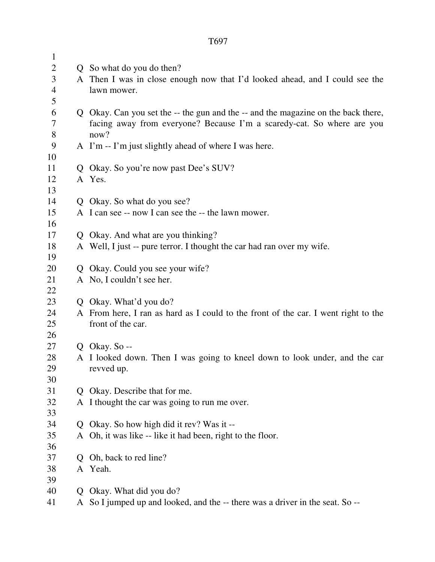| $\mathbf{1}$   |              |                                                                                          |  |
|----------------|--------------|------------------------------------------------------------------------------------------|--|
| $\overline{2}$ |              | Q So what do you do then?                                                                |  |
| 3              |              | A Then I was in close enough now that I'd looked ahead, and I could see the              |  |
| $\overline{4}$ |              | lawn mower.                                                                              |  |
| 5              |              |                                                                                          |  |
| 6              |              | Q Okay. Can you set the -- the gun and the -- and the magazine on the back there,        |  |
| 7              |              | facing away from everyone? Because I'm a scaredy-cat. So where are you                   |  |
| $8\phantom{1}$ |              | now?                                                                                     |  |
| 9              |              | A I'm -- I'm just slightly ahead of where I was here.                                    |  |
| 10             |              |                                                                                          |  |
| 11             | Q            | Okay. So you're now past Dee's SUV?                                                      |  |
| 12             |              | A Yes.                                                                                   |  |
| 13             |              |                                                                                          |  |
| 14             |              | Q Okay. So what do you see?                                                              |  |
| 15             |              | A I can see -- now I can see the -- the lawn mower.                                      |  |
| 16             |              |                                                                                          |  |
| 17             |              | Q Okay. And what are you thinking?                                                       |  |
| 18             |              | A Well, I just -- pure terror. I thought the car had ran over my wife.                   |  |
| 19             |              |                                                                                          |  |
| 20             |              | Q Okay. Could you see your wife?                                                         |  |
| 21             |              | A No, I couldn't see her.                                                                |  |
| 22             |              |                                                                                          |  |
| 23             |              | Q Okay. What'd you do?                                                                   |  |
| 24             |              | A From here, I ran as hard as I could to the front of the car. I went right to the       |  |
| 25             |              | front of the car.                                                                        |  |
| 26             |              |                                                                                          |  |
| 27             |              | Q Okay. So $-$                                                                           |  |
| 28             |              | A I looked down. Then I was going to kneel down to look under, and the car<br>revved up. |  |
| 29<br>30       |              |                                                                                          |  |
| 31             | $\mathbf{O}$ | Okay. Describe that for me.                                                              |  |
| 32             |              | A I thought the car was going to run me over.                                            |  |
| 33             |              |                                                                                          |  |
| 34             |              | Okay. So how high did it rev? Was it --                                                  |  |
| 35             |              | A Oh, it was like -- like it had been, right to the floor.                               |  |
| 36             |              |                                                                                          |  |
| 37             | O            | Oh, back to red line?                                                                    |  |
| 38             |              | A Yeah.                                                                                  |  |
| 39             |              |                                                                                          |  |
| 40             | Q            | Okay. What did you do?                                                                   |  |
| 41             | A            | So I jumped up and looked, and the -- there was a driver in the seat. So --              |  |
|                |              |                                                                                          |  |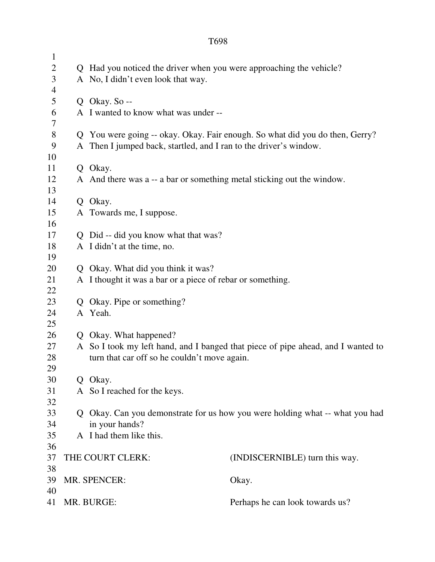| $\mathbf{1}$   |            |                                                                                                                                  |                                 |  |
|----------------|------------|----------------------------------------------------------------------------------------------------------------------------------|---------------------------------|--|
| $\overline{c}$ |            | Q Had you noticed the driver when you were approaching the vehicle?                                                              |                                 |  |
| 3              |            | A No, I didn't even look that way.                                                                                               |                                 |  |
| $\overline{4}$ |            |                                                                                                                                  |                                 |  |
| 5              |            | Q Okay. So --                                                                                                                    |                                 |  |
| 6              |            | A I wanted to know what was under --                                                                                             |                                 |  |
| 7              |            |                                                                                                                                  |                                 |  |
| $\, 8$         |            | Q You were going -- okay. Okay. Fair enough. So what did you do then, Gerry?                                                     |                                 |  |
| 9              |            | A Then I jumped back, startled, and I ran to the driver's window.                                                                |                                 |  |
| 10             |            |                                                                                                                                  |                                 |  |
| 11             |            | Q Okay.                                                                                                                          |                                 |  |
| 12             |            | A And there was a -- a bar or something metal sticking out the window.                                                           |                                 |  |
| 13             |            |                                                                                                                                  |                                 |  |
| 14             |            | Q Okay.                                                                                                                          |                                 |  |
| 15             |            | A Towards me, I suppose.                                                                                                         |                                 |  |
| 16             |            |                                                                                                                                  |                                 |  |
| 17             |            | Q Did -- did you know what that was?                                                                                             |                                 |  |
| 18             |            | A I didn't at the time, no.                                                                                                      |                                 |  |
| 19             |            |                                                                                                                                  |                                 |  |
| 20             |            | Q Okay. What did you think it was?                                                                                               |                                 |  |
| 21             |            | A I thought it was a bar or a piece of rebar or something.                                                                       |                                 |  |
| 22             |            |                                                                                                                                  |                                 |  |
| 23             | Q          | Okay. Pipe or something?                                                                                                         |                                 |  |
| 24<br>25       |            | A Yeah.                                                                                                                          |                                 |  |
| 26             |            |                                                                                                                                  |                                 |  |
| 27             |            | Q Okay. What happened?                                                                                                           |                                 |  |
| 28             |            | A So I took my left hand, and I banged that piece of pipe ahead, and I wanted to<br>turn that car off so he couldn't move again. |                                 |  |
| 29             |            |                                                                                                                                  |                                 |  |
| 30             |            | Q Okay.                                                                                                                          |                                 |  |
| 31             |            | A So I reached for the keys.                                                                                                     |                                 |  |
| 32             |            |                                                                                                                                  |                                 |  |
| 33             | O          | Okay. Can you demonstrate for us how you were holding what -- what you had                                                       |                                 |  |
| 34             |            | in your hands?                                                                                                                   |                                 |  |
| 35             |            | A I had them like this.                                                                                                          |                                 |  |
| 36             |            |                                                                                                                                  |                                 |  |
| 37             |            | THE COURT CLERK:                                                                                                                 | (INDISCERNIBLE) turn this way.  |  |
| 38             |            |                                                                                                                                  |                                 |  |
| 39             |            | MR. SPENCER:                                                                                                                     | Okay.                           |  |
| 40             |            |                                                                                                                                  |                                 |  |
| 41             | MR. BURGE: |                                                                                                                                  | Perhaps he can look towards us? |  |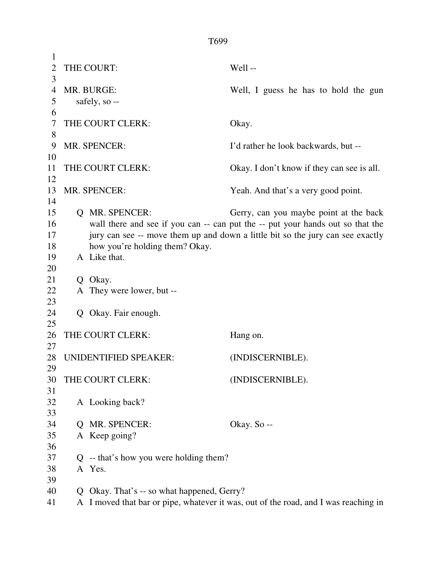| 1              |   |                                          |                                                                                     |
|----------------|---|------------------------------------------|-------------------------------------------------------------------------------------|
| $\overline{2}$ |   | THE COURT:                               | Well-                                                                               |
| 3              |   |                                          |                                                                                     |
| 4              |   | MR. BURGE:                               | Well, I guess he has to hold the gun                                                |
| 5              |   | safely, so --                            |                                                                                     |
| 6              |   |                                          |                                                                                     |
| 7              |   | THE COURT CLERK:                         | Okay.                                                                               |
| 8              |   |                                          |                                                                                     |
| 9              |   | MR. SPENCER:                             | I'd rather he look backwards, but --                                                |
| 10             |   |                                          |                                                                                     |
| 11             |   | THE COURT CLERK:                         | Okay. I don't know if they can see is all.                                          |
| 12             |   |                                          |                                                                                     |
| 13             |   | MR. SPENCER:                             | Yeah. And that's a very good point.                                                 |
| 14             |   |                                          |                                                                                     |
| 15             |   | <b>Q</b> MR. SPENCER:                    | Gerry, can you maybe point at the back                                              |
| 16             |   |                                          | wall there and see if you can -- can put the -- put your hands out so that the      |
| 17             |   |                                          | jury can see -- move them up and down a little bit so the jury can see exactly      |
| 18             |   | how you're holding them? Okay.           |                                                                                     |
| 19             |   | A Like that.                             |                                                                                     |
| 20             |   |                                          |                                                                                     |
| 21<br>22       |   | Q Okay.                                  |                                                                                     |
| 23             |   | A They were lower, but --                |                                                                                     |
| 24             |   | Q Okay. Fair enough.                     |                                                                                     |
| 25             |   |                                          |                                                                                     |
| 26             |   | THE COURT CLERK:                         | Hang on.                                                                            |
| 27             |   |                                          |                                                                                     |
| 28             |   | UNIDENTIFIED SPEAKER:                    | (INDISCERNIBLE).                                                                    |
| 29             |   |                                          |                                                                                     |
| 30             |   | THE COURT CLERK:                         | (INDISCERNIBLE).                                                                    |
| 31             |   |                                          |                                                                                     |
| 32             |   | A Looking back?                          |                                                                                     |
| 33             |   |                                          |                                                                                     |
| 34             | O | MR. SPENCER:                             | Okay. So --                                                                         |
| 35             |   | A Keep going?                            |                                                                                     |
| 36             |   |                                          |                                                                                     |
| 37             |   | $Q$ -- that's how you were holding them? |                                                                                     |
| 38             |   | A Yes.                                   |                                                                                     |
| 39             |   |                                          |                                                                                     |
| 40             | Q | Okay. That's -- so what happened, Gerry? |                                                                                     |
| 41             |   |                                          | A I moved that bar or pipe, whatever it was, out of the road, and I was reaching in |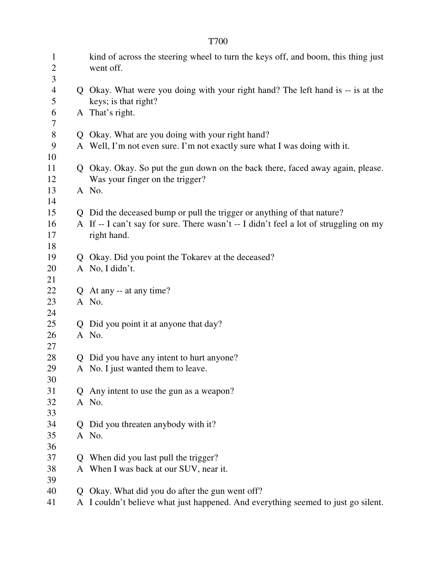| $\mathbf{1}$<br>$\overline{2}$<br>3 |              | kind of across the steering wheel to turn the keys off, and boom, this thing just<br>went off.          |  |  |
|-------------------------------------|--------------|---------------------------------------------------------------------------------------------------------|--|--|
| $\overline{\mathcal{A}}$<br>5       |              | Q Okay. What were you doing with your right hand? The left hand is -- is at the<br>keys; is that right? |  |  |
| 6<br>$\tau$                         |              | A That's right.                                                                                         |  |  |
| $8\,$                               |              | Q Okay. What are you doing with your right hand?                                                        |  |  |
| 9                                   |              | A Well, I'm not even sure. I'm not exactly sure what I was doing with it.                               |  |  |
| 10                                  |              |                                                                                                         |  |  |
| 11                                  |              | Q Okay. Okay. So put the gun down on the back there, faced away again, please.                          |  |  |
| 12                                  |              | Was your finger on the trigger?                                                                         |  |  |
| 13                                  |              | A No.                                                                                                   |  |  |
| 14                                  |              |                                                                                                         |  |  |
| 15                                  |              | Q Did the deceased bump or pull the trigger or anything of that nature?                                 |  |  |
| 16                                  |              | A If -- I can't say for sure. There wasn't -- I didn't feel a lot of struggling on my                   |  |  |
| 17                                  |              | right hand.                                                                                             |  |  |
| 18                                  |              |                                                                                                         |  |  |
| 19                                  |              | Q Okay. Did you point the Tokarev at the deceased?                                                      |  |  |
| 20                                  |              | A No, I didn't.                                                                                         |  |  |
| 21                                  |              |                                                                                                         |  |  |
| 22                                  |              | Q At any -- at any time?                                                                                |  |  |
| 23<br>24                            |              | A No.                                                                                                   |  |  |
| 25                                  |              |                                                                                                         |  |  |
| 26                                  |              | Q Did you point it at anyone that day?<br>A No.                                                         |  |  |
| 27                                  |              |                                                                                                         |  |  |
| 28                                  |              | Q Did you have any intent to hurt anyone?                                                               |  |  |
| 29                                  |              | A No. I just wanted them to leave.                                                                      |  |  |
| 30                                  |              |                                                                                                         |  |  |
| 31                                  | $\mathsf{O}$ | Any intent to use the gun as a weapon?                                                                  |  |  |
| 32                                  |              | A No.                                                                                                   |  |  |
| 33                                  |              |                                                                                                         |  |  |
| 34                                  | Q            | Did you threaten anybody with it?                                                                       |  |  |
| 35                                  |              | A No.                                                                                                   |  |  |
| 36                                  |              |                                                                                                         |  |  |
| 37                                  | Q            | When did you last pull the trigger?                                                                     |  |  |
| 38                                  |              | A When I was back at our SUV, near it.                                                                  |  |  |
| 39                                  |              |                                                                                                         |  |  |
| 40                                  | Ő            | Okay. What did you do after the gun went off?                                                           |  |  |
| 41                                  |              | A I couldn't believe what just happened. And everything seemed to just go silent.                       |  |  |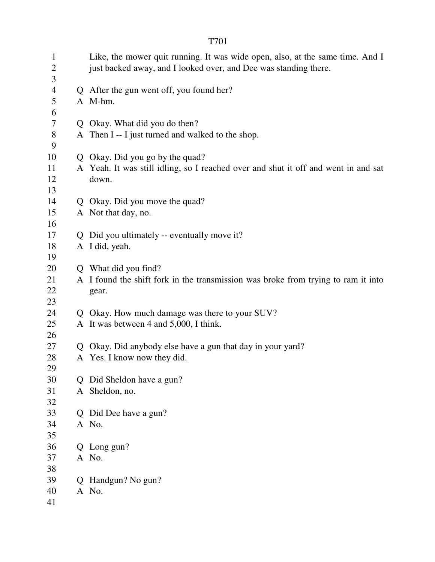| $\mathbf{1}$<br>$\mathbf{2}$<br>3 |   | Like, the mower quit running. It was wide open, also, at the same time. And I<br>just backed away, and I looked over, and Dee was standing there. |  |  |
|-----------------------------------|---|---------------------------------------------------------------------------------------------------------------------------------------------------|--|--|
| $\overline{4}$                    |   | Q After the gun went off, you found her?                                                                                                          |  |  |
| 5                                 |   | A M-hm.                                                                                                                                           |  |  |
| 6                                 |   |                                                                                                                                                   |  |  |
| 7                                 |   | Q Okay. What did you do then?                                                                                                                     |  |  |
| $8\,$                             |   | A Then I -- I just turned and walked to the shop.                                                                                                 |  |  |
| 9                                 |   |                                                                                                                                                   |  |  |
| 10                                |   | Q Okay. Did you go by the quad?                                                                                                                   |  |  |
| 11                                |   | A Yeah. It was still idling, so I reached over and shut it off and went in and sat                                                                |  |  |
| 12                                |   | down.                                                                                                                                             |  |  |
| 13                                |   |                                                                                                                                                   |  |  |
| 14                                |   | Q Okay. Did you move the quad?                                                                                                                    |  |  |
| 15                                |   | A Not that day, no.                                                                                                                               |  |  |
| 16                                |   |                                                                                                                                                   |  |  |
| 17                                |   | Q Did you ultimately -- eventually move it?                                                                                                       |  |  |
| 18                                |   | A I did, yeah.                                                                                                                                    |  |  |
| 19                                |   |                                                                                                                                                   |  |  |
| 20                                |   | Q What did you find?                                                                                                                              |  |  |
| 21                                |   | A I found the shift fork in the transmission was broke from trying to ram it into                                                                 |  |  |
| 22                                |   | gear.                                                                                                                                             |  |  |
| 23                                |   |                                                                                                                                                   |  |  |
| 24                                |   | Q Okay. How much damage was there to your SUV?                                                                                                    |  |  |
| 25                                |   | A It was between 4 and 5,000, I think.                                                                                                            |  |  |
| 26                                |   |                                                                                                                                                   |  |  |
| 27                                | Q | Okay. Did anybody else have a gun that day in your yard?                                                                                          |  |  |
| 28<br>29                          |   | A Yes. I know now they did.                                                                                                                       |  |  |
| 30                                |   | Q Did Sheldon have a gun?                                                                                                                         |  |  |
| 31                                |   | A Sheldon, no.                                                                                                                                    |  |  |
| 32                                |   |                                                                                                                                                   |  |  |
| 33                                |   | Q Did Dee have a gun?                                                                                                                             |  |  |
| 34                                |   | A No.                                                                                                                                             |  |  |
| 35                                |   |                                                                                                                                                   |  |  |
| 36                                |   | Q Long gun?                                                                                                                                       |  |  |
| 37                                |   | A No.                                                                                                                                             |  |  |
| 38                                |   |                                                                                                                                                   |  |  |
| 39                                |   | Q Handgun? No gun?                                                                                                                                |  |  |
| 40                                |   | A No.                                                                                                                                             |  |  |
| 41                                |   |                                                                                                                                                   |  |  |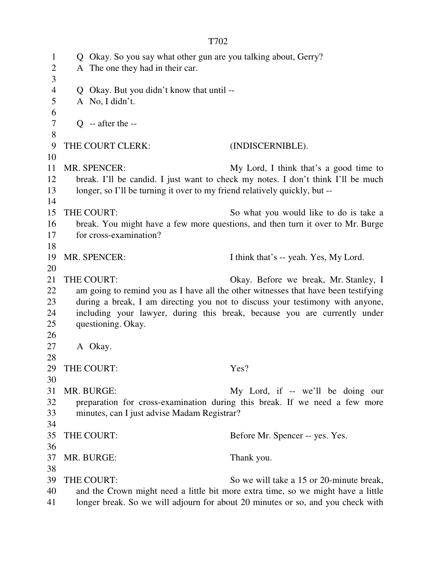1 Q Okay. So you say what other gun are you talking about, Gerry? 2 A The one they had in their car. 3 4 Q Okay. But you didn't know that until -- 5 A No, I didn't. 6  $7 \qquad Q \text{ -- after the --}$ 8 9 THE COURT CLERK: (INDISCERNIBLE). 10 11 MR. SPENCER: My Lord, I think that's a good time to 12 break. I'll be candid. I just want to check my notes. I don't think I'll be much 13 longer, so I'll be turning it over to my friend relatively quickly, but --14 15 THE COURT: So what you would like to do is take a 16 break. You might have a few more questions, and then turn it over to Mr. Burge 17 for cross-examination? 18 19 MR. SPENCER: I think that's -- yeah. Yes, My Lord. 20 21 THE COURT: Okay. Before we break, Mr. Stanley, I 22 am going to remind you as I have all the other witnesses that have been testifying 23 during a break, I am directing you not to discuss your testimony with anyone, 24 including your lawyer, during this break, because you are currently under 25 questioning. Okay. 26 27 A Okay. 28 29 THE COURT: Yes? 30 31 MR. BURGE: My Lord, if -- we'll be doing our 32 preparation for cross-examination during this break. If we need a few more 33 minutes, can I just advise Madam Registrar? 34 35 THE COURT: Before Mr. Spencer -- yes. Yes. 36 37 MR. BURGE: Thank you. 38 39 THE COURT: So we will take a 15 or 20-minute break, 40 and the Crown might need a little bit more extra time, so we might have a little 41 longer break. So we will adjourn for about 20 minutes or so, and you check with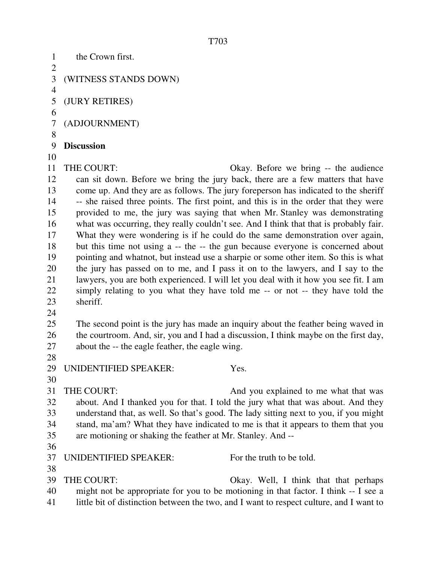1 the Crown first.  $\overline{2}$ 3 (WITNESS STANDS DOWN) 4 5 (JURY RETIRES) 6 7 (ADJOURNMENT) 8 9 **Discussion**  10 11 THE COURT: Okay. Before we bring -- the audience 12 can sit down. Before we bring the jury back, there are a few matters that have 13 come up. And they are as follows. The jury foreperson has indicated to the sheriff 14 -- she raised three points. The first point, and this is in the order that they were 15 provided to me, the jury was saying that when Mr. Stanley was demonstrating 16 what was occurring, they really couldn't see. And I think that that is probably fair. 17 What they were wondering is if he could do the same demonstration over again, 18 but this time not using a -- the -- the gun because everyone is concerned about 19 pointing and whatnot, but instead use a sharpie or some other item. So this is what 20 the jury has passed on to me, and I pass it on to the lawyers, and I say to the 21 lawyers, you are both experienced. I will let you deal with it how you see fit. I am 22 simply relating to you what they have told me -- or not -- they have told the 23 sheriff. 24 25 The second point is the jury has made an inquiry about the feather being waved in 26 the courtroom. And, sir, you and I had a discussion, I think maybe on the first day, 27 about the -- the eagle feather, the eagle wing. 28 29 UNIDENTIFIED SPEAKER: Yes. 30 31 THE COURT: And you explained to me what that was 32 about. And I thanked you for that. I told the jury what that was about. And they 33 understand that, as well. So that's good. The lady sitting next to you, if you might 34 stand, ma'am? What they have indicated to me is that it appears to them that you 35 are motioning or shaking the feather at Mr. Stanley. And -- 36 37 UNIDENTIFIED SPEAKER: For the truth to be told. 38 39 THE COURT: Okay. Well, I think that that perhaps 40 might not be appropriate for you to be motioning in that factor. I think -- I see a 41 little bit of distinction between the two, and I want to respect culture, and I want to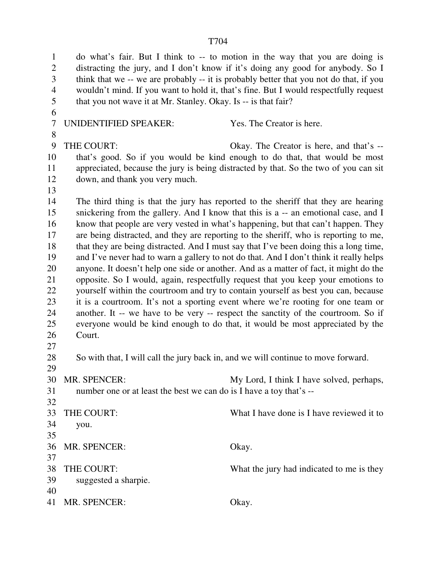1 do what's fair. But I think to -- to motion in the way that you are doing is 2 distracting the jury, and I don't know if it's doing any good for anybody. So I 3 think that we -- we are probably -- it is probably better that you not do that, if you 4 wouldn't mind. If you want to hold it, that's fine. But I would respectfully request 5 that you not wave it at Mr. Stanley. Okay. Is -- is that fair? 6 7 UNIDENTIFIED SPEAKER: Yes. The Creator is here. 8 9 THE COURT: Okay. The Creator is here, and that's -- 10 that's good. So if you would be kind enough to do that, that would be most 11 appreciated, because the jury is being distracted by that. So the two of you can sit 12 down, and thank you very much. 13 14 The third thing is that the jury has reported to the sheriff that they are hearing 15 snickering from the gallery. And I know that this is a -- an emotional case, and I 16 know that people are very vested in what's happening, but that can't happen. They 17 are being distracted, and they are reporting to the sheriff, who is reporting to me, 18 that they are being distracted. And I must say that I've been doing this a long time, 19 and I've never had to warn a gallery to not do that. And I don't think it really helps 20 anyone. It doesn't help one side or another. And as a matter of fact, it might do the 21 opposite. So I would, again, respectfully request that you keep your emotions to 22 yourself within the courtroom and try to contain yourself as best you can, because 23 it is a courtroom. It's not a sporting event where we're rooting for one team or 24 another. It -- we have to be very -- respect the sanctity of the courtroom. So if 25 everyone would be kind enough to do that, it would be most appreciated by the 26 Court. 27 28 So with that, I will call the jury back in, and we will continue to move forward. 29 30 MR. SPENCER: My Lord, I think I have solved, perhaps, 31 number one or at least the best we can do is I have a toy that's -- 32 33 THE COURT: What I have done is I have reviewed it to 34 you. 35 36 MR. SPENCER: Okay. 37 38 THE COURT: What the jury had indicated to me is they 39 suggested a sharpie. 40 41 MR. SPENCER: Okay.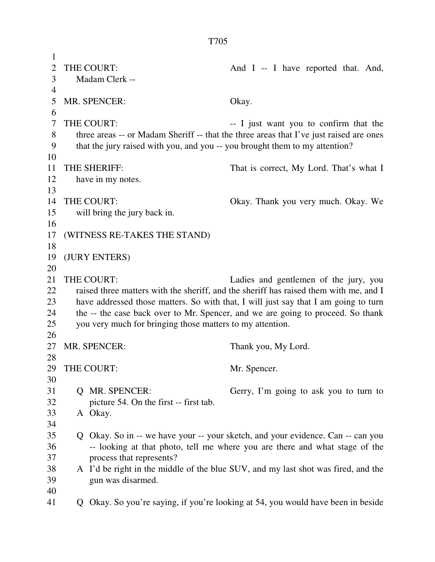1 2 THE COURT: And I -- I have reported that. And, 3 Madam Clerk -- 4 5 MR. SPENCER: Okay. 6 7 THE COURT:  $\qquad \qquad -I$  just want you to confirm that the 8 three areas -- or Madam Sheriff -- that the three areas that I've just raised are ones 9 that the jury raised with you, and you -- you brought them to my attention? 10 11 THE SHERIFF: That is correct, My Lord. That's what I 12 have in my notes. 13 14 THE COURT: Okay. Thank you very much. Okay. We 15 will bring the jury back in. 16 17 (WITNESS RE-TAKES THE STAND) 18 19 (JURY ENTERS) 20 21 THE COURT: Ladies and gentlemen of the jury, you 22 raised three matters with the sheriff, and the sheriff has raised them with me, and I 23 have addressed those matters. So with that, I will just say that I am going to turn 24 the -- the case back over to Mr. Spencer, and we are going to proceed. So thank 25 you very much for bringing those matters to my attention. 26 27 MR. SPENCER: Thank you, My Lord. 28 29 THE COURT: Mr. Spencer. 30 31 Q MR. SPENCER: Gerry, I'm going to ask you to turn to 32 picture 54. On the first -- first tab. 33 A Okay. 34 35 Q Okay. So in -- we have your -- your sketch, and your evidence. Can -- can you 36 -- looking at that photo, tell me where you are there and what stage of the 37 process that represents? 38 A I'd be right in the middle of the blue SUV, and my last shot was fired, and the

- 39 gun was disarmed.
- 40
- 41 Q Okay. So you're saying, if you're looking at 54, you would have been in beside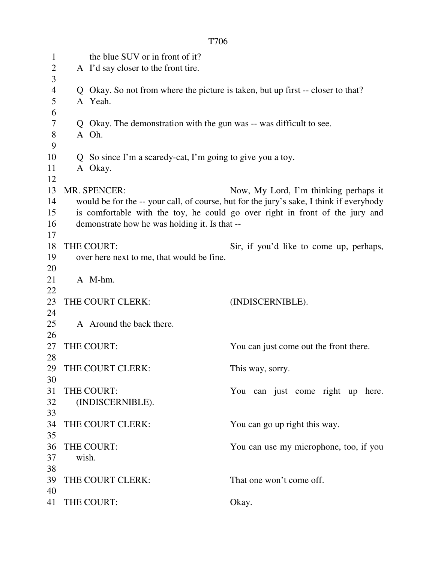|                                     |                                                                                                                                                                                                                                                                                          | T706                                                                                       |                                         |  |  |  |
|-------------------------------------|------------------------------------------------------------------------------------------------------------------------------------------------------------------------------------------------------------------------------------------------------------------------------------------|--------------------------------------------------------------------------------------------|-----------------------------------------|--|--|--|
| $\mathbf{1}$<br>$\overline{2}$<br>3 |                                                                                                                                                                                                                                                                                          | the blue SUV or in front of it?<br>A I'd say closer to the front tire.                     |                                         |  |  |  |
| $\overline{4}$<br>5                 |                                                                                                                                                                                                                                                                                          | Q Okay. So not from where the picture is taken, but up first -- closer to that?<br>A Yeah. |                                         |  |  |  |
| 6<br>7<br>8                         |                                                                                                                                                                                                                                                                                          | Q Okay. The demonstration with the gun was -- was difficult to see.<br>A Oh.               |                                         |  |  |  |
| 9<br>10<br>11<br>12                 |                                                                                                                                                                                                                                                                                          | Q So since I'm a scaredy-cat, I'm going to give you a toy.<br>A Okay.                      |                                         |  |  |  |
| 13<br>14<br>15<br>16<br>17          | <b>MR. SPENCER:</b><br>Now, My Lord, I'm thinking perhaps it<br>would be for the -- your call, of course, but for the jury's sake, I think if everybody<br>is comfortable with the toy, he could go over right in front of the jury and<br>demonstrate how he was holding it. Is that -- |                                                                                            |                                         |  |  |  |
| 18<br>19<br>20                      |                                                                                                                                                                                                                                                                                          | THE COURT:<br>over here next to me, that would be fine.                                    | Sir, if you'd like to come up, perhaps, |  |  |  |
| 21<br>22                            |                                                                                                                                                                                                                                                                                          | A M-hm.                                                                                    |                                         |  |  |  |
| 23<br>24                            |                                                                                                                                                                                                                                                                                          | THE COURT CLERK:                                                                           | (INDISCERNIBLE).                        |  |  |  |
| 25<br>26                            |                                                                                                                                                                                                                                                                                          | A Around the back there.                                                                   |                                         |  |  |  |
| 27<br>28                            |                                                                                                                                                                                                                                                                                          | THE COURT:                                                                                 | You can just come out the front there.  |  |  |  |
| 29<br>30                            |                                                                                                                                                                                                                                                                                          | THE COURT CLERK:                                                                           | This way, sorry.                        |  |  |  |
| 31<br>32<br>33                      |                                                                                                                                                                                                                                                                                          | THE COURT:<br>(INDISCERNIBLE).                                                             | You can just come right up here.        |  |  |  |
| 34<br>35                            |                                                                                                                                                                                                                                                                                          | THE COURT CLERK:                                                                           | You can go up right this way.           |  |  |  |
| 36<br>37<br>38                      | wish.                                                                                                                                                                                                                                                                                    | THE COURT:                                                                                 | You can use my microphone, too, if you  |  |  |  |
| 39<br>40                            |                                                                                                                                                                                                                                                                                          | THE COURT CLERK:                                                                           | That one won't come off.                |  |  |  |
| 41                                  |                                                                                                                                                                                                                                                                                          | THE COURT:                                                                                 | Okay.                                   |  |  |  |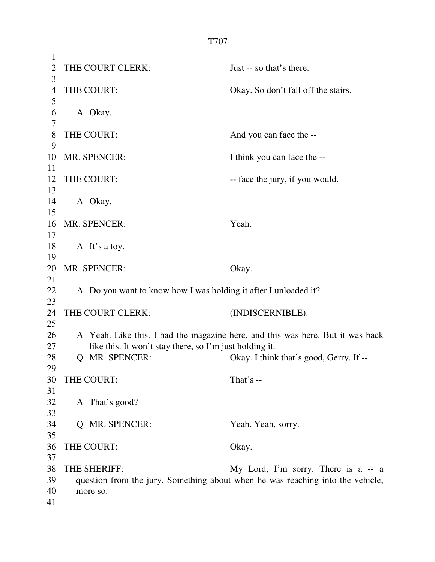1 2 THE COURT CLERK: Just -- so that's there. 3 4 THE COURT: Okay. So don't fall off the stairs. 5 6 A Okay. 7 8 THE COURT: And you can face the --9 10 MR. SPENCER: I think you can face the --11 12 THE COURT: -- face the jury, if you would. 13 14 A Okay. 15 16 MR. SPENCER: Yeah. 17 18 A It's a toy. 19 20 MR. SPENCER: Okay. 21 22 A Do you want to know how I was holding it after I unloaded it? 23 24 THE COURT CLERK: (INDISCERNIBLE). 25 26 A Yeah. Like this. I had the magazine here, and this was here. But it was back 27 like this. It won't stay there, so I'm just holding it. 28 O MR. SPENCER: Okay. I think that's good, Gerry. If --29 30 THE COURT: That's --31 32 A That's good? 33 34 Q MR. SPENCER: Yeah. Yeah, sorry. 35 36 THE COURT: Okay. 37 38 THE SHERIFF: My Lord, I'm sorry. There is a -- a 39 question from the jury. Something about when he was reaching into the vehicle, 40 more so. 41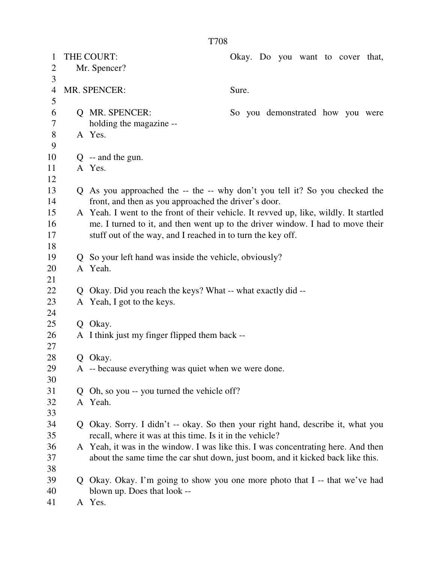| 1              | THE COURT:   |                                                             | Okay. Do you want to cover that,                                                      |
|----------------|--------------|-------------------------------------------------------------|---------------------------------------------------------------------------------------|
| $\overline{2}$ | Mr. Spencer? |                                                             |                                                                                       |
| 3              |              |                                                             |                                                                                       |
| 4              |              | MR. SPENCER:                                                | Sure.                                                                                 |
| 5              |              |                                                             |                                                                                       |
| 6              |              | Q MR. SPENCER:                                              | So you demonstrated how you were                                                      |
| 7              |              | holding the magazine --                                     |                                                                                       |
| $8\,$          |              | A Yes.                                                      |                                                                                       |
| 9              |              |                                                             |                                                                                       |
| 10             |              | $Q$ -- and the gun.                                         |                                                                                       |
| 11             |              | A Yes.                                                      |                                                                                       |
| 12             |              |                                                             |                                                                                       |
| 13             |              |                                                             | Q As you approached the -- the -- why don't you tell it? So you checked the           |
| 14             |              | front, and then as you approached the driver's door.        |                                                                                       |
| 15             |              |                                                             | A Yeah. I went to the front of their vehicle. It revved up, like, wildly. It startled |
| 16             |              |                                                             | me. I turned to it, and then went up to the driver window. I had to move their        |
| 17             |              | stuff out of the way, and I reached in to turn the key off. |                                                                                       |
| 18             |              |                                                             |                                                                                       |
| 19             |              | Q So your left hand was inside the vehicle, obviously?      |                                                                                       |
| 20             |              | A Yeah.                                                     |                                                                                       |
| 21             |              |                                                             |                                                                                       |
| 22             | Q            | Okay. Did you reach the keys? What -- what exactly did --   |                                                                                       |
| 23             |              | A Yeah, I got to the keys.                                  |                                                                                       |
| 24             |              |                                                             |                                                                                       |
| 25             |              | Q Okay.                                                     |                                                                                       |
| 26             |              | A I think just my finger flipped them back --               |                                                                                       |
| 27             |              |                                                             |                                                                                       |
| 28             |              | Q Okay.                                                     |                                                                                       |
| 29             |              | A -- because everything was quiet when we were done.        |                                                                                       |
| 30             |              |                                                             |                                                                                       |
| 31             | Q.           | Oh, so you -- you turned the vehicle off?                   |                                                                                       |
| 32             |              | A Yeah.                                                     |                                                                                       |
| 33             |              |                                                             |                                                                                       |
| 34             |              |                                                             | Q Okay. Sorry. I didn't -- okay. So then your right hand, describe it, what you       |
| 35             |              | recall, where it was at this time. Is it in the vehicle?    |                                                                                       |
| 36             |              |                                                             | A Yeah, it was in the window. I was like this. I was concentrating here. And then     |
| 37             |              |                                                             | about the same time the car shut down, just boom, and it kicked back like this.       |
| 38             |              |                                                             |                                                                                       |
| 39             |              |                                                             | Q Okay. Okay. I'm going to show you one more photo that I -- that we've had           |
| 40             |              | blown up. Does that look --                                 |                                                                                       |
| 41             |              | A Yes.                                                      |                                                                                       |
|                |              |                                                             |                                                                                       |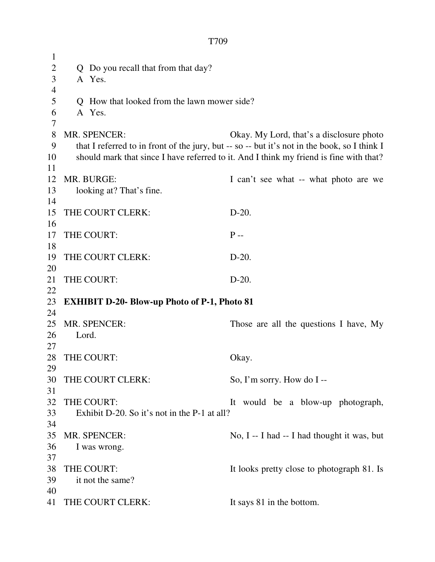| $\mathbf{1}$   |       |                                                     |                                                                                              |
|----------------|-------|-----------------------------------------------------|----------------------------------------------------------------------------------------------|
| $\mathbf{2}$   |       | Q Do you recall that from that day?                 |                                                                                              |
| 3              |       | A Yes.                                              |                                                                                              |
| $\overline{4}$ |       |                                                     |                                                                                              |
| 5              |       | Q How that looked from the lawn mower side?         |                                                                                              |
| 6              |       | A Yes.                                              |                                                                                              |
| 7              |       |                                                     |                                                                                              |
| 8              |       | <b>MR. SPENCER:</b>                                 | Okay. My Lord, that's a disclosure photo                                                     |
| 9              |       |                                                     | that I referred to in front of the jury, but -- so -- but it's not in the book, so I think I |
| 10             |       |                                                     | should mark that since I have referred to it. And I think my friend is fine with that?       |
| 11             |       |                                                     |                                                                                              |
| 12             |       | MR. BURGE:                                          | I can't see what -- what photo are we                                                        |
| 13             |       | looking at? That's fine.                            |                                                                                              |
| 14             |       |                                                     |                                                                                              |
| 15             |       | THE COURT CLERK:                                    | $D-20.$                                                                                      |
| 16             |       |                                                     |                                                                                              |
| 17             |       | THE COURT:                                          | $P -$                                                                                        |
| 18             |       |                                                     |                                                                                              |
| 19             |       | THE COURT CLERK:                                    | $D-20.$                                                                                      |
| 20             |       |                                                     |                                                                                              |
| 21             |       | THE COURT:                                          | $D-20.$                                                                                      |
| 22             |       |                                                     |                                                                                              |
| 23             |       | <b>EXHIBIT D-20- Blow-up Photo of P-1, Photo 81</b> |                                                                                              |
| 24             |       |                                                     |                                                                                              |
| 25             |       | <b>MR. SPENCER:</b>                                 | Those are all the questions I have, My                                                       |
| 26             | Lord. |                                                     |                                                                                              |
| 27             |       |                                                     |                                                                                              |
| 28             |       | THE COURT:                                          | Okay.                                                                                        |
| 29             |       |                                                     |                                                                                              |
| 30             |       | THE COURT CLERK:                                    | So, I'm sorry. How do I --                                                                   |
| 31             |       |                                                     |                                                                                              |
| 32             |       | THE COURT:                                          | It would be a blow-up photograph,                                                            |
| 33             |       | Exhibit D-20. So it's not in the P-1 at all?        |                                                                                              |
| 34             |       |                                                     |                                                                                              |
| 35             |       | MR. SPENCER:                                        | No, I -- I had -- I had thought it was, but                                                  |
| 36             |       | I was wrong.                                        |                                                                                              |
| 37             |       |                                                     |                                                                                              |
| 38             |       | THE COURT:                                          | It looks pretty close to photograph 81. Is                                                   |
| 39             |       | it not the same?                                    |                                                                                              |
| 40             |       |                                                     |                                                                                              |
| 41             |       | THE COURT CLERK:                                    | It says 81 in the bottom.                                                                    |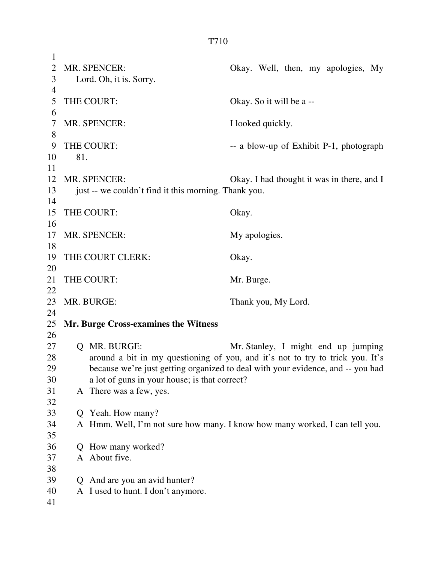| 1              |                                                      |                                                                                 |
|----------------|------------------------------------------------------|---------------------------------------------------------------------------------|
| $\overline{2}$ | MR. SPENCER:                                         | Okay. Well, then, my apologies, My                                              |
| 3              | Lord. Oh, it is. Sorry.                              |                                                                                 |
| $\overline{4}$ |                                                      |                                                                                 |
| 5              | THE COURT:                                           | Okay. So it will be a --                                                        |
| 6              |                                                      |                                                                                 |
| 7              | MR. SPENCER:                                         | I looked quickly.                                                               |
| $8\,$          |                                                      |                                                                                 |
| 9              | THE COURT:                                           | -- a blow-up of Exhibit P-1, photograph                                         |
| 10             | 81.                                                  |                                                                                 |
| 11             |                                                      |                                                                                 |
| 12             | MR. SPENCER:                                         | Okay. I had thought it was in there, and I                                      |
| 13             | just -- we couldn't find it this morning. Thank you. |                                                                                 |
| 14             |                                                      |                                                                                 |
| 15             | THE COURT:                                           | Okay.                                                                           |
| 16             |                                                      |                                                                                 |
| 17             | MR. SPENCER:                                         | My apologies.                                                                   |
| 18             |                                                      |                                                                                 |
| 19             | THE COURT CLERK:                                     | Okay.                                                                           |
| 20             |                                                      |                                                                                 |
| 21             | THE COURT:                                           | Mr. Burge.                                                                      |
| 22             |                                                      |                                                                                 |
| 23             | MR. BURGE:                                           | Thank you, My Lord.                                                             |
| 24             |                                                      |                                                                                 |
| 25             | Mr. Burge Cross-examines the Witness                 |                                                                                 |
| 26             |                                                      |                                                                                 |
| 27             | O MR. BURGE:                                         | Mr. Stanley, I might end up jumping                                             |
| 28             |                                                      | around a bit in my questioning of you, and it's not to try to trick you. It's   |
| 29             |                                                      | because we're just getting organized to deal with your evidence, and -- you had |
| 30             | a lot of guns in your house; is that correct?        |                                                                                 |
| 31             | A There was a few, yes.                              |                                                                                 |
| 32             |                                                      |                                                                                 |
| 33             | Q Yeah. How many?                                    |                                                                                 |
| 34             |                                                      | A Hmm. Well, I'm not sure how many. I know how many worked, I can tell you.     |
| 35             |                                                      |                                                                                 |
| 36             | How many worked?<br>Q                                |                                                                                 |
| 37             | A About five.                                        |                                                                                 |
| 38             |                                                      |                                                                                 |
| 39             | And are you an avid hunter?<br>Q                     |                                                                                 |
| 40             | A I used to hunt. I don't anymore.                   |                                                                                 |
| 41             |                                                      |                                                                                 |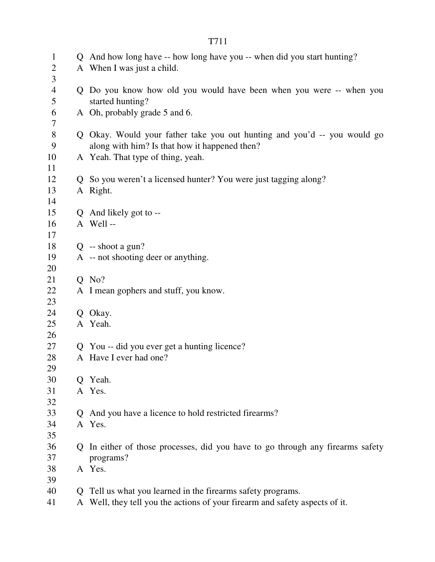| $\mathbf{1}$<br>2   |              | Q And how long have -- how long have you -- when did you start hunting?<br>A When I was just a child.                     |
|---------------------|--------------|---------------------------------------------------------------------------------------------------------------------------|
| 3                   |              |                                                                                                                           |
| $\overline{4}$<br>5 |              | Q Do you know how old you would have been when you were -- when you<br>started hunting?                                   |
| 6<br>7              |              | A Oh, probably grade 5 and 6.                                                                                             |
| $8\,$<br>9          |              | Q Okay. Would your father take you out hunting and you'd -- you would go<br>along with him? Is that how it happened then? |
| 10<br>11            |              | A Yeah. That type of thing, yeah.                                                                                         |
| 12                  |              | Q So you weren't a licensed hunter? You were just tagging along?                                                          |
| 13<br>14            |              | A Right.                                                                                                                  |
| 15                  |              | Q And likely got to --                                                                                                    |
| 16                  |              | A Well-                                                                                                                   |
| 17                  |              |                                                                                                                           |
| 18                  |              | $Q$ -- shoot a gun?                                                                                                       |
| 19<br>20            |              | A -- not shooting deer or anything.                                                                                       |
| 21                  |              | $Q$ No?                                                                                                                   |
| 22<br>23            |              | A I mean gophers and stuff, you know.                                                                                     |
| 24                  |              | Q Okay.                                                                                                                   |
| 25<br>26            |              | A Yeah.                                                                                                                   |
| 27                  |              | Q You -- did you ever get a hunting licence?                                                                              |
| 28                  |              | A Have I ever had one?                                                                                                    |
| 29                  |              |                                                                                                                           |
| 30                  | O.           | Yeah.                                                                                                                     |
| 31                  |              | A Yes.                                                                                                                    |
| 32                  |              |                                                                                                                           |
| 33                  | $\mathbf O$  | And you have a licence to hold restricted firearms?                                                                       |
| 34<br>35            |              | A Yes.                                                                                                                    |
| 36                  | $\mathbf{O}$ | In either of those processes, did you have to go through any firearms safety                                              |
| 37                  |              | programs?                                                                                                                 |
| 38                  |              | A Yes.                                                                                                                    |
| 39                  |              |                                                                                                                           |
| 40                  | $\Omega$     | Tell us what you learned in the firearms safety programs.                                                                 |
| 41                  | A            | Well, they tell you the actions of your firearm and safety aspects of it.                                                 |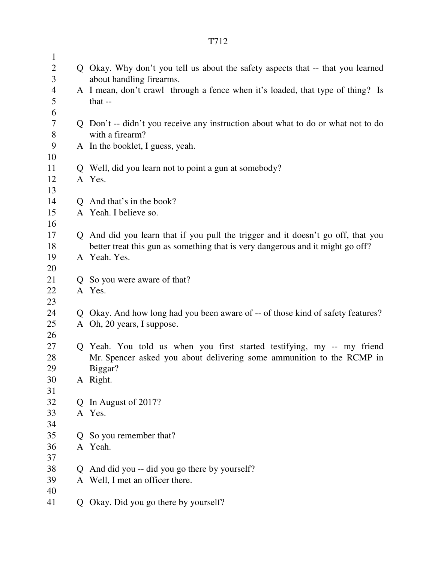| $\mathbf{1}$   |                |                                                                                  |
|----------------|----------------|----------------------------------------------------------------------------------|
| $\overline{2}$ |                | Q Okay. Why don't you tell us about the safety aspects that -- that you learned  |
| 3              |                | about handling firearms.                                                         |
| $\overline{4}$ |                | A I mean, don't crawl through a fence when it's loaded, that type of thing? Is   |
| 5              |                | that $-$                                                                         |
| 6              |                |                                                                                  |
| $\overline{7}$ |                | Q Don't -- didn't you receive any instruction about what to do or what not to do |
| 8              |                | with a firearm?                                                                  |
| 9              |                | A In the booklet, I guess, yeah.                                                 |
| 10             |                |                                                                                  |
| 11             |                | Q Well, did you learn not to point a gun at somebody?                            |
| 12             |                | A Yes.                                                                           |
| 13             |                |                                                                                  |
| 14             |                | Q And that's in the book?                                                        |
| 15             |                | A Yeah. I believe so.                                                            |
| 16             |                |                                                                                  |
| 17             |                | Q And did you learn that if you pull the trigger and it doesn't go off, that you |
| 18             |                | better treat this gun as something that is very dangerous and it might go off?   |
| 19             |                | A Yeah. Yes.                                                                     |
| 20             |                |                                                                                  |
| 21             |                | Q So you were aware of that?                                                     |
| 22             |                | A Yes.                                                                           |
| 23             |                |                                                                                  |
| 24             |                | Q Okay. And how long had you been aware of -- of those kind of safety features?  |
| 25             |                | A Oh, 20 years, I suppose.                                                       |
| 26             |                |                                                                                  |
| 27             |                | Q Yeah. You told us when you first started testifying, my -- my friend           |
| 28<br>29       |                | Mr. Spencer asked you about delivering some ammunition to the RCMP in            |
| 30             |                | Biggar?<br>A Right.                                                              |
| 31             |                |                                                                                  |
| 32             | $\mathbf{Q}$   | In August of 2017?                                                               |
| 33             |                | A Yes.                                                                           |
| 34             |                |                                                                                  |
| 35             | Q.             | So you remember that?                                                            |
| 36             |                | A Yeah.                                                                          |
| 37             |                |                                                                                  |
| 38             | $\overline{O}$ | And did you -- did you go there by yourself?                                     |
| 39             |                | A Well, I met an officer there.                                                  |
| 40             |                |                                                                                  |
| 41             | Q              | Okay. Did you go there by yourself?                                              |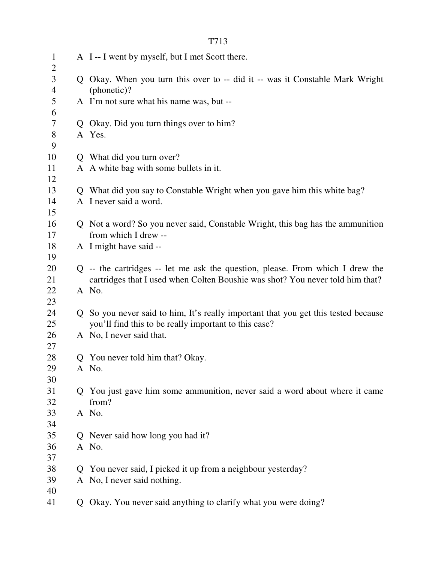| $\mathbf{1}$<br>$\overline{2}$ |              | A I -- I went by myself, but I met Scott there.                                                                                             |
|--------------------------------|--------------|---------------------------------------------------------------------------------------------------------------------------------------------|
| 3<br>$\overline{4}$            |              | Q Okay. When you turn this over to -- did it -- was it Constable Mark Wright<br>(phonetic)?                                                 |
| 5<br>6                         |              | A I'm not sure what his name was, but --                                                                                                    |
| $\tau$                         |              | Q Okay. Did you turn things over to him?                                                                                                    |
| $8\,$<br>9                     |              | A Yes.                                                                                                                                      |
| 10                             |              | Q What did you turn over?                                                                                                                   |
| 11<br>12                       |              | A A white bag with some bullets in it.                                                                                                      |
| 13                             |              | Q What did you say to Constable Wright when you gave him this white bag?                                                                    |
| 14<br>15                       |              | A I never said a word.                                                                                                                      |
| 16<br>17                       |              | Q Not a word? So you never said, Constable Wright, this bag has the ammunition<br>from which I drew --                                      |
| 18<br>19                       |              | A I might have said --                                                                                                                      |
| 20                             |              | Q -- the cartridges -- let me ask the question, please. From which I drew the                                                               |
| 21                             |              | cartridges that I used when Colten Boushie was shot? You never told him that?                                                               |
| 22<br>23                       |              | A No.                                                                                                                                       |
| 24<br>25                       |              | Q So you never said to him, It's really important that you get this tested because<br>you'll find this to be really important to this case? |
| 26<br>27                       |              | A No, I never said that.                                                                                                                    |
| 28                             |              | Q You never told him that? Okay.                                                                                                            |
| 29<br>30                       |              | A No.                                                                                                                                       |
| 31<br>32                       | Q.           | You just gave him some ammunition, never said a word about where it came<br>from?                                                           |
| 33<br>34                       |              | A No.                                                                                                                                       |
| 35                             |              | Q Never said how long you had it?                                                                                                           |
| 36<br>37                       |              | A No.                                                                                                                                       |
| 38                             | $\mathbf{O}$ | You never said, I picked it up from a neighbour yesterday?                                                                                  |
| 39<br>40                       |              | A No, I never said nothing.                                                                                                                 |
| 41                             | Q            | Okay. You never said anything to clarify what you were doing?                                                                               |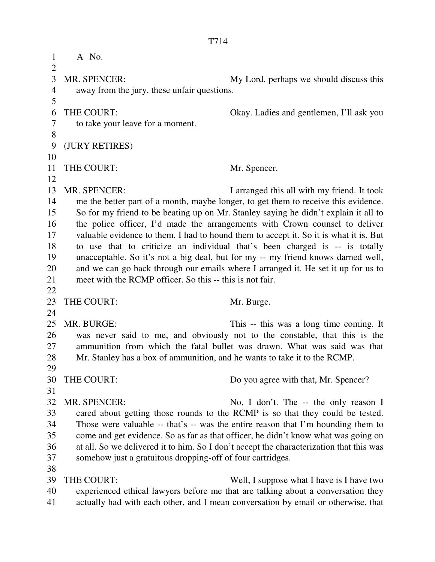1 A No.  $\overline{2}$ 3 MR. SPENCER: My Lord, perhaps we should discuss this 4 away from the jury, these unfair questions. 5 6 THE COURT: Okay. Ladies and gentlemen, I'll ask you 7 to take your leave for a moment. 8 9 (JURY RETIRES) 10 11 THE COURT: Mr. Spencer. 12 13 MR. SPENCER: I arranged this all with my friend. It took 14 me the better part of a month, maybe longer, to get them to receive this evidence. 15 So for my friend to be beating up on Mr. Stanley saying he didn't explain it all to 16 the police officer, I'd made the arrangements with Crown counsel to deliver 17 valuable evidence to them. I had to hound them to accept it. So it is what it is. But 18 to use that to criticize an individual that's been charged is -- is totally 19 unacceptable. So it's not a big deal, but for my -- my friend knows darned well, 20 and we can go back through our emails where I arranged it. He set it up for us to 21 meet with the RCMP officer. So this -- this is not fair. 22 23 THE COURT: Mr. Burge. 24 25 MR. BURGE: This -- this was a long time coming. It 26 was never said to me, and obviously not to the constable, that this is the 27 ammunition from which the fatal bullet was drawn. What was said was that 28 Mr. Stanley has a box of ammunition, and he wants to take it to the RCMP. 29 30 THE COURT: Do you agree with that, Mr. Spencer? 31 32 MR. SPENCER: No, I don't. The -- the only reason I 33 cared about getting those rounds to the RCMP is so that they could be tested. 34 Those were valuable -- that's -- was the entire reason that I'm hounding them to 35 come and get evidence. So as far as that officer, he didn't know what was going on 36 at all. So we delivered it to him. So I don't accept the characterization that this was 37 somehow just a gratuitous dropping-off of four cartridges. 38 39 THE COURT: Well, I suppose what I have is I have two 40 experienced ethical lawyers before me that are talking about a conversation they 41 actually had with each other, and I mean conversation by email or otherwise, that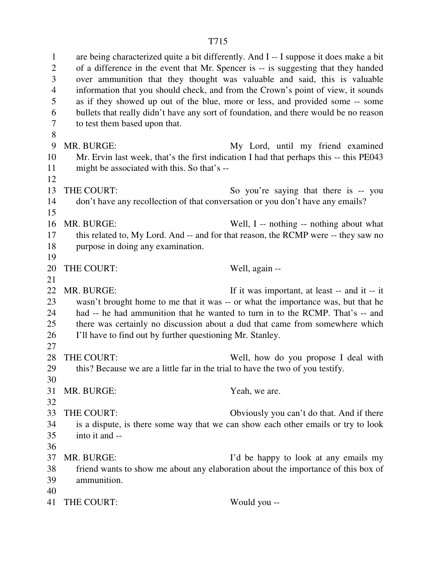1 are being characterized quite a bit differently. And I -- I suppose it does make a bit 2 of a difference in the event that Mr. Spencer is -- is suggesting that they handed 3 over ammunition that they thought was valuable and said, this is valuable 4 information that you should check, and from the Crown's point of view, it sounds 5 as if they showed up out of the blue, more or less, and provided some -- some 6 bullets that really didn't have any sort of foundation, and there would be no reason 7 to test them based upon that. 8 9 MR. BURGE: My Lord, until my friend examined 10 Mr. Ervin last week, that's the first indication I had that perhaps this -- this PE043 11 might be associated with this. So that's -- 12 13 THE COURT: So you're saying that there is -- you 14 don't have any recollection of that conversation or you don't have any emails? 15 16 MR. BURGE: Well, I -- nothing -- nothing about what 17 this related to, My Lord. And -- and for that reason, the RCMP were -- they saw no 18 purpose in doing any examination. 19 20 THE COURT: Well, again --21 22 MR. BURGE: If it was important, at least -- and it -- it

- 23 wasn't brought home to me that it was -- or what the importance was, but that he 24 had -- he had ammunition that he wanted to turn in to the RCMP. That's -- and 25 there was certainly no discussion about a dud that came from somewhere which 26 I'll have to find out by further questioning Mr. Stanley.
- 27
- 28 THE COURT: Well, how do you propose I deal with 29 this? Because we are a little far in the trial to have the two of you testify.
- 30 31 MR. BURGE: Yeah, we are.
- 32
- 33 THE COURT: Obviously you can't do that. And if there 34 is a dispute, is there some way that we can show each other emails or try to look 35 into it and --
- 36
- 37 MR. BURGE: I'd be happy to look at any emails my 38 friend wants to show me about any elaboration about the importance of this box of 39 ammunition. 40
- 41 THE COURT: Would you --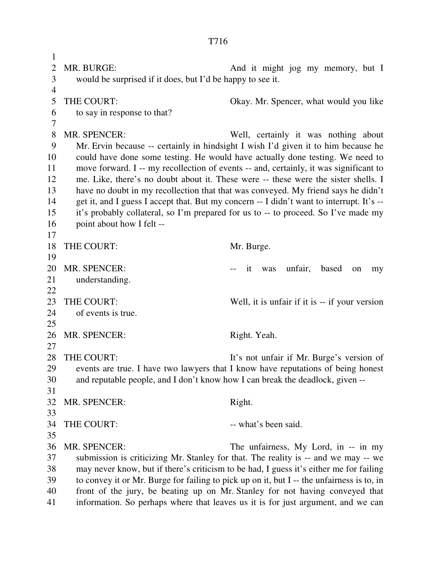1 2 MR. BURGE: And it might jog my memory, but I 3 would be surprised if it does, but I'd be happy to see it. 4 5 THE COURT: Okay. Mr. Spencer, what would you like 6 to say in response to that? 7 8 MR. SPENCER: Well, certainly it was nothing about 9 Mr. Ervin because -- certainly in hindsight I wish I'd given it to him because he 10 could have done some testing. He would have actually done testing. We need to 11 move forward. I -- my recollection of events -- and, certainly, it was significant to 12 me. Like, there's no doubt about it. These were -- these were the sister shells. I 13 have no doubt in my recollection that that was conveyed. My friend says he didn't 14 get it, and I guess I accept that. But my concern -- I didn't want to interrupt. It's -- 15 it's probably collateral, so I'm prepared for us to -- to proceed. So I've made my 16 point about how I felt -- 17 18 THE COURT: Mr. Burge. 19 20 MR. SPENCER:  $\qquad \qquad \text{if} \quad \text{was} \quad \text{unfair}, \quad \text{based} \quad \text{on} \quad \text{my}$ 21 understanding. 22 23 THE COURT: Well, it is unfair if it is -- if your version 24 of events is true. 25 26 MR. SPENCER: Right. Yeah. 27 28 THE COURT: It's not unfair if Mr. Burge's version of 29 events are true. I have two lawyers that I know have reputations of being honest 30 and reputable people, and I don't know how I can break the deadlock, given -- 31 32 MR. SPENCER: Right. 33 34 THE COURT: -- what's been said. 35 36 MR. SPENCER: The unfairness, My Lord, in -- in my 37 submission is criticizing Mr. Stanley for that. The reality is -- and we may -- we 38 may never know, but if there's criticism to be had, I guess it's either me for failing 39 to convey it or Mr. Burge for failing to pick up on it, but I -- the unfairness is to, in 40 front of the jury, be beating up on Mr. Stanley for not having conveyed that 41 information. So perhaps where that leaves us it is for just argument, and we can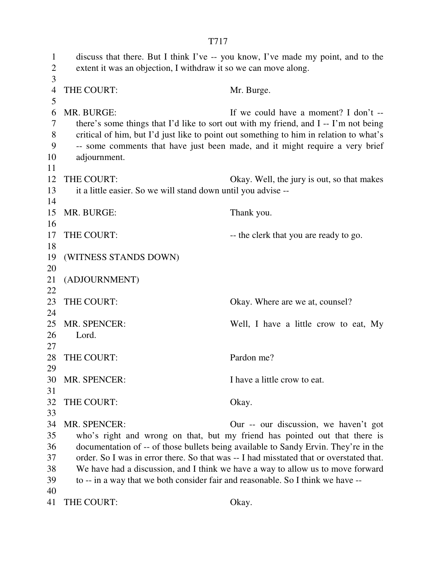T717 1 discuss that there. But I think I've -- you know, I've made my point, and to the 2 extent it was an objection, I withdraw it so we can move along. 3 4 THE COURT: Mr. Burge. 5 6 MR. BURGE: If we could have a moment? I don't -- 7 there's some things that I'd like to sort out with my friend, and I -- I'm not being 8 critical of him, but I'd just like to point out something to him in relation to what's 9 -- some comments that have just been made, and it might require a very brief 10 adjournment. 11 12 THE COURT: Okay. Well, the jury is out, so that makes 13 it a little easier. So we will stand down until you advise -- 14 15 MR. BURGE: Thank you. 16 17 THE COURT: -- the clerk that you are ready to go. 18 19 (WITNESS STANDS DOWN) 20 21 (ADJOURNMENT) 22 23 THE COURT: Okay. Where are we at, counsel? 24 25 MR. SPENCER: Well, I have a little crow to eat, My 26 Lord. 27 28 THE COURT: Pardon me? 29 30 MR. SPENCER: I have a little crow to eat. 31 32 THE COURT: Okay. 33 34 MR. SPENCER: Our -- our discussion, we haven't got 35 who's right and wrong on that, but my friend has pointed out that there is 36 documentation of -- of those bullets being available to Sandy Ervin. They're in the 37 order. So I was in error there. So that was -- I had misstated that or overstated that. 38 We have had a discussion, and I think we have a way to allow us to move forward 39 to -- in a way that we both consider fair and reasonable. So I think we have -- 40 41 THE COURT: Okay.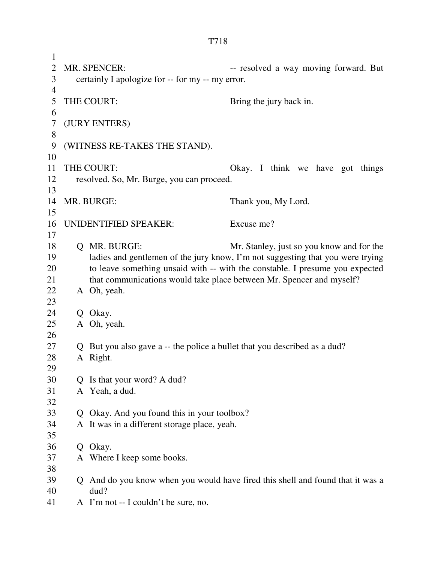1 2 MR. SPENCER: -- resolved a way moving forward. But 3 certainly I apologize for -- for my -- my error. 4 5 THE COURT: Bring the jury back in. 6 7 (JURY ENTERS) 8 9 (WITNESS RE-TAKES THE STAND). 10 11 THE COURT: Okay. I think we have got things 12 resolved. So, Mr. Burge, you can proceed. 13 14 MR. BURGE: Thank you, My Lord. 15 16 UNIDENTIFIED SPEAKER: Excuse me? 17 18 Q MR. BURGE: Mr. Stanley, just so you know and for the 19 ladies and gentlemen of the jury know, I'm not suggesting that you were trying 20 to leave something unsaid with -- with the constable. I presume you expected 21 that communications would take place between Mr. Spencer and myself? 22 A Oh, yeah. 23 24 Q Okay. 25 A Oh, yeah. 26 27 Q But you also gave a -- the police a bullet that you described as a dud? 28 A Right. 29 30 Q Is that your word? A dud? 31 A Yeah, a dud. 32 33 Q Okay. And you found this in your toolbox? 34 A It was in a different storage place, yeah. 35 36 Q Okay. 37 A Where I keep some books. 38 39 Q And do you know when you would have fired this shell and found that it was a 40 dud? 41 A I'm not -- I couldn't be sure, no.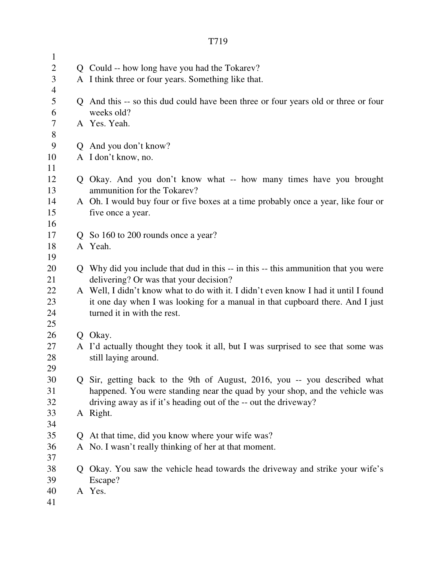| $\mathbf{1}$             |                                                                                     |
|--------------------------|-------------------------------------------------------------------------------------|
| $\overline{2}$           | Q Could -- how long have you had the Tokarev?                                       |
| 3                        | A I think three or four years. Something like that.                                 |
| $\overline{\mathcal{A}}$ |                                                                                     |
| 5                        | Q And this -- so this dud could have been three or four years old or three or four  |
| 6                        | weeks old?                                                                          |
| $\overline{7}$           | A Yes. Yeah.                                                                        |
| $8\,$                    |                                                                                     |
| 9                        | Q And you don't know?                                                               |
| 10                       | A I don't know, no.                                                                 |
| 11                       |                                                                                     |
| 12                       | Q Okay. And you don't know what -- how many times have you brought                  |
| 13                       | ammunition for the Tokarev?                                                         |
| 14                       | A Oh. I would buy four or five boxes at a time probably once a year, like four or   |
| 15                       | five once a year.                                                                   |
| 16                       |                                                                                     |
| 17                       | Q So 160 to 200 rounds once a year?                                                 |
| 18                       | A Yeah.                                                                             |
| 19                       |                                                                                     |
| 20                       | Q Why did you include that dud in this -- in this -- this ammunition that you were  |
| 21                       | delivering? Or was that your decision?                                              |
| 22                       | A Well, I didn't know what to do with it. I didn't even know I had it until I found |
| 23                       | it one day when I was looking for a manual in that cupboard there. And I just       |
| 24                       | turned it in with the rest.                                                         |
| 25                       |                                                                                     |
| 26                       | O Okay.                                                                             |
| 27                       | A I'd actually thought they took it all, but I was surprised to see that some was   |
| 28                       | still laying around.                                                                |
| 29<br>30                 | Q Sir, getting back to the 9th of August, 2016, you -- you described what           |
| 31                       | happened. You were standing near the quad by your shop, and the vehicle was         |
| 32                       | driving away as if it's heading out of the -- out the driveway?                     |
| 33                       | A Right.                                                                            |
| 34                       |                                                                                     |
| 35                       | Q At that time, did you know where your wife was?                                   |
| 36                       | A No. I wasn't really thinking of her at that moment.                               |
| 37                       |                                                                                     |
| 38                       | Okay. You saw the vehicle head towards the driveway and strike your wife's          |
| 39                       | Escape?                                                                             |
| 40                       | A Yes.                                                                              |
| 41                       |                                                                                     |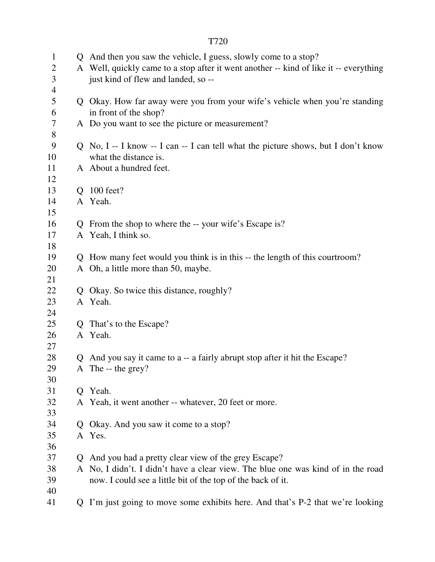| $\mathbf{1}$   |    | Q And then you saw the vehicle, I guess, slowly come to a stop?                       |
|----------------|----|---------------------------------------------------------------------------------------|
| $\overline{c}$ |    | A Well, quickly came to a stop after it went another -- kind of like it -- everything |
| 3              |    | just kind of flew and landed, so --                                                   |
| $\overline{4}$ |    |                                                                                       |
| 5              |    | Q Okay. How far away were you from your wife's vehicle when you're standing           |
| 6              |    | in front of the shop?                                                                 |
| $\tau$         |    | A Do you want to see the picture or measurement?                                      |
| $8\,$          |    |                                                                                       |
| 9              |    | Q No, I -- I know -- I can -- I can tell what the picture shows, but I don't know     |
| 10             |    | what the distance is.                                                                 |
| 11             |    | A About a hundred feet.                                                               |
| 12             |    |                                                                                       |
| 13             |    | Q 100 feet?                                                                           |
| 14             |    | A Yeah.                                                                               |
| 15             |    |                                                                                       |
| 16             |    | Q From the shop to where the -- your wife's Escape is?                                |
| 17             |    | A Yeah, I think so.                                                                   |
| 18             |    |                                                                                       |
| 19             |    | Q How many feet would you think is in this -- the length of this courtroom?           |
| 20             |    | A Oh, a little more than 50, maybe.                                                   |
| 21             |    |                                                                                       |
| 22             |    | Q Okay. So twice this distance, roughly?                                              |
| 23             |    | A Yeah.                                                                               |
| 24             |    |                                                                                       |
| 25             |    | Q That's to the Escape?                                                               |
| 26             |    | A Yeah.                                                                               |
| 27             |    |                                                                                       |
| 28             | Q  | And you say it came to a -- a fairly abrupt stop after it hit the Escape?             |
| 29             |    | A The $-$ the grey?                                                                   |
| 30             |    |                                                                                       |
| 31             |    | Q Yeah.                                                                               |
| 32             |    | A Yeah, it went another -- whatever, 20 feet or more.                                 |
| 33             |    |                                                                                       |
| 34             |    | Q Okay. And you saw it come to a stop?                                                |
| 35             |    | A Yes.                                                                                |
| 36             |    |                                                                                       |
| 37             | Q. | And you had a pretty clear view of the grey Escape?                                   |
| 38             |    | A No, I didn't. I didn't have a clear view. The blue one was kind of in the road      |
| 39             |    | now. I could see a little bit of the top of the back of it.                           |
| 40             |    |                                                                                       |
| 41             | Q  | I'm just going to move some exhibits here. And that's P-2 that we're looking          |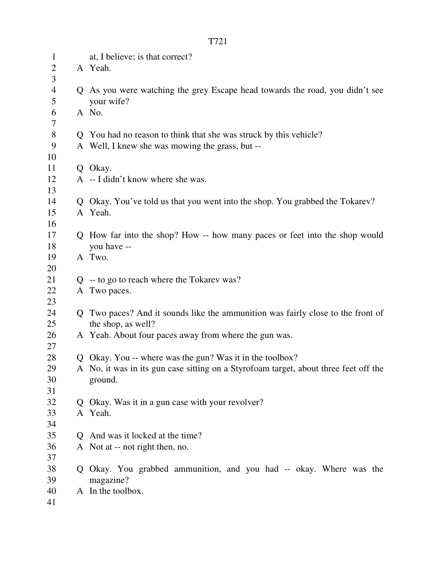| $\mathbf{1}$   | at, I believe; is that correct?                                                      |
|----------------|--------------------------------------------------------------------------------------|
| $\overline{2}$ | A Yeah.                                                                              |
| 3              |                                                                                      |
| $\overline{4}$ | Q As you were watching the grey Escape head towards the road, you didn't see         |
| 5              | your wife?                                                                           |
| 6              | A No.                                                                                |
| 7              |                                                                                      |
| 8              | Q You had no reason to think that she was struck by this vehicle?                    |
| 9              | A Well, I knew she was mowing the grass, but --                                      |
| 10             |                                                                                      |
| 11             | Q Okay.                                                                              |
| 12             | A -- I didn't know where she was.                                                    |
| 13             |                                                                                      |
| 14             | Q Okay. You've told us that you went into the shop. You grabbed the Tokarev?         |
| 15             | A Yeah.                                                                              |
| 16             |                                                                                      |
| 17             | Q How far into the shop? How -- how many paces or feet into the shop would           |
| 18             | you have --                                                                          |
| 19             | A Two.                                                                               |
| 20<br>21       |                                                                                      |
| 22             | $Q$ -- to go to reach where the Tokarev was?<br>A Two paces.                         |
| 23             |                                                                                      |
| 24             | Q Two paces? And it sounds like the ammunition was fairly close to the front of      |
| 25             | the shop, as well?                                                                   |
| 26             | A Yeah. About four paces away from where the gun was.                                |
| 27             |                                                                                      |
| 28             | Q Okay. You -- where was the gun? Was it in the toolbox?                             |
| 29             | A No, it was in its gun case sitting on a Styrofoam target, about three feet off the |
| 30             | ground.                                                                              |
| 31             |                                                                                      |
| 32             | Q Okay. Was it in a gun case with your revolver?                                     |
| 33             | A Yeah.                                                                              |
| 34             |                                                                                      |
| 35             | Q And was it locked at the time?                                                     |
| 36             | A Not at -- not right then, no.                                                      |
| 37             |                                                                                      |
| 38             | Q Okay. You grabbed ammunition, and you had -- okay. Where was the                   |
| 39             | magazine?                                                                            |
| 40             | A In the toolbox.                                                                    |
| 41             |                                                                                      |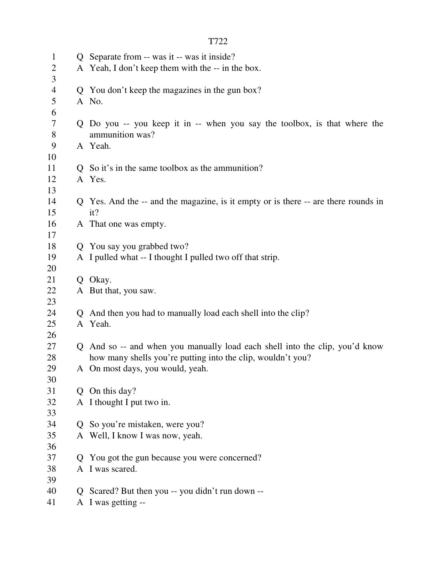| $\mathbf{1}$   |                | Q Separate from -- was it -- was it inside?                                        |
|----------------|----------------|------------------------------------------------------------------------------------|
| $\overline{2}$ |                | A Yeah, I don't keep them with the -- in the box.                                  |
| $\overline{3}$ |                |                                                                                    |
| $\overline{4}$ |                | Q You don't keep the magazines in the gun box?                                     |
| $\mathfrak{S}$ |                | A No.                                                                              |
| 6              |                |                                                                                    |
| 7              |                | Q Do you -- you keep it in -- when you say the toolbox, is that where the          |
| $8\,$          |                | ammunition was?                                                                    |
| 9              |                | A Yeah.                                                                            |
| 10             |                |                                                                                    |
| 11             |                | Q So it's in the same toolbox as the ammunition?                                   |
| 12             |                | A Yes.                                                                             |
| 13             |                |                                                                                    |
| 14             |                | Q Yes. And the -- and the magazine, is it empty or is there -- are there rounds in |
| 15             |                | it?                                                                                |
| 16             |                | A That one was empty.                                                              |
| 17             |                |                                                                                    |
| 18             |                | Q You say you grabbed two?                                                         |
| 19             |                | A I pulled what -- I thought I pulled two off that strip.                          |
| 20             |                |                                                                                    |
| 21             |                | Q Okay.                                                                            |
| 22             |                | A But that, you saw.                                                               |
| 23             |                |                                                                                    |
| 24             |                | Q And then you had to manually load each shell into the clip?                      |
| 25             |                | A Yeah.                                                                            |
| 26             |                |                                                                                    |
| 27             |                | Q And so -- and when you manually load each shell into the clip, you'd know        |
| 28             |                | how many shells you're putting into the clip, wouldn't you?                        |
| 29             |                | A On most days, you would, yeah.                                                   |
| 30             |                |                                                                                    |
| 31             |                | Q On this day?                                                                     |
| 32             |                | A I thought I put two in.                                                          |
| 33             |                |                                                                                    |
| 34             | $\overline{O}$ | So you're mistaken, were you?                                                      |
| 35             |                | A Well, I know I was now, yeah.                                                    |
| 36             |                |                                                                                    |
| 37             | Q              | You got the gun because you were concerned?                                        |
| 38             |                | A I was scared.                                                                    |
| 39             |                |                                                                                    |
| 40             |                | Q Scared? But then you -- you didn't run down --                                   |
| 41             |                | A I was getting --                                                                 |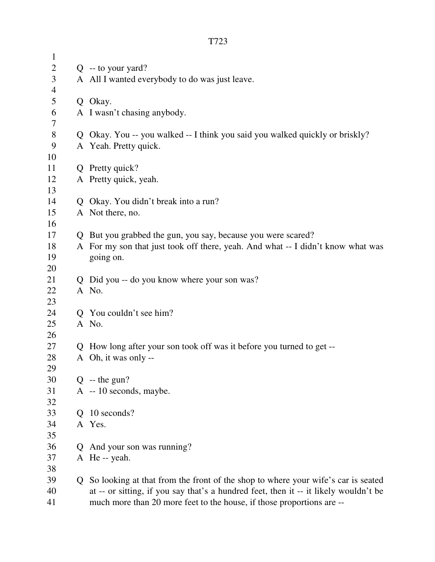| $\mathbf{1}$   |             |                                                                                      |
|----------------|-------------|--------------------------------------------------------------------------------------|
| $\mathbf{2}$   |             | $Q -$ to your yard?                                                                  |
| 3              |             | A All I wanted everybody to do was just leave.                                       |
| $\overline{4}$ |             |                                                                                      |
| 5              |             | Q Okay.                                                                              |
| 6              |             | A I wasn't chasing anybody.                                                          |
| $\tau$         |             |                                                                                      |
| $8\,$          |             | Q Okay. You -- you walked -- I think you said you walked quickly or briskly?         |
| 9              |             | A Yeah. Pretty quick.                                                                |
| 10             |             |                                                                                      |
| 11             |             | Q Pretty quick?                                                                      |
| 12             |             | A Pretty quick, yeah.                                                                |
| 13             |             |                                                                                      |
| 14             |             | Q Okay. You didn't break into a run?                                                 |
| 15             |             | A Not there, no.                                                                     |
| 16             |             |                                                                                      |
| 17             |             | Q But you grabbed the gun, you say, because you were scared?                         |
| 18             |             | A For my son that just took off there, yeah. And what -- I didn't know what was      |
| 19             |             | going on.                                                                            |
| 20             |             |                                                                                      |
| 21             |             | Q Did you -- do you know where your son was?                                         |
| 22             |             | A No.                                                                                |
| 23             |             |                                                                                      |
| 24             |             | Q You couldn't see him?                                                              |
| 25             |             | A No.                                                                                |
| 26             |             |                                                                                      |
| 27             |             | Q How long after your son took off was it before you turned to get --                |
| 28             |             | A Oh, it was only --                                                                 |
| 29             |             |                                                                                      |
| 30             |             | $Q$ -- the gun?                                                                      |
| 31             |             | A -- 10 seconds, maybe.                                                              |
| 32             |             |                                                                                      |
| 33             | $\mathbf O$ | 10 seconds?                                                                          |
| 34             |             | A Yes.                                                                               |
| 35             |             |                                                                                      |
| 36             | Q           | And your son was running?                                                            |
| 37             |             | A He -- yeah.                                                                        |
| 38             |             |                                                                                      |
| 39             | Q.          | So looking at that from the front of the shop to where your wife's car is seated     |
| 40             |             | at -- or sitting, if you say that's a hundred feet, then it -- it likely wouldn't be |
| 41             |             | much more than 20 more feet to the house, if those proportions are --                |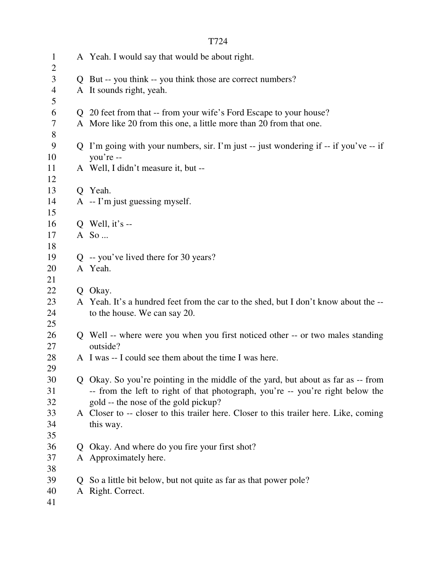| $\mathbf{1}$                     |              | A Yeah. I would say that would be about right.                                        |
|----------------------------------|--------------|---------------------------------------------------------------------------------------|
| $\overline{2}$<br>$\mathfrak{Z}$ |              | Q But -- you think -- you think those are correct numbers?                            |
| $\overline{4}$                   |              | A It sounds right, yeah.                                                              |
| 5                                |              |                                                                                       |
| 6                                |              | Q 20 feet from that -- from your wife's Ford Escape to your house?                    |
| $\tau$                           |              | A More like 20 from this one, a little more than 20 from that one.                    |
| $8\,$                            |              |                                                                                       |
| 9                                |              | Q I'm going with your numbers, sir. I'm just -- just wondering if -- if you've -- if  |
| 10                               |              | you're --                                                                             |
| 11                               |              | A Well, I didn't measure it, but --                                                   |
| 12                               |              |                                                                                       |
| 13                               |              | Q Yeah.                                                                               |
| 14                               |              | $A - I'm$ just guessing myself.                                                       |
| 15                               |              |                                                                                       |
| 16                               |              | Q Well, it's $-$                                                                      |
| 17                               |              | A So                                                                                  |
| 18                               |              |                                                                                       |
| 19                               |              | $Q -$ you've lived there for 30 years?                                                |
| 20                               |              | A Yeah.                                                                               |
| 21                               |              |                                                                                       |
| 22                               |              | Q Okay.                                                                               |
| 23                               |              | A Yeah. It's a hundred feet from the car to the shed, but I don't know about the --   |
| 24                               |              | to the house. We can say 20.                                                          |
| 25<br>26                         |              | Q Well -- where were you when you first noticed other -- or two males standing        |
| 27                               |              | outside?                                                                              |
| 28                               |              | A I was -- I could see them about the time I was here.                                |
| 29                               |              |                                                                                       |
| 30                               |              | Q Okay. So you're pointing in the middle of the yard, but about as far as -- from     |
| 31                               |              | -- from the left to right of that photograph, you're -- you're right below the        |
| 32                               |              | gold -- the nose of the gold pickup?                                                  |
| 33                               |              | A Closer to -- closer to this trailer here. Closer to this trailer here. Like, coming |
| 34                               |              | this way.                                                                             |
| 35                               |              |                                                                                       |
| 36                               | $\mathbf{O}$ | Okay. And where do you fire your first shot?                                          |
| 37                               |              | A Approximately here.                                                                 |
| 38                               |              |                                                                                       |
| 39                               | O.           | So a little bit below, but not quite as far as that power pole?                       |
| 40                               |              | A Right. Correct.                                                                     |
| 41                               |              |                                                                                       |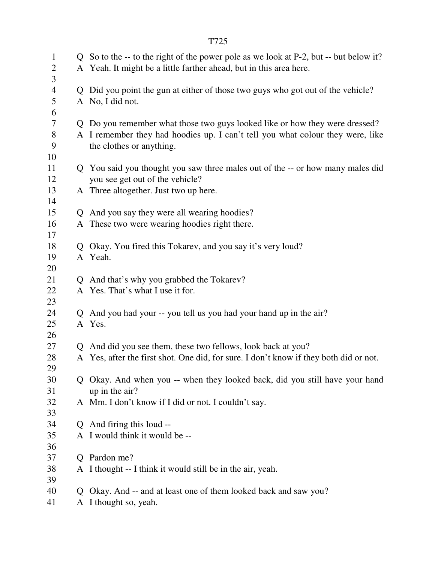| $\mathbf{1}$   |             | Q So to the -- to the right of the power pole as we look at P-2, but -- but below it?                      |
|----------------|-------------|------------------------------------------------------------------------------------------------------------|
| $\overline{2}$ |             | A Yeah. It might be a little farther ahead, but in this area here.                                         |
| 3              |             |                                                                                                            |
| $\overline{4}$ | Q           | Did you point the gun at either of those two guys who got out of the vehicle?                              |
| 5              |             | A No, I did not.                                                                                           |
| 6              |             |                                                                                                            |
| 7              |             | Q Do you remember what those two guys looked like or how they were dressed?                                |
| 8<br>9         |             | A I remember they had hoodies up. I can't tell you what colour they were, like<br>the clothes or anything. |
| 10             |             |                                                                                                            |
| 11             |             | Q You said you thought you saw three males out of the -- or how many males did                             |
| 12             |             | you see get out of the vehicle?                                                                            |
| 13             |             | A Three altogether. Just two up here.                                                                      |
| 14             |             |                                                                                                            |
| 15             | Q           | And you say they were all wearing hoodies?                                                                 |
| 16             |             | A These two were wearing hoodies right there.                                                              |
| 17<br>18       | $Q_{\perp}$ | Okay. You fired this Tokarev, and you say it's very loud?                                                  |
| 19             |             | A Yeah.                                                                                                    |
| 20             |             |                                                                                                            |
| 21             |             | Q And that's why you grabbed the Tokarev?                                                                  |
| 22             |             | A Yes. That's what I use it for.                                                                           |
| 23             |             |                                                                                                            |
| 24             |             | And you had your -- you tell us you had your hand up in the air?                                           |
| 25             |             | A Yes.                                                                                                     |
| 26             |             |                                                                                                            |
| 27             | Q           | And did you see them, these two fellows, look back at you?                                                 |
| 28             |             | A Yes, after the first shot. One did, for sure. I don't know if they both did or not.                      |
| 29             |             |                                                                                                            |
| 30             |             | Q Okay. And when you -- when they looked back, did you still have your hand                                |
| 31             |             | up in the air?                                                                                             |
| 32             |             | A Mm. I don't know if I did or not. I couldn't say.                                                        |
| 33             |             |                                                                                                            |
| 34             |             | Q And firing this loud --                                                                                  |
| 35             |             | A I would think it would be --                                                                             |
| 36             |             |                                                                                                            |
| 37             | O           | Pardon me?                                                                                                 |
| 38             |             | A I thought -- I think it would still be in the air, yeah.                                                 |
| 39             |             |                                                                                                            |
| 40             | $\mathbf O$ | Okay. And -- and at least one of them looked back and saw you?                                             |
| 41             | A           | I thought so, yeah.                                                                                        |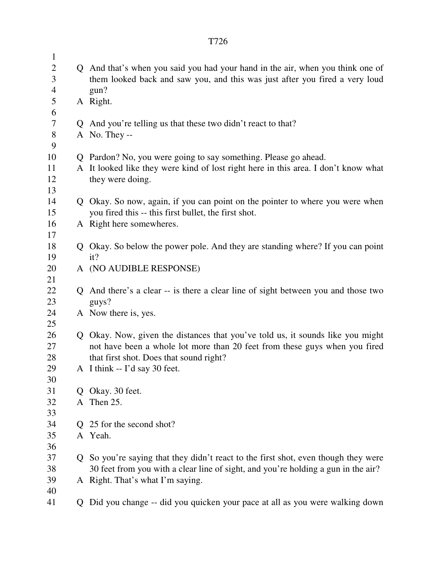|--|

| $\mathbf{1}$   |              |                                                                                    |
|----------------|--------------|------------------------------------------------------------------------------------|
| $\overline{2}$ |              | Q And that's when you said you had your hand in the air, when you think one of     |
| 3              |              | them looked back and saw you, and this was just after you fired a very loud        |
| 4              |              | gun?                                                                               |
| 5              |              | A Right.                                                                           |
| 6              |              |                                                                                    |
| 7              |              | Q And you're telling us that these two didn't react to that?                       |
| 8<br>9         |              | A No. They --                                                                      |
| 10             |              | Q Pardon? No, you were going to say something. Please go ahead.                    |
| 11             |              | A It looked like they were kind of lost right here in this area. I don't know what |
| 12             |              | they were doing.                                                                   |
| 13             |              |                                                                                    |
| 14             |              | Q Okay. So now, again, if you can point on the pointer to where you were when      |
| 15             |              | you fired this -- this first bullet, the first shot.                               |
| 16             |              | A Right here somewheres.                                                           |
| 17             |              |                                                                                    |
| 18             |              | Q Okay. So below the power pole. And they are standing where? If you can point     |
| 19             |              | it?                                                                                |
| 20             |              | A (NO AUDIBLE RESPONSE)                                                            |
| 21             |              |                                                                                    |
| 22             | $\mathbf{Q}$ | And there's a clear -- is there a clear line of sight between you and those two    |
| 23             |              | guys?                                                                              |
| 24             |              | A Now there is, yes.                                                               |
| 25             |              |                                                                                    |
| 26             |              | Q Okay. Now, given the distances that you've told us, it sounds like you might     |
| 27             |              | not have been a whole lot more than 20 feet from these guys when you fired         |
| 28<br>29       |              | that first shot. Does that sound right?<br>A I think -- I'd say 30 feet.           |
| 30             |              |                                                                                    |
| 31             | Q            | Okay. 30 feet.                                                                     |
| 32             | A            | Then 25.                                                                           |
| 33             |              |                                                                                    |
| 34             |              | 25 for the second shot?                                                            |
| 35             |              | A Yeah.                                                                            |
| 36             |              |                                                                                    |
| 37             |              | Q So you're saying that they didn't react to the first shot, even though they were |
| 38             |              | 30 feet from you with a clear line of sight, and you're holding a gun in the air?  |
| 39             |              | A Right. That's what I'm saying.                                                   |
| 40             |              |                                                                                    |
| 41             |              | Q Did you change -- did you quicken your pace at all as you were walking down      |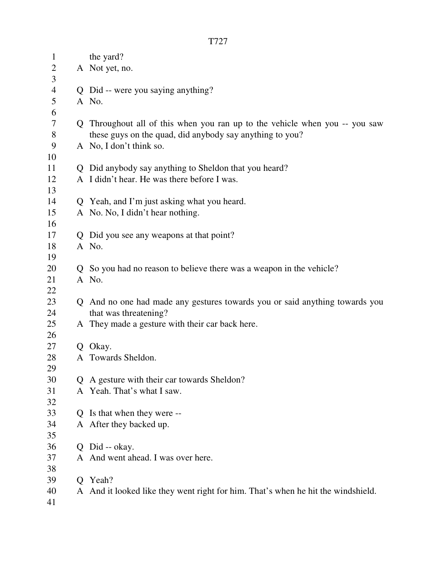| $\mathbf{1}$   |    | the yard?                                                                        |
|----------------|----|----------------------------------------------------------------------------------|
| $\overline{c}$ |    | A Not yet, no.                                                                   |
| 3              |    |                                                                                  |
| $\overline{4}$ |    | Q Did -- were you saying anything?                                               |
| 5              |    | A No.                                                                            |
| 6              |    |                                                                                  |
| $\tau$         |    | Q Throughout all of this when you ran up to the vehicle when you -- you saw      |
| 8              |    | these guys on the quad, did anybody say anything to you?                         |
| 9              |    | A No, I don't think so.                                                          |
| 10             |    |                                                                                  |
| 11             |    | Q Did anybody say anything to Sheldon that you heard?                            |
| 12             |    | A I didn't hear. He was there before I was.                                      |
| 13             |    |                                                                                  |
| 14             |    | Q Yeah, and I'm just asking what you heard.                                      |
| 15             |    | A No. No, I didn't hear nothing.                                                 |
| 16             |    |                                                                                  |
| 17             |    | Q Did you see any weapons at that point?                                         |
| 18             |    | A No.                                                                            |
| 19             |    |                                                                                  |
| 20             |    | Q So you had no reason to believe there was a weapon in the vehicle?             |
| 21             |    | A No.                                                                            |
| 22             |    |                                                                                  |
| 23             |    | Q And no one had made any gestures towards you or said anything towards you      |
| 24             |    | that was threatening?                                                            |
| 25             |    | A They made a gesture with their car back here.                                  |
| 26             |    |                                                                                  |
| 27             |    | Q Okay.                                                                          |
| 28             |    | A Towards Sheldon.                                                               |
| 29             |    |                                                                                  |
| 30             | Q  | A gesture with their car towards Sheldon?                                        |
| 31             |    | A Yeah. That's what I saw.                                                       |
| 32             |    |                                                                                  |
| 33             | Q. | Is that when they were --                                                        |
| 34             |    | A After they backed up.                                                          |
| 35             |    |                                                                                  |
| 36             | Q  | Did -- okay.                                                                     |
| 37             |    | A And went ahead. I was over here.                                               |
| 38             |    |                                                                                  |
| 39             | Q. | Yeah?                                                                            |
| 40             |    | A And it looked like they went right for him. That's when he hit the windshield. |
| 41             |    |                                                                                  |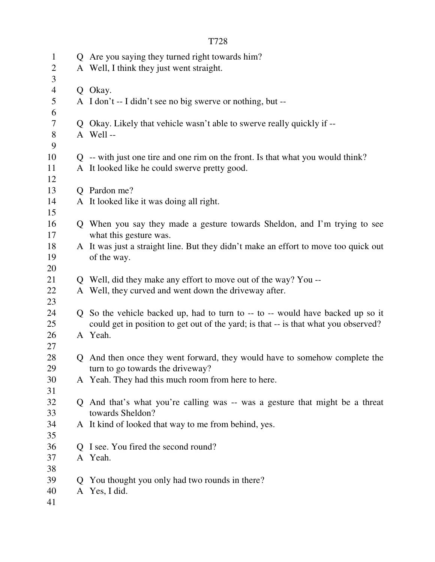|                          |              | T728                                                                                |
|--------------------------|--------------|-------------------------------------------------------------------------------------|
| $\mathbf{1}$             |              | Q Are you saying they turned right towards him?                                     |
| $\overline{2}$<br>3      |              | A Well, I think they just went straight.                                            |
| $\overline{4}$           |              | Q Okay.                                                                             |
| 5<br>6                   |              | A I don't -- I didn't see no big swerve or nothing, but --                          |
| $\overline{\mathcal{L}}$ |              | Q Okay. Likely that vehicle wasn't able to swerve really quickly if --              |
| 8                        |              | A Well-                                                                             |
| 9                        |              |                                                                                     |
| 10                       |              | Q -- with just one tire and one rim on the front. Is that what you would think?     |
| 11                       |              | A It looked like he could swerve pretty good.                                       |
| 12                       |              |                                                                                     |
| 13                       |              | Q Pardon me?                                                                        |
| 14                       |              | A It looked like it was doing all right.                                            |
| 15                       |              |                                                                                     |
| 16                       |              | Q When you say they made a gesture towards Sheldon, and I'm trying to see           |
| 17                       |              | what this gesture was.                                                              |
| 18                       |              | A It was just a straight line. But they didn't make an effort to move too quick out |
| 19                       |              | of the way.                                                                         |
| 20<br>21                 |              | Q Well, did they make any effort to move out of the way? You --                     |
| 22                       |              | A Well, they curved and went down the driveway after.                               |
| 23                       |              |                                                                                     |
| 24                       |              | Q So the vehicle backed up, had to turn to -- to -- would have backed up so it      |
| 25                       |              | could get in position to get out of the yard; is that -- is that what you observed? |
| 26                       |              | A Yeah.                                                                             |
| 27                       |              |                                                                                     |
| 28                       |              | Q And then once they went forward, they would have to somehow complete the          |
| 29                       |              | turn to go towards the driveway?                                                    |
| 30                       |              | A Yeah. They had this much room from here to here.                                  |
| 31                       |              |                                                                                     |
| 32                       |              | Q And that's what you're calling was -- was a gesture that might be a threat        |
| 33                       |              | towards Sheldon?                                                                    |
| 34                       |              | A It kind of looked that way to me from behind, yes.                                |
| 35                       |              |                                                                                     |
| 36                       | $\mathbf{O}$ | I see. You fired the second round?                                                  |
| 37                       |              | A Yeah.                                                                             |
| 38                       |              |                                                                                     |
| 39                       | $\mathbf{O}$ | You thought you only had two rounds in there?                                       |
| 40                       |              | A Yes, I did.                                                                       |
| 41                       |              |                                                                                     |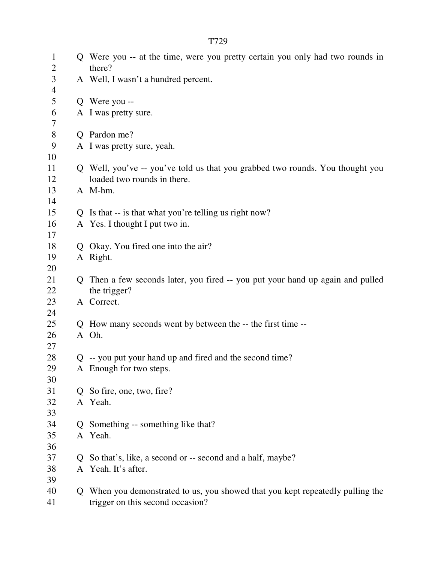| $\mathbf{1}$<br>$\overline{2}$ |              | Q Were you -- at the time, were you pretty certain you only had two rounds in<br>there? |
|--------------------------------|--------------|-----------------------------------------------------------------------------------------|
| 3                              |              | A Well, I wasn't a hundred percent.                                                     |
| $\overline{4}$                 |              |                                                                                         |
| 5                              |              | Q Were you --                                                                           |
| 6                              |              | A I was pretty sure.                                                                    |
| 7                              |              |                                                                                         |
| $8\,$                          |              | Q Pardon me?                                                                            |
| 9                              |              | A I was pretty sure, yeah.                                                              |
| 10                             |              |                                                                                         |
| 11                             |              | Q Well, you've -- you've told us that you grabbed two rounds. You thought you           |
| 12                             |              | loaded two rounds in there.                                                             |
| 13                             |              | A M-hm.                                                                                 |
| 14                             |              |                                                                                         |
| 15                             |              | Q Is that -- is that what you're telling us right now?                                  |
| 16                             |              | A Yes. I thought I put two in.                                                          |
| 17                             |              |                                                                                         |
| 18                             |              | Q Okay. You fired one into the air?                                                     |
| 19                             |              | A Right.                                                                                |
| 20                             |              |                                                                                         |
| 21                             | Q            | Then a few seconds later, you fired -- you put your hand up again and pulled            |
| 22                             |              | the trigger?                                                                            |
| 23                             |              | A Correct.                                                                              |
| 24                             |              |                                                                                         |
| 25                             |              | Q How many seconds went by between the -- the first time --                             |
| 26                             |              | A Oh.                                                                                   |
| 27                             |              |                                                                                         |
| 28                             |              | Q -- you put your hand up and fired and the second time?                                |
| 29                             |              | A Enough for two steps.                                                                 |
| 30<br>31                       |              | So fire, one, two, fire?                                                                |
| 32                             | O.           | A Yeah.                                                                                 |
| 33                             |              |                                                                                         |
| 34                             | O            | Something -- something like that?                                                       |
| 35                             |              | A Yeah.                                                                                 |
| 36                             |              |                                                                                         |
| 37                             | $\mathbf{O}$ | So that's, like, a second or -- second and a half, maybe?                               |
| 38                             |              | A Yeah. It's after.                                                                     |
| 39                             |              |                                                                                         |
| 40                             | Q.           | When you demonstrated to us, you showed that you kept repeatedly pulling the            |
| 41                             |              | trigger on this second occasion?                                                        |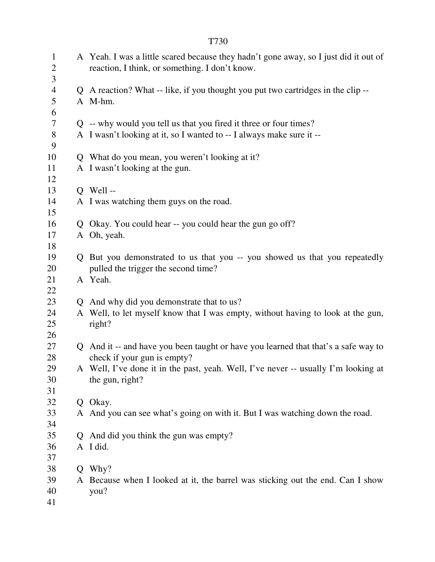| $\mathbf{1}$<br>$\overline{2}$<br>3 | A Yeah. I was a little scared because they hadn't gone away, so I just did it out of<br>reaction, I think, or something. I don't know. |
|-------------------------------------|----------------------------------------------------------------------------------------------------------------------------------------|
| $\overline{4}$                      | Q A reaction? What -- like, if you thought you put two cartridges in the clip --                                                       |
| 5                                   | A M-hm.                                                                                                                                |
| 6                                   |                                                                                                                                        |
| $\overline{7}$                      | Q -- why would you tell us that you fired it three or four times?                                                                      |
| $8\,$                               | A I wasn't looking at it, so I wanted to -- I always make sure it --                                                                   |
| 9                                   |                                                                                                                                        |
| 10                                  | Q What do you mean, you weren't looking at it?                                                                                         |
| 11                                  | A I wasn't looking at the gun.                                                                                                         |
| 12                                  |                                                                                                                                        |
| 13                                  | $Q$ Well --                                                                                                                            |
| 14                                  | A I was watching them guys on the road.                                                                                                |
| 15                                  |                                                                                                                                        |
| 16                                  | Q Okay. You could hear -- you could hear the gun go off?                                                                               |
| 17                                  | A Oh, yeah.                                                                                                                            |
| 18                                  |                                                                                                                                        |
| 19                                  | Q But you demonstrated to us that you -- you showed us that you repeatedly                                                             |
| 20                                  | pulled the trigger the second time?                                                                                                    |
| 21                                  | A Yeah.                                                                                                                                |
| 22                                  |                                                                                                                                        |
| 23                                  | Q And why did you demonstrate that to us?                                                                                              |
| 24                                  | A Well, to let myself know that I was empty, without having to look at the gun,                                                        |
| 25                                  | right?                                                                                                                                 |
| 26                                  |                                                                                                                                        |
| 27                                  | Q And it -- and have you been taught or have you learned that that's a safe way to                                                     |
| 28                                  | check if your gun is empty?                                                                                                            |
| 29                                  | A Well, I've done it in the past, yeah. Well, I've never -- usually I'm looking at                                                     |
| 30                                  | the gun, right?                                                                                                                        |
| 31                                  |                                                                                                                                        |
| 32                                  | Q Okay.                                                                                                                                |
| 33                                  | A And you can see what's going on with it. But I was watching down the road.                                                           |
| 34                                  |                                                                                                                                        |
| 35                                  | Q And did you think the gun was empty?                                                                                                 |
| 36                                  | A I did.                                                                                                                               |
| 37                                  |                                                                                                                                        |
| 38<br>39                            | Q Why?                                                                                                                                 |
| 40                                  | A Because when I looked at it, the barrel was sticking out the end. Can I show<br>you?                                                 |
| 41                                  |                                                                                                                                        |
|                                     |                                                                                                                                        |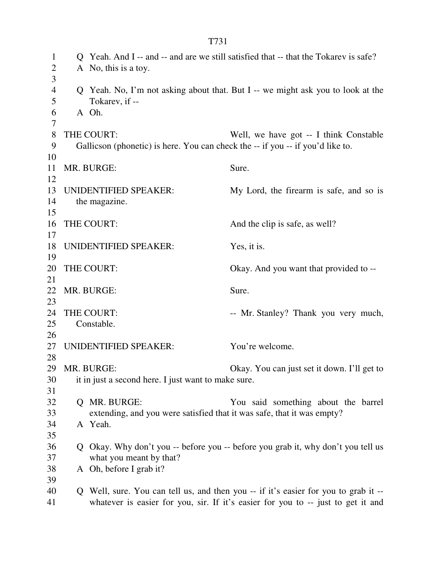| $\mathbf{1}$<br>$\overline{2}$<br>3 | A No, this is a toy.                                                           | Q Yeah. And I -- and -- and are we still satisfied that -- that the Tokarev is safe? |
|-------------------------------------|--------------------------------------------------------------------------------|--------------------------------------------------------------------------------------|
| $\overline{4}$<br>5                 | Tokarev, if --                                                                 | Q Yeah. No, I'm not asking about that. But I -- we might ask you to look at the      |
| 6                                   | A Oh.                                                                          |                                                                                      |
| 7                                   |                                                                                |                                                                                      |
| 8                                   | THE COURT:                                                                     | Well, we have got -- I think Constable                                               |
| 9                                   | Gallicson (phonetic) is here. You can check the -- if you -- if you'd like to. |                                                                                      |
| 10                                  |                                                                                |                                                                                      |
| 11                                  | MR. BURGE:                                                                     | Sure.                                                                                |
| 12                                  |                                                                                |                                                                                      |
| 13                                  | UNIDENTIFIED SPEAKER:                                                          | My Lord, the firearm is safe, and so is                                              |
| 14                                  | the magazine.                                                                  |                                                                                      |
| 15                                  |                                                                                |                                                                                      |
| 16                                  | THE COURT:                                                                     | And the clip is safe, as well?                                                       |
| 17                                  |                                                                                |                                                                                      |
| 18                                  | UNIDENTIFIED SPEAKER:                                                          | Yes, it is.                                                                          |
| 19                                  |                                                                                |                                                                                      |
| 20                                  | THE COURT:                                                                     | Okay. And you want that provided to --                                               |
| 21                                  |                                                                                |                                                                                      |
| 22                                  | MR. BURGE:                                                                     | Sure.                                                                                |
| 23                                  |                                                                                |                                                                                      |
| 24                                  | THE COURT:                                                                     | -- Mr. Stanley? Thank you very much,                                                 |
| 25                                  | Constable.                                                                     |                                                                                      |
| 26                                  |                                                                                |                                                                                      |
| 27                                  | <b>UNIDENTIFIED SPEAKER:</b>                                                   | You're welcome.                                                                      |
| 28                                  |                                                                                |                                                                                      |
|                                     | 29 MR. BURGE:                                                                  | Okay. You can just set it down. I'll get to                                          |
| 30                                  | it in just a second here. I just want to make sure.                            |                                                                                      |
| 31<br>32                            | Q MR. BURGE:                                                                   |                                                                                      |
| 33                                  | extending, and you were satisfied that it was safe, that it was empty?         | You said something about the barrel                                                  |
| 34                                  | A Yeah.                                                                        |                                                                                      |
| 35                                  |                                                                                |                                                                                      |
| 36                                  |                                                                                | Q Okay. Why don't you -- before you -- before you grab it, why don't you tell us     |
| 37                                  | what you meant by that?                                                        |                                                                                      |
| 38                                  | A Oh, before I grab it?                                                        |                                                                                      |
| 39                                  |                                                                                |                                                                                      |
| 40                                  |                                                                                | Q Well, sure. You can tell us, and then you -- if it's easier for you to grab it --  |
| 41                                  |                                                                                | whatever is easier for you, sir. If it's easier for you to -- just to get it and     |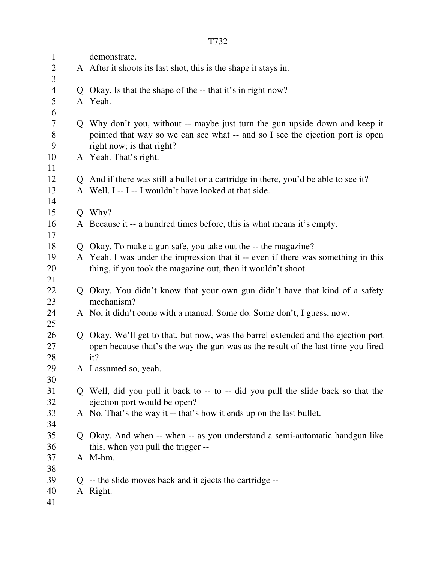| $\mathbf{1}$   | demonstrate.                                                                                               |
|----------------|------------------------------------------------------------------------------------------------------------|
| $\overline{2}$ | A After it shoots its last shot, this is the shape it stays in.                                            |
| 3              |                                                                                                            |
| $\overline{4}$ | Q Okay. Is that the shape of the -- that it's in right now?                                                |
| 5              | A Yeah.                                                                                                    |
| 6              |                                                                                                            |
| 7              | Q Why don't you, without -- maybe just turn the gun upside down and keep it                                |
| $8\,$<br>9     | pointed that way so we can see what -- and so I see the ejection port is open<br>right now; is that right? |
| 10             | A Yeah. That's right.                                                                                      |
| 11             |                                                                                                            |
| 12             | Q And if there was still a bullet or a cartridge in there, you'd be able to see it?                        |
| 13             | A Well, I -- I -- I wouldn't have looked at that side.                                                     |
| 14             |                                                                                                            |
| 15             | $Q$ Why?                                                                                                   |
| 16             | A Because it -- a hundred times before, this is what means it's empty.                                     |
| 17             |                                                                                                            |
| 18             | Q Okay. To make a gun safe, you take out the -- the magazine?                                              |
| 19             | A Yeah. I was under the impression that it -- even if there was something in this                          |
| 20             | thing, if you took the magazine out, then it wouldn't shoot.                                               |
| 21             |                                                                                                            |
| 22             | Q Okay. You didn't know that your own gun didn't have that kind of a safety                                |
| 23             | mechanism?                                                                                                 |
| 24             | A No, it didn't come with a manual. Some do. Some don't, I guess, now.                                     |
| 25             |                                                                                                            |
| 26             | Q Okay. We'll get to that, but now, was the barrel extended and the ejection port                          |
| 27             | open because that's the way the gun was as the result of the last time you fired                           |
| 28             | it?                                                                                                        |
| 29             | A I assumed so, yeah.                                                                                      |
| 30             |                                                                                                            |
| 31             | Q Well, did you pull it back to -- to -- did you pull the slide back so that the                           |
| 32             | ejection port would be open?                                                                               |
| 33             | A No. That's the way it -- that's how it ends up on the last bullet.                                       |
| 34             |                                                                                                            |
| 35             | Q Okay. And when -- when -- as you understand a semi-automatic handgun like                                |
| 36             | this, when you pull the trigger --                                                                         |
| 37             | A M-hm.                                                                                                    |
| 38             |                                                                                                            |
| 39             | $Q$ -- the slide moves back and it ejects the cartridge --                                                 |
| 40             | A Right.                                                                                                   |
| 41             |                                                                                                            |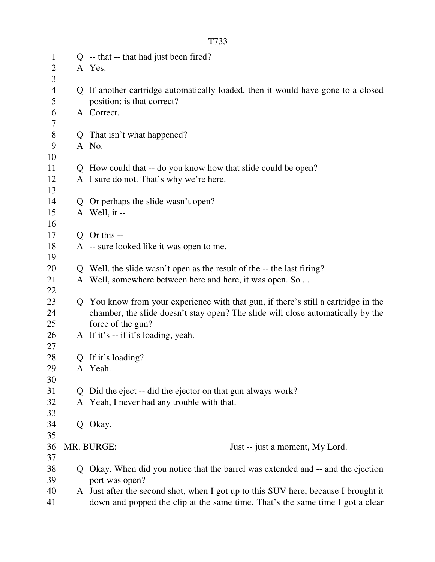| $\mathbf{1}$   |   | Q -- that -- that had just been fired?                                             |
|----------------|---|------------------------------------------------------------------------------------|
| $\overline{c}$ |   | A Yes.                                                                             |
| 3              |   |                                                                                    |
| $\overline{4}$ |   | Q If another cartridge automatically loaded, then it would have gone to a closed   |
| 5              |   | position; is that correct?                                                         |
| 6              |   | A Correct.                                                                         |
| 7              |   |                                                                                    |
| $8\,$          | Q | That isn't what happened?                                                          |
| 9              |   | A No.                                                                              |
| 10             |   |                                                                                    |
| 11             |   | Q How could that -- do you know how that slide could be open?                      |
| 12             |   | A I sure do not. That's why we're here.                                            |
| 13             |   |                                                                                    |
| 14             | Q | Or perhaps the slide wasn't open?                                                  |
| 15<br>16       |   | A Well, it --                                                                      |
| 17             |   | Q Or this --                                                                       |
| 18             |   | A -- sure looked like it was open to me.                                           |
| 19             |   |                                                                                    |
| 20             |   | Q Well, the slide wasn't open as the result of the -- the last firing?             |
| 21             |   | A Well, somewhere between here and here, it was open. So                           |
| 22             |   |                                                                                    |
| 23             | Q | You know from your experience with that gun, if there's still a cartridge in the   |
| 24             |   | chamber, the slide doesn't stay open? The slide will close automatically by the    |
| 25             |   | force of the gun?                                                                  |
| 26             |   | A If it's -- if it's loading, yeah.                                                |
| 27             |   |                                                                                    |
| 28             |   | Q If it's loading?                                                                 |
| 29             |   | A Yeah.                                                                            |
| 30             |   |                                                                                    |
| 31             | Q | Did the eject -- did the ejector on that gun always work?                          |
| 32             |   | A Yeah, I never had any trouble with that.                                         |
| 33             |   |                                                                                    |
| 34             | Q | Okay.                                                                              |
| 35             |   |                                                                                    |
| 36             |   | MR. BURGE:<br>Just -- just a moment, My Lord.                                      |
| 37             |   |                                                                                    |
| 38             | O | Okay. When did you notice that the barrel was extended and -- and the ejection     |
| 39             |   | port was open?                                                                     |
| 40             |   | A Just after the second shot, when I got up to this SUV here, because I brought it |
| 41             |   | down and popped the clip at the same time. That's the same time I got a clear      |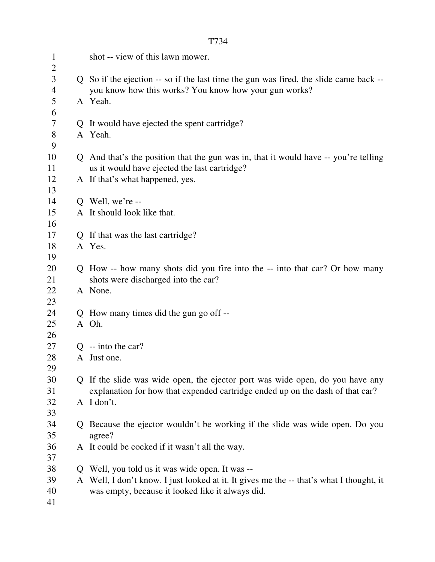|                          |              | T734                                                                                                                                           |
|--------------------------|--------------|------------------------------------------------------------------------------------------------------------------------------------------------|
| $\mathbf{1}$             |              | shot -- view of this lawn mower.                                                                                                               |
| $\overline{2}$           |              |                                                                                                                                                |
| 3<br>4                   |              | Q So if the ejection -- so if the last time the gun was fired, the slide came back --<br>you know how this works? You know how your gun works? |
| 5                        |              | A Yeah.                                                                                                                                        |
| 6                        |              |                                                                                                                                                |
| $\overline{\mathcal{L}}$ |              | Q It would have ejected the spent cartridge?                                                                                                   |
| $8\,$                    |              | A Yeah.                                                                                                                                        |
| 9                        |              |                                                                                                                                                |
| 10                       |              | Q And that's the position that the gun was in, that it would have -- you're telling                                                            |
| 11                       |              | us it would have ejected the last cartridge?                                                                                                   |
| 12                       |              | A If that's what happened, yes.                                                                                                                |
| 13                       |              |                                                                                                                                                |
| 14<br>15                 |              | $Q$ Well, we're --<br>A It should look like that.                                                                                              |
| 16                       |              |                                                                                                                                                |
| 17                       |              | Q If that was the last cartridge?                                                                                                              |
| 18                       |              | A Yes.                                                                                                                                         |
| 19                       |              |                                                                                                                                                |
| 20                       |              | Q How -- how many shots did you fire into the -- into that car? Or how many                                                                    |
| 21                       |              | shots were discharged into the car?                                                                                                            |
| 22                       |              | A None.                                                                                                                                        |
| 23                       |              |                                                                                                                                                |
| 24                       |              | Q How many times did the gun go off --                                                                                                         |
| 25                       |              | A Oh.                                                                                                                                          |
| 26                       |              |                                                                                                                                                |
| 27                       |              | $Q$ -- into the car?                                                                                                                           |
| 28                       |              | A Just one.                                                                                                                                    |
| 29                       |              |                                                                                                                                                |
| 30                       |              | Q If the slide was wide open, the ejector port was wide open, do you have any                                                                  |
| 31                       |              | explanation for how that expended cartridge ended up on the dash of that car?                                                                  |
| 32                       |              | A I don't.                                                                                                                                     |
| 33                       |              |                                                                                                                                                |
| 34                       | Q.           | Because the ejector wouldn't be working if the slide was wide open. Do you                                                                     |
| 35                       |              | agree?                                                                                                                                         |
| 36                       |              | A It could be cocked if it wasn't all the way.                                                                                                 |
| 37                       |              |                                                                                                                                                |
| 38                       | $\mathbf{O}$ | Well, you told us it was wide open. It was --                                                                                                  |
| 39                       |              | A Well, I don't know. I just looked at it. It gives me the -- that's what I thought, it                                                        |
| 40                       |              | was empty, because it looked like it always did.                                                                                               |
| 41                       |              |                                                                                                                                                |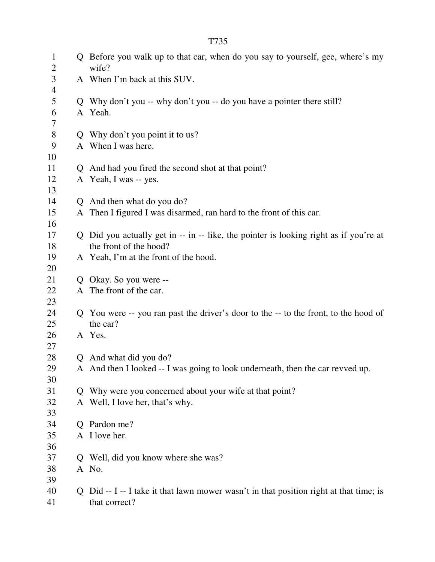1 Q Before you walk up to that car, when do you say to yourself, gee, where's my 2 wife? 3 A When I'm back at this SUV. 4 5 Q Why don't you -- why don't you -- do you have a pointer there still? 6 A Yeah. 7 8 Q Why don't you point it to us? 9 A When I was here. 10 11 Q And had you fired the second shot at that point? 12 A Yeah, I was -- yes. 13 14 Q And then what do you do? 15 A Then I figured I was disarmed, ran hard to the front of this car. 16 17 Q Did you actually get in -- in -- like, the pointer is looking right as if you're at 18 the front of the hood? 19 A Yeah, I'm at the front of the hood. 20 21 Q Okay. So you were -- 22 A The front of the car. 23 24 Q You were -- you ran past the driver's door to the -- to the front, to the hood of 25 the car? 26 A Yes. 27 28 Q And what did you do? 29 A And then I looked -- I was going to look underneath, then the car revved up. 30 31 Q Why were you concerned about your wife at that point? 32 A Well, I love her, that's why. 33 34 Q Pardon me? 35 A I love her. 36 37 Q Well, did you know where she was? 38 A No. 39

40 Q Did -- I -- I take it that lawn mower wasn't in that position right at that time; is 41 that correct?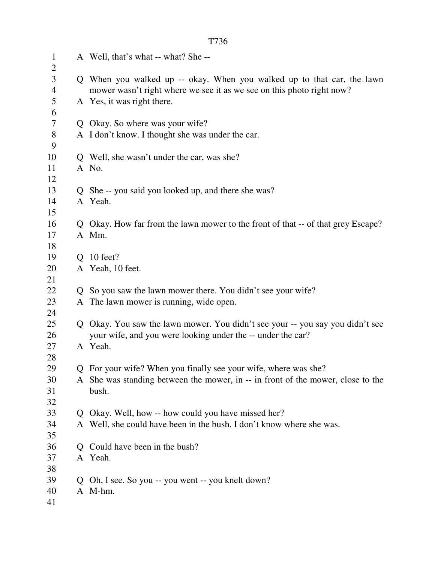| $\mathbf{1}$<br>$\overline{2}$ |    | A Well, that's what -- what? She --                                                                                                             |
|--------------------------------|----|-------------------------------------------------------------------------------------------------------------------------------------------------|
| 3<br>$\overline{\mathcal{A}}$  |    | Q When you walked up -- okay. When you walked up to that car, the lawn<br>mower wasn't right where we see it as we see on this photo right now? |
| 5<br>6                         |    | A Yes, it was right there.                                                                                                                      |
| 7                              |    | Q Okay. So where was your wife?                                                                                                                 |
| 8                              |    | A I don't know. I thought she was under the car.                                                                                                |
| 9                              |    |                                                                                                                                                 |
| 10                             |    | Q Well, she wasn't under the car, was she?                                                                                                      |
| 11                             |    | A No.                                                                                                                                           |
| 12                             |    |                                                                                                                                                 |
| 13                             |    | Q She -- you said you looked up, and there she was?                                                                                             |
| 14                             |    | A Yeah.                                                                                                                                         |
| 15                             |    |                                                                                                                                                 |
| 16                             |    | Q Okay. How far from the lawn mower to the front of that -- of that grey Escape?                                                                |
| 17                             |    | A Mm.                                                                                                                                           |
| 18                             |    |                                                                                                                                                 |
| 19                             |    | $Q$ 10 feet?                                                                                                                                    |
| 20                             |    | A Yeah, 10 feet.                                                                                                                                |
| 21                             |    |                                                                                                                                                 |
| 22                             |    | Q So you saw the lawn mower there. You didn't see your wife?                                                                                    |
| 23                             |    | A The lawn mower is running, wide open.                                                                                                         |
| 24                             |    |                                                                                                                                                 |
| 25                             |    | Q Okay. You saw the lawn mower. You didn't see your -- you say you didn't see                                                                   |
| 26                             |    | your wife, and you were looking under the -- under the car?                                                                                     |
| 27                             |    | A Yeah.                                                                                                                                         |
| 28<br>29                       |    | Q For your wife? When you finally see your wife, where was she?                                                                                 |
| 30                             |    | A She was standing between the mower, in -- in front of the mower, close to the                                                                 |
| 31                             |    | bush.                                                                                                                                           |
| 32                             |    |                                                                                                                                                 |
| 33                             |    | Q Okay. Well, how -- how could you have missed her?                                                                                             |
| 34                             |    | A Well, she could have been in the bush. I don't know where she was.                                                                            |
| 35                             |    |                                                                                                                                                 |
| 36                             |    | Q Could have been in the bush?                                                                                                                  |
| 37                             |    | A Yeah.                                                                                                                                         |
| 38                             |    |                                                                                                                                                 |
| 39                             | Q. | Oh, I see. So you -- you went -- you knelt down?                                                                                                |
| 40                             |    | A M-hm.                                                                                                                                         |
| 41                             |    |                                                                                                                                                 |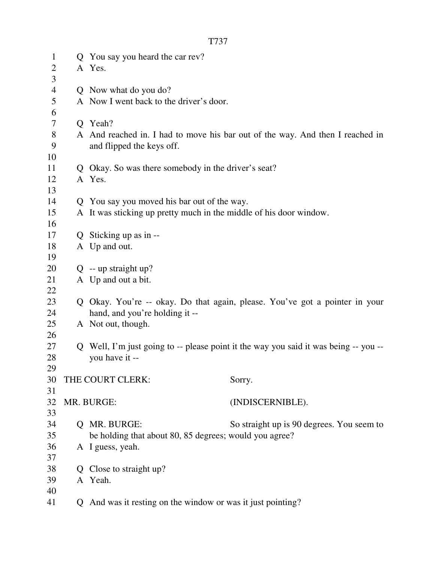| $\mathbf{1}$   | Q | You say you heard the car rev?                                     |                                                                                    |
|----------------|---|--------------------------------------------------------------------|------------------------------------------------------------------------------------|
| 2              |   | A Yes.                                                             |                                                                                    |
| 3              |   |                                                                    |                                                                                    |
| $\overline{4}$ |   | Q Now what do you do?                                              |                                                                                    |
| 5              |   | A Now I went back to the driver's door.                            |                                                                                    |
| 6              |   |                                                                    |                                                                                    |
| 7              |   | Q Yeah?                                                            |                                                                                    |
| 8              |   |                                                                    | A And reached in. I had to move his bar out of the way. And then I reached in      |
| 9              |   | and flipped the keys off.                                          |                                                                                    |
| 10             |   |                                                                    |                                                                                    |
| 11             | Q | Okay. So was there somebody in the driver's seat?                  |                                                                                    |
| 12             |   | A Yes.                                                             |                                                                                    |
| 13             |   |                                                                    |                                                                                    |
| 14             |   | Q You say you moved his bar out of the way.                        |                                                                                    |
| 15             |   | A It was sticking up pretty much in the middle of his door window. |                                                                                    |
| 16             |   |                                                                    |                                                                                    |
| 17             |   | Q Sticking up as in --                                             |                                                                                    |
| 18             |   | A Up and out.                                                      |                                                                                    |
| 19             |   |                                                                    |                                                                                    |
| 20             |   | $Q$ -- up straight up?                                             |                                                                                    |
| 21             |   | A Up and out a bit.                                                |                                                                                    |
| 22             |   |                                                                    |                                                                                    |
| 23             | O |                                                                    | Okay. You're -- okay. Do that again, please. You've got a pointer in your          |
| 24             |   | hand, and you're holding it --                                     |                                                                                    |
| 25             |   | A Not out, though.                                                 |                                                                                    |
| 26             |   |                                                                    |                                                                                    |
| 27             | Q |                                                                    | Well, I'm just going to -- please point it the way you said it was being -- you -- |
| 28             |   | you have it --                                                     |                                                                                    |
| 29             |   |                                                                    |                                                                                    |
| 30             |   | THE COURT CLERK:                                                   | Sorry.                                                                             |
| 31             |   |                                                                    |                                                                                    |
| 32             |   | MR. BURGE:                                                         | (INDISCERNIBLE).                                                                   |
| 33             |   |                                                                    |                                                                                    |
| 34             |   | MR. BURGE:                                                         | So straight up is 90 degrees. You seem to                                          |
| 35             |   | be holding that about 80, 85 degrees; would you agree?             |                                                                                    |
| 36             |   | A I guess, yeah.                                                   |                                                                                    |
| 37             |   |                                                                    |                                                                                    |
| 38             |   | Close to straight up?                                              |                                                                                    |
| 39             |   | A Yeah.                                                            |                                                                                    |
| 40             |   |                                                                    |                                                                                    |
| 41             |   | And was it resting on the window or was it just pointing?          |                                                                                    |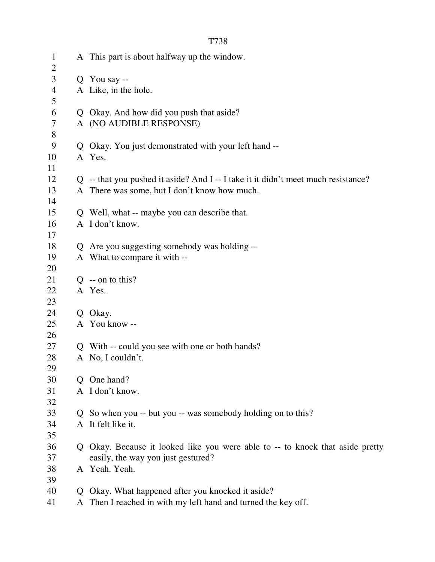|--|--|

| $\mathbf{1}$<br>$\overline{2}$ |    | A This part is about halfway up the window.                                       |
|--------------------------------|----|-----------------------------------------------------------------------------------|
| 3                              |    | Q You say --                                                                      |
| 4                              |    | A Like, in the hole.                                                              |
| 5                              |    |                                                                                   |
| 6                              |    | Q Okay. And how did you push that aside?                                          |
| 7                              |    | A (NO AUDIBLE RESPONSE)                                                           |
| $8\,$                          |    |                                                                                   |
| 9                              |    | Q Okay. You just demonstrated with your left hand --                              |
| 10                             |    | A Yes.                                                                            |
| 11                             |    |                                                                                   |
| 12                             |    | Q -- that you pushed it aside? And I -- I take it it didn't meet much resistance? |
| 13                             |    | A There was some, but I don't know how much.                                      |
| 14                             |    |                                                                                   |
| 15                             |    | Q Well, what -- maybe you can describe that.                                      |
| 16                             |    | A I don't know.                                                                   |
| 17                             |    |                                                                                   |
| 18                             |    | Q Are you suggesting somebody was holding --                                      |
| 19                             |    | A What to compare it with --                                                      |
| 20                             |    |                                                                                   |
| 21                             |    | $Q$ -- on to this?                                                                |
| 22                             |    | A Yes.                                                                            |
| 23                             |    |                                                                                   |
| 24                             |    | Q Okay.                                                                           |
| 25                             |    | A You know --                                                                     |
| 26                             |    |                                                                                   |
| 27                             | Q. | With -- could you see with one or both hands?                                     |
| 28                             |    | A No, I couldn't.                                                                 |
| 29<br>30                       | Q. | One hand?                                                                         |
| 31                             |    | A I don't know.                                                                   |
| 32                             |    |                                                                                   |
| 33                             | Q. | So when you -- but you -- was somebody holding on to this?                        |
| 34                             |    | A It felt like it.                                                                |
| 35                             |    |                                                                                   |
| 36                             |    | Q Okay. Because it looked like you were able to -- to knock that aside pretty     |
| 37                             |    | easily, the way you just gestured?                                                |
| 38                             |    | A Yeah. Yeah.                                                                     |
| 39                             |    |                                                                                   |
| 40                             | Q. | Okay. What happened after you knocked it aside?                                   |
| 41                             |    | A Then I reached in with my left hand and turned the key off.                     |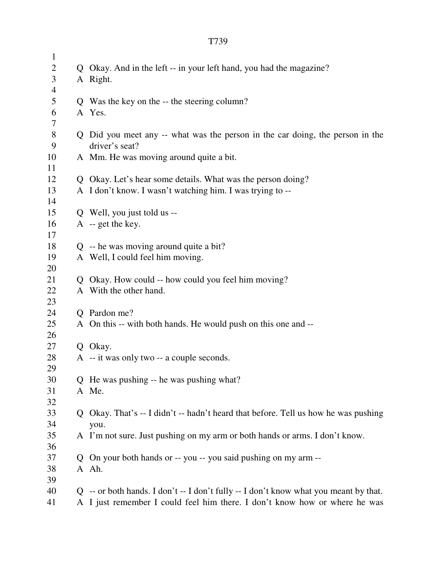| $\mathbf{1}$             |              |                                                                                        |
|--------------------------|--------------|----------------------------------------------------------------------------------------|
| $\overline{2}$           |              | Q Okay. And in the left -- in your left hand, you had the magazine?                    |
| 3                        |              | A Right.                                                                               |
| $\overline{\mathcal{A}}$ |              |                                                                                        |
| 5                        |              | Q Was the key on the -- the steering column?                                           |
| 6                        |              | A Yes.                                                                                 |
| 7                        |              |                                                                                        |
| $8\,$                    |              | Q Did you meet any -- what was the person in the car doing, the person in the          |
| 9                        |              | driver's seat?                                                                         |
| 10                       |              | A Mm. He was moving around quite a bit.                                                |
| 11                       |              |                                                                                        |
| 12                       |              | Q Okay. Let's hear some details. What was the person doing?                            |
| 13                       |              | A I don't know. I wasn't watching him. I was trying to --                              |
| 14                       |              |                                                                                        |
| 15                       |              | Q Well, you just told us --                                                            |
| 16                       |              | $A - get the key.$                                                                     |
| 17                       |              |                                                                                        |
| 18                       |              | $Q$ -- he was moving around quite a bit?                                               |
| 19                       |              | A Well, I could feel him moving.                                                       |
| 20                       |              |                                                                                        |
| 21                       |              | Q Okay. How could -- how could you feel him moving?                                    |
| 22                       |              | A With the other hand.                                                                 |
| 23<br>24                 |              | Q Pardon me?                                                                           |
| 25                       |              | A On this -- with both hands. He would push on this one and --                         |
| 26                       |              |                                                                                        |
| 27                       |              | Q Okay.                                                                                |
| 28                       |              | A -- it was only two -- a couple seconds.                                              |
| 29                       |              |                                                                                        |
| 30                       |              | Q He was pushing -- he was pushing what?                                               |
| 31                       |              | A Me.                                                                                  |
| 32                       |              |                                                                                        |
| 33                       | $\mathbf{Q}$ | Okay. That's -- I didn't -- hadn't heard that before. Tell us how he was pushing       |
| 34                       |              | you.                                                                                   |
| 35                       |              | A I'm not sure. Just pushing on my arm or both hands or arms. I don't know.            |
| 36                       |              |                                                                                        |
| 37                       | Q            | On your both hands or -- you -- you said pushing on my arm --                          |
| 38                       |              | A Ah.                                                                                  |
| 39                       |              |                                                                                        |
| 40                       |              | $Q$ -- or both hands. I don't -- I don't fully -- I don't know what you meant by that. |
| 41                       |              | A I just remember I could feel him there. I don't know how or where he was             |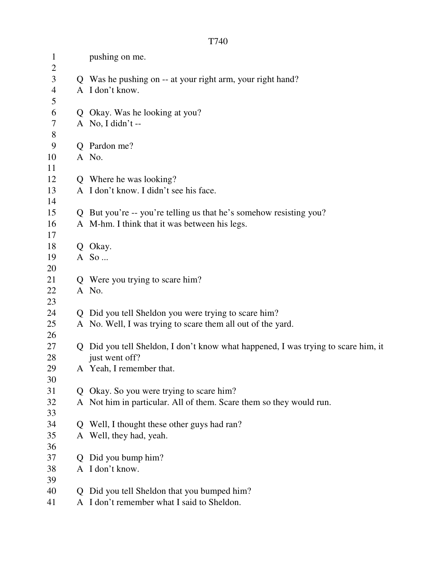| $\mathbf{1}$<br>$\overline{2}$ |             | pushing on me.                                                                  |
|--------------------------------|-------------|---------------------------------------------------------------------------------|
| 3                              |             | Q Was he pushing on -- at your right arm, your right hand?                      |
| $\overline{\mathcal{A}}$       |             | A I don't know.                                                                 |
| 5                              |             |                                                                                 |
| 6                              |             | Q Okay. Was he looking at you?                                                  |
| 7                              |             | A No, I didn't $-$                                                              |
| $8\,$                          |             |                                                                                 |
| 9                              |             | Q Pardon me?                                                                    |
| 10                             |             | A No.                                                                           |
| 11                             |             |                                                                                 |
| 12                             |             | Q Where he was looking?                                                         |
| 13                             |             | A I don't know. I didn't see his face.                                          |
| 14                             |             |                                                                                 |
| 15                             |             | Q But you're -- you're telling us that he's somehow resisting you?              |
| 16                             |             | A M-hm. I think that it was between his legs.                                   |
| 17                             |             |                                                                                 |
| 18                             |             | Q Okay.                                                                         |
| 19                             |             | A So                                                                            |
| 20                             |             |                                                                                 |
| 21                             |             | Q Were you trying to scare him?                                                 |
| 22                             |             | A No.                                                                           |
| 23                             |             |                                                                                 |
| 24                             |             | Q Did you tell Sheldon you were trying to scare him?                            |
| 25                             |             | A No. Well, I was trying to scare them all out of the yard.                     |
| 26                             |             |                                                                                 |
| 27                             | Q           | Did you tell Sheldon, I don't know what happened, I was trying to scare him, it |
| 28                             |             | just went off?                                                                  |
| 29                             |             | A Yeah, I remember that.                                                        |
| 30                             |             |                                                                                 |
| 31                             | Q           | Okay. So you were trying to scare him?                                          |
| 32                             |             | A Not him in particular. All of them. Scare them so they would run.             |
| 33<br>34                       |             |                                                                                 |
|                                |             | Q Well, I thought these other guys had ran?<br>A Well, they had, yeah.          |
| 35<br>36                       |             |                                                                                 |
| 37                             | $\mathbf O$ | Did you bump him?                                                               |
| 38                             |             | A I don't know.                                                                 |
| 39                             |             |                                                                                 |
| 40                             | Q           | Did you tell Sheldon that you bumped him?                                       |
| 41                             |             | A I don't remember what I said to Sheldon.                                      |
|                                |             |                                                                                 |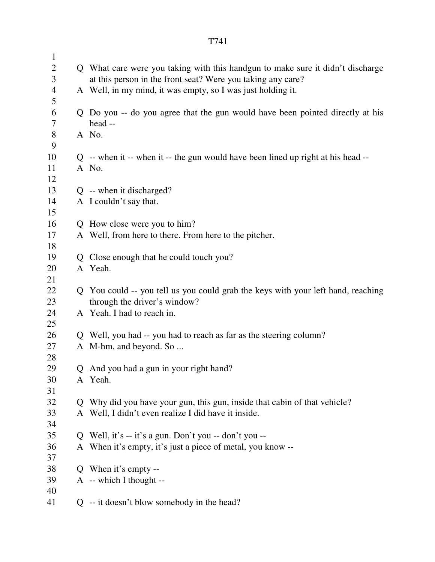| $\mathbf{1}$   |   |                                                                                    |
|----------------|---|------------------------------------------------------------------------------------|
| $\overline{2}$ |   | Q What care were you taking with this handgun to make sure it didn't discharge     |
| 3              |   | at this person in the front seat? Were you taking any care?                        |
| $\overline{4}$ |   | A Well, in my mind, it was empty, so I was just holding it.                        |
| 5              |   |                                                                                    |
| 6              |   | Q Do you -- do you agree that the gun would have been pointed directly at his      |
| $\tau$         |   | head --                                                                            |
| $8\,$          |   | A No.                                                                              |
| 9              |   |                                                                                    |
| 10             |   | $Q$ -- when it -- when it -- the gun would have been lined up right at his head -- |
| 11<br>12       |   | A No.                                                                              |
| 13             |   | Q -- when it discharged?                                                           |
| 14             |   | A I couldn't say that.                                                             |
| 15             |   |                                                                                    |
| 16             |   | Q How close were you to him?                                                       |
| 17             |   | A Well, from here to there. From here to the pitcher.                              |
| 18             |   |                                                                                    |
| 19             |   | Q Close enough that he could touch you?                                            |
| 20             |   | A Yeah.                                                                            |
| 21             |   |                                                                                    |
| 22             |   | Q You could -- you tell us you could grab the keys with your left hand, reaching   |
| 23             |   | through the driver's window?                                                       |
| 24             |   | A Yeah. I had to reach in.                                                         |
| 25             |   |                                                                                    |
| 26             |   | Q Well, you had -- you had to reach as far as the steering column?                 |
| 27             |   | A M-hm, and beyond. So                                                             |
| 28             |   |                                                                                    |
| 29             |   | And you had a gun in your right hand?                                              |
| 30             |   | A Yeah.                                                                            |
| 31             |   |                                                                                    |
| 32             |   | Q Why did you have your gun, this gun, inside that cabin of that vehicle?          |
| 33             |   | A Well, I didn't even realize I did have it inside.                                |
| 34             |   |                                                                                    |
| 35             |   | Q Well, it's -- it's a gun. Don't you -- don't you --                              |
| 36             |   | A When it's empty, it's just a piece of metal, you know --                         |
| 37<br>38       |   | Q When it's empty --                                                               |
| 39             |   | A -- which I thought --                                                            |
| 40             |   |                                                                                    |
| 41             | Q | -- it doesn't blow somebody in the head?                                           |
|                |   |                                                                                    |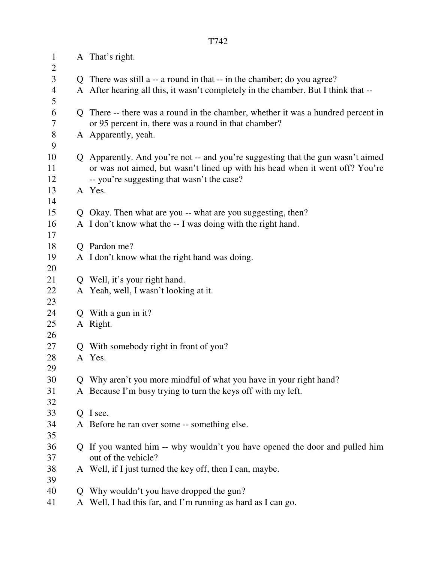| $\mathbf{1}$<br>$\overline{2}$ |   | A That's right.                                                                    |
|--------------------------------|---|------------------------------------------------------------------------------------|
| 3                              |   | Q There was still a -- a round in that -- in the chamber; do you agree?            |
| 4                              |   | A After hearing all this, it wasn't completely in the chamber. But I think that -- |
| 5                              |   |                                                                                    |
| 6                              |   | Q There -- there was a round in the chamber, whether it was a hundred percent in   |
| 7                              |   | or 95 percent in, there was a round in that chamber?                               |
| $8\phantom{1}$                 |   | A Apparently, yeah.                                                                |
| 9                              |   |                                                                                    |
| 10                             |   | Q Apparently. And you're not -- and you're suggesting that the gun wasn't aimed    |
| 11                             |   | or was not aimed, but wasn't lined up with his head when it went off? You're       |
| 12                             |   | -- you're suggesting that wasn't the case?                                         |
| 13                             |   | A Yes.                                                                             |
| 14                             |   |                                                                                    |
| 15                             |   | Q Okay. Then what are you -- what are you suggesting, then?                        |
| 16                             |   | A I don't know what the -- I was doing with the right hand.                        |
| 17<br>18                       |   | Q Pardon me?                                                                       |
| 19                             |   | A I don't know what the right hand was doing.                                      |
| 20                             |   |                                                                                    |
| 21                             |   | Q Well, it's your right hand.                                                      |
| 22                             |   | A Yeah, well, I wasn't looking at it.                                              |
| 23                             |   |                                                                                    |
| 24                             |   | Q With a gun in it?                                                                |
| 25                             |   | A Right.                                                                           |
| 26                             |   |                                                                                    |
| 27                             |   | Q With somebody right in front of you?                                             |
| 28                             | A | Yes.                                                                               |
| 29                             |   |                                                                                    |
| 30                             |   | Q Why aren't you more mindful of what you have in your right hand?                 |
| 31                             |   | A Because I'm busy trying to turn the keys off with my left.                       |
| 32<br>33                       |   | Q I see.                                                                           |
| 34                             |   | A Before he ran over some -- something else.                                       |
| 35                             |   |                                                                                    |
| 36                             |   | Q If you wanted him -- why wouldn't you have opened the door and pulled him        |
| 37                             |   | out of the vehicle?                                                                |
| 38                             |   | A Well, if I just turned the key off, then I can, maybe.                           |
| 39                             |   |                                                                                    |
| 40                             |   | Q Why wouldn't you have dropped the gun?                                           |
| 41                             |   | A Well, I had this far, and I'm running as hard as I can go.                       |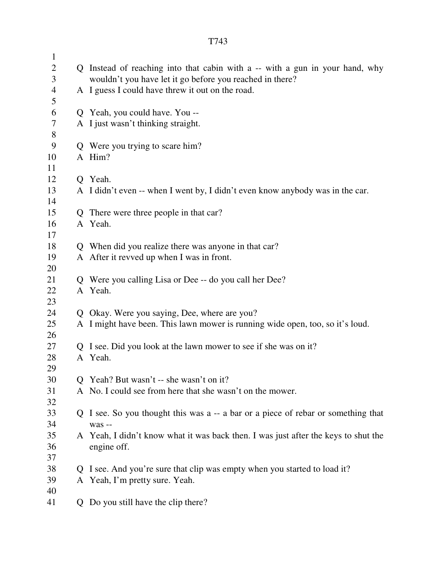1 2 Q Instead of reaching into that cabin with a -- with a gun in your hand, why 3 wouldn't you have let it go before you reached in there? 4 A I guess I could have threw it out on the road. 5 6 Q Yeah, you could have. You -- 7 A I just wasn't thinking straight. 8 9 Q Were you trying to scare him? 10 A Him? 11 12 Q Yeah. 13 A I didn't even -- when I went by, I didn't even know anybody was in the car. 14 15 Q There were three people in that car? 16 A Yeah. 17 18 Q When did you realize there was anyone in that car? 19 A After it revved up when I was in front. 20 21 Q Were you calling Lisa or Dee -- do you call her Dee? 22 A Yeah. 23 24 Q Okay. Were you saying, Dee, where are you? 25 A I might have been. This lawn mower is running wide open, too, so it's loud. 26 27 Q I see. Did you look at the lawn mower to see if she was on it? 28 A Yeah. 29 30 Q Yeah? But wasn't -- she wasn't on it? 31 A No. I could see from here that she wasn't on the mower. 32 33 Q I see. So you thought this was a -- a bar or a piece of rebar or something that 34 was -- 35 A Yeah, I didn't know what it was back then. I was just after the keys to shut the 36 engine off. 37 38 Q I see. And you're sure that clip was empty when you started to load it? 39 A Yeah, I'm pretty sure. Yeah. 40

41 Q Do you still have the clip there?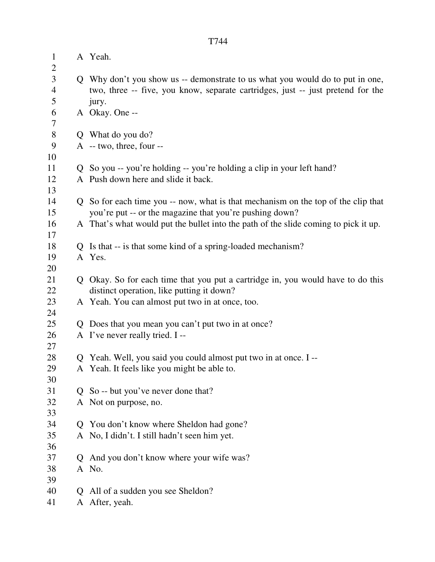| $\mathbf{1}$<br>$\overline{2}$ |              | A Yeah.                                                                               |
|--------------------------------|--------------|---------------------------------------------------------------------------------------|
| 3                              |              | Q Why don't you show us -- demonstrate to us what you would do to put in one,         |
| $\overline{4}$                 |              | two, three -- five, you know, separate cartridges, just -- just pretend for the       |
| 5                              |              | jury.                                                                                 |
| 6                              |              | A Okay. One --                                                                        |
| 7                              |              |                                                                                       |
| $8\,$                          |              | Q What do you do?                                                                     |
| 9                              |              | $A - two$ , three, four --                                                            |
| 10                             |              |                                                                                       |
| 11                             |              | Q So you -- you're holding -- you're holding a clip in your left hand?                |
| 12                             |              | A Push down here and slide it back.                                                   |
| 13                             |              |                                                                                       |
| 14                             |              | Q So for each time you -- now, what is that mechanism on the top of the clip that     |
| 15                             |              | you're put -- or the magazine that you're pushing down?                               |
| 16                             |              | A That's what would put the bullet into the path of the slide coming to pick it up.   |
| 17                             |              |                                                                                       |
| 18                             |              | Q Is that -- is that some kind of a spring-loaded mechanism?                          |
| 19                             |              | A Yes.                                                                                |
| 20                             |              |                                                                                       |
| 21                             |              | Q Okay. So for each time that you put a cartridge in, you would have to do this       |
| 22                             |              | distinct operation, like putting it down?                                             |
| 23                             |              | A Yeah. You can almost put two in at once, too.                                       |
| 24<br>25                       |              |                                                                                       |
| 26                             |              | Q Does that you mean you can't put two in at once?<br>A I've never really tried. I -- |
| 27                             |              |                                                                                       |
| 28                             |              | Q Yeah. Well, you said you could almost put two in at once. I --                      |
| 29                             |              | A Yeah. It feels like you might be able to.                                           |
| 30                             |              |                                                                                       |
| 31                             | $\mathbf{O}$ | So -- but you've never done that?                                                     |
| 32                             |              | A Not on purpose, no.                                                                 |
| 33                             |              |                                                                                       |
| 34                             |              | Q You don't know where Sheldon had gone?                                              |
| 35                             |              | A No, I didn't. I still hadn't seen him yet.                                          |
| 36                             |              |                                                                                       |
| 37                             |              | Q And you don't know where your wife was?                                             |
| 38                             |              | A No.                                                                                 |
| 39                             |              |                                                                                       |
| 40                             | $\mathbf{O}$ | All of a sudden you see Sheldon?                                                      |
| 41                             |              | A After, yeah.                                                                        |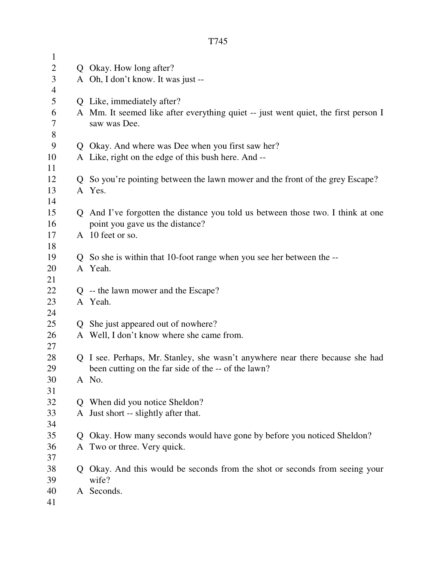| $\mathbf{1}$   |   |                                                                                                                  |
|----------------|---|------------------------------------------------------------------------------------------------------------------|
| $\overline{2}$ | Q | Okay. How long after?                                                                                            |
| 3              |   | A Oh, I don't know. It was just --                                                                               |
| $\overline{4}$ |   |                                                                                                                  |
| 5              | Q | Like, immediately after?                                                                                         |
| 6              |   | A Mm. It seemed like after everything quiet -- just went quiet, the first person I                               |
| 7              |   | saw was Dee.                                                                                                     |
| 8              |   |                                                                                                                  |
| 9              | Q | Okay. And where was Dee when you first saw her?                                                                  |
| 10             |   | A Like, right on the edge of this bush here. And --                                                              |
| 11             |   |                                                                                                                  |
| 12             |   | So you're pointing between the lawn mower and the front of the grey Escape?                                      |
| 13             |   | A Yes.                                                                                                           |
| 14<br>15       |   |                                                                                                                  |
| 16             | Q | And I've forgotten the distance you told us between those two. I think at one<br>point you gave us the distance? |
| 17             |   | A 10 feet or so.                                                                                                 |
| 18             |   |                                                                                                                  |
| 19             |   | So she is within that 10-foot range when you see her between the --                                              |
| 20             |   | A Yeah.                                                                                                          |
| 21             |   |                                                                                                                  |
| 22             |   | $Q$ -- the lawn mower and the Escape?                                                                            |
| 23             |   | A Yeah.                                                                                                          |
| 24             |   |                                                                                                                  |
| 25             | Q | She just appeared out of nowhere?                                                                                |
| 26             |   | A Well, I don't know where she came from.                                                                        |
| 27             |   |                                                                                                                  |
| 28             | Q | I see. Perhaps, Mr. Stanley, she wasn't anywhere near there because she had                                      |
| 29             |   | been cutting on the far side of the -- of the lawn?                                                              |
| 30             |   | A No.                                                                                                            |
| 31             |   |                                                                                                                  |
| 32             |   | When did you notice Sheldon?                                                                                     |
| 33             | A | Just short -- slightly after that.                                                                               |
| 34             |   |                                                                                                                  |
| 35             | Ő | Okay. How many seconds would have gone by before you noticed Sheldon?                                            |
| 36             | A | Two or three. Very quick.                                                                                        |
| 37             |   |                                                                                                                  |
| 38             | Q | Okay. And this would be seconds from the shot or seconds from seeing your                                        |
| 39             |   | wife?                                                                                                            |
| 40             |   | A Seconds.                                                                                                       |
| 41             |   |                                                                                                                  |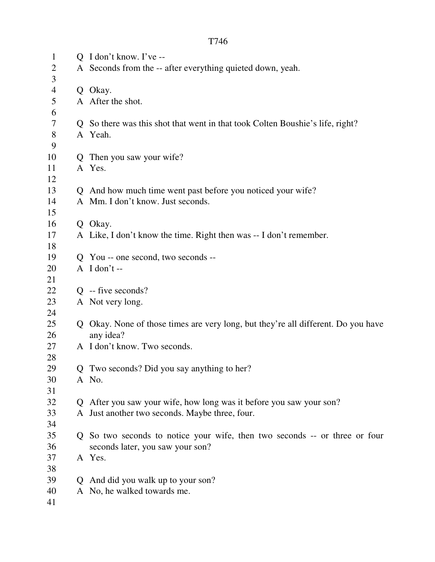| $\mathbf{1}$   |              | $Q$ I don't know. I've --                                                       |  |  |
|----------------|--------------|---------------------------------------------------------------------------------|--|--|
| $\overline{2}$ |              | A Seconds from the -- after everything quieted down, yeah.                      |  |  |
| 3              |              |                                                                                 |  |  |
| 4              |              | Q Okay.                                                                         |  |  |
| 5              |              | A After the shot.                                                               |  |  |
| 6              |              |                                                                                 |  |  |
| 7              |              | Q So there was this shot that went in that took Colten Boushie's life, right?   |  |  |
| 8              |              | A Yeah.                                                                         |  |  |
| 9              |              |                                                                                 |  |  |
| 10             |              | Q Then you saw your wife?                                                       |  |  |
| 11             |              | A Yes.                                                                          |  |  |
| 12             |              |                                                                                 |  |  |
| 13             |              | Q And how much time went past before you noticed your wife?                     |  |  |
| 14             |              | A Mm. I don't know. Just seconds.                                               |  |  |
| 15             |              |                                                                                 |  |  |
| 16             |              | Q Okay.                                                                         |  |  |
| 17             |              | A Like, I don't know the time. Right then was -- I don't remember.              |  |  |
| 18             |              |                                                                                 |  |  |
| 19             |              | Q You -- one second, two seconds --                                             |  |  |
| 20             |              | $A$ I don't --                                                                  |  |  |
| 21             |              |                                                                                 |  |  |
| 22             |              | $Q$ -- five seconds?                                                            |  |  |
| 23             |              | A Not very long.                                                                |  |  |
| 24             |              |                                                                                 |  |  |
| 25             | Q            | Okay. None of those times are very long, but they're all different. Do you have |  |  |
| 26             |              | any idea?                                                                       |  |  |
| 27             |              | A I don't know. Two seconds.                                                    |  |  |
| 28             |              |                                                                                 |  |  |
| 29             |              | Q Two seconds? Did you say anything to her?                                     |  |  |
| 30             |              | A No.                                                                           |  |  |
| 31             |              |                                                                                 |  |  |
| 32             |              | Q After you saw your wife, how long was it before you saw your son?             |  |  |
| 33             |              | A Just another two seconds. Maybe three, four.                                  |  |  |
| 34             |              |                                                                                 |  |  |
| 35             |              | Q So two seconds to notice your wife, then two seconds -- or three or four      |  |  |
| 36             |              | seconds later, you saw your son?                                                |  |  |
| 37             |              | A Yes.                                                                          |  |  |
| 38             |              |                                                                                 |  |  |
| 39             | $\mathbf{O}$ | And did you walk up to your son?                                                |  |  |
| 40             |              | A No, he walked towards me.                                                     |  |  |
| 41             |              |                                                                                 |  |  |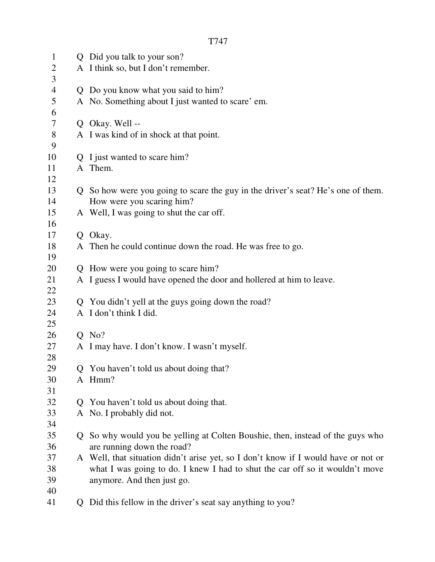| $\mathbf{1}$   |    | Q Did you talk to your son?                                                        |  |  |
|----------------|----|------------------------------------------------------------------------------------|--|--|
| $\overline{2}$ |    | A I think so, but I don't remember.                                                |  |  |
| 3              |    |                                                                                    |  |  |
| $\overline{4}$ |    | Q Do you know what you said to him?                                                |  |  |
| $\mathfrak s$  |    | A No. Something about I just wanted to scare' em.                                  |  |  |
| 6              |    |                                                                                    |  |  |
| $\tau$         |    | Q Okay. Well --                                                                    |  |  |
| $8\,$          |    | A I was kind of in shock at that point.                                            |  |  |
| 9              |    |                                                                                    |  |  |
| 10             |    | Q I just wanted to scare him?                                                      |  |  |
| 11             |    | A Them.                                                                            |  |  |
| 12             |    |                                                                                    |  |  |
| 13             |    | Q So how were you going to scare the guy in the driver's seat? He's one of them.   |  |  |
| 14             |    | How were you scaring him?                                                          |  |  |
| 15             |    | A Well, I was going to shut the car off.                                           |  |  |
| 16             |    |                                                                                    |  |  |
| 17             |    | Q Okay.                                                                            |  |  |
| 18             |    | A Then he could continue down the road. He was free to go.                         |  |  |
| 19             |    |                                                                                    |  |  |
| 20             |    | Q How were you going to scare him?                                                 |  |  |
| 21             |    | A I guess I would have opened the door and hollered at him to leave.               |  |  |
| 22             |    |                                                                                    |  |  |
| 23             |    | Q You didn't yell at the guys going down the road?                                 |  |  |
| 24             |    | A I don't think I did.                                                             |  |  |
| 25             |    |                                                                                    |  |  |
| 26             |    | $Q$ No?                                                                            |  |  |
| 27             |    | A I may have. I don't know. I wasn't myself.                                       |  |  |
| 28             |    |                                                                                    |  |  |
| 29             |    | Q You haven't told us about doing that?                                            |  |  |
| 30             |    | A Hmm?                                                                             |  |  |
| 31             |    |                                                                                    |  |  |
| 32             |    | Q You haven't told us about doing that.                                            |  |  |
| 33             |    | A No. I probably did not.                                                          |  |  |
| 34             |    |                                                                                    |  |  |
| 35             | O. | So why would you be yelling at Colten Boushie, then, instead of the guys who       |  |  |
| 36             |    | are running down the road?                                                         |  |  |
| 37             |    | A Well, that situation didn't arise yet, so I don't know if I would have or not or |  |  |
| 38             |    | what I was going to do. I knew I had to shut the car off so it wouldn't move       |  |  |
| 39             |    | anymore. And then just go.                                                         |  |  |
| 40             |    |                                                                                    |  |  |
| 41             |    | Q Did this fellow in the driver's seat say anything to you?                        |  |  |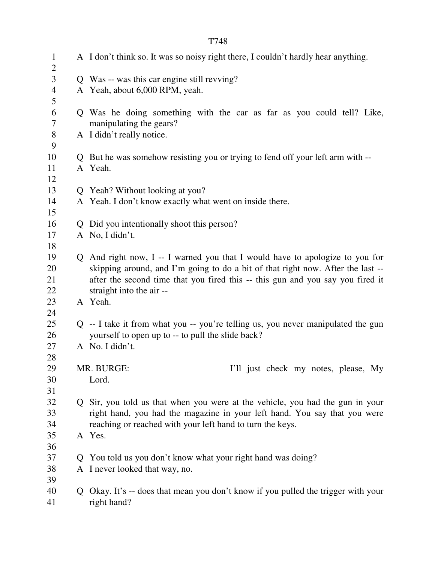1 A I don't think so. It was so noisy right there, I couldn't hardly hear anything.  $\mathcal{L}$ 3 Q Was -- was this car engine still revving? 4 A Yeah, about 6,000 RPM, yeah. 5 6 Q Was he doing something with the car as far as you could tell? Like, 7 manipulating the gears? 8 A I didn't really notice. 9 10 Q But he was somehow resisting you or trying to fend off your left arm with -- 11 A Yeah. 12 13 Q Yeah? Without looking at you? 14 A Yeah. I don't know exactly what went on inside there. 15 16 Q Did you intentionally shoot this person? 17 A No, I didn't. 18 19 Q And right now, I -- I warned you that I would have to apologize to you for 20 skipping around, and I'm going to do a bit of that right now. After the last -- 21 after the second time that you fired this -- this gun and you say you fired it 22 straight into the air -- 23 A Yeah. 24 25 Q -- I take it from what you -- you're telling us, you never manipulated the gun 26 yourself to open up to -- to pull the slide back? 27 A No. I didn't. 28 29 MR. BURGE: I'll just check my notes, please, My 30 Lord. 31 32 Q Sir, you told us that when you were at the vehicle, you had the gun in your 33 right hand, you had the magazine in your left hand. You say that you were 34 reaching or reached with your left hand to turn the keys. 35 A Yes. 36 37 Q You told us you don't know what your right hand was doing? 38 A I never looked that way, no. 39 40 Q Okay. It's -- does that mean you don't know if you pulled the trigger with your 41 right hand?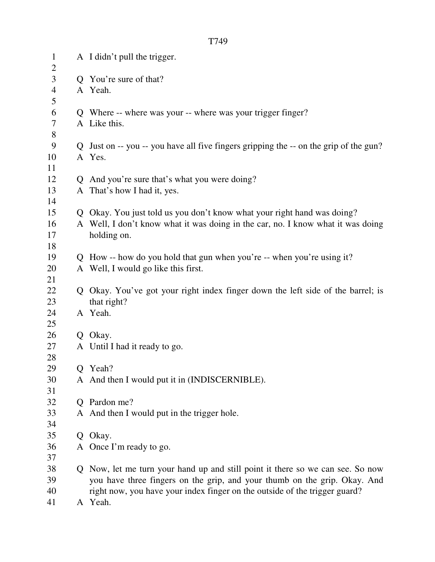| $\mathbf{1}$<br>$\overline{2}$ | A I didn't pull the trigger.                                                          |
|--------------------------------|---------------------------------------------------------------------------------------|
| 3                              | Q You're sure of that?                                                                |
| $\overline{4}$                 | A Yeah.                                                                               |
| 5                              |                                                                                       |
| 6                              | Q Where -- where was your -- where was your trigger finger?                           |
| $\tau$                         | A Like this.                                                                          |
| 8                              |                                                                                       |
| 9                              | Q Just on -- you -- you have all five fingers gripping the -- on the grip of the gun? |
| 10                             | A Yes.                                                                                |
| 11                             |                                                                                       |
| 12                             | Q And you're sure that's what you were doing?                                         |
| 13                             | A That's how I had it, yes.                                                           |
| 14                             |                                                                                       |
| 15                             | Q Okay. You just told us you don't know what your right hand was doing?               |
| 16                             | A Well, I don't know what it was doing in the car, no. I know what it was doing       |
| 17                             | holding on.                                                                           |
| 18                             |                                                                                       |
| 19                             | Q How -- how do you hold that gun when you're -- when you're using it?                |
| 20                             | A Well, I would go like this first.                                                   |
| 21                             |                                                                                       |
| 22                             | Q Okay. You've got your right index finger down the left side of the barrel; is       |
| 23                             | that right?                                                                           |
| 24                             | A Yeah.                                                                               |
| 25                             |                                                                                       |
| 26                             | Q Okay.                                                                               |
| 27                             | A Until I had it ready to go.                                                         |
| 28                             |                                                                                       |
| 29                             | Q Yeah?                                                                               |
| 30                             | A And then I would put it in (INDISCERNIBLE).                                         |
| 31                             |                                                                                       |
| 32                             | Q Pardon me?                                                                          |
| 33                             | A And then I would put in the trigger hole.                                           |
| 34                             |                                                                                       |
| 35                             | Q Okay.                                                                               |
| 36                             | A Once I'm ready to go.                                                               |
| 37                             |                                                                                       |
| 38                             | Q Now, let me turn your hand up and still point it there so we can see. So now        |
| 39                             | you have three fingers on the grip, and your thumb on the grip. Okay. And             |
| 40                             | right now, you have your index finger on the outside of the trigger guard?            |

41 A Yeah.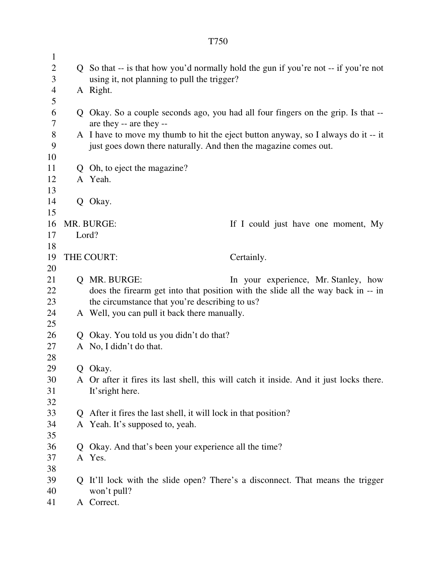| $\overline{2}$<br>Q So that -- is that how you'd normally hold the gun if you're not -- if you're not<br>3<br>using it, not planning to pull the trigger?<br>$\overline{4}$<br>A Right.<br>5<br>6<br>Q Okay. So a couple seconds ago, you had all four fingers on the grip. Is that --<br>7<br>are they -- are they --<br>$8\,$<br>A I have to move my thumb to hit the eject button anyway, so I always do it -- it<br>9<br>just goes down there naturally. And then the magazine comes out.<br>10<br>11<br>Q Oh, to eject the magazine?<br>A Yeah.<br>12<br>13<br>14<br>Q Okay.<br>15<br>16<br>MR. BURGE:<br>If I could just have one moment, My | $\mathbf{1}$ |  |                                                                                         |  |  |
|----------------------------------------------------------------------------------------------------------------------------------------------------------------------------------------------------------------------------------------------------------------------------------------------------------------------------------------------------------------------------------------------------------------------------------------------------------------------------------------------------------------------------------------------------------------------------------------------------------------------------------------------------|--------------|--|-----------------------------------------------------------------------------------------|--|--|
|                                                                                                                                                                                                                                                                                                                                                                                                                                                                                                                                                                                                                                                    |              |  |                                                                                         |  |  |
|                                                                                                                                                                                                                                                                                                                                                                                                                                                                                                                                                                                                                                                    |              |  |                                                                                         |  |  |
|                                                                                                                                                                                                                                                                                                                                                                                                                                                                                                                                                                                                                                                    |              |  |                                                                                         |  |  |
|                                                                                                                                                                                                                                                                                                                                                                                                                                                                                                                                                                                                                                                    |              |  |                                                                                         |  |  |
|                                                                                                                                                                                                                                                                                                                                                                                                                                                                                                                                                                                                                                                    |              |  |                                                                                         |  |  |
|                                                                                                                                                                                                                                                                                                                                                                                                                                                                                                                                                                                                                                                    |              |  |                                                                                         |  |  |
|                                                                                                                                                                                                                                                                                                                                                                                                                                                                                                                                                                                                                                                    |              |  |                                                                                         |  |  |
|                                                                                                                                                                                                                                                                                                                                                                                                                                                                                                                                                                                                                                                    |              |  |                                                                                         |  |  |
|                                                                                                                                                                                                                                                                                                                                                                                                                                                                                                                                                                                                                                                    |              |  |                                                                                         |  |  |
|                                                                                                                                                                                                                                                                                                                                                                                                                                                                                                                                                                                                                                                    |              |  |                                                                                         |  |  |
|                                                                                                                                                                                                                                                                                                                                                                                                                                                                                                                                                                                                                                                    |              |  |                                                                                         |  |  |
|                                                                                                                                                                                                                                                                                                                                                                                                                                                                                                                                                                                                                                                    |              |  |                                                                                         |  |  |
|                                                                                                                                                                                                                                                                                                                                                                                                                                                                                                                                                                                                                                                    |              |  |                                                                                         |  |  |
|                                                                                                                                                                                                                                                                                                                                                                                                                                                                                                                                                                                                                                                    |              |  |                                                                                         |  |  |
|                                                                                                                                                                                                                                                                                                                                                                                                                                                                                                                                                                                                                                                    |              |  |                                                                                         |  |  |
| Lord?<br>17                                                                                                                                                                                                                                                                                                                                                                                                                                                                                                                                                                                                                                        |              |  |                                                                                         |  |  |
| 18<br>19                                                                                                                                                                                                                                                                                                                                                                                                                                                                                                                                                                                                                                           |              |  |                                                                                         |  |  |
| THE COURT:<br>Certainly.                                                                                                                                                                                                                                                                                                                                                                                                                                                                                                                                                                                                                           |              |  |                                                                                         |  |  |
| 20                                                                                                                                                                                                                                                                                                                                                                                                                                                                                                                                                                                                                                                 |              |  |                                                                                         |  |  |
| 21<br>Q MR. BURGE:                                                                                                                                                                                                                                                                                                                                                                                                                                                                                                                                                                                                                                 |              |  | In your experience, Mr. Stanley, how                                                    |  |  |
| 22                                                                                                                                                                                                                                                                                                                                                                                                                                                                                                                                                                                                                                                 |              |  | does the firearm get into that position with the slide all the way back in -- in        |  |  |
| the circumstance that you're describing to us?<br>23                                                                                                                                                                                                                                                                                                                                                                                                                                                                                                                                                                                               |              |  |                                                                                         |  |  |
| A Well, you can pull it back there manually.<br>24                                                                                                                                                                                                                                                                                                                                                                                                                                                                                                                                                                                                 |              |  |                                                                                         |  |  |
| 25                                                                                                                                                                                                                                                                                                                                                                                                                                                                                                                                                                                                                                                 |              |  |                                                                                         |  |  |
| 26<br>Q Okay. You told us you didn't do that?                                                                                                                                                                                                                                                                                                                                                                                                                                                                                                                                                                                                      |              |  |                                                                                         |  |  |
| 27<br>A No, I didn't do that.                                                                                                                                                                                                                                                                                                                                                                                                                                                                                                                                                                                                                      |              |  |                                                                                         |  |  |
| 28                                                                                                                                                                                                                                                                                                                                                                                                                                                                                                                                                                                                                                                 |              |  |                                                                                         |  |  |
| 29<br>Q Okay.                                                                                                                                                                                                                                                                                                                                                                                                                                                                                                                                                                                                                                      |              |  |                                                                                         |  |  |
| 30                                                                                                                                                                                                                                                                                                                                                                                                                                                                                                                                                                                                                                                 |              |  | A Or after it fires its last shell, this will catch it inside. And it just locks there. |  |  |
| 31                                                                                                                                                                                                                                                                                                                                                                                                                                                                                                                                                                                                                                                 |              |  | It's right here.                                                                        |  |  |
| 32                                                                                                                                                                                                                                                                                                                                                                                                                                                                                                                                                                                                                                                 |              |  |                                                                                         |  |  |
| 33<br>Q After it fires the last shell, it will lock in that position?                                                                                                                                                                                                                                                                                                                                                                                                                                                                                                                                                                              |              |  |                                                                                         |  |  |
| 34<br>A Yeah. It's supposed to, yeah.                                                                                                                                                                                                                                                                                                                                                                                                                                                                                                                                                                                                              |              |  |                                                                                         |  |  |
| 35                                                                                                                                                                                                                                                                                                                                                                                                                                                                                                                                                                                                                                                 |              |  |                                                                                         |  |  |
| Okay. And that's been your experience all the time?<br>36<br>Q                                                                                                                                                                                                                                                                                                                                                                                                                                                                                                                                                                                     |              |  |                                                                                         |  |  |
| 37<br>38                                                                                                                                                                                                                                                                                                                                                                                                                                                                                                                                                                                                                                           |              |  | A Yes.                                                                                  |  |  |
| 39                                                                                                                                                                                                                                                                                                                                                                                                                                                                                                                                                                                                                                                 |              |  |                                                                                         |  |  |
| Q It'll lock with the slide open? There's a disconnect. That means the trigger                                                                                                                                                                                                                                                                                                                                                                                                                                                                                                                                                                     |              |  |                                                                                         |  |  |
| 40<br>A Correct.<br>41                                                                                                                                                                                                                                                                                                                                                                                                                                                                                                                                                                                                                             |              |  | won't pull?                                                                             |  |  |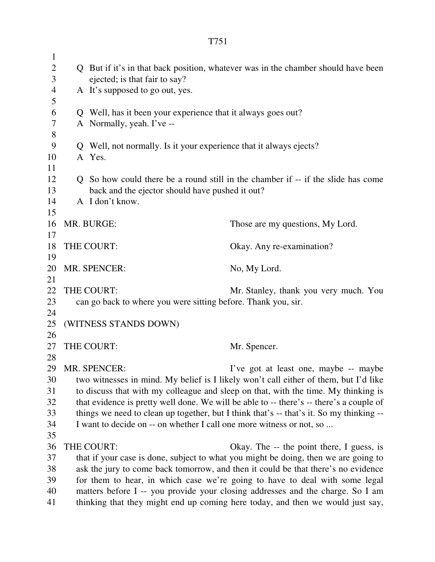| $\mathbf{1}$    |                                                                                                                                                                            |                                                                              |                                                                                                                                                               |
|-----------------|----------------------------------------------------------------------------------------------------------------------------------------------------------------------------|------------------------------------------------------------------------------|---------------------------------------------------------------------------------------------------------------------------------------------------------------|
| $\sqrt{2}$<br>3 | Q But if it's in that back position, whatever was in the chamber should have been<br>ejected; is that fair to say?                                                         |                                                                              |                                                                                                                                                               |
| $\overline{4}$  | A It's supposed to go out, yes.                                                                                                                                            |                                                                              |                                                                                                                                                               |
| 5               |                                                                                                                                                                            |                                                                              |                                                                                                                                                               |
| 6               |                                                                                                                                                                            | Q Well, has it been your experience that it always goes out?                 |                                                                                                                                                               |
| $\tau$          |                                                                                                                                                                            | A Normally, yeah. I've --                                                    |                                                                                                                                                               |
| 8               |                                                                                                                                                                            |                                                                              |                                                                                                                                                               |
| 9<br>10         |                                                                                                                                                                            | Q Well, not normally. Is it your experience that it always ejects?<br>A Yes. |                                                                                                                                                               |
| 11              |                                                                                                                                                                            |                                                                              |                                                                                                                                                               |
| 12              |                                                                                                                                                                            |                                                                              | Q So how could there be a round still in the chamber if -- if the slide has come                                                                              |
| 13              |                                                                                                                                                                            | back and the ejector should have pushed it out?                              |                                                                                                                                                               |
| 14              |                                                                                                                                                                            | A I don't know.                                                              |                                                                                                                                                               |
| 15              |                                                                                                                                                                            |                                                                              |                                                                                                                                                               |
| 16              |                                                                                                                                                                            | MR. BURGE:                                                                   | Those are my questions, My Lord.                                                                                                                              |
| 17              |                                                                                                                                                                            |                                                                              |                                                                                                                                                               |
| 18              |                                                                                                                                                                            | THE COURT:                                                                   | Okay. Any re-examination?                                                                                                                                     |
| 19<br>20        |                                                                                                                                                                            | MR. SPENCER:                                                                 | No, My Lord.                                                                                                                                                  |
| 21              |                                                                                                                                                                            |                                                                              |                                                                                                                                                               |
| 22              |                                                                                                                                                                            | THE COURT:                                                                   | Mr. Stanley, thank you very much. You                                                                                                                         |
| 23              |                                                                                                                                                                            | can go back to where you were sitting before. Thank you, sir.                |                                                                                                                                                               |
| 24              |                                                                                                                                                                            |                                                                              |                                                                                                                                                               |
| 25              |                                                                                                                                                                            | (WITNESS STANDS DOWN)                                                        |                                                                                                                                                               |
| 26              |                                                                                                                                                                            |                                                                              |                                                                                                                                                               |
| 27              |                                                                                                                                                                            | THE COURT:                                                                   | Mr. Spencer.                                                                                                                                                  |
| 28<br>29        |                                                                                                                                                                            | MR. SPENCER:                                                                 | I've got at least one, maybe -- maybe                                                                                                                         |
| 30              |                                                                                                                                                                            |                                                                              |                                                                                                                                                               |
| 31              | two witnesses in mind. My belief is I likely won't call either of them, but I'd like<br>to discuss that with my colleague and sleep on that, with the time. My thinking is |                                                                              |                                                                                                                                                               |
| 32              | that evidence is pretty well done. We will be able to -- there's -- there's a couple of                                                                                    |                                                                              |                                                                                                                                                               |
| 33              | things we need to clean up together, but I think that's -- that's it. So my thinking --                                                                                    |                                                                              |                                                                                                                                                               |
| 34              |                                                                                                                                                                            | I want to decide on -- on whether I call one more witness or not, so         |                                                                                                                                                               |
| 35              |                                                                                                                                                                            |                                                                              |                                                                                                                                                               |
| 36              |                                                                                                                                                                            | THE COURT:                                                                   | Okay. The -- the point there, I guess, is                                                                                                                     |
| 37              |                                                                                                                                                                            |                                                                              | that if your case is done, subject to what you might be doing, then we are going to                                                                           |
| 38<br>39        |                                                                                                                                                                            |                                                                              | ask the jury to come back tomorrow, and then it could be that there's no evidence                                                                             |
| 40              |                                                                                                                                                                            |                                                                              | for them to hear, in which case we're going to have to deal with some legal<br>matters before I -- you provide your closing addresses and the charge. So I am |
| 41              |                                                                                                                                                                            |                                                                              | thinking that they might end up coming here today, and then we would just say,                                                                                |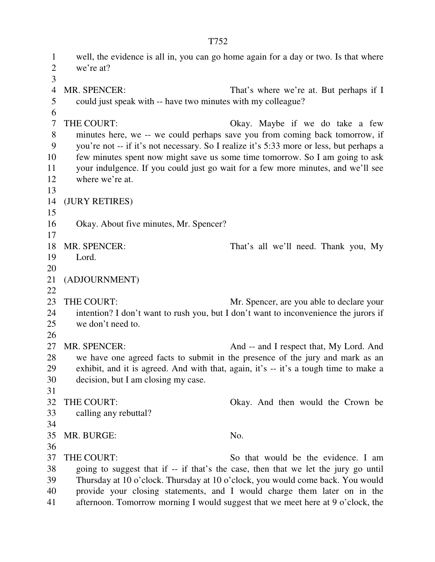1 well, the evidence is all in, you can go home again for a day or two. Is that where 2 we're at? 3 4 MR. SPENCER: That's where we're at. But perhaps if I 5 could just speak with -- have two minutes with my colleague? 6 7 THE COURT: Okay. Maybe if we do take a few 8 minutes here, we -- we could perhaps save you from coming back tomorrow, if 9 you're not -- if it's not necessary. So I realize it's 5:33 more or less, but perhaps a 10 few minutes spent now might save us some time tomorrow. So I am going to ask 11 your indulgence. If you could just go wait for a few more minutes, and we'll see 12 where we're at. 13 14 (JURY RETIRES) 15 16 Okay. About five minutes, Mr. Spencer? 17 18 MR. SPENCER: That's all we'll need. Thank you, My 19 Lord. 20 21 (ADJOURNMENT) 22 23 THE COURT: Mr. Spencer, are you able to declare your 24 intention? I don't want to rush you, but I don't want to inconvenience the jurors if 25 we don't need to. 26 27 MR. SPENCER: And -- and I respect that, My Lord. And 28 we have one agreed facts to submit in the presence of the jury and mark as an 29 exhibit, and it is agreed. And with that, again, it's -- it's a tough time to make a 30 decision, but I am closing my case. 31 32 THE COURT: Okay. And then would the Crown be 33 calling any rebuttal? 34 35 MR. BURGE: No. 36 37 THE COURT: So that would be the evidence. I am 38 going to suggest that if -- if that's the case, then that we let the jury go until 39 Thursday at 10 o'clock. Thursday at 10 o'clock, you would come back. You would 40 provide your closing statements, and I would charge them later on in the 41 afternoon. Tomorrow morning I would suggest that we meet here at 9 o'clock, the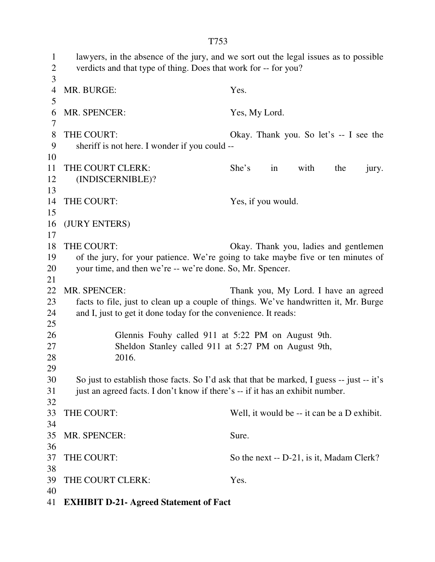1 lawyers, in the absence of the jury, and we sort out the legal issues as to possible 2 verdicts and that type of thing. Does that work for -- for you? 3 4 MR. BURGE: Yes. 5 6 MR. SPENCER: Yes, My Lord. 7 8 THE COURT: Okay. Thank you. So let's -- I see the 9 sheriff is not here. I wonder if you could -- 10 11 THE COURT CLERK: She's in with the jury. 12 (INDISCERNIBLE)? 13 14 THE COURT: Yes, if you would. 15 16 (JURY ENTERS) 17 18 THE COURT: Okay. Thank you, ladies and gentlemen 19 of the jury, for your patience. We're going to take maybe five or ten minutes of 20 your time, and then we're -- we're done. So, Mr. Spencer. 21 22 MR. SPENCER: Thank you, My Lord. I have an agreed 23 facts to file, just to clean up a couple of things. We've handwritten it, Mr. Burge 24 and I, just to get it done today for the convenience. It reads: 25 26 Glennis Fouhy called 911 at 5:22 PM on August 9th. 27 Sheldon Stanley called 911 at 5:27 PM on August 9th, 28 2016. 29 30 So just to establish those facts. So I'd ask that that be marked, I guess -- just -- it's 31 just an agreed facts. I don't know if there's -- if it has an exhibit number. 32 33 THE COURT: Well, it would be -- it can be a D exhibit. 34 35 MR. SPENCER: Sure. 36 37 THE COURT: So the next -- D-21, is it, Madam Clerk? 38 39 THE COURT CLERK: Yes. 40

41 **EXHIBIT D-21- Agreed Statement of Fact**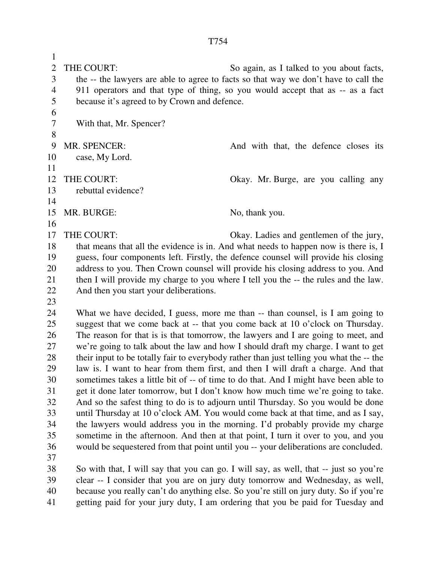1 2 THE COURT: So again, as I talked to you about facts, 3 the -- the lawyers are able to agree to facts so that way we don't have to call the 4 911 operators and that type of thing, so you would accept that as -- as a fact 5 because it's agreed to by Crown and defence. 6 7 With that, Mr. Spencer? 8 9 MR. SPENCER: And with that, the defence closes its 10 case, My Lord. 11 12 THE COURT: Okay. Mr. Burge, are you calling any 13 rebuttal evidence? 14 15 MR. BURGE: No, thank you. 16 17 THE COURT: Okay. Ladies and gentlemen of the jury, 18 that means that all the evidence is in. And what needs to happen now is there is, I 19 guess, four components left. Firstly, the defence counsel will provide his closing 20 address to you. Then Crown counsel will provide his closing address to you. And 21 then I will provide my charge to you where I tell you the -- the rules and the law. 22 And then you start your deliberations. 23 24 What we have decided, I guess, more me than -- than counsel, is I am going to 25 suggest that we come back at -- that you come back at 10 o'clock on Thursday. 26 The reason for that is is that tomorrow, the lawyers and I are going to meet, and 27 we're going to talk about the law and how I should draft my charge. I want to get 28 their input to be totally fair to everybody rather than just telling you what the -- the 29 law is. I want to hear from them first, and then I will draft a charge. And that 30 sometimes takes a little bit of -- of time to do that. And I might have been able to 31 get it done later tomorrow, but I don't know how much time we're going to take. 32 And so the safest thing to do is to adjourn until Thursday. So you would be done 33 until Thursday at 10 o'clock AM. You would come back at that time, and as I say, 34 the lawyers would address you in the morning. I'd probably provide my charge 35 sometime in the afternoon. And then at that point, I turn it over to you, and you 36 would be sequestered from that point until you -- your deliberations are concluded. 37 38 So with that, I will say that you can go. I will say, as well, that -- just so you're 39 clear -- I consider that you are on jury duty tomorrow and Wednesday, as well, 40 because you really can't do anything else. So you're still on jury duty. So if you're

41 getting paid for your jury duty, I am ordering that you be paid for Tuesday and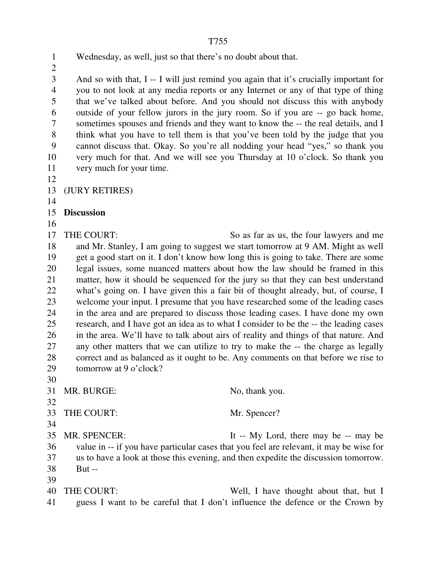1 Wednesday, as well, just so that there's no doubt about that.

 $\overline{2}$ 

3 And so with that, I -- I will just remind you again that it's crucially important for 4 you to not look at any media reports or any Internet or any of that type of thing 5 that we've talked about before. And you should not discuss this with anybody 6 outside of your fellow jurors in the jury room. So if you are -- go back home, 7 sometimes spouses and friends and they want to know the -- the real details, and I 8 think what you have to tell them is that you've been told by the judge that you 9 cannot discuss that. Okay. So you're all nodding your head "yes," so thank you 10 very much for that. And we will see you Thursday at 10 o'clock. So thank you 11 very much for your time.

12

13 (JURY RETIRES)

14

15 **Discussion** 

16

17 THE COURT: So as far as us, the four lawyers and me 18 and Mr. Stanley, I am going to suggest we start tomorrow at 9 AM. Might as well 19 get a good start on it. I don't know how long this is going to take. There are some 20 legal issues, some nuanced matters about how the law should be framed in this 21 matter, how it should be sequenced for the jury so that they can best understand 22 what's going on. I have given this a fair bit of thought already, but, of course, I 23 welcome your input. I presume that you have researched some of the leading cases 24 in the area and are prepared to discuss those leading cases. I have done my own 25 research, and I have got an idea as to what I consider to be the -- the leading cases 26 in the area. We'll have to talk about airs of reality and things of that nature. And 27 any other matters that we can utilize to try to make the -- the charge as legally 28 correct and as balanced as it ought to be. Any comments on that before we rise to 29 tomorrow at 9 o'clock?

30

31 MR. BURGE: No, thank you.

32

33 THE COURT: Mr. Spencer?

34

35 MR. SPENCER: It -- My Lord, there may be -- may be 36 value in -- if you have particular cases that you feel are relevant, it may be wise for 37 us to have a look at those this evening, and then expedite the discussion tomorrow. 38 But --

39

40 THE COURT: Well, I have thought about that, but I 41 guess I want to be careful that I don't influence the defence or the Crown by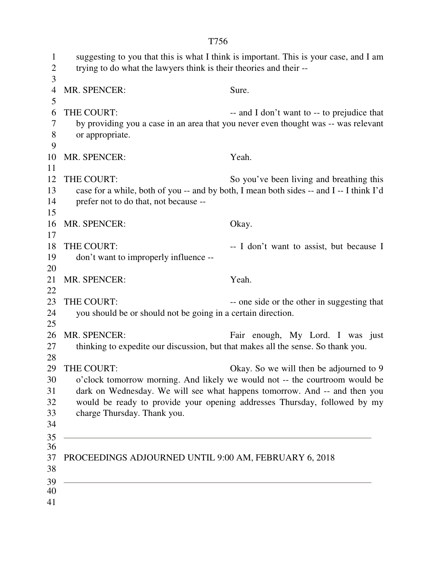1 suggesting to you that this is what I think is important. This is your case, and I am 2 trying to do what the lawyers think is their theories and their -- 3 4 MR. SPENCER: Sure. 5 6 THE COURT: -- and I don't want to -- to prejudice that 7 by providing you a case in an area that you never even thought was -- was relevant 8 or appropriate. 9 10 MR. SPENCER: Yeah. 11 12 THE COURT: So you've been living and breathing this 13 case for a while, both of you -- and by both, I mean both sides -- and I -- I think I'd 14 prefer not to do that, not because -- 15 16 MR. SPENCER: Okay. 17 18 THE COURT:  $\qquad \qquad -I$  don't want to assist, but because I 19 don't want to improperly influence -- 20 21 MR. SPENCER: Yeah. 22 23 THE COURT: -- one side or the other in suggesting that 24 you should be or should not be going in a certain direction. 25 26 MR. SPENCER: Fair enough, My Lord. I was just 27 thinking to expedite our discussion, but that makes all the sense. So thank you. 28 29 THE COURT: Okay. So we will then be adjourned to 9 30 o'clock tomorrow morning. And likely we would not -- the courtroom would be 31 dark on Wednesday. We will see what happens tomorrow. And -- and then you 32 would be ready to provide your opening addresses Thursday, followed by my 33 charge Thursday. Thank you. 34 35 36 37 PROCEEDINGS ADJOURNED UNTIL 9:00 AM, FEBRUARY 6, 2018 38 39 40

T756

41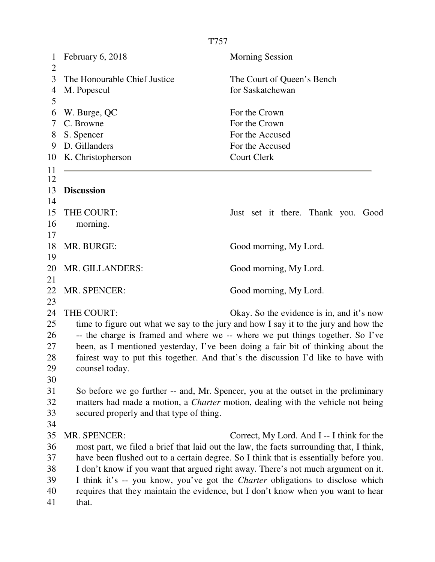|                                | T757                                                                                                |                                                                                         |  |  |
|--------------------------------|-----------------------------------------------------------------------------------------------------|-----------------------------------------------------------------------------------------|--|--|
| $\mathbf{1}$<br>$\overline{2}$ | February 6, 2018                                                                                    | <b>Morning Session</b>                                                                  |  |  |
| 3                              | The Honourable Chief Justice                                                                        | The Court of Queen's Bench                                                              |  |  |
| 4<br>5                         | M. Popescul                                                                                         | for Saskatchewan                                                                        |  |  |
| 6                              | W. Burge, QC                                                                                        | For the Crown                                                                           |  |  |
| 7                              | C. Browne                                                                                           | For the Crown                                                                           |  |  |
| 8                              | S. Spencer                                                                                          | For the Accused                                                                         |  |  |
| 9                              | D. Gillanders                                                                                       | For the Accused                                                                         |  |  |
| 10                             | K. Christopherson                                                                                   | <b>Court Clerk</b>                                                                      |  |  |
| 11<br>12                       |                                                                                                     |                                                                                         |  |  |
| 13<br>14                       | <b>Discussion</b>                                                                                   |                                                                                         |  |  |
| 15                             | THE COURT:                                                                                          | Just set it there. Thank you. Good                                                      |  |  |
| 16                             | morning.                                                                                            |                                                                                         |  |  |
| 17                             |                                                                                                     |                                                                                         |  |  |
| 18<br>19                       | MR. BURGE:                                                                                          | Good morning, My Lord.                                                                  |  |  |
| 20<br>21                       | MR. GILLANDERS:                                                                                     | Good morning, My Lord.                                                                  |  |  |
| $22\,$<br>23                   | MR. SPENCER:                                                                                        | Good morning, My Lord.                                                                  |  |  |
| 24                             | THE COURT:                                                                                          | Okay. So the evidence is in, and it's now                                               |  |  |
| 25                             |                                                                                                     | time to figure out what we say to the jury and how I say it to the jury and how the     |  |  |
| 26                             |                                                                                                     | -- the charge is framed and where we -- where we put things together. So I've           |  |  |
| 27                             | been, as I mentioned yesterday, I've been doing a fair bit of thinking about the                    |                                                                                         |  |  |
| 28<br>29                       | fairest way to put this together. And that's the discussion I'd like to have with<br>counsel today. |                                                                                         |  |  |
| 30                             |                                                                                                     |                                                                                         |  |  |
| 31                             |                                                                                                     | So before we go further -- and, Mr. Spencer, you at the outset in the preliminary       |  |  |
| 32                             |                                                                                                     | matters had made a motion, a <i>Charter</i> motion, dealing with the vehicle not being  |  |  |
| 33                             | secured properly and that type of thing.                                                            |                                                                                         |  |  |
| 34                             |                                                                                                     |                                                                                         |  |  |
| 35                             | MR. SPENCER:                                                                                        | Correct, My Lord. And I -- I think for the                                              |  |  |
| 36                             |                                                                                                     | most part, we filed a brief that laid out the law, the facts surrounding that, I think, |  |  |
| 37                             |                                                                                                     | have been flushed out to a certain degree. So I think that is essentially before you.   |  |  |
| 38                             |                                                                                                     | I don't know if you want that argued right away. There's not much argument on it.       |  |  |
| 39                             |                                                                                                     | I think it's -- you know, you've got the <i>Charter</i> obligations to disclose which   |  |  |
| 40                             |                                                                                                     | requires that they maintain the evidence, but I don't know when you want to hear        |  |  |
| 41                             | that.                                                                                               |                                                                                         |  |  |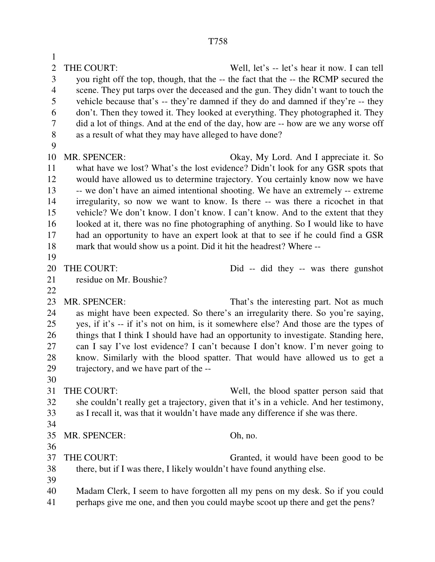1 2 THE COURT: Well, let's -- let's hear it now. I can tell 3 you right off the top, though, that the -- the fact that the -- the RCMP secured the 4 scene. They put tarps over the deceased and the gun. They didn't want to touch the 5 vehicle because that's -- they're damned if they do and damned if they're -- they 6 don't. Then they towed it. They looked at everything. They photographed it. They 7 did a lot of things. And at the end of the day, how are -- how are we any worse off 8 as a result of what they may have alleged to have done? 9 10 MR. SPENCER: Okay, My Lord. And I appreciate it. So 11 what have we lost? What's the lost evidence? Didn't look for any GSR spots that 12 would have allowed us to determine trajectory. You certainly know now we have 13 -- we don't have an aimed intentional shooting. We have an extremely -- extreme 14 irregularity, so now we want to know. Is there -- was there a ricochet in that 15 vehicle? We don't know. I don't know. I can't know. And to the extent that they 16 looked at it, there was no fine photographing of anything. So I would like to have 17 had an opportunity to have an expert look at that to see if he could find a GSR 18 mark that would show us a point. Did it hit the headrest? Where -- 19 20 THE COURT: Did -- did they -- was there gunshot 21 residue on Mr. Boushie? 22 23 MR. SPENCER: That's the interesting part. Not as much 24 as might have been expected. So there's an irregularity there. So you're saying, 25 yes, if it's -- if it's not on him, is it somewhere else? And those are the types of 26 things that I think I should have had an opportunity to investigate. Standing here, 27 can I say I've lost evidence? I can't because I don't know. I'm never going to 28 know. Similarly with the blood spatter. That would have allowed us to get a 29 trajectory, and we have part of the -- 30 31 THE COURT: Well, the blood spatter person said that 32 she couldn't really get a trajectory, given that it's in a vehicle. And her testimony, 33 as I recall it, was that it wouldn't have made any difference if she was there. 34 35 MR. SPENCER: Oh, no. 36 37 THE COURT: Granted, it would have been good to be 38 there, but if I was there, I likely wouldn't have found anything else. 39 40 Madam Clerk, I seem to have forgotten all my pens on my desk. So if you could 41 perhaps give me one, and then you could maybe scoot up there and get the pens?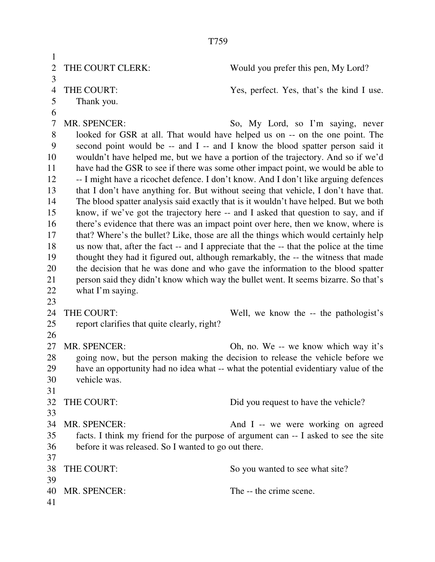T759 1 2 THE COURT CLERK: Would you prefer this pen, My Lord? 3 4 THE COURT: Yes, perfect. Yes, that's the kind I use. 5 Thank you. 6 7 MR. SPENCER: So, My Lord, so I'm saying, never 8 looked for GSR at all. That would have helped us on -- on the one point. The 9 second point would be -- and I -- and I know the blood spatter person said it 10 wouldn't have helped me, but we have a portion of the trajectory. And so if we'd 11 have had the GSR to see if there was some other impact point, we would be able to 12 -- I might have a ricochet defence. I don't know. And I don't like arguing defences 13 that I don't have anything for. But without seeing that vehicle, I don't have that. 14 The blood spatter analysis said exactly that is it wouldn't have helped. But we both 15 know, if we've got the trajectory here -- and I asked that question to say, and if 16 there's evidence that there was an impact point over here, then we know, where is 17 that? Where's the bullet? Like, those are all the things which would certainly help 18 us now that, after the fact -- and I appreciate that the -- that the police at the time 19 thought they had it figured out, although remarkably, the -- the witness that made 20 the decision that he was done and who gave the information to the blood spatter 21 person said they didn't know which way the bullet went. It seems bizarre. So that's 22 what I'm saying. 23 24 THE COURT: Well, we know the -- the pathologist's 25 report clarifies that quite clearly, right? 26 27 MR. SPENCER: Oh, no. We -- we know which way it's 28 going now, but the person making the decision to release the vehicle before we 29 have an opportunity had no idea what -- what the potential evidentiary value of the 30 vehicle was. 31 32 THE COURT: Did you request to have the vehicle? 33 34 MR. SPENCER: And I -- we were working on agreed 35 facts. I think my friend for the purpose of argument can -- I asked to see the site 36 before it was released. So I wanted to go out there. 37 38 THE COURT: So you wanted to see what site? 39 40 MR. SPENCER: The -- the crime scene. 41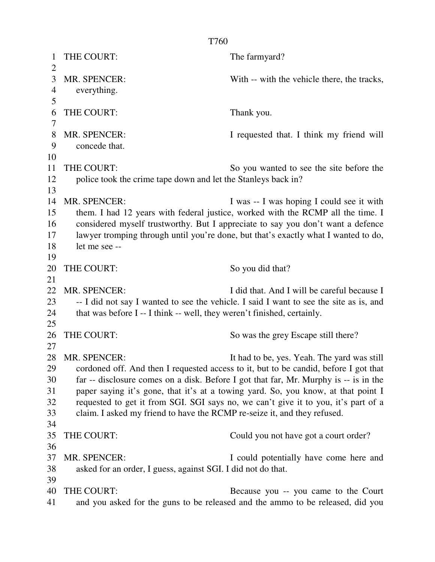T760 1 THE COURT: The farmyard? 3 MR. SPENCER: With -- with the vehicle there, the tracks, 4 everything. 6 THE COURT: Thank you. 8 MR. SPENCER: I requested that. I think my friend will 9 concede that. 11 THE COURT: So you wanted to see the site before the 12 police took the crime tape down and let the Stanleys back in? 14 MR. SPENCER: I was -- I was hoping I could see it with 15 them. I had 12 years with federal justice, worked with the RCMP all the time. I 16 considered myself trustworthy. But I appreciate to say you don't want a defence 17 lawyer tromping through until you're done, but that's exactly what I wanted to do, 18 let me see -- 20 THE COURT: So you did that? 22 MR. SPENCER: I did that. And I will be careful because I 23 -- I did not say I wanted to see the vehicle. I said I want to see the site as is, and 24 that was before I -- I think -- well, they weren't finished, certainly. 26 THE COURT: So was the grey Escape still there? 28 MR. SPENCER: It had to be, yes. Yeah. The yard was still 29 cordoned off. And then I requested access to it, but to be candid, before I got that 30 far -- disclosure comes on a disk. Before I got that far, Mr. Murphy is -- is in the

 $\overline{2}$ 

5

7

10

13

19

21

25

27

31 paper saying it's gone, that it's at a towing yard. So, you know, at that point I 32 requested to get it from SGI. SGI says no, we can't give it to you, it's part of a 33 claim. I asked my friend to have the RCMP re-seize it, and they refused. 34 35 THE COURT: Could you not have got a court order? 36 37 MR. SPENCER: I could potentially have come here and 38 asked for an order, I guess, against SGI. I did not do that. 39

40 THE COURT: Because you -- you came to the Court 41 and you asked for the guns to be released and the ammo to be released, did you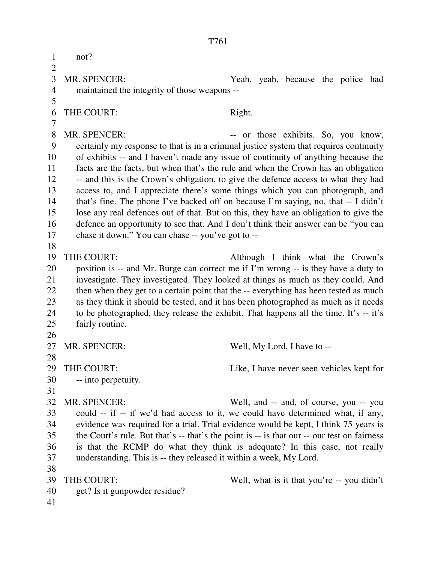1 not?  $\overline{2}$ 3 MR. SPENCER: Yeah, yeah, because the police had 4 maintained the integrity of those weapons -- 5 6 THE COURT: Right. 7 8 MR. SPENCER:  $\qquad \qquad \text{or those exhibits. So, you know,}$ 9 certainly my response to that is in a criminal justice system that requires continuity 10 of exhibits -- and I haven't made any issue of continuity of anything because the 11 facts are the facts, but when that's the rule and when the Crown has an obligation 12 -- and this is the Crown's obligation, to give the defence access to what they had 13 access to, and I appreciate there's some things which you can photograph, and 14 that's fine. The phone I've backed off on because I'm saying, no, that -- I didn't 15 lose any real defences out of that. But on this, they have an obligation to give the 16 defence an opportunity to see that. And I don't think their answer can be "you can 17 chase it down." You can chase -- you've got to -- 18 19 THE COURT: Although I think what the Crown's 20 position is -- and Mr. Burge can correct me if I'm wrong -- is they have a duty to 21 investigate. They investigated. They looked at things as much as they could. And 22 then when they get to a certain point that the -- everything has been tested as much 23 as they think it should be tested, and it has been photographed as much as it needs 24 to be photographed, they release the exhibit. That happens all the time. It's -- it's 25 fairly routine. 26 27 MR. SPENCER: Well, My Lord, I have to --28 29 THE COURT: Like, I have never seen vehicles kept for 30 -- into perpetuity. 31 32 MR. SPENCER: Well, and -- and, of course, you -- you 33 could -- if -- if we'd had access to it, we could have determined what, if any, 34 evidence was required for a trial. Trial evidence would be kept, I think 75 years is 35 the Court's rule. But that's -- that's the point is -- is that our -- our test on fairness 36 is that the RCMP do what they think is adequate? In this case, not really 37 understanding. This is -- they released it within a week, My Lord. 38 39 THE COURT: Well, what is it that you're -- you didn't 40 get? Is it gunpowder residue? 41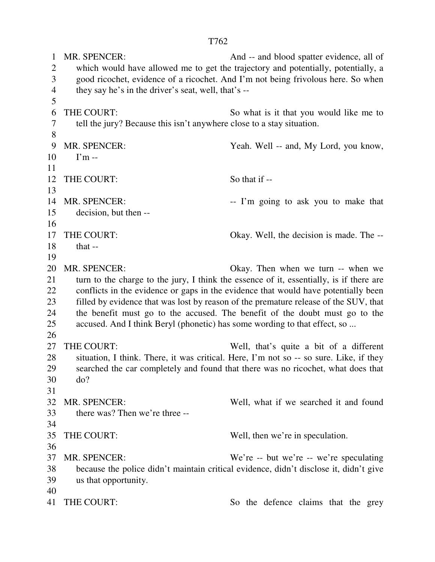1 MR. SPENCER: And -- and blood spatter evidence, all of 2 which would have allowed me to get the trajectory and potentially, potentially, a 3 good ricochet, evidence of a ricochet. And I'm not being frivolous here. So when 4 they say he's in the driver's seat, well, that's -- 5 6 THE COURT: So what is it that you would like me to 7 tell the jury? Because this isn't anywhere close to a stay situation. 8 9 MR. SPENCER: Yeah. Well -- and, My Lord, you know,  $10 \qquad \Gamma$ m --11 12 THE COURT: So that if --13 14 MR. SPENCER: -- I'm going to ask you to make that 15 decision, but then -- 16 17 THE COURT: Okay. Well, the decision is made. The -- 18 that -- 19 20 MR. SPENCER: Okay. Then when we turn -- when we 21 turn to the charge to the jury, I think the essence of it, essentially, is if there are 22 conflicts in the evidence or gaps in the evidence that would have potentially been 23 filled by evidence that was lost by reason of the premature release of the SUV, that 24 the benefit must go to the accused. The benefit of the doubt must go to the 25 accused. And I think Beryl (phonetic) has some wording to that effect, so ... 26 27 THE COURT: Well, that's quite a bit of a different 28 situation, I think. There, it was critical. Here, I'm not so -- so sure. Like, if they 29 searched the car completely and found that there was no ricochet, what does that 30 do? 31

32 MR. SPENCER: Well, what if we searched it and found 33 there was? Then we're three -- 34 35 THE COURT: Well, then we're in speculation. 36 37 MR. SPENCER: We're -- but we're -- we're speculating 38 because the police didn't maintain critical evidence, didn't disclose it, didn't give 39 us that opportunity. 40

41 THE COURT: So the defence claims that the grey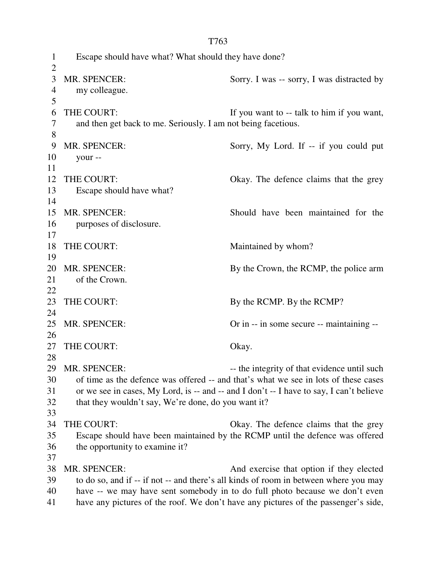|                | T763                                                                                                                                                                           |                                                                                      |  |  |
|----------------|--------------------------------------------------------------------------------------------------------------------------------------------------------------------------------|--------------------------------------------------------------------------------------|--|--|
| $\mathbf{1}$   | Escape should have what? What should they have done?                                                                                                                           |                                                                                      |  |  |
| $\overline{2}$ |                                                                                                                                                                                |                                                                                      |  |  |
| 3              | MR. SPENCER:                                                                                                                                                                   | Sorry. I was -- sorry, I was distracted by                                           |  |  |
| $\overline{4}$ | my colleague.                                                                                                                                                                  |                                                                                      |  |  |
| 5              |                                                                                                                                                                                |                                                                                      |  |  |
| 6              | THE COURT:                                                                                                                                                                     | If you want to -- talk to him if you want,                                           |  |  |
| 7              | and then get back to me. Seriously. I am not being facetious.                                                                                                                  |                                                                                      |  |  |
| 8              |                                                                                                                                                                                |                                                                                      |  |  |
| 9              | MR. SPENCER:                                                                                                                                                                   | Sorry, My Lord. If -- if you could put                                               |  |  |
| 10             | your --                                                                                                                                                                        |                                                                                      |  |  |
| 11             |                                                                                                                                                                                |                                                                                      |  |  |
| 12             | THE COURT:                                                                                                                                                                     | Okay. The defence claims that the grey                                               |  |  |
| 13<br>14       | Escape should have what?                                                                                                                                                       |                                                                                      |  |  |
| 15             | MR. SPENCER:                                                                                                                                                                   | Should have been maintained for the                                                  |  |  |
| 16             | purposes of disclosure.                                                                                                                                                        |                                                                                      |  |  |
| 17             |                                                                                                                                                                                |                                                                                      |  |  |
| 18             | THE COURT:                                                                                                                                                                     | Maintained by whom?                                                                  |  |  |
| 19             |                                                                                                                                                                                |                                                                                      |  |  |
| 20             | <b>MR. SPENCER:</b>                                                                                                                                                            | By the Crown, the RCMP, the police arm                                               |  |  |
| 21             | of the Crown.                                                                                                                                                                  |                                                                                      |  |  |
| 22             |                                                                                                                                                                                |                                                                                      |  |  |
| 23             | THE COURT:                                                                                                                                                                     | By the RCMP. By the RCMP?                                                            |  |  |
| 24             |                                                                                                                                                                                |                                                                                      |  |  |
| 25             | MR. SPENCER:                                                                                                                                                                   | Or in -- in some secure -- maintaining --                                            |  |  |
| 26             |                                                                                                                                                                                |                                                                                      |  |  |
| 27             | THE COURT:                                                                                                                                                                     | Okay.                                                                                |  |  |
| 28<br>29       | <b>MR. SPENCER:</b>                                                                                                                                                            | -- the integrity of that evidence until such                                         |  |  |
| 30             |                                                                                                                                                                                |                                                                                      |  |  |
| 31             | of time as the defence was offered -- and that's what we see in lots of these cases<br>or we see in cases, My Lord, is -- and -- and I don't -- I have to say, I can't believe |                                                                                      |  |  |
| 32             | that they wouldn't say, We're done, do you want it?                                                                                                                            |                                                                                      |  |  |
| 33             |                                                                                                                                                                                |                                                                                      |  |  |
| 34             | THE COURT:                                                                                                                                                                     | Okay. The defence claims that the grey                                               |  |  |
| 35             |                                                                                                                                                                                | Escape should have been maintained by the RCMP until the defence was offered         |  |  |
| 36             | the opportunity to examine it?                                                                                                                                                 |                                                                                      |  |  |
| 37             |                                                                                                                                                                                |                                                                                      |  |  |
| 38             | MR. SPENCER:                                                                                                                                                                   | And exercise that option if they elected                                             |  |  |
| 39             |                                                                                                                                                                                | to do so, and if -- if not -- and there's all kinds of room in between where you may |  |  |
| 40             |                                                                                                                                                                                | have -- we may have sent somebody in to do full photo because we don't even          |  |  |
| 41             |                                                                                                                                                                                | have any pictures of the roof. We don't have any pictures of the passenger's side,   |  |  |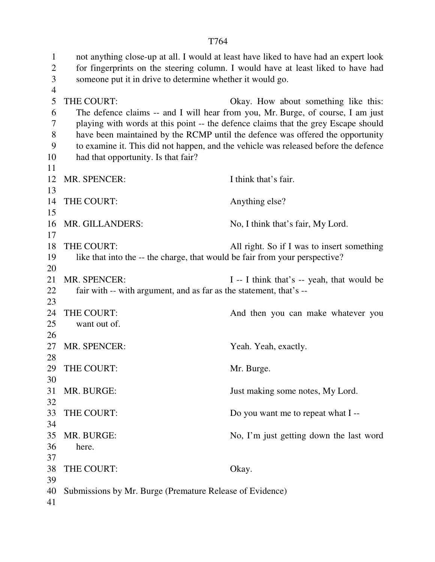1 not anything close-up at all. I would at least have liked to have had an expert look 2 for fingerprints on the steering column. I would have at least liked to have had 3 someone put it in drive to determine whether it would go. 4 5 THE COURT: Okay. How about something like this: 6 The defence claims -- and I will hear from you, Mr. Burge, of course, I am just 7 playing with words at this point -- the defence claims that the grey Escape should 8 have been maintained by the RCMP until the defence was offered the opportunity 9 to examine it. This did not happen, and the vehicle was released before the defence 10 had that opportunity. Is that fair? 11 12 MR. SPENCER: I think that's fair. 13 14 THE COURT: Anything else? 15 16 MR. GILLANDERS: No, I think that's fair, My Lord. 17 18 THE COURT: All right. So if I was to insert something 19 like that into the -- the charge, that would be fair from your perspective? 20 21 MR. SPENCER: I -- I think that's -- yeah, that would be 22 fair with -- with argument, and as far as the statement, that's -- 23 24 THE COURT: And then you can make whatever you 25 want out of. 26 27 MR. SPENCER: Yeah. Yeah. Yeah, exactly. 28 29 THE COURT: Mr. Burge. 30 31 MR. BURGE: Just making some notes, My Lord. 32 33 THE COURT: Do you want me to repeat what I --34 35 MR. BURGE: No, I'm just getting down the last word 36 here. 37 38 THE COURT: Okay. 39 40 Submissions by Mr. Burge (Premature Release of Evidence) 41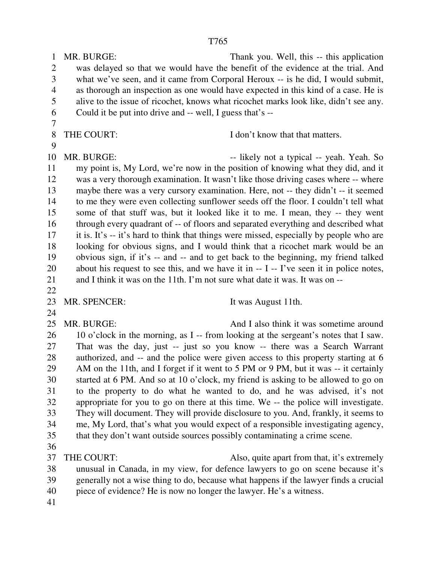1 MR. BURGE: Thank you. Well, this -- this application 2 was delayed so that we would have the benefit of the evidence at the trial. And 3 what we've seen, and it came from Corporal Heroux -- is he did, I would submit, 4 as thorough an inspection as one would have expected in this kind of a case. He is 5 alive to the issue of ricochet, knows what ricochet marks look like, didn't see any. 6 Could it be put into drive and -- well, I guess that's --

7

8 THE COURT: I don't know that that matters.

9

10 MR. BURGE:  $-$  likely not a typical -- yeah. Yeah. So 11 my point is, My Lord, we're now in the position of knowing what they did, and it 12 was a very thorough examination. It wasn't like those driving cases where -- where 13 maybe there was a very cursory examination. Here, not -- they didn't -- it seemed 14 to me they were even collecting sunflower seeds off the floor. I couldn't tell what 15 some of that stuff was, but it looked like it to me. I mean, they -- they went 16 through every quadrant of -- of floors and separated everything and described what 17 it is. It's -- it's hard to think that things were missed, especially by people who are 18 looking for obvious signs, and I would think that a ricochet mark would be an 19 obvious sign, if it's -- and -- and to get back to the beginning, my friend talked 20 about his request to see this, and we have it in -- I -- I've seen it in police notes, 21 and I think it was on the 11th. I'm not sure what date it was. It was on --

22

23 MR. SPENCER: It was August 11th.

24

25 MR. BURGE: And I also think it was sometime around 26 10 o'clock in the morning, as I -- from looking at the sergeant's notes that I saw. 27 That was the day, just -- just so you know -- there was a Search Warrant 28 authorized, and -- and the police were given access to this property starting at 6 29 AM on the 11th, and I forget if it went to 5 PM or 9 PM, but it was -- it certainly 30 started at 6 PM. And so at 10 o'clock, my friend is asking to be allowed to go on 31 to the property to do what he wanted to do, and he was advised, it's not 32 appropriate for you to go on there at this time. We -- the police will investigate. 33 They will document. They will provide disclosure to you. And, frankly, it seems to 34 me, My Lord, that's what you would expect of a responsible investigating agency, 35 that they don't want outside sources possibly contaminating a crime scene.

36

37 THE COURT: Also, quite apart from that, it's extremely

- 38 unusual in Canada, in my view, for defence lawyers to go on scene because it's 39 generally not a wise thing to do, because what happens if the lawyer finds a crucial
- 40 piece of evidence? He is now no longer the lawyer. He's a witness.
- 41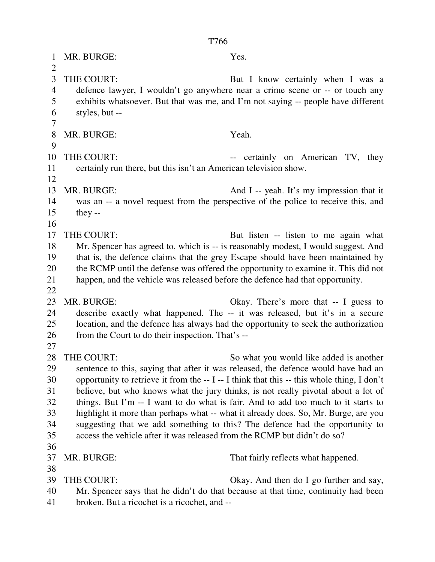| 1                   | MR. BURGE:                                                                                                                                               | Yes.                                                                                                                           |  |
|---------------------|----------------------------------------------------------------------------------------------------------------------------------------------------------|--------------------------------------------------------------------------------------------------------------------------------|--|
| $\overline{2}$<br>3 | THE COURT:                                                                                                                                               |                                                                                                                                |  |
| $\overline{4}$      | But I know certainly when I was a<br>defence lawyer, I wouldn't go anywhere near a crime scene or -- or touch any                                        |                                                                                                                                |  |
| 5                   | exhibits whatsoever. But that was me, and I'm not saying -- people have different                                                                        |                                                                                                                                |  |
| 6                   | styles, but --                                                                                                                                           |                                                                                                                                |  |
| 7                   |                                                                                                                                                          |                                                                                                                                |  |
| 8                   | MR. BURGE:                                                                                                                                               | Yeah.                                                                                                                          |  |
| 9                   |                                                                                                                                                          |                                                                                                                                |  |
| 10                  | THE COURT:                                                                                                                                               | -- certainly on American TV, they                                                                                              |  |
| 11                  | certainly run there, but this isn't an American television show.                                                                                         |                                                                                                                                |  |
| 12<br>13            | MR. BURGE:                                                                                                                                               |                                                                                                                                |  |
| 14                  |                                                                                                                                                          | And I -- yeah. It's my impression that it<br>was an -- a novel request from the perspective of the police to receive this, and |  |
| 15                  | they $-$                                                                                                                                                 |                                                                                                                                |  |
| 16                  |                                                                                                                                                          |                                                                                                                                |  |
| 17                  | THE COURT:                                                                                                                                               | But listen -- listen to me again what                                                                                          |  |
| 18                  | Mr. Spencer has agreed to, which is -- is reasonably modest, I would suggest. And                                                                        |                                                                                                                                |  |
| 19                  | that is, the defence claims that the grey Escape should have been maintained by                                                                          |                                                                                                                                |  |
| 20                  | the RCMP until the defense was offered the opportunity to examine it. This did not                                                                       |                                                                                                                                |  |
| 21                  | happen, and the vehicle was released before the defence had that opportunity.                                                                            |                                                                                                                                |  |
| 22                  | MR. BURGE:                                                                                                                                               |                                                                                                                                |  |
| 23<br>24            |                                                                                                                                                          | Okay. There's more that $- I$ guess to<br>describe exactly what happened. The -- it was released, but it's in a secure         |  |
| 25                  |                                                                                                                                                          | location, and the defence has always had the opportunity to seek the authorization                                             |  |
| 26                  | from the Court to do their inspection. That's --                                                                                                         |                                                                                                                                |  |
| 27                  |                                                                                                                                                          |                                                                                                                                |  |
| 28                  | THE COURT:                                                                                                                                               | So what you would like added is another                                                                                        |  |
| 29                  | sentence to this, saying that after it was released, the defence would have had an                                                                       |                                                                                                                                |  |
| 30                  | opportunity to retrieve it from the -- I -- I think that this -- this whole thing, I don't                                                               |                                                                                                                                |  |
| 31                  | believe, but who knows what the jury thinks, is not really pivotal about a lot of                                                                        |                                                                                                                                |  |
| 32                  | things. But I'm -- I want to do what is fair. And to add too much to it starts to                                                                        |                                                                                                                                |  |
| 33                  | highlight it more than perhaps what -- what it already does. So, Mr. Burge, are you                                                                      |                                                                                                                                |  |
| 34<br>35            | suggesting that we add something to this? The defence had the opportunity to<br>access the vehicle after it was released from the RCMP but didn't do so? |                                                                                                                                |  |
| 36                  |                                                                                                                                                          |                                                                                                                                |  |
| 37                  | MR. BURGE:                                                                                                                                               | That fairly reflects what happened.                                                                                            |  |
| 38                  |                                                                                                                                                          |                                                                                                                                |  |
| 39                  | THE COURT:                                                                                                                                               | Okay. And then do I go further and say,                                                                                        |  |
| 40                  |                                                                                                                                                          | Mr. Spencer says that he didn't do that because at that time, continuity had been                                              |  |
| 41                  | broken. But a ricochet is a ricochet, and --                                                                                                             |                                                                                                                                |  |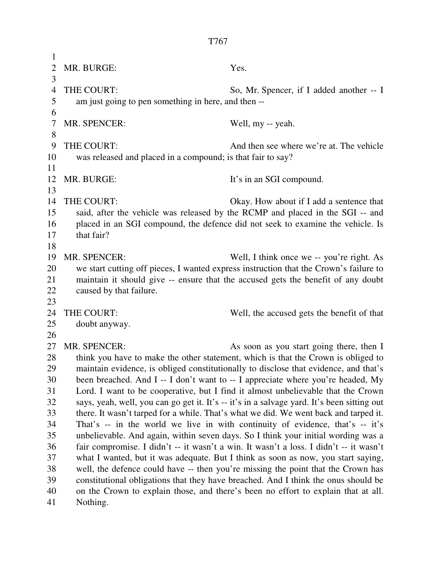1 2 MR. BURGE: Yes. 3 4 THE COURT: So, Mr. Spencer, if I added another -- I 5 am just going to pen something in here, and then -- 6 7 MR. SPENCER: Well, my -- yeah. 8 9 THE COURT: And then see where we're at. The vehicle 10 was released and placed in a compound; is that fair to say? 11 12 MR. BURGE: It's in an SGI compound. 13 14 THE COURT: Okay. How about if I add a sentence that 15 said, after the vehicle was released by the RCMP and placed in the SGI -- and 16 placed in an SGI compound, the defence did not seek to examine the vehicle. Is 17 that fair? 18 19 MR. SPENCER: Well, I think once we -- you're right. As 20 we start cutting off pieces, I wanted express instruction that the Crown's failure to 21 maintain it should give -- ensure that the accused gets the benefit of any doubt 22 caused by that failure. 23 24 THE COURT: Well, the accused gets the benefit of that 25 doubt anyway. 26 27 MR. SPENCER: As soon as you start going there, then I 28 think you have to make the other statement, which is that the Crown is obliged to 29 maintain evidence, is obliged constitutionally to disclose that evidence, and that's 30 been breached. And I -- I don't want to -- I appreciate where you're headed, My 31 Lord. I want to be cooperative, but I find it almost unbelievable that the Crown 32 says, yeah, well, you can go get it. It's -- it's in a salvage yard. It's been sitting out 33 there. It wasn't tarped for a while. That's what we did. We went back and tarped it. 34 That's -- in the world we live in with continuity of evidence, that's -- it's 35 unbelievable. And again, within seven days. So I think your initial wording was a 36 fair compromise. I didn't -- it wasn't a win. It wasn't a loss. I didn't -- it wasn't 37 what I wanted, but it was adequate. But I think as soon as now, you start saying, 38 well, the defence could have -- then you're missing the point that the Crown has 39 constitutional obligations that they have breached. And I think the onus should be

40 on the Crown to explain those, and there's been no effort to explain that at all. 41 Nothing.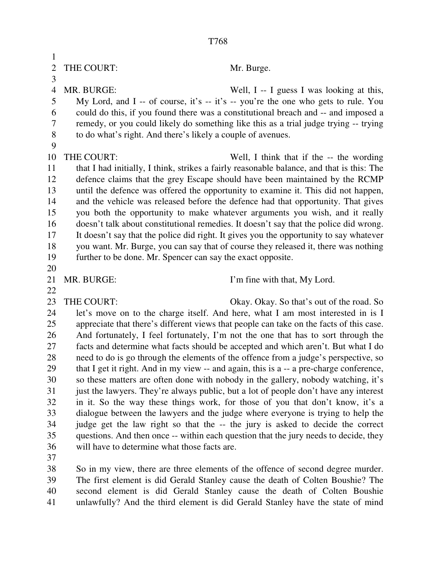| $\mathbf 1$    |                                                                                                                                                                                |                                                                                                                                                                              |  |
|----------------|--------------------------------------------------------------------------------------------------------------------------------------------------------------------------------|------------------------------------------------------------------------------------------------------------------------------------------------------------------------------|--|
| $\overline{2}$ | THE COURT:                                                                                                                                                                     | Mr. Burge.                                                                                                                                                                   |  |
| 3              |                                                                                                                                                                                |                                                                                                                                                                              |  |
| $\overline{4}$ | MR. BURGE:                                                                                                                                                                     | Well, I -- I guess I was looking at this,                                                                                                                                    |  |
| 5              | My Lord, and I -- of course, it's -- it's -- you're the one who gets to rule. You                                                                                              |                                                                                                                                                                              |  |
| 6              |                                                                                                                                                                                | could do this, if you found there was a constitutional breach and -- and imposed a                                                                                           |  |
| 7              |                                                                                                                                                                                | remedy, or you could likely do something like this as a trial judge trying -- trying                                                                                         |  |
| $\,$ $\,$      | to do what's right. And there's likely a couple of avenues.                                                                                                                    |                                                                                                                                                                              |  |
| 9              |                                                                                                                                                                                |                                                                                                                                                                              |  |
| 10             | THE COURT:                                                                                                                                                                     | Well, I think that if the -- the wording                                                                                                                                     |  |
| 11             |                                                                                                                                                                                | that I had initially, I think, strikes a fairly reasonable balance, and that is this: The                                                                                    |  |
| 12             |                                                                                                                                                                                | defence claims that the grey Escape should have been maintained by the RCMP                                                                                                  |  |
| 13             |                                                                                                                                                                                | until the defence was offered the opportunity to examine it. This did not happen,                                                                                            |  |
| 14             |                                                                                                                                                                                | and the vehicle was released before the defence had that opportunity. That gives                                                                                             |  |
| 15             |                                                                                                                                                                                | you both the opportunity to make whatever arguments you wish, and it really                                                                                                  |  |
| 16             |                                                                                                                                                                                | doesn't talk about constitutional remedies. It doesn't say that the police did wrong.                                                                                        |  |
| 17             | It doesn't say that the police did right. It gives you the opportunity to say whatever                                                                                         |                                                                                                                                                                              |  |
| 18             | you want. Mr. Burge, you can say that of course they released it, there was nothing                                                                                            |                                                                                                                                                                              |  |
| 19             | further to be done. Mr. Spencer can say the exact opposite.                                                                                                                    |                                                                                                                                                                              |  |
| 20             |                                                                                                                                                                                |                                                                                                                                                                              |  |
| 21             | MR. BURGE:                                                                                                                                                                     | I'm fine with that, My Lord.                                                                                                                                                 |  |
| 22             |                                                                                                                                                                                |                                                                                                                                                                              |  |
| 23             | THE COURT:                                                                                                                                                                     | Okay. Okay. So that's out of the road. So                                                                                                                                    |  |
| 24<br>25       |                                                                                                                                                                                | let's move on to the charge itself. And here, what I am most interested in is I                                                                                              |  |
| 26             |                                                                                                                                                                                | appreciate that there's different views that people can take on the facts of this case.<br>And fortunately, I feel fortunately, I'm not the one that has to sort through the |  |
| 27             |                                                                                                                                                                                |                                                                                                                                                                              |  |
| 28             | facts and determine what facts should be accepted and which aren't. But what I do                                                                                              |                                                                                                                                                                              |  |
| 29             | need to do is go through the elements of the offence from a judge's perspective, so<br>that I get it right. And in my view -- and again, this is a -- a pre-charge conference, |                                                                                                                                                                              |  |
| 30             | so these matters are often done with nobody in the gallery, nobody watching, it's                                                                                              |                                                                                                                                                                              |  |
| 31             | just the lawyers. They're always public, but a lot of people don't have any interest                                                                                           |                                                                                                                                                                              |  |
| 32             |                                                                                                                                                                                | in it. So the way these things work, for those of you that don't know, it's a                                                                                                |  |
| 33             |                                                                                                                                                                                | dialogue between the lawyers and the judge where everyone is trying to help the                                                                                              |  |
| 34             |                                                                                                                                                                                | judge get the law right so that the -- the jury is asked to decide the correct                                                                                               |  |
| 35             |                                                                                                                                                                                | questions. And then once -- within each question that the jury needs to decide, they                                                                                         |  |
| 36             | will have to determine what those facts are.                                                                                                                                   |                                                                                                                                                                              |  |
| 37             |                                                                                                                                                                                |                                                                                                                                                                              |  |
| 38             |                                                                                                                                                                                | So in my view, there are three elements of the offence of second degree murder.                                                                                              |  |
| 39             |                                                                                                                                                                                | The first element is did Gerald Stanley cause the death of Colten Boushie? The                                                                                               |  |
| 40             |                                                                                                                                                                                | second element is did Gerald Stanley cause the death of Colten Boushie                                                                                                       |  |
| 41             |                                                                                                                                                                                | unlawfully? And the third element is did Gerald Stanley have the state of mind                                                                                               |  |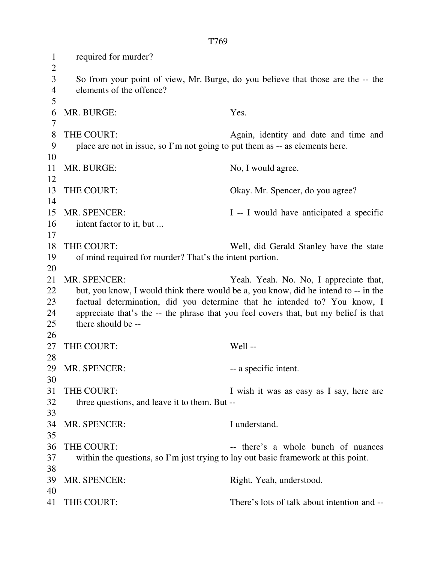1 required for murder?  $\overline{2}$ 3 So from your point of view, Mr. Burge, do you believe that those are the -- the 4 elements of the offence? 5 6 MR. BURGE: Yes. 7 8 THE COURT: Again, identity and date and time and 9 place are not in issue, so I'm not going to put them as -- as elements here. 10 11 MR. BURGE: No, I would agree. 12 13 THE COURT: Okay. Mr. Spencer, do you agree? 14 15 MR. SPENCER: I -- I would have anticipated a specific 16 intent factor to it, but ... 17 18 THE COURT: Well, did Gerald Stanley have the state 19 of mind required for murder? That's the intent portion. 20 21 MR. SPENCER: Yeah. Yeah. No. No, I appreciate that, 22 but, you know, I would think there would be a, you know, did he intend to -- in the 23 factual determination, did you determine that he intended to? You know, I 24 appreciate that's the -- the phrase that you feel covers that, but my belief is that 25 there should be -- 26 27 THE COURT: Well --28 29 MR. SPENCER: -- a specific intent. 30 31 THE COURT: I wish it was as easy as I say, here are 32 three questions, and leave it to them. But -- 33 34 MR. SPENCER: I understand. 35 36 THE COURT: -- there's a whole bunch of nuances 37 within the questions, so I'm just trying to lay out basic framework at this point. 38 39 MR. SPENCER: Right. Yeah, understood. 40 41 THE COURT: There's lots of talk about intention and --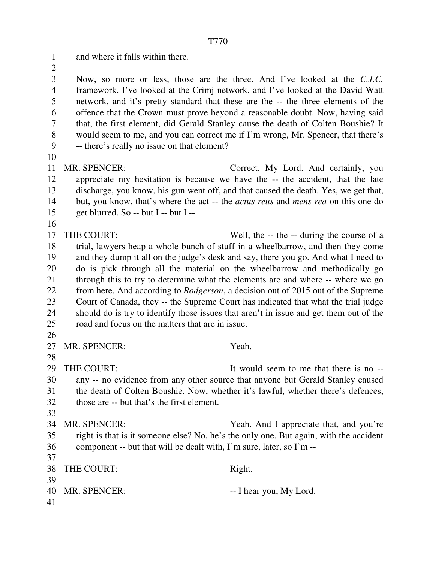1 and where it falls within there.

 $\overline{2}$ 

3 Now, so more or less, those are the three. And I've looked at the *C.J.C.* 4 framework. I've looked at the Crimj network, and I've looked at the David Watt 5 network, and it's pretty standard that these are the -- the three elements of the 6 offence that the Crown must prove beyond a reasonable doubt. Now, having said 7 that, the first element, did Gerald Stanley cause the death of Colten Boushie? It 8 would seem to me, and you can correct me if I'm wrong, Mr. Spencer, that there's 9 -- there's really no issue on that element?

10

11 MR. SPENCER: Correct, My Lord. And certainly, you 12 appreciate my hesitation is because we have the -- the accident, that the late 13 discharge, you know, his gun went off, and that caused the death. Yes, we get that, 14 but, you know, that's where the act -- the *actus reus* and *mens rea* on this one do 15 get blurred. So -- but I -- but I --

16

17 THE COURT: Well, the -- the -- during the course of a 18 trial, lawyers heap a whole bunch of stuff in a wheelbarrow, and then they come 19 and they dump it all on the judge's desk and say, there you go. And what I need to 20 do is pick through all the material on the wheelbarrow and methodically go 21 through this to try to determine what the elements are and where -- where we go 22 from here. And according to *Rodgerson*, a decision out of 2015 out of the Supreme 23 Court of Canada, they -- the Supreme Court has indicated that what the trial judge 24 should do is try to identify those issues that aren't in issue and get them out of the 25 road and focus on the matters that are in issue.

26

28

27 MR. SPENCER: Yeah.

29 THE COURT: It would seem to me that there is no --30 any -- no evidence from any other source that anyone but Gerald Stanley caused 31 the death of Colten Boushie. Now, whether it's lawful, whether there's defences, 32 those are -- but that's the first element. 33

34 MR. SPENCER: Yeah. And I appreciate that, and you're 35 right is that is it someone else? No, he's the only one. But again, with the accident 36 component -- but that will be dealt with, I'm sure, later, so I'm -- 37

|    | 38 THE COURT:   | Right.                  |
|----|-----------------|-------------------------|
| 39 |                 |                         |
|    | 40 MR. SPENCER: | -- I hear you, My Lord. |
| 41 |                 |                         |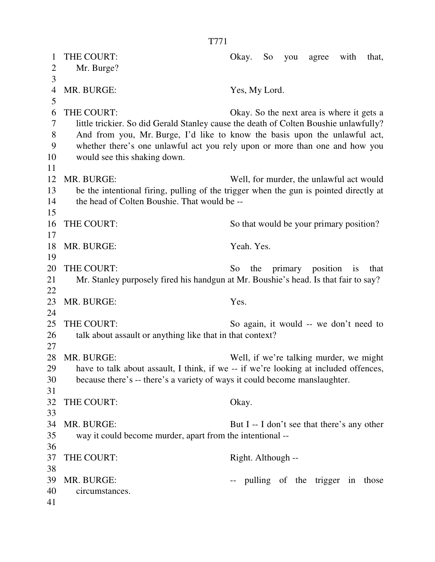| Mr. Burge?<br>$\overline{2}$<br>3<br>$\overline{4}$<br>MR. BURGE:<br>Yes, My Lord.<br>5<br>6<br>THE COURT:<br>7<br>little trickier. So did Gerald Stanley cause the death of Colten Boushie unlawfully?<br>8<br>And from you, Mr. Burge, I'd like to know the basis upon the unlawful act,<br>9<br>whether there's one unlawful act you rely upon or more than one and how you<br>10<br>would see this shaking down.<br>11<br>12<br>MR. BURGE:<br>13<br>be the intentional firing, pulling of the trigger when the gun is pointed directly at<br>the head of Colten Boushie. That would be --<br>14 | 1 | THE COURT: | Okay.<br>with<br>that,<br>So<br>you<br>agree |
|-----------------------------------------------------------------------------------------------------------------------------------------------------------------------------------------------------------------------------------------------------------------------------------------------------------------------------------------------------------------------------------------------------------------------------------------------------------------------------------------------------------------------------------------------------------------------------------------------------|---|------------|----------------------------------------------|
|                                                                                                                                                                                                                                                                                                                                                                                                                                                                                                                                                                                                     |   |            |                                              |
| 15                                                                                                                                                                                                                                                                                                                                                                                                                                                                                                                                                                                                  |   |            |                                              |
|                                                                                                                                                                                                                                                                                                                                                                                                                                                                                                                                                                                                     |   |            |                                              |
|                                                                                                                                                                                                                                                                                                                                                                                                                                                                                                                                                                                                     |   |            |                                              |
|                                                                                                                                                                                                                                                                                                                                                                                                                                                                                                                                                                                                     |   |            | Okay. So the next area is where it gets a    |
|                                                                                                                                                                                                                                                                                                                                                                                                                                                                                                                                                                                                     |   |            |                                              |
|                                                                                                                                                                                                                                                                                                                                                                                                                                                                                                                                                                                                     |   |            |                                              |
|                                                                                                                                                                                                                                                                                                                                                                                                                                                                                                                                                                                                     |   |            |                                              |
|                                                                                                                                                                                                                                                                                                                                                                                                                                                                                                                                                                                                     |   |            |                                              |
|                                                                                                                                                                                                                                                                                                                                                                                                                                                                                                                                                                                                     |   |            |                                              |
|                                                                                                                                                                                                                                                                                                                                                                                                                                                                                                                                                                                                     |   |            | Well, for murder, the unlawful act would     |
|                                                                                                                                                                                                                                                                                                                                                                                                                                                                                                                                                                                                     |   |            |                                              |
|                                                                                                                                                                                                                                                                                                                                                                                                                                                                                                                                                                                                     |   |            |                                              |
|                                                                                                                                                                                                                                                                                                                                                                                                                                                                                                                                                                                                     |   |            |                                              |
| 16<br>THE COURT:                                                                                                                                                                                                                                                                                                                                                                                                                                                                                                                                                                                    |   |            | So that would be your primary position?      |
| 17                                                                                                                                                                                                                                                                                                                                                                                                                                                                                                                                                                                                  |   |            |                                              |
| 18<br>MR. BURGE:<br>Yeah. Yes.                                                                                                                                                                                                                                                                                                                                                                                                                                                                                                                                                                      |   |            |                                              |
| 19                                                                                                                                                                                                                                                                                                                                                                                                                                                                                                                                                                                                  |   |            |                                              |
| 20<br>THE COURT:<br>primary position<br>So<br>the<br>$\frac{1}{1}$                                                                                                                                                                                                                                                                                                                                                                                                                                                                                                                                  |   |            | that                                         |
| 21<br>Mr. Stanley purposely fired his handgun at Mr. Boushie's head. Is that fair to say?                                                                                                                                                                                                                                                                                                                                                                                                                                                                                                           |   |            |                                              |
| 22                                                                                                                                                                                                                                                                                                                                                                                                                                                                                                                                                                                                  |   |            |                                              |
| 23<br>MR. BURGE:<br>Yes.                                                                                                                                                                                                                                                                                                                                                                                                                                                                                                                                                                            |   |            |                                              |
| 24                                                                                                                                                                                                                                                                                                                                                                                                                                                                                                                                                                                                  |   |            |                                              |
| 25<br>THE COURT:                                                                                                                                                                                                                                                                                                                                                                                                                                                                                                                                                                                    |   |            | So again, it would -- we don't need to       |
| 26<br>talk about assault or anything like that in that context?                                                                                                                                                                                                                                                                                                                                                                                                                                                                                                                                     |   |            |                                              |
| 27                                                                                                                                                                                                                                                                                                                                                                                                                                                                                                                                                                                                  |   |            |                                              |
| 28<br>MR. BURGE:                                                                                                                                                                                                                                                                                                                                                                                                                                                                                                                                                                                    |   |            | Well, if we're talking murder, we might      |
| have to talk about assault, I think, if we -- if we're looking at included offences,<br>29                                                                                                                                                                                                                                                                                                                                                                                                                                                                                                          |   |            |                                              |
| because there's -- there's a variety of ways it could become manslaughter.<br>30                                                                                                                                                                                                                                                                                                                                                                                                                                                                                                                    |   |            |                                              |
| 31                                                                                                                                                                                                                                                                                                                                                                                                                                                                                                                                                                                                  |   |            |                                              |
| 32<br>THE COURT:<br>Okay.                                                                                                                                                                                                                                                                                                                                                                                                                                                                                                                                                                           |   |            |                                              |
| 33<br>34<br>MR. BURGE:                                                                                                                                                                                                                                                                                                                                                                                                                                                                                                                                                                              |   |            |                                              |
| 35                                                                                                                                                                                                                                                                                                                                                                                                                                                                                                                                                                                                  |   |            | But I -- I don't see that there's any other  |
| way it could become murder, apart from the intentional --<br>36                                                                                                                                                                                                                                                                                                                                                                                                                                                                                                                                     |   |            |                                              |
| 37<br>THE COURT:<br>Right. Although --                                                                                                                                                                                                                                                                                                                                                                                                                                                                                                                                                              |   |            |                                              |
| 38                                                                                                                                                                                                                                                                                                                                                                                                                                                                                                                                                                                                  |   |            |                                              |
| 39<br>MR. BURGE:                                                                                                                                                                                                                                                                                                                                                                                                                                                                                                                                                                                    |   |            | pulling of the trigger in those              |
| 40<br>circumstances.                                                                                                                                                                                                                                                                                                                                                                                                                                                                                                                                                                                |   |            |                                              |
| 41                                                                                                                                                                                                                                                                                                                                                                                                                                                                                                                                                                                                  |   |            |                                              |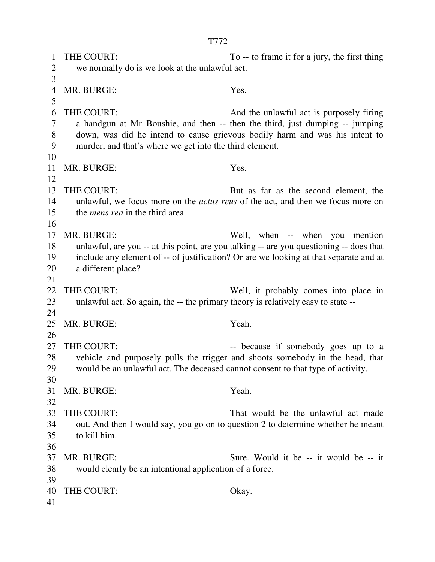1 THE COURT: To -- to frame it for a jury, the first thing 2 we normally do is we look at the unlawful act. 3 4 MR. BURGE: Yes. 5 6 THE COURT: And the unlawful act is purposely firing 7 a handgun at Mr. Boushie, and then -- then the third, just dumping -- jumping 8 down, was did he intend to cause grievous bodily harm and was his intent to 9 murder, and that's where we get into the third element. 10 11 MR. BURGE: Yes. 12 13 THE COURT: But as far as the second element, the 14 unlawful, we focus more on the *actus reus* of the act, and then we focus more on 15 the *mens rea* in the third area. 16 17 MR. BURGE: Well, when -- when you mention 18 unlawful, are you -- at this point, are you talking -- are you questioning -- does that 19 include any element of -- of justification? Or are we looking at that separate and at 20 a different place? 21 22 THE COURT: Well, it probably comes into place in 23 unlawful act. So again, the -- the primary theory is relatively easy to state -- 24 25 MR. BURGE: Yeah. 26 27 THE COURT: -- because if somebody goes up to a 28 vehicle and purposely pulls the trigger and shoots somebody in the head, that 29 would be an unlawful act. The deceased cannot consent to that type of activity. 30 31 MR. BURGE: Yeah. 32 33 THE COURT: That would be the unlawful act made 34 out. And then I would say, you go on to question 2 to determine whether he meant 35 to kill him. 36 37 MR. BURGE: Sure. Would it be -- it would be -- it 38 would clearly be an intentional application of a force. 39 40 THE COURT: Okay. 41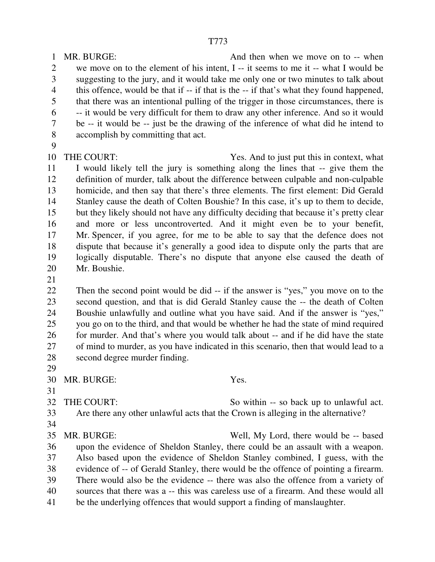1 MR. BURGE: And then when we move on to -- when 2 we move on to the element of his intent, I -- it seems to me it -- what I would be 3 suggesting to the jury, and it would take me only one or two minutes to talk about 4 this offence, would be that if -- if that is the -- if that's what they found happened, 5 that there was an intentional pulling of the trigger in those circumstances, there is 6 -- it would be very difficult for them to draw any other inference. And so it would 7 be -- it would be -- just be the drawing of the inference of what did he intend to 8 accomplish by committing that act. 9 10 THE COURT: Yes. And to just put this in context, what 11 I would likely tell the jury is something along the lines that -- give them the 12 definition of murder, talk about the difference between culpable and non-culpable 13 homicide, and then say that there's three elements. The first element: Did Gerald 14 Stanley cause the death of Colten Boushie? In this case, it's up to them to decide,

15 but they likely should not have any difficulty deciding that because it's pretty clear 16 and more or less uncontroverted. And it might even be to your benefit, 17 Mr. Spencer, if you agree, for me to be able to say that the defence does not 18 dispute that because it's generally a good idea to dispute only the parts that are 19 logically disputable. There's no dispute that anyone else caused the death of 20 Mr. Boushie.

21

22 Then the second point would be did -- if the answer is "yes," you move on to the 23 second question, and that is did Gerald Stanley cause the -- the death of Colten 24 Boushie unlawfully and outline what you have said. And if the answer is "yes," 25 you go on to the third, and that would be whether he had the state of mind required 26 for murder. And that's where you would talk about -- and if he did have the state 27 of mind to murder, as you have indicated in this scenario, then that would lead to a 28 second degree murder finding.

29

31

30 MR. BURGE: Yes.

32 THE COURT: So within -- so back up to unlawful act. 33 Are there any other unlawful acts that the Crown is alleging in the alternative?

34

35 MR. BURGE: Well, My Lord, there would be -- based 36 upon the evidence of Sheldon Stanley, there could be an assault with a weapon. 37 Also based upon the evidence of Sheldon Stanley combined, I guess, with the 38 evidence of -- of Gerald Stanley, there would be the offence of pointing a firearm. 39 There would also be the evidence -- there was also the offence from a variety of 40 sources that there was a -- this was careless use of a firearm. And these would all 41 be the underlying offences that would support a finding of manslaughter.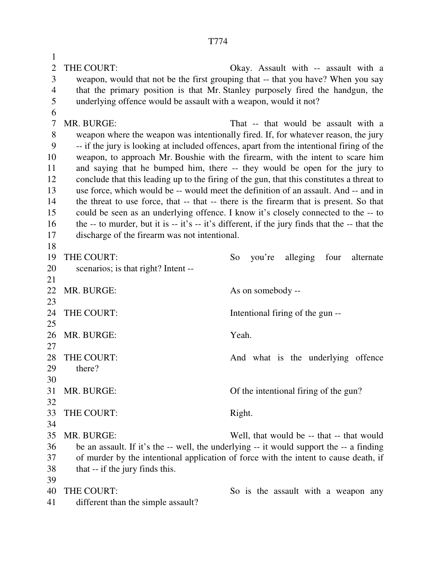1 2 THE COURT: Okay. Assault with -- assault with a 3 weapon, would that not be the first grouping that -- that you have? When you say 4 that the primary position is that Mr. Stanley purposely fired the handgun, the 5 underlying offence would be assault with a weapon, would it not? 6 7 MR. BURGE: That -- that would be assault with a 8 weapon where the weapon was intentionally fired. If, for whatever reason, the jury 9 -- if the jury is looking at included offences, apart from the intentional firing of the 10 weapon, to approach Mr. Boushie with the firearm, with the intent to scare him 11 and saying that he bumped him, there -- they would be open for the jury to 12 conclude that this leading up to the firing of the gun, that this constitutes a threat to 13 use force, which would be -- would meet the definition of an assault. And -- and in 14 the threat to use force, that -- that -- there is the firearm that is present. So that 15 could be seen as an underlying offence. I know it's closely connected to the -- to 16 the -- to murder, but it is -- it's -- it's different, if the jury finds that the -- that the 17 discharge of the firearm was not intentional. 18 19 THE COURT: So you're alleging four alternate 20 scenarios; is that right? Intent -- 21 22 MR. BURGE: As on somebody --23 24 THE COURT: Intentional firing of the gun --25 26 MR. BURGE: Yeah. 27 28 THE COURT: And what is the underlying offence 29 there? 30 31 MR. BURGE: Of the intentional firing of the gun? 32 33 THE COURT: Right. 34 35 MR. BURGE: Well, that would be -- that -- that would 36 be an assault. If it's the -- well, the underlying -- it would support the -- a finding 37 of murder by the intentional application of force with the intent to cause death, if 38 that -- if the jury finds this. 39 40 THE COURT: So is the assault with a weapon any

41 different than the simple assault?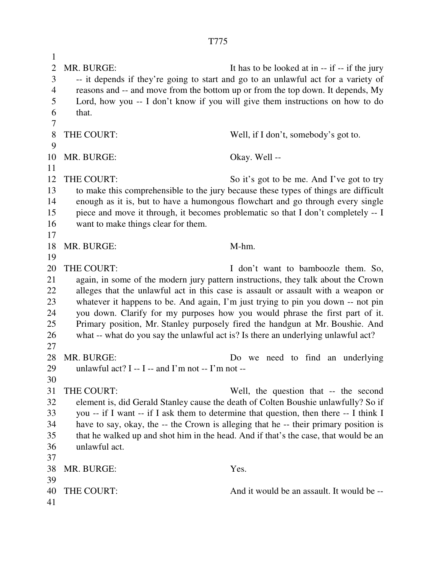1 2 MR. BURGE: It has to be looked at in -- if -- if the jury 3 -- it depends if they're going to start and go to an unlawful act for a variety of 4 reasons and -- and move from the bottom up or from the top down. It depends, My 5 Lord, how you -- I don't know if you will give them instructions on how to do 6 that. 7 8 THE COURT: Well, if I don't, somebody's got to. 9 10 MR. BURGE: Okay. Well -- 11 12 THE COURT: So it's got to be me. And I've got to try 13 to make this comprehensible to the jury because these types of things are difficult 14 enough as it is, but to have a humongous flowchart and go through every single 15 piece and move it through, it becomes problematic so that I don't completely -- I 16 want to make things clear for them. 17 18 MR. BURGE: M-hm. 19 20 THE COURT: I don't want to bamboozle them. So, 21 again, in some of the modern jury pattern instructions, they talk about the Crown 22 alleges that the unlawful act in this case is assault or assault with a weapon or 23 whatever it happens to be. And again, I'm just trying to pin you down -- not pin 24 you down. Clarify for my purposes how you would phrase the first part of it. 25 Primary position, Mr. Stanley purposely fired the handgun at Mr. Boushie. And 26 what -- what do you say the unlawful act is? Is there an underlying unlawful act? 27 28 MR. BURGE: Do we need to find an underlying 29 unlawful act? I -- I -- and I'm not -- I'm not --30 31 THE COURT: Well, the question that -- the second 32 element is, did Gerald Stanley cause the death of Colten Boushie unlawfully? So if 33 you -- if I want -- if I ask them to determine that question, then there -- I think I 34 have to say, okay, the -- the Crown is alleging that he -- their primary position is 35 that he walked up and shot him in the head. And if that's the case, that would be an 36 unlawful act. 37 38 MR. BURGE: Yes. 39 40 THE COURT: And it would be an assault. It would be -- 41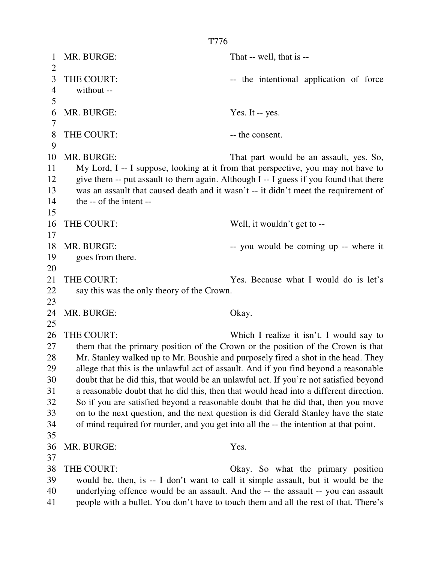1 MR. BURGE: That -- well, that is -- $\mathcal{L}$ 3 THE COURT:  $\qquad \qquad \text{the intentional application of force}$ 4 without -- 5 6 MR. BURGE: Yes. It -- yes. 7 8 THE COURT:  $\qquad \qquad \text{the consent.}$ 9 10 MR. BURGE: That part would be an assault, yes. So, 11 My Lord, I -- I suppose, looking at it from that perspective, you may not have to 12 give them -- put assault to them again. Although I -- I guess if you found that there 13 was an assault that caused death and it wasn't -- it didn't meet the requirement of 14 the -- of the intent -- 15 16 THE COURT: Well, it wouldn't get to --17 18 MR. BURGE:  $\sim$  you would be coming up -- where it 19 goes from there. 20 21 THE COURT: Yes. Because what I would do is let's 22 say this was the only theory of the Crown. 23 24 MR. BURGE: Okay. 25 26 THE COURT: Which I realize it isn't. I would say to 27 them that the primary position of the Crown or the position of the Crown is that 28 Mr. Stanley walked up to Mr. Boushie and purposely fired a shot in the head. They 29 allege that this is the unlawful act of assault. And if you find beyond a reasonable 30 doubt that he did this, that would be an unlawful act. If you're not satisfied beyond 31 a reasonable doubt that he did this, then that would head into a different direction. 32 So if you are satisfied beyond a reasonable doubt that he did that, then you move 33 on to the next question, and the next question is did Gerald Stanley have the state 34 of mind required for murder, and you get into all the -- the intention at that point. 35 36 MR. BURGE: Yes. 37 38 THE COURT: Okay. So what the primary position 39 would be, then, is -- I don't want to call it simple assault, but it would be the 40 underlying offence would be an assault. And the -- the assault -- you can assault 41 people with a bullet. You don't have to touch them and all the rest of that. There's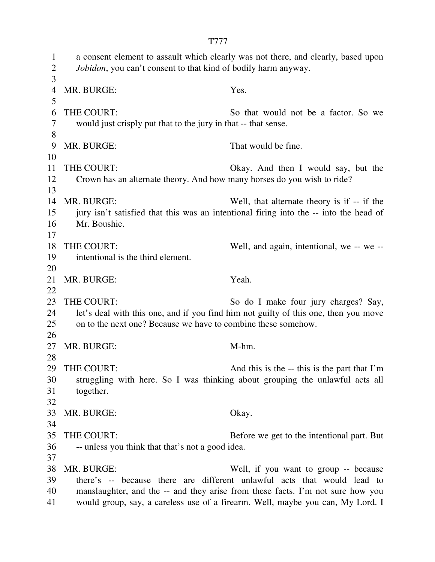1 a consent element to assault which clearly was not there, and clearly, based upon 2 *Jobidon*, you can't consent to that kind of bodily harm anyway. 3 4 MR. BURGE: Yes. 5 6 THE COURT: So that would not be a factor. So we 7 would just crisply put that to the jury in that -- that sense. 8 9 MR. BURGE: That would be fine. 10 11 THE COURT: Okay. And then I would say, but the 12 Crown has an alternate theory. And how many horses do you wish to ride? 13 14 MR. BURGE: Well, that alternate theory is if -- if the 15 jury isn't satisfied that this was an intentional firing into the -- into the head of 16 Mr. Boushie. 17 18 THE COURT: Well, and again, intentional, we -- we -- 19 intentional is the third element. 20 21 MR. BURGE: Yeah. 22 23 THE COURT: So do I make four jury charges? Say, 24 let's deal with this one, and if you find him not guilty of this one, then you move 25 on to the next one? Because we have to combine these somehow. 26 27 MR. BURGE: M-hm. 28 29 THE COURT: And this is the -- this is the part that I'm 30 struggling with here. So I was thinking about grouping the unlawful acts all 31 together. 32 33 MR. BURGE: Okay. 34 35 THE COURT: Before we get to the intentional part. But 36 -- unless you think that that's not a good idea. 37 38 MR. BURGE: Well, if you want to group -- because 39 there's -- because there are different unlawful acts that would lead to 40 manslaughter, and the -- and they arise from these facts. I'm not sure how you 41 would group, say, a careless use of a firearm. Well, maybe you can, My Lord. I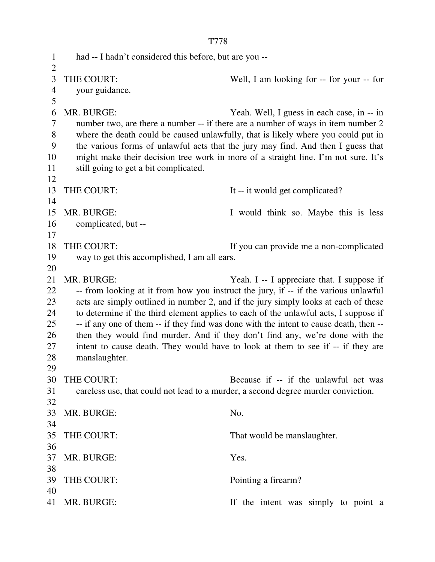T778 1 had -- I hadn't considered this before, but are you --  $\overline{2}$ 3 THE COURT: Well, I am looking for -- for your -- for 4 your guidance. 5 6 MR. BURGE: Yeah. Well, I guess in each case, in -- in 7 number two, are there a number -- if there are a number of ways in item number 2 8 where the death could be caused unlawfully, that is likely where you could put in 9 the various forms of unlawful acts that the jury may find. And then I guess that 10 might make their decision tree work in more of a straight line. I'm not sure. It's 11 still going to get a bit complicated. 12 13 THE COURT: It -- it would get complicated? 14 15 MR. BURGE: I would think so. Maybe this is less 16 complicated, but -- 17 18 THE COURT: If you can provide me a non-complicated 19 way to get this accomplished, I am all ears. 20 21 MR. BURGE: Yeah. I -- I appreciate that. I suppose if 22 -- from looking at it from how you instruct the jury, if -- if the various unlawful 23 acts are simply outlined in number 2, and if the jury simply looks at each of these 24 to determine if the third element applies to each of the unlawful acts, I suppose if 25 -- if any one of them -- if they find was done with the intent to cause death, then -- 26 then they would find murder. And if they don't find any, we're done with the 27 intent to cause death. They would have to look at them to see if -- if they are 28 manslaughter. 29 30 THE COURT: Because if -- if the unlawful act was 31 careless use, that could not lead to a murder, a second degree murder conviction. 32 33 MR. BURGE: No. 34 35 THE COURT: That would be manslaughter. 36 37 MR. BURGE: Yes. 38 39 THE COURT: Pointing a firearm? 40 41 MR. BURGE: If the intent was simply to point a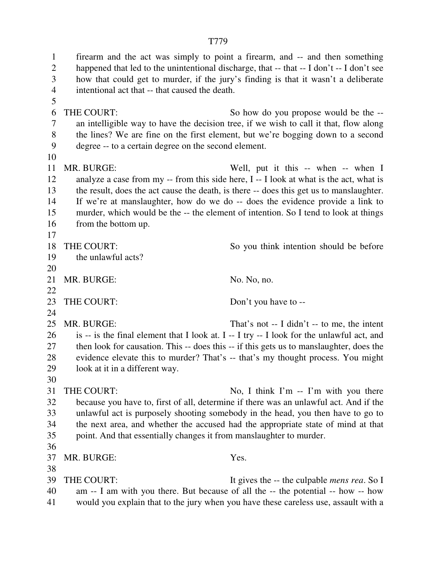1 firearm and the act was simply to point a firearm, and -- and then something 2 happened that led to the unintentional discharge, that -- that -- I don't -- I don't see 3 how that could get to murder, if the jury's finding is that it wasn't a deliberate 4 intentional act that -- that caused the death. 5 6 THE COURT: So how do you propose would be the -- 7 an intelligible way to have the decision tree, if we wish to call it that, flow along 8 the lines? We are fine on the first element, but we're bogging down to a second 9 degree -- to a certain degree on the second element. 10 11 MR. BURGE: Well, put it this -- when -- when I 12 analyze a case from my -- from this side here, I -- I look at what is the act, what is 13 the result, does the act cause the death, is there -- does this get us to manslaughter. 14 If we're at manslaughter, how do we do -- does the evidence provide a link to 15 murder, which would be the -- the element of intention. So I tend to look at things 16 from the bottom up. 17 18 THE COURT: So you think intention should be before 19 the unlawful acts? 20 21 MR. BURGE: No. No, no. 22 23 THE COURT: Don't you have to --24 25 MR. BURGE: That's not -- I didn't -- to me, the intent 26 is -- is the final element that I look at. I -- I try -- I look for the unlawful act, and 27 then look for causation. This -- does this -- if this gets us to manslaughter, does the 28 evidence elevate this to murder? That's -- that's my thought process. You might 29 look at it in a different way. 30 31 THE COURT: No, I think I'm -- I'm with you there 32 because you have to, first of all, determine if there was an unlawful act. And if the 33 unlawful act is purposely shooting somebody in the head, you then have to go to 34 the next area, and whether the accused had the appropriate state of mind at that 35 point. And that essentially changes it from manslaughter to murder. 36 37 MR. BURGE: Yes. 38 39 THE COURT: It gives the -- the culpable *mens rea*. So I 40 am -- I am with you there. But because of all the -- the potential -- how -- how 41 would you explain that to the jury when you have these careless use, assault with a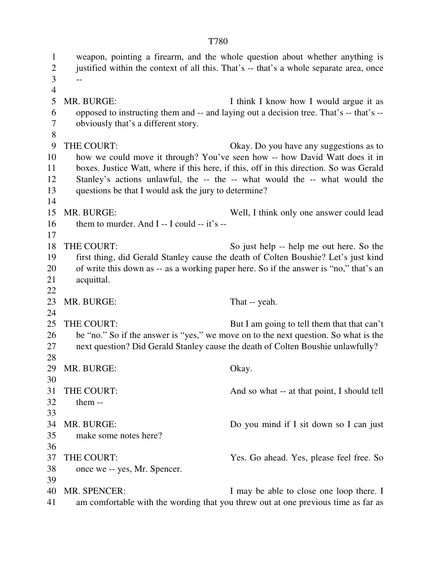1 weapon, pointing a firearm, and the whole question about whether anything is 2 justified within the context of all this. That's -- that's a whole separate area, once  $3 - -$ 4 5 MR. BURGE: I think I know how I would argue it as 6 opposed to instructing them and -- and laying out a decision tree. That's -- that's -- 7 obviously that's a different story. 8 9 THE COURT: Okay. Do you have any suggestions as to 10 how we could move it through? You've seen how -- how David Watt does it in 11 boxes. Justice Watt, where if this here, if this, off in this direction. So was Gerald 12 Stanley's actions unlawful, the -- the -- what would the -- what would the 13 questions be that I would ask the jury to determine? 14 15 MR. BURGE: Well, I think only one answer could lead 16 them to murder. And  $I - I$  could  $- it's -$ 17 18 THE COURT: So just help -- help me out here. So the 19 first thing, did Gerald Stanley cause the death of Colten Boushie? Let's just kind 20 of write this down as -- as a working paper here. So if the answer is "no," that's an 21 acquittal. 22 23 MR. BURGE: That -- yeah. 24 25 THE COURT: But I am going to tell them that that can't 26 be "no." So if the answer is "yes," we move on to the next question. So what is the 27 next question? Did Gerald Stanley cause the death of Colten Boushie unlawfully? 28 29 MR. BURGE: Okay. 30 31 THE COURT: And so what -- at that point, I should tell 32 them -- 33 34 MR. BURGE: Do you mind if I sit down so I can just 35 make some notes here? 36 37 THE COURT: Yes. Go ahead. Yes, please feel free. So 38 once we -- yes, Mr. Spencer. 39 40 MR. SPENCER: I may be able to close one loop there. I 41 am comfortable with the wording that you threw out at one previous time as far as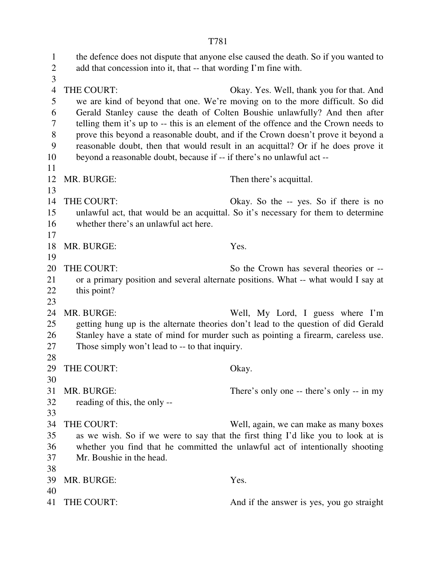1 the defence does not dispute that anyone else caused the death. So if you wanted to 2 add that concession into it, that -- that wording I'm fine with. 3 4 THE COURT: Okay. Yes. Well, thank you for that. And 5 we are kind of beyond that one. We're moving on to the more difficult. So did 6 Gerald Stanley cause the death of Colten Boushie unlawfully? And then after 7 telling them it's up to -- this is an element of the offence and the Crown needs to 8 prove this beyond a reasonable doubt, and if the Crown doesn't prove it beyond a 9 reasonable doubt, then that would result in an acquittal? Or if he does prove it 10 beyond a reasonable doubt, because if -- if there's no unlawful act -- 11 12 MR. BURGE: Then there's acquittal. 13 14 THE COURT: Okay. So the -- yes. So if there is no 15 unlawful act, that would be an acquittal. So it's necessary for them to determine 16 whether there's an unlawful act here. 17 18 MR. BURGE: Yes. 19 20 THE COURT: So the Crown has several theories or -- 21 or a primary position and several alternate positions. What -- what would I say at 22 this point? 23 24 MR. BURGE: Well, My Lord, I guess where I'm 25 getting hung up is the alternate theories don't lead to the question of did Gerald 26 Stanley have a state of mind for murder such as pointing a firearm, careless use. 27 Those simply won't lead to -- to that inquiry. 28 29 THE COURT: Okay. 30 31 MR. BURGE: There's only one -- there's only -- in my 32 reading of this, the only -- 33 34 THE COURT: Well, again, we can make as many boxes 35 as we wish. So if we were to say that the first thing I'd like you to look at is 36 whether you find that he committed the unlawful act of intentionally shooting 37 Mr. Boushie in the head. 38 39 MR. BURGE: Yes. 40 41 THE COURT: And if the answer is yes, you go straight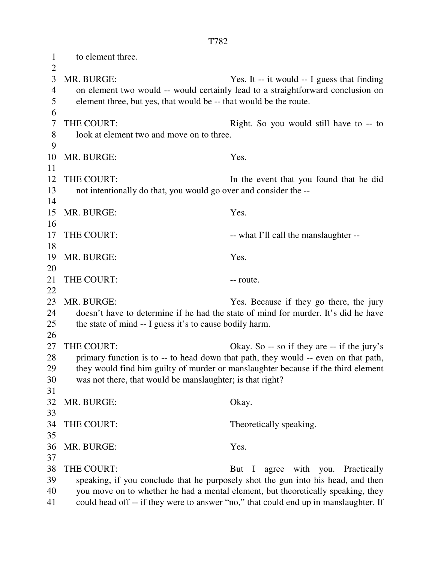1 to element three.  $\overline{2}$ 3 MR. BURGE: Yes. It -- it would -- I guess that finding 4 on element two would -- would certainly lead to a straightforward conclusion on 5 element three, but yes, that would be -- that would be the route. 6 7 THE COURT: Right. So you would still have to -- to 8 look at element two and move on to three. 9 10 MR. BURGE: Yes. 11 12 THE COURT: In the event that you found that he did 13 not intentionally do that, you would go over and consider the -- 14 15 MR. BURGE: Yes. 16 17 THE COURT: -- what I'll call the manslaughter --18 19 MR. BURGE: Yes. 20 21 THE COURT: -- route. 22 23 MR. BURGE: Yes. Because if they go there, the jury 24 doesn't have to determine if he had the state of mind for murder. It's did he have 25 the state of mind -- I guess it's to cause bodily harm. 26 27 THE COURT: Okay. So -- so if they are -- if the jury's 28 primary function is to -- to head down that path, they would -- even on that path, 29 they would find him guilty of murder or manslaughter because if the third element 30 was not there, that would be manslaughter; is that right? 31 32 MR. BURGE: Okay. 33 34 THE COURT: Theoretically speaking. 35 36 MR. BURGE: Yes. 37 38 THE COURT: But I agree with you. Practically 39 speaking, if you conclude that he purposely shot the gun into his head, and then 40 you move on to whether he had a mental element, but theoretically speaking, they

41 could head off -- if they were to answer "no," that could end up in manslaughter. If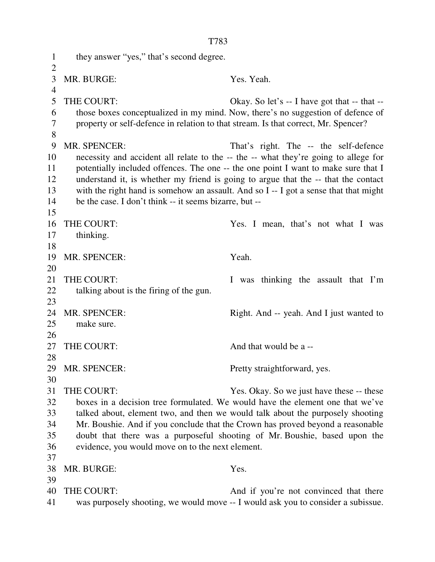1 they answer "yes," that's second degree.  $\overline{2}$ 3 MR. BURGE: Yes. Yeah. 4 5 THE COURT: Okay. So let's -- I have got that -- that -- 6 those boxes conceptualized in my mind. Now, there's no suggestion of defence of 7 property or self-defence in relation to that stream. Is that correct, Mr. Spencer? 8 9 MR. SPENCER: That's right. The -- the self-defence 10 necessity and accident all relate to the -- the -- what they're going to allege for 11 potentially included offences. The one -- the one point I want to make sure that I 12 understand it, is whether my friend is going to argue that the -- that the contact 13 with the right hand is somehow an assault. And so I -- I got a sense that that might 14 be the case. I don't think -- it seems bizarre, but -- 15 16 THE COURT: Yes. I mean, that's not what I was 17 thinking. 18 19 MR. SPENCER: Yeah. 20 21 THE COURT: I was thinking the assault that I'm 22 talking about is the firing of the gun. 23 24 MR. SPENCER: Right. And -- yeah. And I just wanted to 25 make sure. 26 27 THE COURT: And that would be a --28 29 MR. SPENCER: Pretty straightforward, yes. 30 31 THE COURT: Yes. Okay. So we just have these -- these 32 boxes in a decision tree formulated. We would have the element one that we've 33 talked about, element two, and then we would talk about the purposely shooting 34 Mr. Boushie. And if you conclude that the Crown has proved beyond a reasonable 35 doubt that there was a purposeful shooting of Mr. Boushie, based upon the 36 evidence, you would move on to the next element. 37 38 MR. BURGE: Yes. 39 40 THE COURT: And if you're not convinced that there 41 was purposely shooting, we would move -- I would ask you to consider a subissue.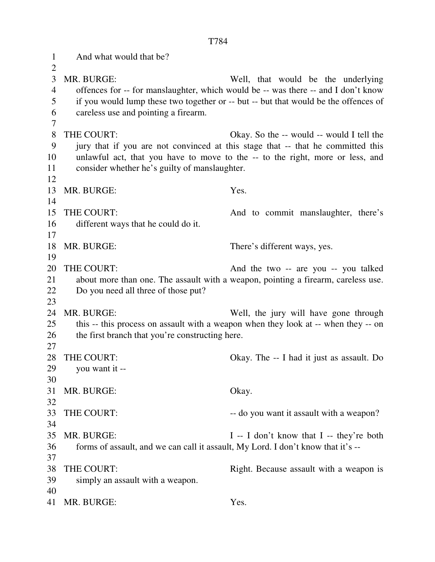1 And what would that be?  $\mathcal{L}$ 3 MR. BURGE: Well, that would be the underlying 4 offences for -- for manslaughter, which would be -- was there -- and I don't know 5 if you would lump these two together or -- but -- but that would be the offences of 6 careless use and pointing a firearm. 7 8 THE COURT: Okay. So the -- would -- would I tell the 9 jury that if you are not convinced at this stage that -- that he committed this 10 unlawful act, that you have to move to the -- to the right, more or less, and 11 consider whether he's guilty of manslaughter. 12 13 MR. BURGE: Yes. 14 15 THE COURT: And to commit manslaughter, there's 16 different ways that he could do it. 17 18 MR. BURGE: There's different ways, yes. 19 20 THE COURT: And the two -- are you -- you talked 21 about more than one. The assault with a weapon, pointing a firearm, careless use. 22 Do you need all three of those put? 23 24 MR. BURGE: Well, the jury will have gone through 25 this -- this process on assault with a weapon when they look at -- when they -- on 26 the first branch that you're constructing here. 27 28 THE COURT: Okay. The -- I had it just as assault. Do 29 you want it -- 30 31 MR. BURGE: Okay. 32 33 THE COURT:  $-$  do you want it assault with a weapon? 34 35 MR. BURGE: I -- I don't know that I -- they're both 36 forms of assault, and we can call it assault, My Lord. I don't know that it's -- 37 38 THE COURT: Right. Because assault with a weapon is 39 simply an assault with a weapon. 40 41 MR. BURGE: Yes.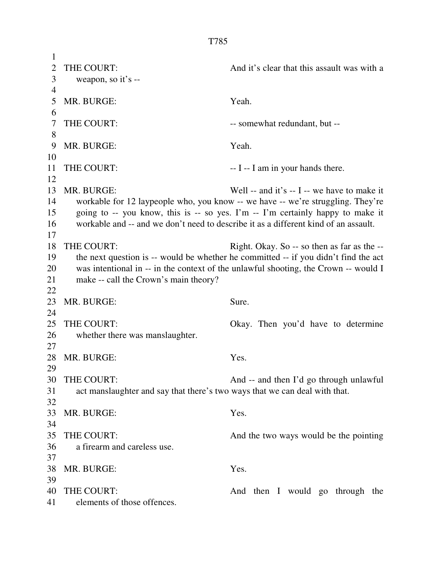1 2 THE COURT: And it's clear that this assault was with a 3 weapon, so it's -- 4 5 MR. BURGE: Yeah. 6 7 THE COURT: -- somewhat redundant, but --8 9 MR. BURGE: Yeah. 10 11 THE COURT: -- I -- I am in your hands there. 12 13 MR. BURGE: Well -- and it's -- I -- we have to make it 14 workable for 12 laypeople who, you know -- we have -- we're struggling. They're 15 going to -- you know, this is -- so yes. I'm -- I'm certainly happy to make it 16 workable and -- and we don't need to describe it as a different kind of an assault. 17 18 THE COURT: Right. Okay. So -- so then as far as the --19 the next question is -- would be whether he committed -- if you didn't find the act 20 was intentional in -- in the context of the unlawful shooting, the Crown -- would I 21 make -- call the Crown's main theory? 22 23 MR. BURGE: Sure. 24 25 THE COURT: Okay. Then you'd have to determine 26 whether there was manslaughter. 27 28 MR. BURGE: Yes. 29 30 THE COURT: And -- and then I'd go through unlawful 31 act manslaughter and say that there's two ways that we can deal with that. 32 33 MR. BURGE: Yes. 34 35 THE COURT: And the two ways would be the pointing 36 a firearm and careless use. 37 38 MR. BURGE: Yes. 39 40 THE COURT: And then I would go through the 41 elements of those offences.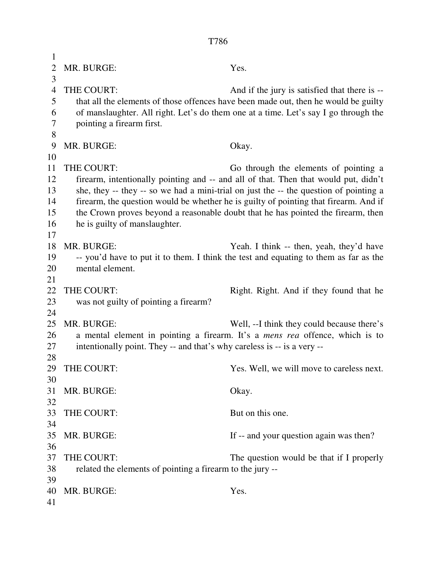| 1              |                                                                                       |                                                                                      |  |
|----------------|---------------------------------------------------------------------------------------|--------------------------------------------------------------------------------------|--|
| $\overline{2}$ | MR. BURGE:                                                                            | Yes.                                                                                 |  |
| 3              |                                                                                       |                                                                                      |  |
| $\overline{4}$ | THE COURT:                                                                            | And if the jury is satisfied that there is --                                        |  |
| 5              |                                                                                       | that all the elements of those offences have been made out, then he would be guilty  |  |
| 6              | of manslaughter. All right. Let's do them one at a time. Let's say I go through the   |                                                                                      |  |
| 7              | pointing a firearm first.                                                             |                                                                                      |  |
| 8              |                                                                                       |                                                                                      |  |
| 9              | MR. BURGE:                                                                            | Okay.                                                                                |  |
| 10             |                                                                                       |                                                                                      |  |
| 11             | THE COURT:                                                                            | Go through the elements of pointing a                                                |  |
| 12             |                                                                                       | firearm, intentionally pointing and -- and all of that. Then that would put, didn't  |  |
| 13             | she, they -- they -- so we had a mini-trial on just the -- the question of pointing a |                                                                                      |  |
| 14             | firearm, the question would be whether he is guilty of pointing that firearm. And if  |                                                                                      |  |
| 15             | the Crown proves beyond a reasonable doubt that he has pointed the firearm, then      |                                                                                      |  |
| 16             | he is guilty of manslaughter.                                                         |                                                                                      |  |
| 17             |                                                                                       |                                                                                      |  |
| 18             | MR. BURGE:                                                                            | Yeah. I think -- then, yeah, they'd have                                             |  |
| 19             |                                                                                       | -- you'd have to put it to them. I think the test and equating to them as far as the |  |
| 20             | mental element.                                                                       |                                                                                      |  |
| 21             |                                                                                       |                                                                                      |  |
| 22             | THE COURT:                                                                            | Right. Right. And if they found that he                                              |  |
| 23             | was not guilty of pointing a firearm?                                                 |                                                                                      |  |
| 24             |                                                                                       |                                                                                      |  |
| 25             | MR. BURGE:                                                                            | Well, --I think they could because there's                                           |  |
| 26             |                                                                                       | a mental element in pointing a firearm. It's a <i>mens rea</i> offence, which is to  |  |
| 27             | intentionally point. They -- and that's why careless is -- is a very --               |                                                                                      |  |
| 28             |                                                                                       |                                                                                      |  |
| 29             | THE COURT:                                                                            | Yes. Well, we will move to careless next.                                            |  |
| 30             |                                                                                       |                                                                                      |  |
| 31             | MR. BURGE:                                                                            | Okay.                                                                                |  |
| 32             |                                                                                       |                                                                                      |  |
| 33             | THE COURT:                                                                            | But on this one.                                                                     |  |
| 34             |                                                                                       |                                                                                      |  |
| 35             | MR. BURGE:                                                                            | If -- and your question again was then?                                              |  |
| 36             |                                                                                       |                                                                                      |  |
| 37             | THE COURT:                                                                            | The question would be that if I properly                                             |  |
| 38             | related the elements of pointing a firearm to the jury --                             |                                                                                      |  |
| 39             |                                                                                       |                                                                                      |  |
| 40             | MR. BURGE:                                                                            | Yes.                                                                                 |  |
| 41             |                                                                                       |                                                                                      |  |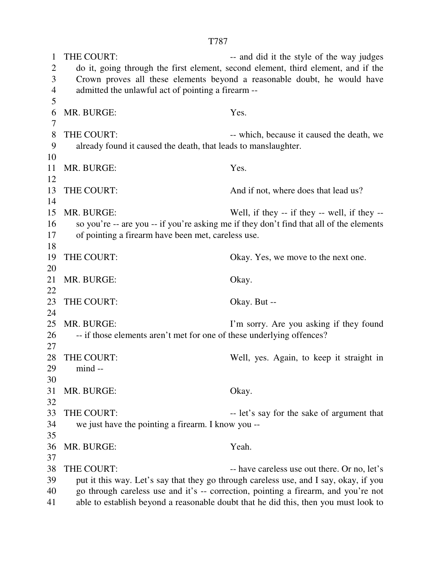1 THE COURT: -- and did it the style of the way judges 2 do it, going through the first element, second element, third element, and if the 3 Crown proves all these elements beyond a reasonable doubt, he would have 4 admitted the unlawful act of pointing a firearm -- 5 6 MR. BURGE: Yes. 7 8 THE COURT:  $\blacksquare$  which, because it caused the death, we 9 already found it caused the death, that leads to manslaughter. 10 11 MR. BURGE: Yes. 12 13 THE COURT: And if not, where does that lead us? 14 15 MR. BURGE: Well, if they -- if they -- well, if they -- 16 so you're -- are you -- if you're asking me if they don't find that all of the elements 17 of pointing a firearm have been met, careless use. 18 19 THE COURT: Okay. Yes, we move to the next one. 20 21 MR. BURGE: Okay. 22 23 THE COURT: Okay. But --24 25 MR. BURGE: I'm sorry. Are you asking if they found 26 -- if those elements aren't met for one of these underlying offences? 27 28 THE COURT: Well, yes. Again, to keep it straight in 29 mind -- 30 31 MR. BURGE: Okay. 32 33 THE COURT: -- let's say for the sake of argument that 34 we just have the pointing a firearm. I know you -- 35 36 MR. BURGE: Yeah. 37 38 THE COURT: -- have careless use out there. Or no, let's 39 put it this way. Let's say that they go through careless use, and I say, okay, if you 40 go through careless use and it's -- correction, pointing a firearm, and you're not 41 able to establish beyond a reasonable doubt that he did this, then you must look to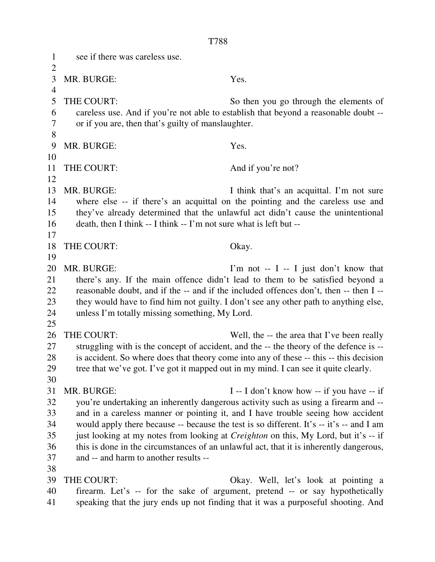1 see if there was careless use.  $\overline{2}$ 3 MR. BURGE: Yes. 4 5 THE COURT: So then you go through the elements of 6 careless use. And if you're not able to establish that beyond a reasonable doubt -- 7 or if you are, then that's guilty of manslaughter. 8 9 MR. BURGE: Yes. 10 11 THE COURT: And if you're not? 12 13 MR. BURGE: I think that's an acquittal. I'm not sure 14 where else -- if there's an acquittal on the pointing and the careless use and 15 they've already determined that the unlawful act didn't cause the unintentional 16 death, then I think -- I think -- I'm not sure what is left but -- 17 18 THE COURT: Okay. 19 20 MR. BURGE: I'm not -- I -- I just don't know that 21 there's any. If the main offence didn't lead to them to be satisfied beyond a 22 reasonable doubt, and if the -- and if the included offences don't, then -- then I -- 23 they would have to find him not guilty. I don't see any other path to anything else, 24 unless I'm totally missing something, My Lord. 25 26 THE COURT: Well, the -- the area that I've been really 27 struggling with is the concept of accident, and the -- the theory of the defence is -- 28 is accident. So where does that theory come into any of these -- this -- this decision 29 tree that we've got. I've got it mapped out in my mind. I can see it quite clearly. 30 31 MR. BURGE: I -- I don't know how -- if you have -- if 32 you're undertaking an inherently dangerous activity such as using a firearm and -- 33 and in a careless manner or pointing it, and I have trouble seeing how accident 34 would apply there because -- because the test is so different. It's -- it's -- and I am 35 just looking at my notes from looking at *Creighton* on this, My Lord, but it's -- if 36 this is done in the circumstances of an unlawful act, that it is inherently dangerous, 37 and -- and harm to another results -- 38 39 THE COURT: Okay. Well, let's look at pointing a 40 firearm. Let's -- for the sake of argument, pretend -- or say hypothetically

T788

41 speaking that the jury ends up not finding that it was a purposeful shooting. And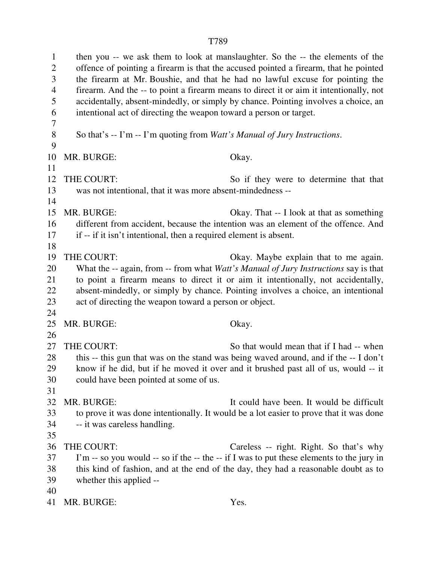1 then you -- we ask them to look at manslaughter. So the -- the elements of the 2 offence of pointing a firearm is that the accused pointed a firearm, that he pointed 3 the firearm at Mr. Boushie, and that he had no lawful excuse for pointing the 4 firearm. And the -- to point a firearm means to direct it or aim it intentionally, not 5 accidentally, absent-mindedly, or simply by chance. Pointing involves a choice, an 6 intentional act of directing the weapon toward a person or target. 7 8 So that's -- I'm -- I'm quoting from *Watt's Manual of Jury Instructions*. 9 10 MR. BURGE: Okay. 11 12 THE COURT: So if they were to determine that that 13 was not intentional, that it was more absent-mindedness -- 14 15 MR. BURGE: Okay. That -- I look at that as something 16 different from accident, because the intention was an element of the offence. And 17 if -- if it isn't intentional, then a required element is absent. 18 19 THE COURT: Okay. Maybe explain that to me again. 20 What the -- again, from -- from what *Watt's Manual of Jury Instructions* say is that 21 to point a firearm means to direct it or aim it intentionally, not accidentally, 22 absent-mindedly, or simply by chance. Pointing involves a choice, an intentional 23 act of directing the weapon toward a person or object. 24 25 MR. BURGE: Okay. 26 27 THE COURT: So that would mean that if I had -- when 28 this -- this gun that was on the stand was being waved around, and if the -- I don't 29 know if he did, but if he moved it over and it brushed past all of us, would -- it 30 could have been pointed at some of us. 31 32 MR. BURGE: It could have been. It would be difficult 33 to prove it was done intentionally. It would be a lot easier to prove that it was done 34 -- it was careless handling. 35 36 THE COURT: Careless -- right. Right. So that's why 37 I'm -- so you would -- so if the -- the -- if I was to put these elements to the jury in 38 this kind of fashion, and at the end of the day, they had a reasonable doubt as to 39 whether this applied -- 40 41 MR. BURGE: Yes.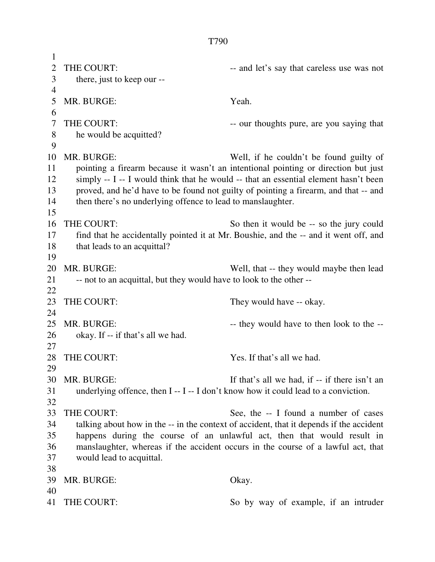| 1              |                                                                                     |                                                                                         |  |
|----------------|-------------------------------------------------------------------------------------|-----------------------------------------------------------------------------------------|--|
| $\overline{2}$ | THE COURT:                                                                          | -- and let's say that careless use was not                                              |  |
| 3              | there, just to keep our --                                                          |                                                                                         |  |
| 4              |                                                                                     |                                                                                         |  |
| 5              | MR. BURGE:                                                                          | Yeah.                                                                                   |  |
| 6              |                                                                                     |                                                                                         |  |
| 7              | THE COURT:                                                                          | -- our thoughts pure, are you saying that                                               |  |
| 8              | he would be acquitted?                                                              |                                                                                         |  |
| 9              |                                                                                     |                                                                                         |  |
| 10             | MR. BURGE:                                                                          | Well, if he couldn't be found guilty of                                                 |  |
| 11             |                                                                                     |                                                                                         |  |
|                |                                                                                     | pointing a firearm because it wasn't an intentional pointing or direction but just      |  |
| 12             |                                                                                     | simply -- I -- I would think that he would -- that an essential element hasn't been     |  |
| 13             | proved, and he'd have to be found not guilty of pointing a firearm, and that -- and |                                                                                         |  |
| 14             | then there's no underlying offence to lead to manslaughter.                         |                                                                                         |  |
| 15             |                                                                                     |                                                                                         |  |
| 16             | THE COURT:                                                                          | So then it would be -- so the jury could                                                |  |
| 17             |                                                                                     | find that he accidentally pointed it at Mr. Boushie, and the -- and it went off, and    |  |
| 18             | that leads to an acquittal?                                                         |                                                                                         |  |
| 19             |                                                                                     |                                                                                         |  |
| 20             | MR. BURGE:                                                                          | Well, that -- they would maybe then lead                                                |  |
| 21             | -- not to an acquittal, but they would have to look to the other --                 |                                                                                         |  |
| 22             |                                                                                     |                                                                                         |  |
| 23             | THE COURT:                                                                          | They would have -- okay.                                                                |  |
| 24             |                                                                                     |                                                                                         |  |
| 25             | MR. BURGE:                                                                          | -- they would have to then look to the --                                               |  |
| 26             | okay. If -- if that's all we had.                                                   |                                                                                         |  |
| 27             |                                                                                     |                                                                                         |  |
| 28             | THE COURT:                                                                          | Yes. If that's all we had.                                                              |  |
| 29             |                                                                                     |                                                                                         |  |
| 30             | MR. BURGE:                                                                          | If that's all we had, if -- if there isn't an                                           |  |
| 31             | underlying offence, then I -- I -- I don't know how it could lead to a conviction.  |                                                                                         |  |
| 32             |                                                                                     |                                                                                         |  |
| 33             | THE COURT:                                                                          | See, the -- I found a number of cases                                                   |  |
| 34             |                                                                                     | talking about how in the -- in the context of accident, that it depends if the accident |  |
| 35             | happens during the course of an unlawful act, then that would result in             |                                                                                         |  |
| 36             | manslaughter, whereas if the accident occurs in the course of a lawful act, that    |                                                                                         |  |
| 37             | would lead to acquittal.                                                            |                                                                                         |  |
| 38             |                                                                                     |                                                                                         |  |
| 39             | MR. BURGE:                                                                          | Okay.                                                                                   |  |
| 40             |                                                                                     |                                                                                         |  |
|                |                                                                                     |                                                                                         |  |
| 41             | THE COURT:                                                                          | So by way of example, if an intruder                                                    |  |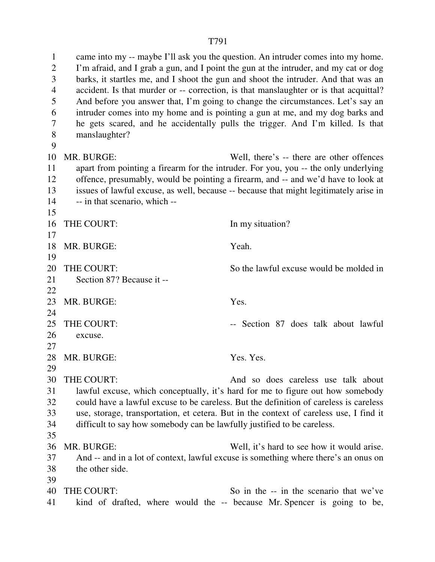1 came into my -- maybe I'll ask you the question. An intruder comes into my home. 2 I'm afraid, and I grab a gun, and I point the gun at the intruder, and my cat or dog 3 barks, it startles me, and I shoot the gun and shoot the intruder. And that was an 4 accident. Is that murder or -- correction, is that manslaughter or is that acquittal? 5 And before you answer that, I'm going to change the circumstances. Let's say an 6 intruder comes into my home and is pointing a gun at me, and my dog barks and 7 he gets scared, and he accidentally pulls the trigger. And I'm killed. Is that 8 manslaughter? 9 10 MR. BURGE: Well, there's -- there are other offences 11 apart from pointing a firearm for the intruder. For you, you -- the only underlying 12 offence, presumably, would be pointing a firearm, and -- and we'd have to look at 13 issues of lawful excuse, as well, because -- because that might legitimately arise in 14 -- in that scenario, which -- 15 16 THE COURT: In my situation? 17 18 MR. BURGE: Yeah. 19 20 THE COURT: So the lawful excuse would be molded in 21 Section 87? Because it -- 22 23 MR. BURGE: Yes. 24 25 THE COURT: -- Section 87 does talk about lawful 26 excuse. 27 28 MR. BURGE: Yes. Yes. Yes. 29 30 THE COURT: And so does careless use talk about 31 lawful excuse, which conceptually, it's hard for me to figure out how somebody 32 could have a lawful excuse to be careless. But the definition of careless is careless 33 use, storage, transportation, et cetera. But in the context of careless use, I find it 34 difficult to say how somebody can be lawfully justified to be careless. 35 36 MR. BURGE: Well, it's hard to see how it would arise. 37 And -- and in a lot of context, lawful excuse is something where there's an onus on 38 the other side. 39 40 THE COURT: So in the -- in the scenario that we've 41 kind of drafted, where would the -- because Mr. Spencer is going to be,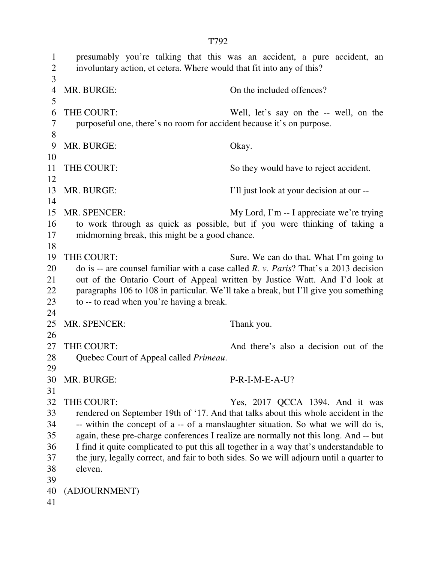1 presumably you're talking that this was an accident, a pure accident, an 2 involuntary action, et cetera. Where would that fit into any of this? 3 4 MR. BURGE: On the included offences? 5 6 THE COURT: Well, let's say on the -- well, on the 7 purposeful one, there's no room for accident because it's on purpose. 8 9 MR. BURGE: Okay. 10 11 THE COURT: So they would have to reject accident. 12 13 MR. BURGE: I'll just look at your decision at our -- 14 15 MR. SPENCER: My Lord, I'm -- I appreciate we're trying 16 to work through as quick as possible, but if you were thinking of taking a 17 midmorning break, this might be a good chance. 18 19 THE COURT: Sure. We can do that. What I'm going to 20 do is -- are counsel familiar with a case called *R. v. Paris*? That's a 2013 decision 21 out of the Ontario Court of Appeal written by Justice Watt. And I'd look at 22 paragraphs 106 to 108 in particular. We'll take a break, but I'll give you something 23 to -- to read when you're having a break. 24 25 MR. SPENCER: Thank you. 26 27 THE COURT: And there's also a decision out of the 28 Quebec Court of Appeal called *Primeau*. 29 30 MR. BURGE: P-R-I-M-E-A-U? 31 32 THE COURT: Yes, 2017 QCCA 1394. And it was 33 rendered on September 19th of '17. And that talks about this whole accident in the 34 -- within the concept of a -- of a manslaughter situation. So what we will do is, 35 again, these pre-charge conferences I realize are normally not this long. And -- but 36 I find it quite complicated to put this all together in a way that's understandable to 37 the jury, legally correct, and fair to both sides. So we will adjourn until a quarter to 38 eleven. 39 40 (ADJOURNMENT) 41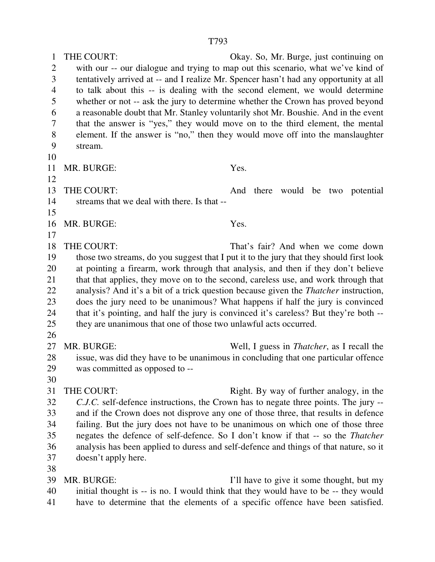1 THE COURT: Okay. So, Mr. Burge, just continuing on 2 with our -- our dialogue and trying to map out this scenario, what we've kind of 3 tentatively arrived at -- and I realize Mr. Spencer hasn't had any opportunity at all 4 to talk about this -- is dealing with the second element, we would determine 5 whether or not -- ask the jury to determine whether the Crown has proved beyond 6 a reasonable doubt that Mr. Stanley voluntarily shot Mr. Boushie. And in the event 7 that the answer is "yes," they would move on to the third element, the mental 8 element. If the answer is "no," then they would move off into the manslaughter 9 stream. 10 11 MR. BURGE: Yes. 12 13 THE COURT: And there would be two potential 14 streams that we deal with there. Is that -- 15 16 MR. BURGE: Yes. 17 18 THE COURT: That's fair? And when we come down 19 those two streams, do you suggest that I put it to the jury that they should first look 20 at pointing a firearm, work through that analysis, and then if they don't believe 21 that that applies, they move on to the second, careless use, and work through that 22 analysis? And it's a bit of a trick question because given the *Thatcher* instruction, 23 does the jury need to be unanimous? What happens if half the jury is convinced 24 that it's pointing, and half the jury is convinced it's careless? But they're both -- 25 they are unanimous that one of those two unlawful acts occurred. 26 27 MR. BURGE: Well, I guess in *Thatcher*, as I recall the 28 issue, was did they have to be unanimous in concluding that one particular offence 29 was committed as opposed to -- 30 31 THE COURT: Right. By way of further analogy, in the 32 *C.J.C.* self-defence instructions, the Crown has to negate three points. The jury -- 33 and if the Crown does not disprove any one of those three, that results in defence 34 failing. But the jury does not have to be unanimous on which one of those three 35 negates the defence of self-defence. So I don't know if that -- so the *Thatcher* 36 analysis has been applied to duress and self-defence and things of that nature, so it 37 doesn't apply here. 38 39 MR. BURGE: I'll have to give it some thought, but my

40 initial thought is -- is no. I would think that they would have to be -- they would 41 have to determine that the elements of a specific offence have been satisfied.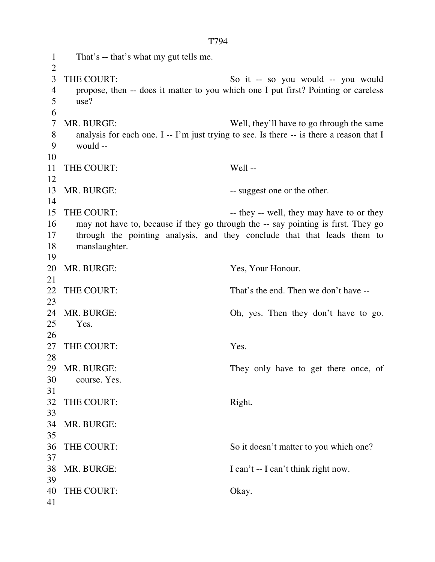1 That's -- that's what my gut tells me.  $\overline{2}$ 3 THE COURT: So it -- so you would -- you would 4 propose, then -- does it matter to you which one I put first? Pointing or careless 5 use? 6 7 MR. BURGE: Well, they'll have to go through the same 8 analysis for each one. I -- I'm just trying to see. Is there -- is there a reason that I 9 would -- 10 11 THE COURT: Well -- 12 13 MR. BURGE:  $-$  suggest one or the other. 14 15 THE COURT: -- they -- well, they may have to or they 16 may not have to, because if they go through the -- say pointing is first. They go 17 through the pointing analysis, and they conclude that that leads them to 18 manslaughter. 19 20 MR. BURGE: Yes, Your Honour. 21 22 THE COURT: That's the end. Then we don't have --23 24 MR. BURGE: Oh, yes. Then they don't have to go. 25 Yes. 26 27 THE COURT: Yes. 28 29 MR. BURGE: They only have to get there once, of 30 course. Yes. 31 32 THE COURT: Right. 33 34 MR. BURGE: 35 36 THE COURT: So it doesn't matter to you which one? 37 38 MR. BURGE: I can't -- I can't think right now. 39 40 THE COURT: Okay. 41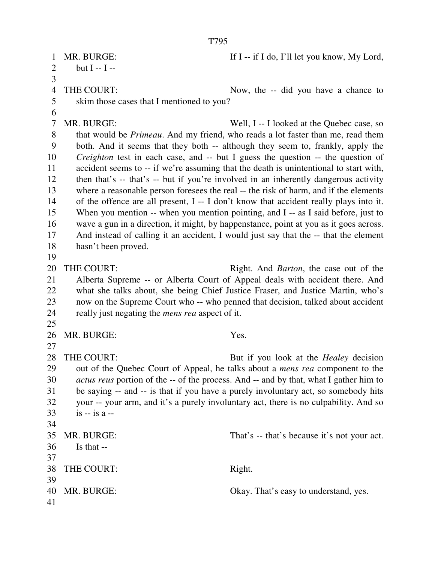1 MR. BURGE: If I -- if I do, I'll let you know, My Lord, 2 but  $I - I - I$ 3 4 THE COURT: Now, the -- did you have a chance to 5 skim those cases that I mentioned to you? 6 7 MR. BURGE: Well, I -- I looked at the Quebec case, so 8 that would be *Primeau*. And my friend, who reads a lot faster than me, read them 9 both. And it seems that they both -- although they seem to, frankly, apply the 10 *Creighton* test in each case, and -- but I guess the question -- the question of 11 accident seems to -- if we're assuming that the death is unintentional to start with, 12 then that's -- that's -- but if you're involved in an inherently dangerous activity 13 where a reasonable person foresees the real -- the risk of harm, and if the elements 14 of the offence are all present, I -- I don't know that accident really plays into it. 15 When you mention -- when you mention pointing, and I -- as I said before, just to 16 wave a gun in a direction, it might, by happenstance, point at you as it goes across. 17 And instead of calling it an accident, I would just say that the -- that the element 18 hasn't been proved. 19 20 THE COURT: Right. And *Barton*, the case out of the 21 Alberta Supreme -- or Alberta Court of Appeal deals with accident there. And 22 what she talks about, she being Chief Justice Fraser, and Justice Martin, who's 23 now on the Supreme Court who -- who penned that decision, talked about accident 24 really just negating the *mens rea* aspect of it. 25 26 MR. BURGE: Yes. 27 28 THE COURT: But if you look at the *Healey* decision 29 out of the Quebec Court of Appeal, he talks about a *mens rea* component to the 30 *actus reus* portion of the -- of the process. And -- and by that, what I gather him to 31 be saying -- and -- is that if you have a purely involuntary act, so somebody hits 32 your -- your arm, and it's a purely involuntary act, there is no culpability. And so  $33 \t\t is - is a -$ 34 35 MR. BURGE: That's -- that's because it's not your act. 36 Is that -- 37 38 THE COURT: Right. 39 40 MR. BURGE: Okay. That's easy to understand, yes. 41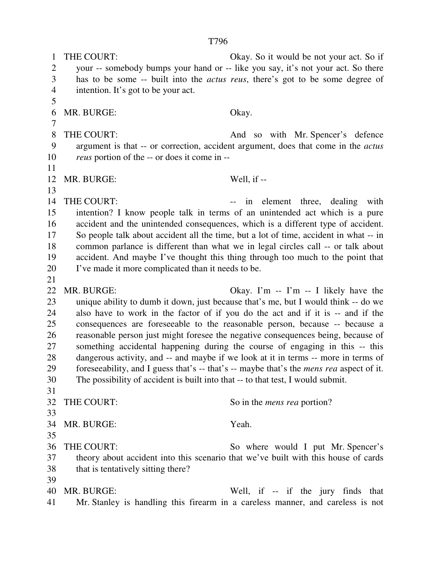1 THE COURT: Okay. So it would be not your act. So if 2 your -- somebody bumps your hand or -- like you say, it's not your act. So there 3 has to be some -- built into the *actus reus*, there's got to be some degree of 4 intention. It's got to be your act. 5 6 MR. BURGE: Okay. 7 8 THE COURT: And so with Mr. Spencer's defence 9 argument is that -- or correction, accident argument, does that come in the *actus*  10 *reus* portion of the -- or does it come in -- 11 12 MR. BURGE: Well, if -- 13 14 THE COURT:  $\qquad \qquad \text{if} \qquad \text{element} \quad \text{three} \qquad \text{dealing} \quad \text{with}$ 15 intention? I know people talk in terms of an unintended act which is a pure 16 accident and the unintended consequences, which is a different type of accident. 17 So people talk about accident all the time, but a lot of time, accident in what -- in 18 common parlance is different than what we in legal circles call -- or talk about 19 accident. And maybe I've thought this thing through too much to the point that 20 I've made it more complicated than it needs to be. 21 22 MR. BURGE: Okay. I'm -- I'm -- I likely have the 23 unique ability to dumb it down, just because that's me, but I would think -- do we 24 also have to work in the factor of if you do the act and if it is -- and if the 25 consequences are foreseeable to the reasonable person, because -- because a 26 reasonable person just might foresee the negative consequences being, because of 27 something accidental happening during the course of engaging in this -- this 28 dangerous activity, and -- and maybe if we look at it in terms -- more in terms of 29 foreseeability, and I guess that's -- that's -- maybe that's the *mens rea* aspect of it. 30 The possibility of accident is built into that -- to that test, I would submit. 31 32 THE COURT: So in the *mens rea* portion? 33 34 MR. BURGE: Yeah. 35 36 THE COURT: So where would I put Mr. Spencer's 37 theory about accident into this scenario that we've built with this house of cards 38 that is tentatively sitting there? 39 40 MR. BURGE: Well, if -- if the jury finds that 41 Mr. Stanley is handling this firearm in a careless manner, and careless is not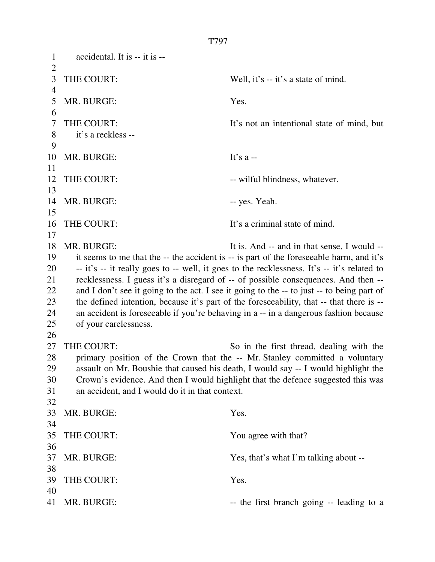1 accidental. It is -- it is --  $\overline{2}$ 3 THE COURT: Well, it's -- it's a state of mind. 4 5 MR. BURGE: Yes. 6 7 THE COURT: It's not an intentional state of mind, but 8 it's a reckless -- 9 10 MR. BURGE: It's a--11 12 THE COURT:  $-$  wilful blindness, whatever. 13 14 MR. BURGE:  $-$  yes. Yeah. 15 16 THE COURT: It's a criminal state of mind. 17 18 MR. BURGE: It is. And -- and in that sense, I would --19 it seems to me that the -- the accident is -- is part of the foreseeable harm, and it's 20 -- it's -- it really goes to -- well, it goes to the recklessness. It's -- it's related to 21 recklessness. I guess it's a disregard of -- of possible consequences. And then -- 22 and I don't see it going to the act. I see it going to the -- to just -- to being part of 23 the defined intention, because it's part of the foreseeability, that -- that there is -- 24 an accident is foreseeable if you're behaving in a -- in a dangerous fashion because 25 of your carelessness. 26 27 THE COURT: So in the first thread, dealing with the 28 primary position of the Crown that the -- Mr. Stanley committed a voluntary 29 assault on Mr. Boushie that caused his death, I would say -- I would highlight the 30 Crown's evidence. And then I would highlight that the defence suggested this was 31 an accident, and I would do it in that context. 32 33 MR. BURGE: Yes. 34 35 THE COURT: You agree with that? 36 37 MR. BURGE: Yes, that's what I'm talking about -- 38 39 THE COURT: Yes. 40 41 MR. BURGE:  $\qquad$  -- the first branch going -- leading to a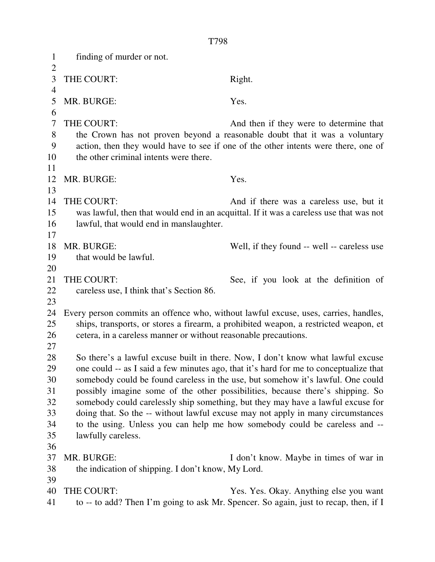1 finding of murder or not.  $\overline{2}$ 3 THE COURT: Right. 4 5 MR. BURGE: Yes. 6 7 THE COURT: And then if they were to determine that 8 the Crown has not proven beyond a reasonable doubt that it was a voluntary 9 action, then they would have to see if one of the other intents were there, one of 10 the other criminal intents were there. 11 12 MR. BURGE: Yes. 13 14 THE COURT: And if there was a careless use, but it 15 was lawful, then that would end in an acquittal. If it was a careless use that was not 16 lawful, that would end in manslaughter. 17 18 MR. BURGE: Well, if they found -- well -- careless use 19 that would be lawful. 20 21 THE COURT: See, if you look at the definition of 22 careless use, I think that's Section 86. 23 24 Every person commits an offence who, without lawful excuse, uses, carries, handles, 25 ships, transports, or stores a firearm, a prohibited weapon, a restricted weapon, et 26 cetera, in a careless manner or without reasonable precautions. 27 28 So there's a lawful excuse built in there. Now, I don't know what lawful excuse 29 one could -- as I said a few minutes ago, that it's hard for me to conceptualize that 30 somebody could be found careless in the use, but somehow it's lawful. One could 31 possibly imagine some of the other possibilities, because there's shipping. So 32 somebody could carelessly ship something, but they may have a lawful excuse for 33 doing that. So the -- without lawful excuse may not apply in many circumstances 34 to the using. Unless you can help me how somebody could be careless and -- 35 lawfully careless. 36 37 MR. BURGE: I don't know. Maybe in times of war in 38 the indication of shipping. I don't know, My Lord. 39 40 THE COURT: Yes. Yes. Okay. Anything else you want 41 to -- to add? Then I'm going to ask Mr. Spencer. So again, just to recap, then, if I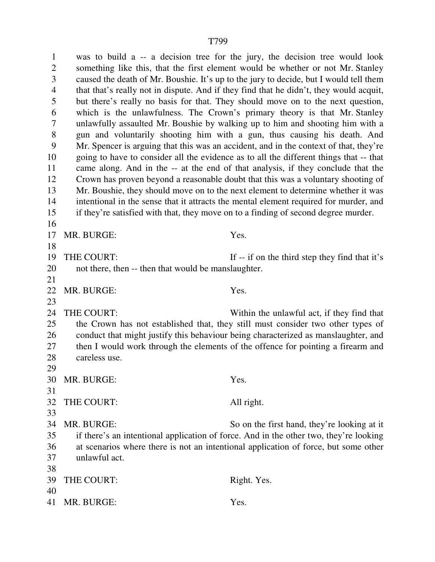1 was to build a -- a decision tree for the jury, the decision tree would look 2 something like this, that the first element would be whether or not Mr. Stanley 3 caused the death of Mr. Boushie. It's up to the jury to decide, but I would tell them 4 that that's really not in dispute. And if they find that he didn't, they would acquit, 5 but there's really no basis for that. They should move on to the next question, 6 which is the unlawfulness. The Crown's primary theory is that Mr. Stanley 7 unlawfully assaulted Mr. Boushie by walking up to him and shooting him with a 8 gun and voluntarily shooting him with a gun, thus causing his death. And 9 Mr. Spencer is arguing that this was an accident, and in the context of that, they're 10 going to have to consider all the evidence as to all the different things that -- that 11 came along. And in the -- at the end of that analysis, if they conclude that the 12 Crown has proven beyond a reasonable doubt that this was a voluntary shooting of 13 Mr. Boushie, they should move on to the next element to determine whether it was 14 intentional in the sense that it attracts the mental element required for murder, and 15 if they're satisfied with that, they move on to a finding of second degree murder. 16 17 MR. BURGE: Yes. 18 19 THE COURT: If -- if on the third step they find that it's 20 not there, then -- then that would be manslaughter. 21 22 MR. BURGE: Yes. 23 24 THE COURT: Within the unlawful act, if they find that 25 the Crown has not established that, they still must consider two other types of 26 conduct that might justify this behaviour being characterized as manslaughter, and 27 then I would work through the elements of the offence for pointing a firearm and 28 careless use. 29 30 MR. BURGE: Yes. 31 32 THE COURT: All right. 33 34 MR. BURGE: So on the first hand, they're looking at it 35 if there's an intentional application of force. And in the other two, they're looking 36 at scenarios where there is not an intentional application of force, but some other 37 unlawful act. 38 39 THE COURT: Right. Yes. 40 41 MR. BURGE: Yes.